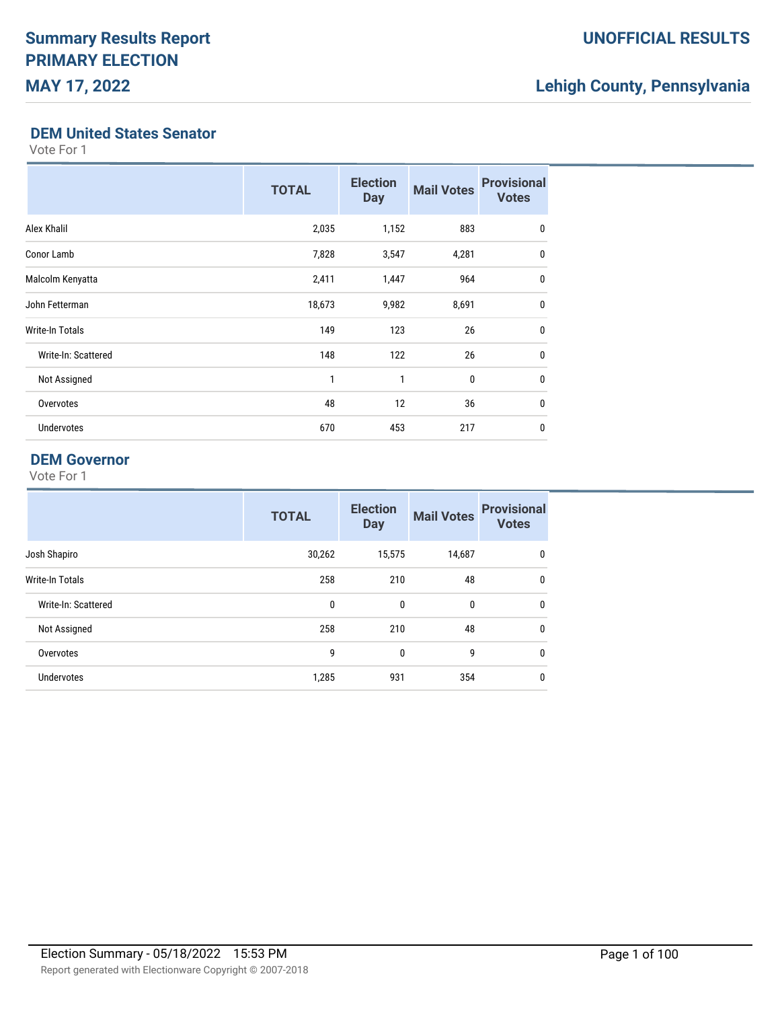## **DEM United States Senator**

Vote For 1

|                        | <b>TOTAL</b> | <b>Election</b><br><b>Day</b> | <b>Mail Votes</b> | <b>Provisional</b><br><b>Votes</b> |
|------------------------|--------------|-------------------------------|-------------------|------------------------------------|
| Alex Khalil            | 2,035        | 1,152                         | 883               | $\mathbf 0$                        |
| Conor Lamb             | 7,828        | 3,547                         | 4,281             | $\mathbf 0$                        |
| Malcolm Kenyatta       | 2,411        | 1,447                         | 964               | $\mathbf 0$                        |
| John Fetterman         | 18,673       | 9,982                         | 8,691             | $\mathbf 0$                        |
| <b>Write-In Totals</b> | 149          | 123                           | 26                | $\mathbf{0}$                       |
| Write-In: Scattered    | 148          | 122                           | 26                | $\mathbf 0$                        |
| Not Assigned           | 1            | $\mathbf{1}$                  | 0                 | $\mathbf 0$                        |
| Overvotes              | 48           | 12                            | 36                | $\mathbf 0$                        |
| <b>Undervotes</b>      | 670          | 453                           | 217               | 0                                  |

## **DEM Governor**

|                     | <b>TOTAL</b> | <b>Election</b><br><b>Day</b> | <b>Mail Votes</b> | <b>Provisional</b><br><b>Votes</b> |
|---------------------|--------------|-------------------------------|-------------------|------------------------------------|
| Josh Shapiro        | 30,262       | 15,575                        | 14,687            | $\mathbf{0}$                       |
| Write-In Totals     | 258          | 210                           | 48                | $\mathbf 0$                        |
| Write-In: Scattered | 0            | 0                             | 0                 | $\mathbf{0}$                       |
| Not Assigned        | 258          | 210                           | 48                | $\mathbf{0}$                       |
| Overvotes           | 9            | $\mathbf{0}$                  | 9                 | $\mathbf{0}$                       |
| <b>Undervotes</b>   | 1,285        | 931                           | 354               | 0                                  |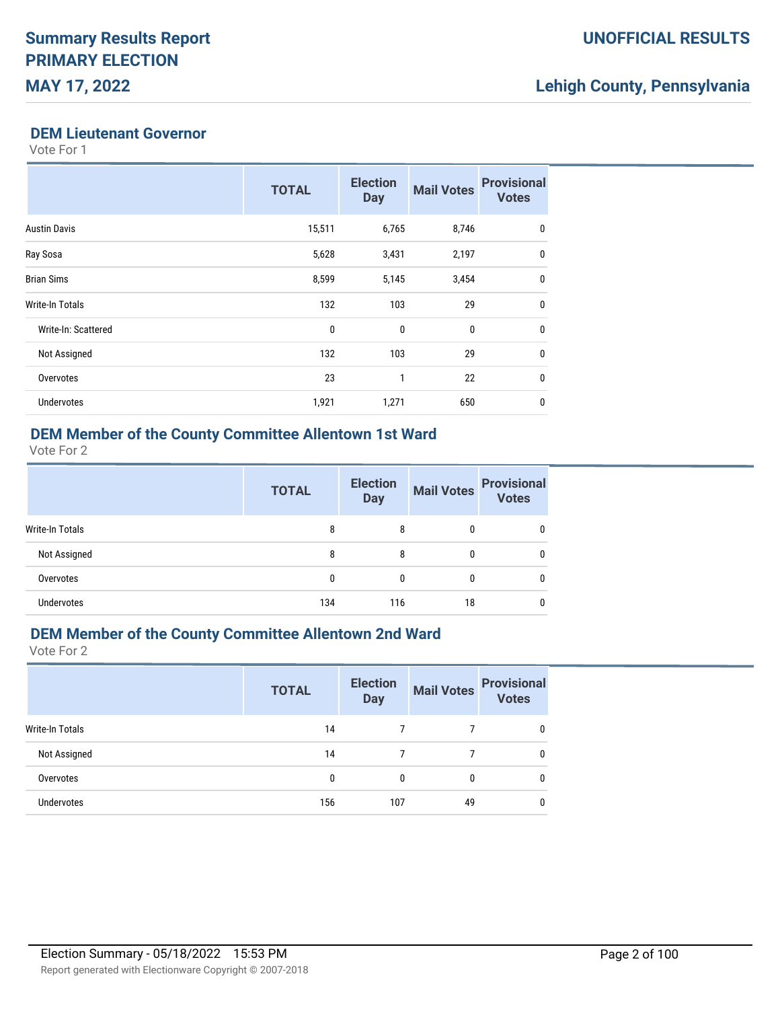### **DEM Lieutenant Governor**

Vote For 1

|                        | <b>TOTAL</b> | <b>Election</b><br><b>Day</b> | <b>Mail Votes</b> | <b>Provisional</b><br><b>Votes</b> |
|------------------------|--------------|-------------------------------|-------------------|------------------------------------|
| <b>Austin Davis</b>    | 15,511       | 6,765                         | 8,746             | 0                                  |
| Ray Sosa               | 5,628        | 3,431                         | 2,197             | $\mathbf{0}$                       |
| <b>Brian Sims</b>      | 8,599        | 5,145                         | 3,454             | $\mathbf{0}$                       |
| <b>Write-In Totals</b> | 132          | 103                           | 29                | $\mathbf{0}$                       |
| Write-In: Scattered    | $\mathbf{0}$ | $\mathbf{0}$                  | $\mathbf{0}$      | $\mathbf{0}$                       |
| Not Assigned           | 132          | 103                           | 29                | $\mathbf{0}$                       |
| Overvotes              | 23           | 1                             | 22                | $\mathbf{0}$                       |
| <b>Undervotes</b>      | 1,921        | 1,271                         | 650               | 0                                  |

# **DEM Member of the County Committee Allentown 1st Ward**

Vote For 2

|                 | <b>TOTAL</b> | <b>Election</b><br><b>Day</b> | <b>Mail Votes</b> | <b>Provisional</b><br><b>Votes</b> |
|-----------------|--------------|-------------------------------|-------------------|------------------------------------|
| Write-In Totals | 8            | 8                             | 0                 | 0                                  |
| Not Assigned    | 8            | 8                             | 0                 | 0                                  |
| Overvotes       | 0            | $\mathbf{0}$                  | $\mathbf{0}$      | 0                                  |
| Undervotes      | 134          | 116                           | 18                |                                    |

# **DEM Member of the County Committee Allentown 2nd Ward**

|                        | <b>TOTAL</b> | <b>Election</b><br><b>Day</b> | <b>Mail Votes</b> | <b>Provisional</b><br><b>Votes</b> |
|------------------------|--------------|-------------------------------|-------------------|------------------------------------|
| <b>Write-In Totals</b> | 14           |                               |                   | $\mathbf{0}$                       |
| Not Assigned           | 14           | 7                             |                   | $\mathbf{0}$                       |
| Overvotes              | 0            | 0                             | 0                 | $\mathbf{0}$                       |
| <b>Undervotes</b>      | 156          | 107                           | 49                | $\mathbf{0}$                       |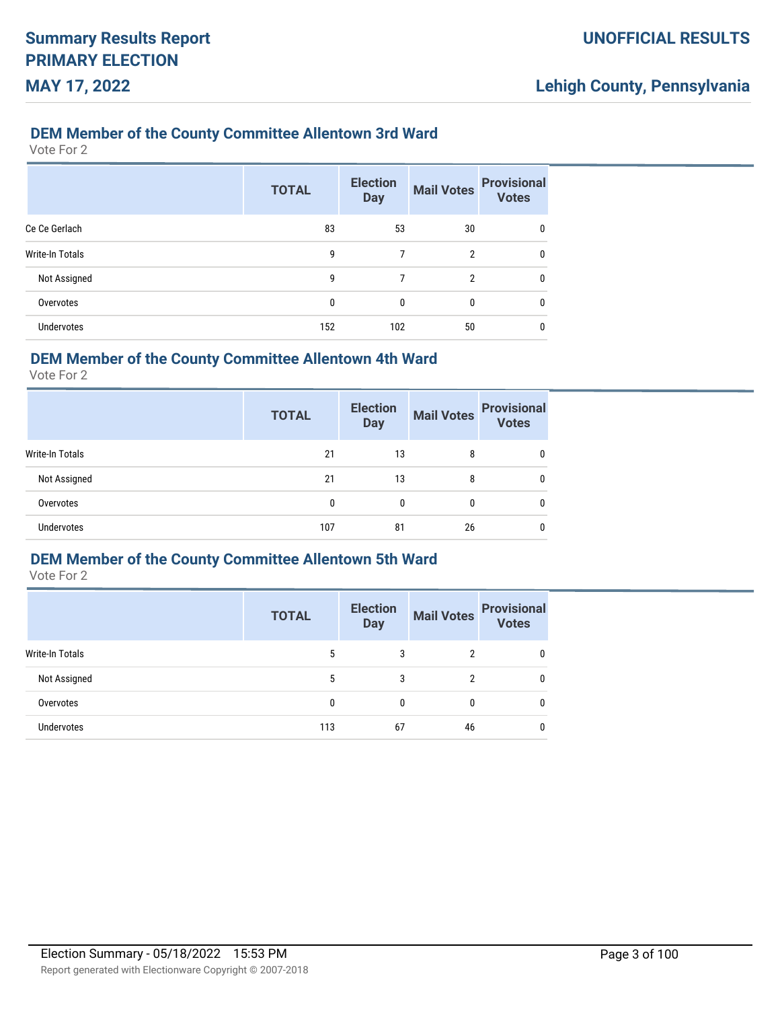### **DEM Member of the County Committee Allentown 3rd Ward**

Vote For 2

|                   | <b>TOTAL</b> | <b>Election</b><br><b>Day</b> | <b>Mail Votes</b> | <b>Provisional</b><br><b>Votes</b> |
|-------------------|--------------|-------------------------------|-------------------|------------------------------------|
| Ce Ce Gerlach     | 83           | 53                            | 30                | 0                                  |
| Write-In Totals   | 9            | 7                             | $\overline{2}$    | 0                                  |
| Not Assigned      | 9            | 7                             | 2                 | 0                                  |
| Overvotes         | 0            | 0                             | 0                 | 0                                  |
| <b>Undervotes</b> | 152          | 102                           | 50                | 0                                  |

## **DEM Member of the County Committee Allentown 4th Ward**

Vote For 2

|                 | <b>TOTAL</b> | <b>Election</b><br><b>Day</b> | <b>Mail Votes</b> | <b>Provisional</b><br><b>Votes</b> |
|-----------------|--------------|-------------------------------|-------------------|------------------------------------|
| Write-In Totals | 21           | 13                            | 8                 | 0                                  |
| Not Assigned    | 21           | 13                            | 8                 | 0                                  |
| Overvotes       | 0            | 0                             | 0                 | 0                                  |
| Undervotes      | 107          | 81                            | 26                | 0                                  |

## **DEM Member of the County Committee Allentown 5th Ward**

|                 | <b>TOTAL</b> | <b>Election</b><br><b>Day</b> | <b>Mail Votes</b> | <b>Provisional</b><br>Votes |
|-----------------|--------------|-------------------------------|-------------------|-----------------------------|
| Write-In Totals | 5            | 3                             | 2                 |                             |
| Not Assigned    | 5            | 3                             | 2                 |                             |
| Overvotes       | 0            | 0                             | 0                 |                             |
| Undervotes      | 113          | 67                            | 46                |                             |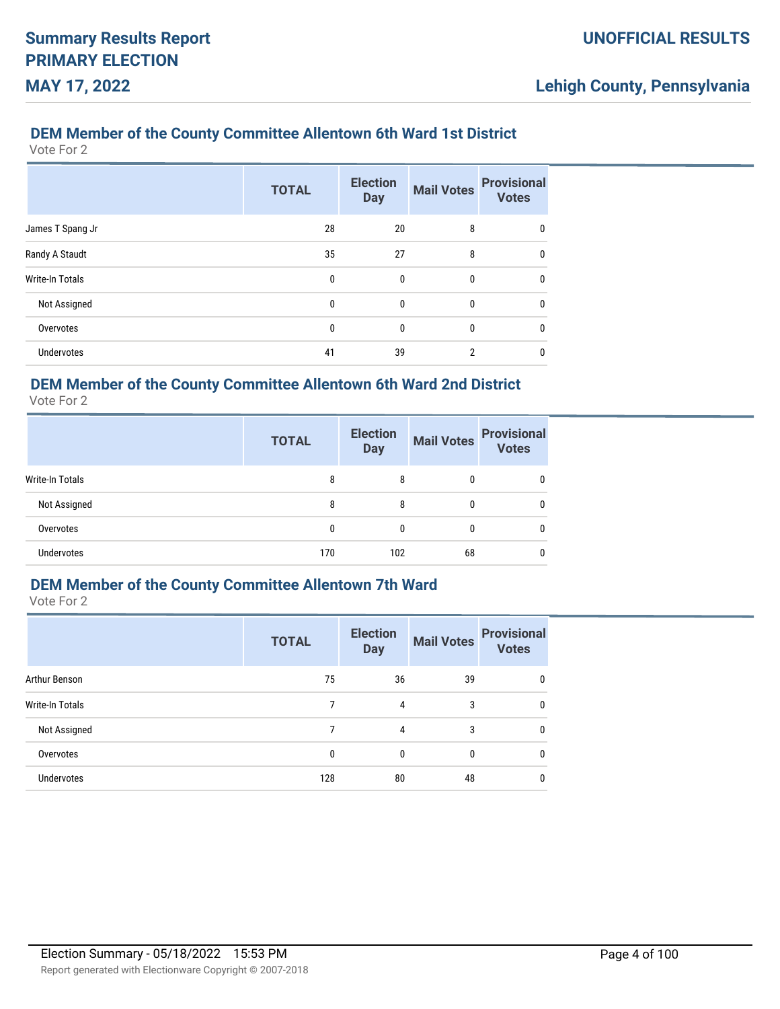## **DEM Member of the County Committee Allentown 6th Ward 1st District**

Vote For 2

|                        | <b>TOTAL</b> | <b>Election</b><br><b>Day</b> | <b>Mail Votes</b> | <b>Provisional</b><br><b>Votes</b> |
|------------------------|--------------|-------------------------------|-------------------|------------------------------------|
| James T Spang Jr       | 28           | 20                            | 8                 | $\mathbf{0}$                       |
| Randy A Staudt         | 35           | 27                            | 8                 | $\mathbf{0}$                       |
| <b>Write-In Totals</b> | 0            | 0                             | 0                 | $\mathbf{0}$                       |
| Not Assigned           | 0            | 0                             | $\bf{0}$          | $\mathbf{0}$                       |
| Overvotes              | 0            | 0                             | 0                 | 0                                  |
| Undervotes             | 41           | 39                            | $\overline{2}$    | 0                                  |

## **DEM Member of the County Committee Allentown 6th Ward 2nd District**

Vote For 2

|                        | <b>TOTAL</b> | <b>Election</b><br><b>Day</b> | <b>Mail Votes</b> | <b>Provisional</b><br><b>Votes</b> |
|------------------------|--------------|-------------------------------|-------------------|------------------------------------|
| <b>Write-In Totals</b> | 8            | 8                             | 0                 |                                    |
| Not Assigned           | 8            | 8                             | 0                 | 0                                  |
| Overvotes              | 0            | 0                             | 0                 | 0                                  |
| <b>Undervotes</b>      | 170          | 102                           | 68                |                                    |

## **DEM Member of the County Committee Allentown 7th Ward**

|                   | <b>TOTAL</b> | <b>Election</b><br><b>Day</b> | <b>Mail Votes</b> | <b>Provisional</b><br><b>Votes</b> |
|-------------------|--------------|-------------------------------|-------------------|------------------------------------|
| Arthur Benson     | 75           | 36                            | 39                | 0                                  |
| Write-In Totals   | 7            | 4                             | 3                 | 0                                  |
| Not Assigned      | 7            | 4                             | 3                 | 0                                  |
| Overvotes         | $\mathbf{0}$ | $\mathbf{0}$                  | 0                 | 0                                  |
| <b>Undervotes</b> | 128          | 80                            | 48                | 0                                  |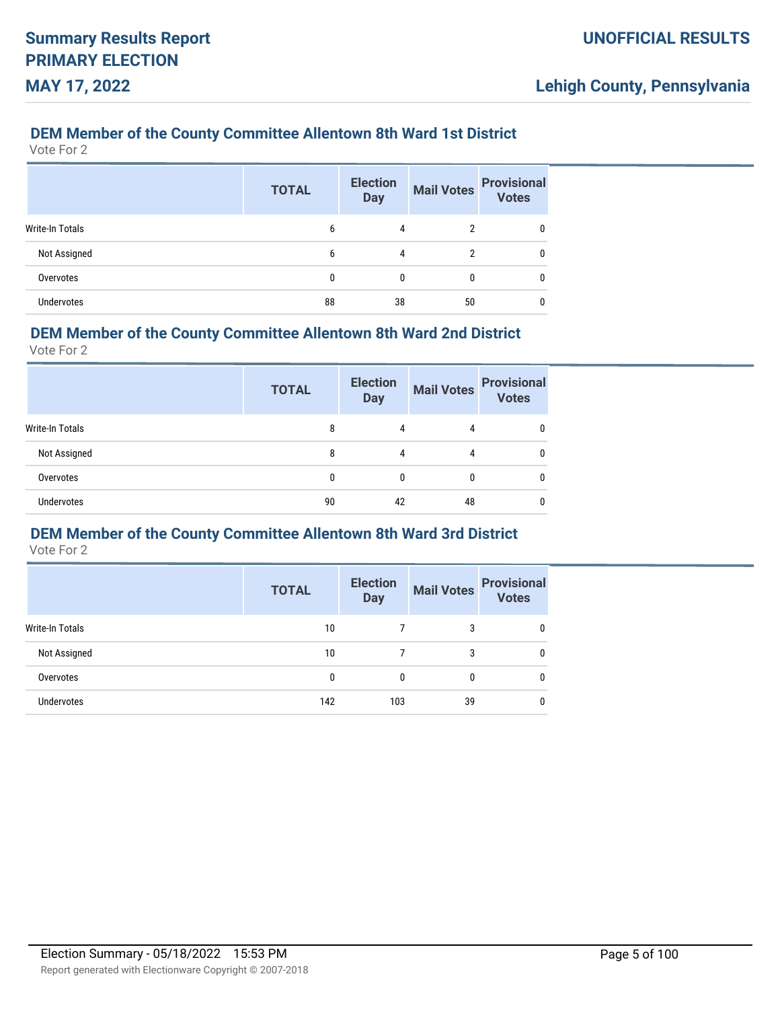## **DEM Member of the County Committee Allentown 8th Ward 1st District**

Vote For 2

|                   | <b>TOTAL</b> | <b>Election</b><br><b>Day</b> | <b>Mail Votes</b> | <b>Provisional</b><br>Votes |
|-------------------|--------------|-------------------------------|-------------------|-----------------------------|
| Write-In Totals   | 6            | 4                             |                   | 0                           |
| Not Assigned      | 6            | 4                             | 2                 | 0                           |
| Overvotes         | 0            | 0                             | 0                 | 0                           |
| <b>Undervotes</b> | 88           | 38                            | 50                | 0                           |

### **DEM Member of the County Committee Allentown 8th Ward 2nd District**

Vote For 2

|                   | <b>TOTAL</b> | <b>Election</b><br><b>Day</b> | <b>Mail Votes</b> | <b>Provisional</b><br><b>Votes</b> |
|-------------------|--------------|-------------------------------|-------------------|------------------------------------|
| Write-In Totals   | 8            | 4                             | 4                 |                                    |
| Not Assigned      | 8            | 4                             |                   |                                    |
| Overvotes         | 0            | 0                             | 0                 |                                    |
| <b>Undervotes</b> | 90           | 42                            | 48                |                                    |

## **DEM Member of the County Committee Allentown 8th Ward 3rd District**

|                 | <b>TOTAL</b> | <b>Election</b><br><b>Day</b> | <b>Mail Votes</b> | <b>Provisional</b><br><b>Votes</b> |
|-----------------|--------------|-------------------------------|-------------------|------------------------------------|
| Write-In Totals | 10           |                               | 3                 |                                    |
| Not Assigned    | 10           |                               | 3                 |                                    |
| Overvotes       | 0            | 0                             | 0                 | 0                                  |
| Undervotes      | 142          | 103                           | 39                | 0                                  |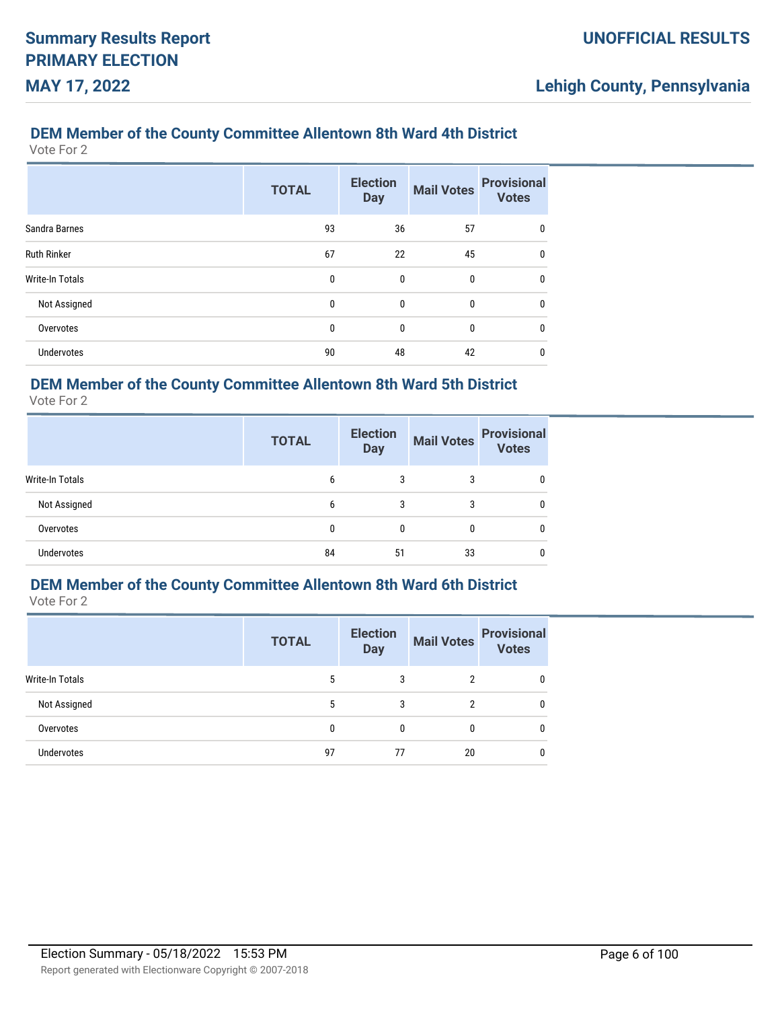## **DEM Member of the County Committee Allentown 8th Ward 4th District**

Vote For 2

|                        | <b>TOTAL</b> | <b>Election</b><br><b>Day</b> | <b>Mail Votes</b> | <b>Provisional</b><br><b>Votes</b> |
|------------------------|--------------|-------------------------------|-------------------|------------------------------------|
| Sandra Barnes          | 93           | 36                            | 57                | 0                                  |
| <b>Ruth Rinker</b>     | 67           | 22                            | 45                | $\mathbf{0}$                       |
| <b>Write-In Totals</b> | 0            | 0                             | 0                 | 0                                  |
| Not Assigned           | 0            | $\mathbf{0}$                  | $\mathbf{0}$      | $\mathbf{0}$                       |
| Overvotes              | 0            | 0                             | 0                 | 0                                  |
| <b>Undervotes</b>      | 90           | 48                            | 42                | 0                                  |

## **DEM Member of the County Committee Allentown 8th Ward 5th District**

Vote For 2

|                        | <b>TOTAL</b> | <b>Election</b><br><b>Day</b> | <b>Mail Votes</b> | <b>Provisional</b><br><b>Votes</b> |
|------------------------|--------------|-------------------------------|-------------------|------------------------------------|
| <b>Write-In Totals</b> | 6            | 3                             | 3                 |                                    |
| Not Assigned           | 6            | 3                             | 3                 | 0                                  |
| Overvotes              | 0            | 0                             |                   | 0                                  |
| <b>Undervotes</b>      | 84           | 51                            | 33                | 0                                  |

# **DEM Member of the County Committee Allentown 8th Ward 6th District**

Vote For 2

|                   | <b>TOTAL</b> | <b>Election</b><br><b>Day</b> | <b>Mail Votes</b> | <b>Provisional</b><br><b>Votes</b> |
|-------------------|--------------|-------------------------------|-------------------|------------------------------------|
| Write-In Totals   | 5            | 3                             | 2                 |                                    |
| Not Assigned      | 5            | 3                             | 2                 | 0                                  |
| Overvotes         | 0            | $\mathbf{0}$                  | 0                 | 0                                  |
| <b>Undervotes</b> | 97           | 77                            | 20                | 0                                  |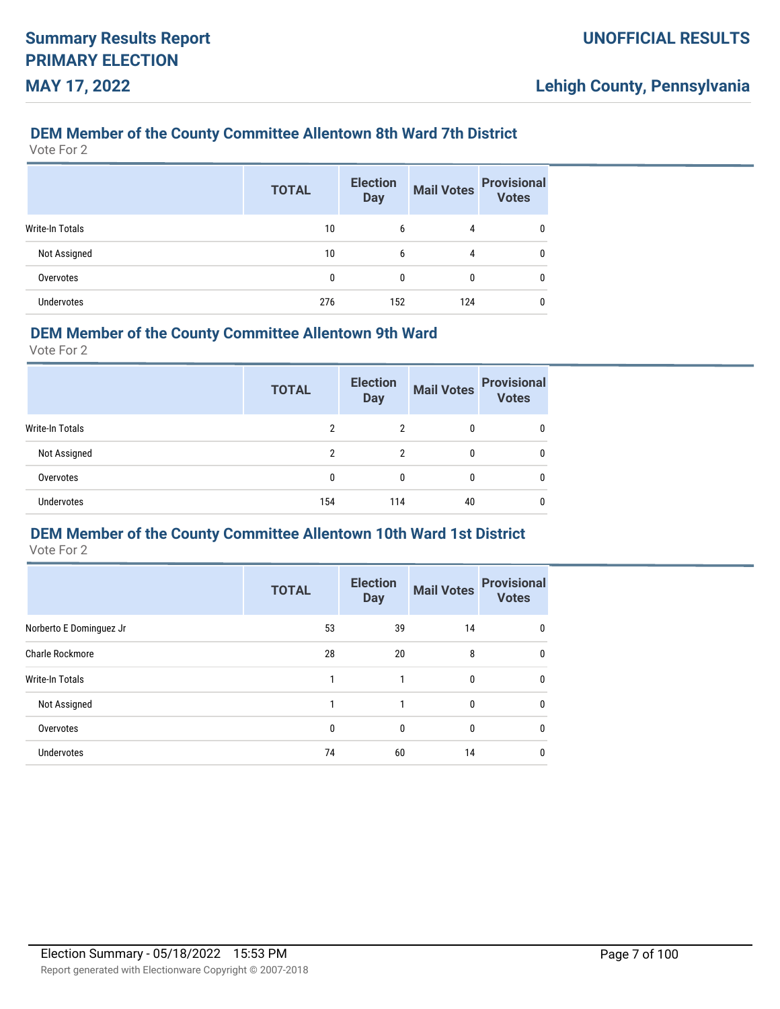## **DEM Member of the County Committee Allentown 8th Ward 7th District**

Vote For 2

|                        | <b>TOTAL</b> | <b>Election</b><br><b>Day</b> | <b>Mail Votes</b> | <b>Provisional</b><br><b>Votes</b> |
|------------------------|--------------|-------------------------------|-------------------|------------------------------------|
| <b>Write-In Totals</b> | 10           | 6                             | 4                 |                                    |
| Not Assigned           | 10           | 6                             | 4                 | 0                                  |
| Overvotes              | 0            | $\theta$                      | $\bf{0}$          | 0                                  |
| <b>Undervotes</b>      | 276          | 152                           | 124               | 0                                  |

### **DEM Member of the County Committee Allentown 9th Ward**

Vote For 2

|                        | <b>TOTAL</b> | <b>Election</b><br><b>Day</b> | <b>Mail Votes</b> | <b>Provisional</b><br><b>Votes</b> |
|------------------------|--------------|-------------------------------|-------------------|------------------------------------|
| <b>Write-In Totals</b> | 2            | 2                             | 0                 |                                    |
| Not Assigned           | 2            | 2                             | 0                 |                                    |
| Overvotes              | 0            | 0                             | 0                 |                                    |
| <b>Undervotes</b>      | 154          | 114                           | 40                |                                    |

## **DEM Member of the County Committee Allentown 10th Ward 1st District**

|                         | <b>TOTAL</b> | <b>Election</b><br><b>Day</b> | <b>Mail Votes</b> | <b>Provisional</b><br><b>Votes</b> |
|-------------------------|--------------|-------------------------------|-------------------|------------------------------------|
| Norberto E Dominguez Jr | 53           | 39                            | 14                | 0                                  |
| Charle Rockmore         | 28           | 20                            | 8                 | 0                                  |
| Write-In Totals         |              |                               | 0                 | 0                                  |
| Not Assigned            |              |                               | 0                 | 0                                  |
| Overvotes               | 0            | 0                             | 0                 | 0                                  |
| <b>Undervotes</b>       | 74           | 60                            | 14                |                                    |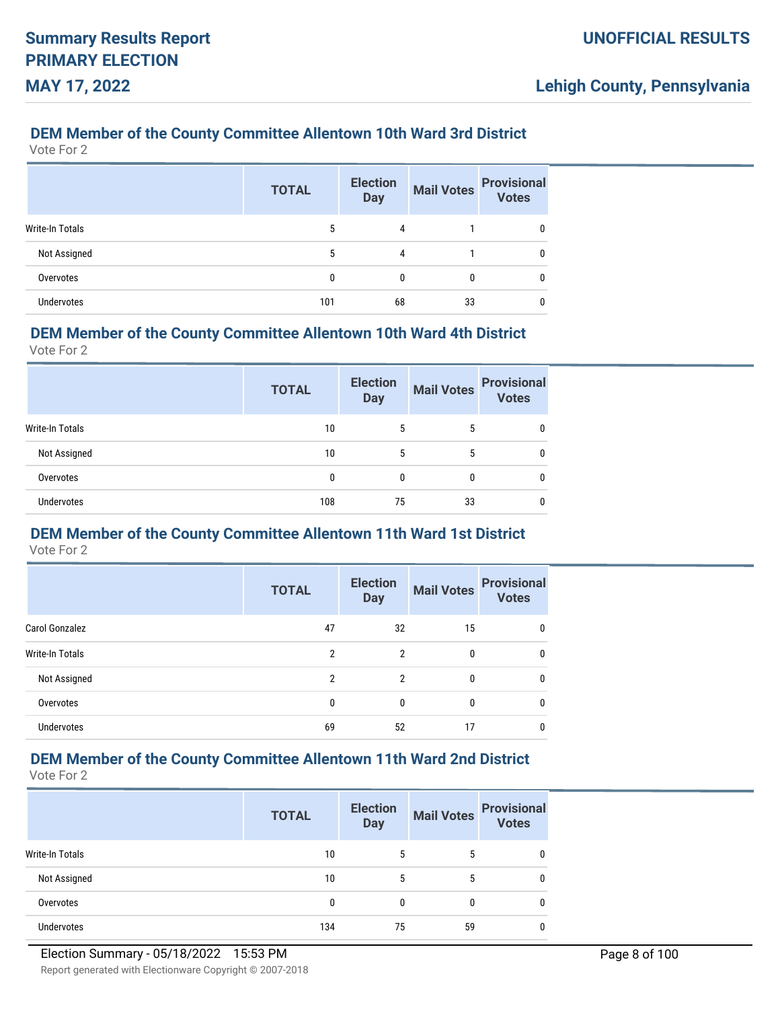## **DEM Member of the County Committee Allentown 10th Ward 3rd District**

Vote For 2

|                   | <b>TOTAL</b> | <b>Election</b><br><b>Day</b> | <b>Mail Votes</b> | <b>Provisional</b><br><b>Votes</b> |
|-------------------|--------------|-------------------------------|-------------------|------------------------------------|
| Write-In Totals   | 5            | 4                             |                   |                                    |
| Not Assigned      | 5            | 4                             |                   |                                    |
| Overvotes         | 0            | 0                             | 0                 |                                    |
| <b>Undervotes</b> | 101          | 68                            | 33                |                                    |

### **DEM Member of the County Committee Allentown 10th Ward 4th District**

Vote For 2

|                   | <b>TOTAL</b> | <b>Election</b><br><b>Day</b> | <b>Mail Votes</b> | <b>Provisional</b><br><b>Votes</b> |
|-------------------|--------------|-------------------------------|-------------------|------------------------------------|
| Write-In Totals   | 10           | 5                             | 5                 |                                    |
| Not Assigned      | 10           | 5                             | 5                 | 0                                  |
| Overvotes         | 0            | 0                             | 0                 | 0                                  |
| <b>Undervotes</b> | 108          | 75                            | 33                |                                    |

# **DEM Member of the County Committee Allentown 11th Ward 1st District**

Vote For 2

|                        | <b>TOTAL</b> | <b>Election</b><br><b>Day</b> | <b>Mail Votes</b> | <b>Provisional</b><br><b>Votes</b> |
|------------------------|--------------|-------------------------------|-------------------|------------------------------------|
| <b>Carol Gonzalez</b>  | 47           | 32                            | 15                |                                    |
| <b>Write-In Totals</b> | 2            | 2                             | 0                 |                                    |
| Not Assigned           | 2            | $\overline{2}$                | 0                 |                                    |
| Overvotes              | 0            | 0                             | 0                 |                                    |
| <b>Undervotes</b>      | 69           | 52                            | 17                |                                    |

# **DEM Member of the County Committee Allentown 11th Ward 2nd District**

|                   | <b>TOTAL</b> | <b>Election</b><br><b>Day</b> | <b>Mail Votes</b> | <b>Provisional</b><br><b>Votes</b> |
|-------------------|--------------|-------------------------------|-------------------|------------------------------------|
| Write-In Totals   | 10           | 5                             | 5                 |                                    |
| Not Assigned      | 10           | 5                             | 5                 |                                    |
| Overvotes         | 0            | 0                             | 0                 |                                    |
| <b>Undervotes</b> | 134          | 75                            | 59                |                                    |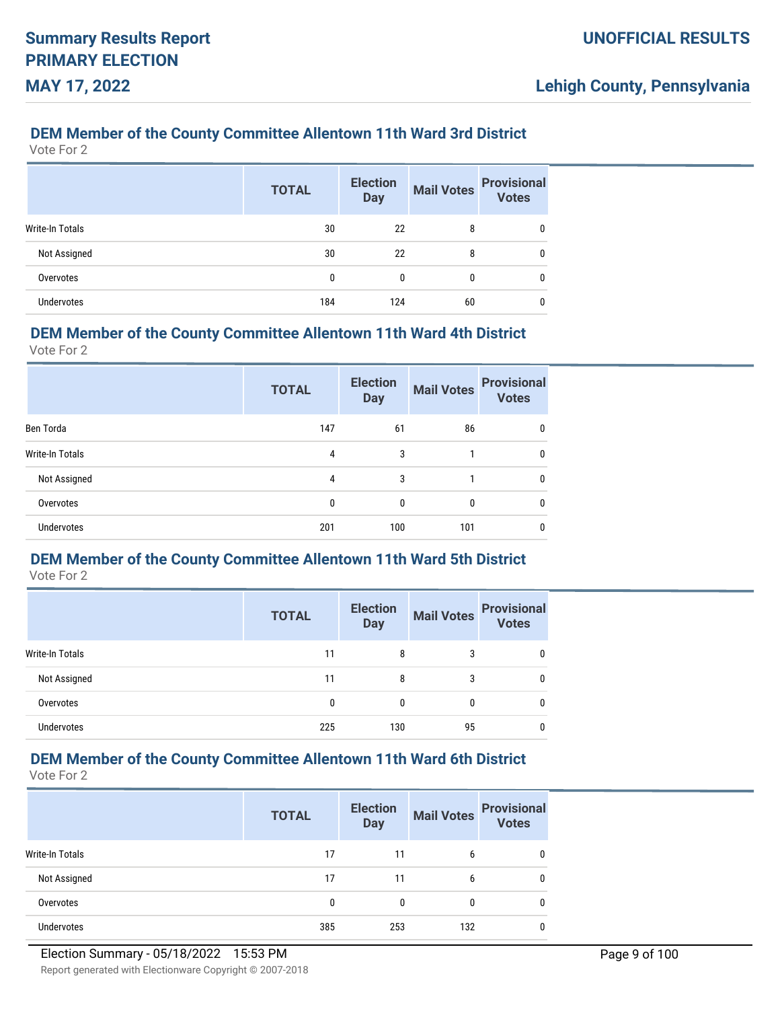### **DEM Member of the County Committee Allentown 11th Ward 3rd District**

Vote For 2

|                        | <b>TOTAL</b> | <b>Election</b><br><b>Day</b> | <b>Mail Votes</b> | <b>Provisional</b><br><b>Votes</b> |
|------------------------|--------------|-------------------------------|-------------------|------------------------------------|
| <b>Write-In Totals</b> | 30           | 22                            | 8                 | 0                                  |
| Not Assigned           | 30           | 22                            | 8                 | 0                                  |
| Overvotes              | 0            | 0                             | 0                 | 0                                  |
| <b>Undervotes</b>      | 184          | 124                           | 60                | 0                                  |

### **DEM Member of the County Committee Allentown 11th Ward 4th District**

Vote For 2

|                        | <b>TOTAL</b> | <b>Election</b><br><b>Day</b> | <b>Mail Votes</b> | <b>Provisional</b><br><b>Votes</b> |
|------------------------|--------------|-------------------------------|-------------------|------------------------------------|
| Ben Torda              | 147          | 61                            | 86                | 0                                  |
| <b>Write-In Totals</b> | 4            | 3                             |                   | 0                                  |
| Not Assigned           | 4            | 3                             |                   | 0                                  |
| Overvotes              | 0            | $\mathbf{0}$                  | 0                 | 0                                  |
| <b>Undervotes</b>      | 201          | 100                           | 101               | 0                                  |

## **DEM Member of the County Committee Allentown 11th Ward 5th District**

Vote For 2

|                 | <b>TOTAL</b> | <b>Election</b><br><b>Day</b> |    | Mail Votes Provisional |
|-----------------|--------------|-------------------------------|----|------------------------|
| Write-In Totals | 11           | 8                             | 3  | 0                      |
| Not Assigned    | 11           | 8                             | 3  | 0                      |
| Overvotes       | Ω            | 0                             | 0  | 0                      |
| Undervotes      | 225          | 130                           | 95 | 0                      |

# **DEM Member of the County Committee Allentown 11th Ward 6th District**

|                 | <b>TOTAL</b> | <b>Election</b><br><b>Day</b> | <b>Mail Votes</b> | <b>Provisional</b><br><b>Votes</b> |
|-----------------|--------------|-------------------------------|-------------------|------------------------------------|
| Write-In Totals | 17           | 11                            | 6                 |                                    |
| Not Assigned    | 17           | 11                            | 6                 |                                    |
| Overvotes       | $\mathbf{0}$ | 0                             | 0                 |                                    |
| Undervotes      | 385          | 253                           | 132               |                                    |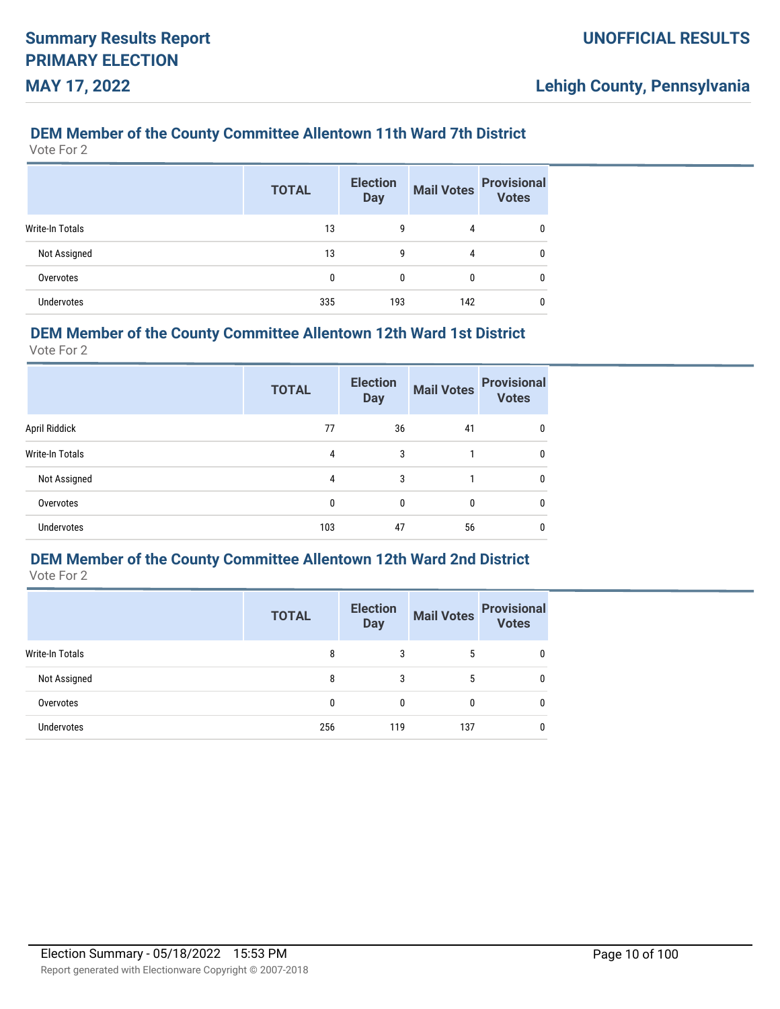## **DEM Member of the County Committee Allentown 11th Ward 7th District**

Vote For 2

|                   | <b>TOTAL</b> | <b>Election</b><br><b>Day</b> | <b>Mail Votes</b> | <b>Provisional</b><br><b>Votes</b> |
|-------------------|--------------|-------------------------------|-------------------|------------------------------------|
| Write-In Totals   | 13           | 9                             | 4                 | 0                                  |
| Not Assigned      | 13           | 9                             | 4                 | 0                                  |
| Overvotes         | 0            | 0                             | 0                 | 0                                  |
| <b>Undervotes</b> | 335          | 193                           | 142               | 0                                  |

### **DEM Member of the County Committee Allentown 12th Ward 1st District**

Vote For 2

|                   | <b>TOTAL</b> | <b>Election</b><br><b>Day</b> | <b>Mail Votes</b> | <b>Provisional</b><br><b>Votes</b> |
|-------------------|--------------|-------------------------------|-------------------|------------------------------------|
| April Riddick     | 77           | 36                            | 41                | 0                                  |
| Write-In Totals   | 4            | 3                             |                   | 0                                  |
| Not Assigned      | 4            | 3                             |                   | 0                                  |
| Overvotes         | 0            | $\mathbf{0}$                  | $\mathbf{0}$      | 0                                  |
| <b>Undervotes</b> | 103          | 47                            | 56                | 0                                  |

## **DEM Member of the County Committee Allentown 12th Ward 2nd District**

|                   | <b>TOTAL</b> | <b>Election</b><br><b>Day</b> |     | Mail Votes Provisional |
|-------------------|--------------|-------------------------------|-----|------------------------|
| Write-In Totals   | 8            | 3                             | 5   | 0                      |
| Not Assigned      | 8            | 3                             | 5   | 0                      |
| Overvotes         | 0            | 0                             | 0   | 0                      |
| <b>Undervotes</b> | 256          | 119                           | 137 | 0                      |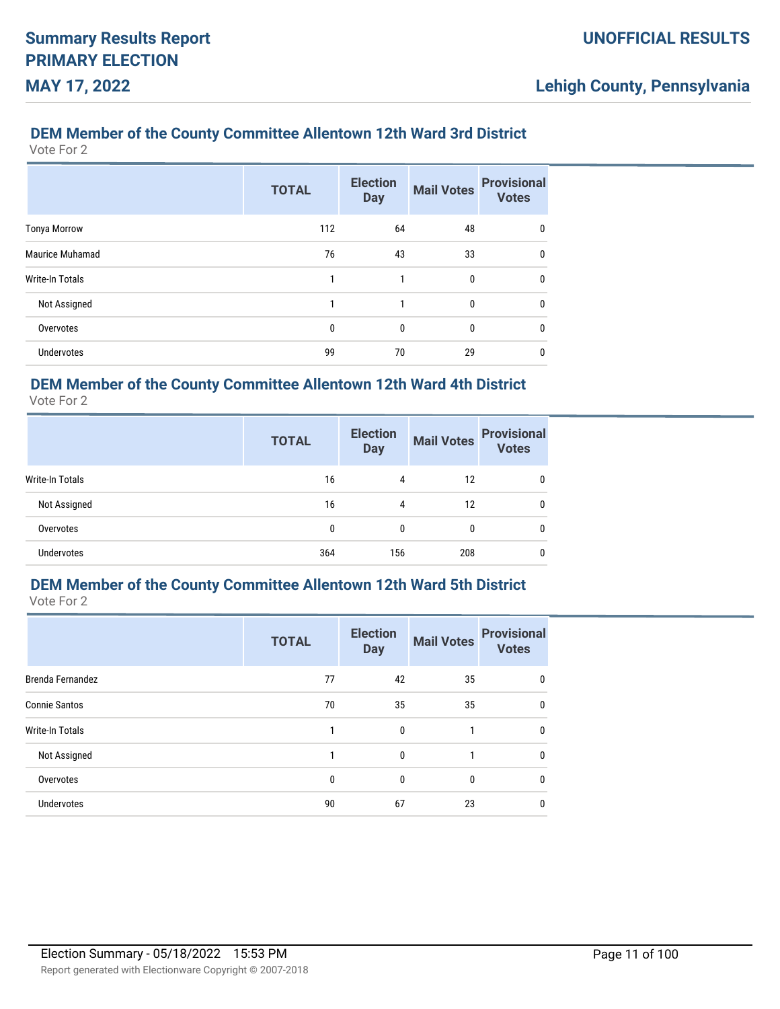## **DEM Member of the County Committee Allentown 12th Ward 3rd District**

Vote For 2

|                        | <b>TOTAL</b> | <b>Election</b><br><b>Day</b> | <b>Mail Votes</b> | <b>Provisional</b><br><b>Votes</b> |
|------------------------|--------------|-------------------------------|-------------------|------------------------------------|
| <b>Tonya Morrow</b>    | 112          | 64                            | 48                | 0                                  |
| Maurice Muhamad        | 76           | 43                            | 33                | 0                                  |
| <b>Write-In Totals</b> |              | 1                             | $\mathbf{0}$      | $\mathbf{0}$                       |
| Not Assigned           | 1            | 1                             | $\mathbf{0}$      | 0                                  |
| Overvotes              | 0            | 0                             | $\mathbf{0}$      | 0                                  |
| <b>Undervotes</b>      | 99           | 70                            | 29                | 0                                  |

## **DEM Member of the County Committee Allentown 12th Ward 4th District**

Vote For 2

|                        | <b>TOTAL</b> | <b>Election</b><br><b>Day</b> | <b>Mail Votes</b> | <b>Provisional</b><br><b>Votes</b> |
|------------------------|--------------|-------------------------------|-------------------|------------------------------------|
| <b>Write-In Totals</b> | 16           | 4                             | 12                | 0                                  |
| Not Assigned           | 16           | 4                             | 12                | 0                                  |
| Overvotes              | 0            | 0                             | 0                 | 0                                  |
| <b>Undervotes</b>      | 364          | 156                           | 208               | 0                                  |

# **DEM Member of the County Committee Allentown 12th Ward 5th District**

|                        | <b>TOTAL</b> | <b>Election</b><br><b>Day</b> | <b>Mail Votes</b> | <b>Provisional</b><br><b>Votes</b> |
|------------------------|--------------|-------------------------------|-------------------|------------------------------------|
| Brenda Fernandez       | 77           | 42                            | 35                | 0                                  |
| <b>Connie Santos</b>   | 70           | 35                            | 35                | $\mathbf{0}$                       |
| <b>Write-In Totals</b> | 1            | $\mathbf{0}$                  | 1                 | $\mathbf{0}$                       |
| Not Assigned           |              | $\mathbf{0}$                  | 1                 | $\mathbf{0}$                       |
| Overvotes              | $\mathbf{0}$ | $\mathbf{0}$                  | $\mathbf{0}$      | $\mathbf{0}$                       |
| <b>Undervotes</b>      | 90           | 67                            | 23                | 0                                  |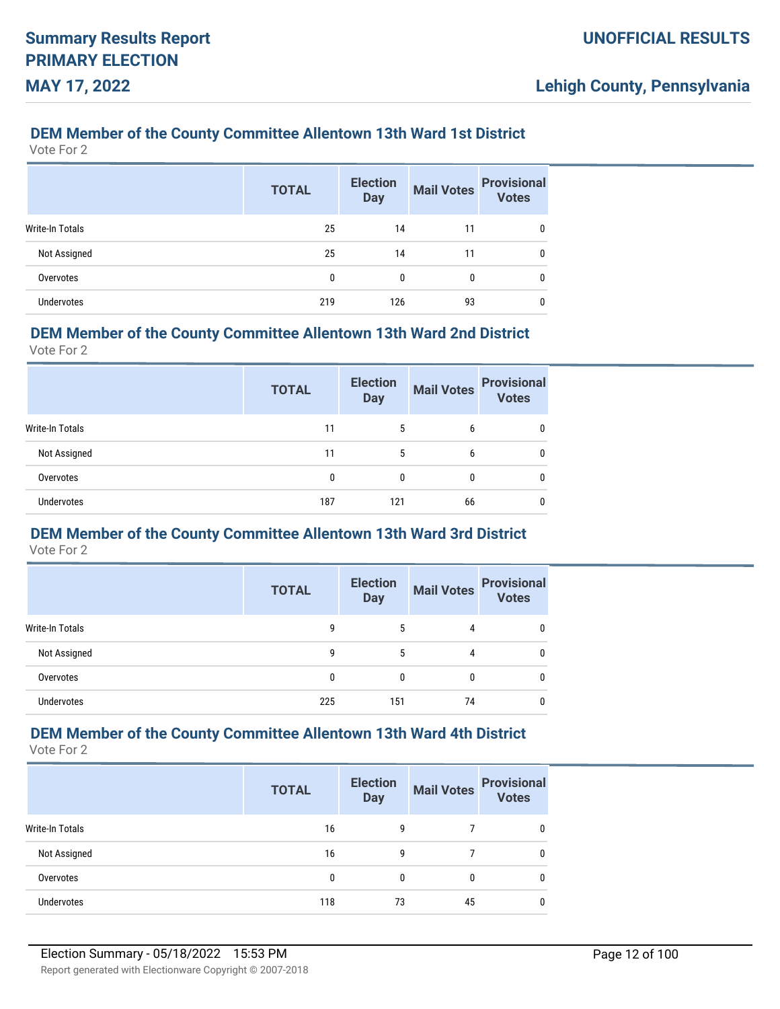### **DEM Member of the County Committee Allentown 13th Ward 1st District**

Vote For 2

|                        | <b>TOTAL</b> | <b>Election</b><br><b>Day</b> | <b>Mail Votes</b> | <b>Provisional</b><br><b>Votes</b> |
|------------------------|--------------|-------------------------------|-------------------|------------------------------------|
| <b>Write-In Totals</b> | 25           | 14                            | 11                | 0                                  |
| Not Assigned           | 25           | 14                            | 11                | 0                                  |
| Overvotes              | 0            | 0                             | 0                 | 0                                  |
| <b>Undervotes</b>      | 219          | 126                           | 93                | 0                                  |

### **DEM Member of the County Committee Allentown 13th Ward 2nd District**

Vote For 2

|                   | <b>TOTAL</b> | <b>Election</b><br><b>Day</b> | <b>Mail Votes</b> | <b>Provisional</b><br><b>Votes</b> |
|-------------------|--------------|-------------------------------|-------------------|------------------------------------|
| Write-In Totals   | 11           | 5                             | 6                 |                                    |
| Not Assigned      | 11           | 5                             | 6                 | 0                                  |
| Overvotes         | 0            | 0                             | 0                 |                                    |
| <b>Undervotes</b> | 187          | 121                           | 66                |                                    |

# **DEM Member of the County Committee Allentown 13th Ward 3rd District**

Vote For 2

|                   | <b>TOTAL</b> | <b>Election</b><br><b>Day</b> | <b>Mail Votes</b> | <b>Provisional</b><br><b>Votes</b> |
|-------------------|--------------|-------------------------------|-------------------|------------------------------------|
| Write-In Totals   | 9            | 5                             | 4                 |                                    |
| Not Assigned      | 9            | 5                             | 4                 |                                    |
| Overvotes         | 0            | 0                             |                   |                                    |
| <b>Undervotes</b> | 225          | 151                           | 74                |                                    |

## **DEM Member of the County Committee Allentown 13th Ward 4th District**

|                   | <b>TOTAL</b> | <b>Election</b><br><b>Day</b> | <b>Mail Votes</b> | <b>Provisional</b><br><b>Votes</b> |
|-------------------|--------------|-------------------------------|-------------------|------------------------------------|
| Write-In Totals   | 16           | g                             |                   |                                    |
| Not Assigned      | 16           | g                             |                   | 0                                  |
| Overvotes         | 0            | $\Omega$                      |                   | 0                                  |
| <b>Undervotes</b> | 118          | 73                            | 45                | 0                                  |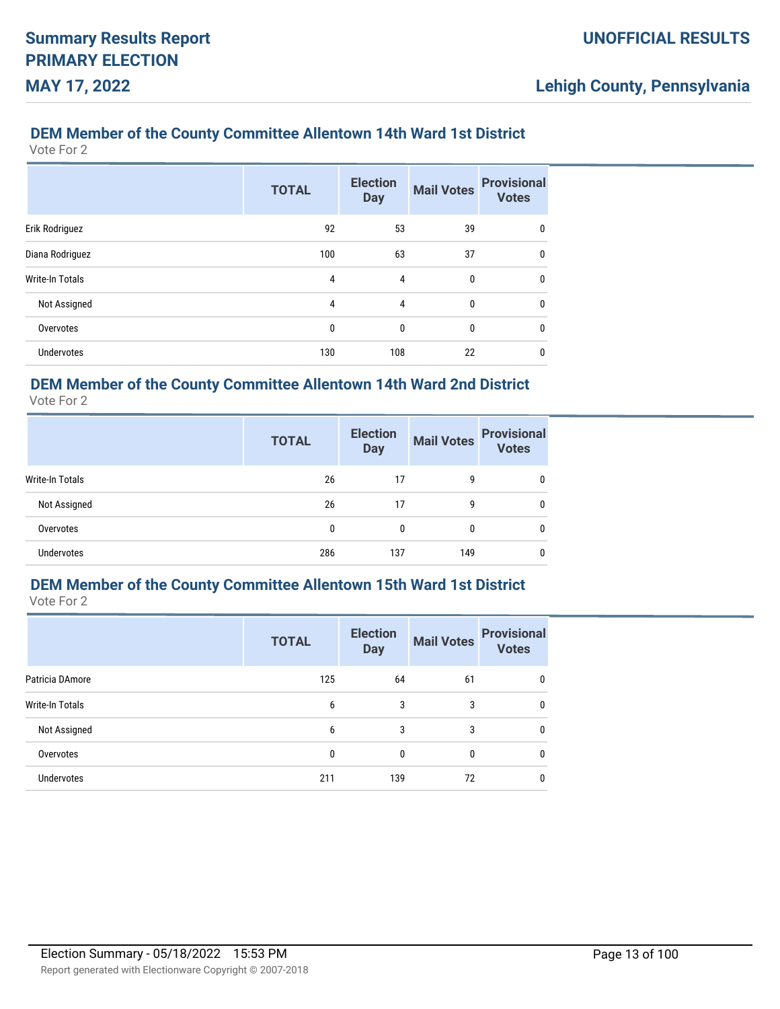## **DEM Member of the County Committee Allentown 14th Ward 1st District**

Vote For 2

|                        | <b>TOTAL</b> | <b>Election</b><br><b>Day</b> | <b>Mail Votes</b> | <b>Provisional</b><br><b>Votes</b> |
|------------------------|--------------|-------------------------------|-------------------|------------------------------------|
| Erik Rodriguez         | 92           | 53                            | 39                | $\mathbf{0}$                       |
| Diana Rodriguez        | 100          | 63                            | 37                | 0                                  |
| <b>Write-In Totals</b> | 4            | 4                             | $\mathbf{0}$      | 0                                  |
| Not Assigned           | 4            | $\overline{4}$                | $\mathbf{0}$      | 0                                  |
| Overvotes              | 0            | 0                             | 0                 | 0                                  |
| <b>Undervotes</b>      | 130          | 108                           | 22                | 0                                  |

## **DEM Member of the County Committee Allentown 14th Ward 2nd District**

Vote For 2

|                 | <b>TOTAL</b> | <b>Election</b><br><b>Day</b> | <b>Mail Votes</b> | <b>Provisional</b><br><b>Votes</b> |
|-----------------|--------------|-------------------------------|-------------------|------------------------------------|
| Write-In Totals | 26           | 17                            | 9                 | 0                                  |
| Not Assigned    | 26           | 17                            | 9                 | 0                                  |
| Overvotes       | 0            | 0                             | 0                 | 0                                  |
| Undervotes      | 286          | 137                           | 149               | 0                                  |

# **DEM Member of the County Committee Allentown 15th Ward 1st District**

Vote For 2

|                   | <b>TOTAL</b> | <b>Election</b><br><b>Day</b> | <b>Mail Votes</b> | <b>Provisional</b><br><b>Votes</b> |
|-------------------|--------------|-------------------------------|-------------------|------------------------------------|
| Patricia DAmore   | 125          | 64                            | 61                | 0                                  |
| Write-In Totals   | 6            | 3                             | 3                 | $\mathbf{0}$                       |
| Not Assigned      | 6            | 3                             | 3                 | $\mathbf{0}$                       |
| Overvotes         | 0            | 0                             | 0                 | 0                                  |
| <b>Undervotes</b> | 211          | 139                           | 72                | 0                                  |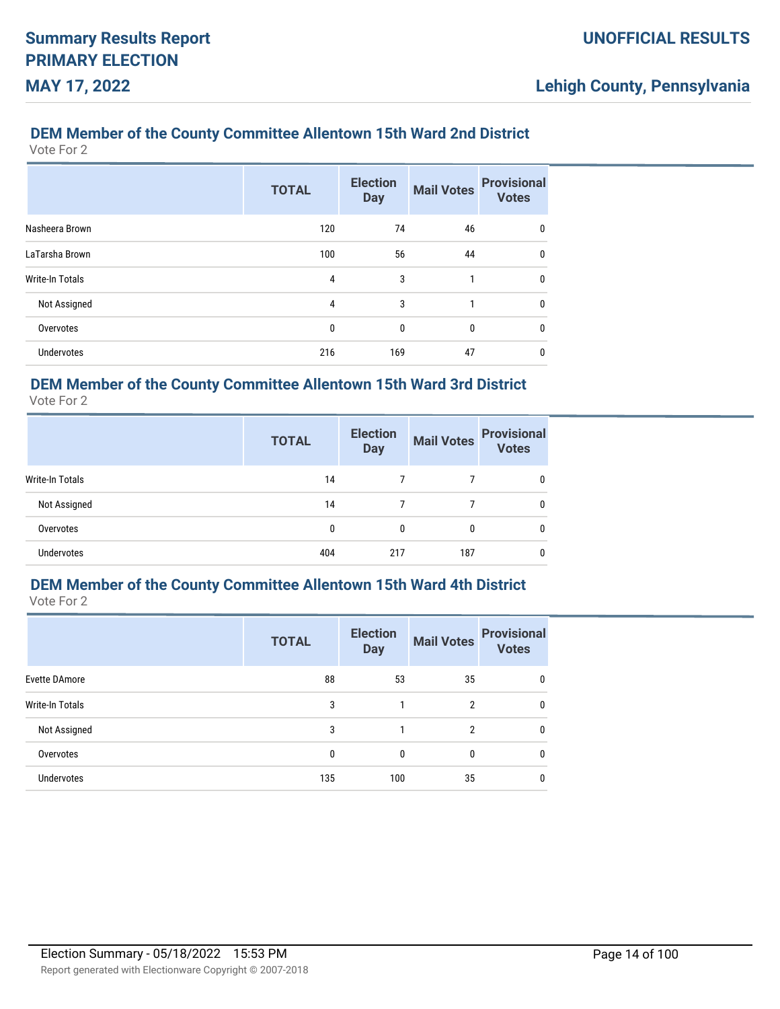## **DEM Member of the County Committee Allentown 15th Ward 2nd District**

Vote For 2

|                        | <b>TOTAL</b> | <b>Election</b><br><b>Day</b> | <b>Mail Votes</b> | <b>Provisional</b><br><b>Votes</b> |
|------------------------|--------------|-------------------------------|-------------------|------------------------------------|
| Nasheera Brown         | 120          | 74                            | 46                | 0                                  |
| LaTarsha Brown         | 100          | 56                            | 44                | $\mathbf{0}$                       |
| <b>Write-In Totals</b> | 4            | 3                             | 1                 | $\mathbf{0}$                       |
| Not Assigned           | 4            | 3                             | 1                 | 0                                  |
| Overvotes              | 0            | 0                             | 0                 | $\mathbf{0}$                       |
| <b>Undervotes</b>      | 216          | 169                           | 47                | 0                                  |

## **DEM Member of the County Committee Allentown 15th Ward 3rd District**

Vote For 2

|                   | <b>TOTAL</b> | <b>Election</b><br><b>Day</b> | <b>Mail Votes</b> | <b>Provisional</b><br><b>Votes</b> |
|-------------------|--------------|-------------------------------|-------------------|------------------------------------|
| Write-In Totals   | 14           |                               |                   | 0                                  |
| Not Assigned      | 14           |                               |                   | 0                                  |
| Overvotes         | 0            | 0                             | 0                 | 0                                  |
| <b>Undervotes</b> | 404          | 217                           | 187               | 0                                  |

# **DEM Member of the County Committee Allentown 15th Ward 4th District**

Vote For 2

|                        | <b>TOTAL</b> | <b>Election</b><br><b>Day</b> | <b>Mail Votes</b> | <b>Provisional</b><br><b>Votes</b> |
|------------------------|--------------|-------------------------------|-------------------|------------------------------------|
| <b>Evette DAmore</b>   | 88           | 53                            | 35                | 0                                  |
| <b>Write-In Totals</b> | 3            |                               | 2                 | 0                                  |
| Not Assigned           | 3            |                               | $\mathfrak{p}$    | $\mathbf{0}$                       |
| Overvotes              | $\mathbf{0}$ | 0                             | 0                 | $\mathbf{0}$                       |
| <b>Undervotes</b>      | 135          | 100                           | 35                | $\mathbf{0}$                       |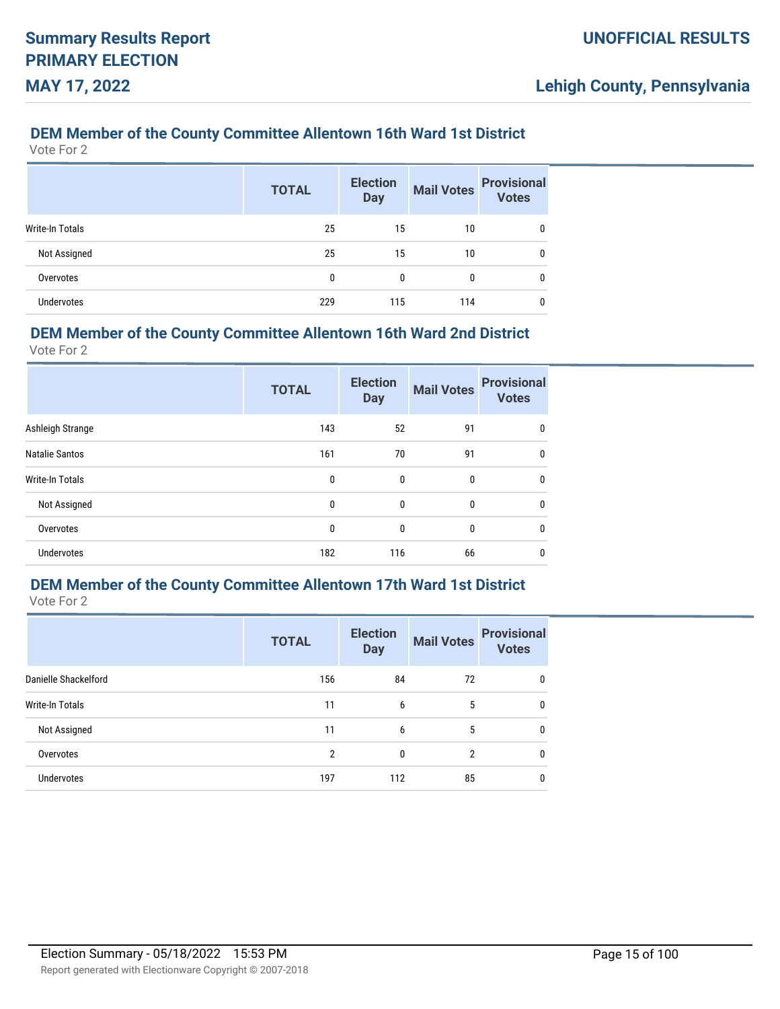## **DEM Member of the County Committee Allentown 16th Ward 1st District**

Vote For 2

|                   | <b>TOTAL</b> | <b>Election</b><br><b>Day</b> | <b>Mail Votes</b> | <b>Provisional</b><br><b>Votes</b> |
|-------------------|--------------|-------------------------------|-------------------|------------------------------------|
| Write-In Totals   | 25           | 15                            | 10                | 0                                  |
| Not Assigned      | 25           | 15                            | 10                | 0                                  |
| Overvotes         | 0            | 0                             | 0                 | 0                                  |
| <b>Undervotes</b> | 229          | 115                           | 114               | 0                                  |

### **DEM Member of the County Committee Allentown 16th Ward 2nd District**

Vote For 2

|                       | <b>TOTAL</b> | <b>Election</b><br><b>Day</b> | <b>Mail Votes</b> | <b>Provisional</b><br><b>Votes</b> |
|-----------------------|--------------|-------------------------------|-------------------|------------------------------------|
| Ashleigh Strange      | 143          | 52                            | 91                | 0                                  |
| <b>Natalie Santos</b> | 161          | 70                            | 91                | 0                                  |
| Write-In Totals       | 0            | 0                             | 0                 | $\mathbf{0}$                       |
| Not Assigned          | 0            | 0                             | 0                 | $\mathbf{0}$                       |
| Overvotes             | 0            | 0                             | 0                 | $\mathbf{0}$                       |
| <b>Undervotes</b>     | 182          | 116                           | 66                | 0                                  |

# **DEM Member of the County Committee Allentown 17th Ward 1st District**

Vote For 2

|                      | <b>TOTAL</b> | <b>Election</b><br><b>Day</b> | <b>Mail Votes</b> | <b>Provisional</b><br><b>Votes</b> |
|----------------------|--------------|-------------------------------|-------------------|------------------------------------|
| Danielle Shackelford | 156          | 84                            | 72                | 0                                  |
| Write-In Totals      | 11           | 6                             | 5                 | $\mathbf{0}$                       |
| Not Assigned         | 11           | 6                             | 5                 | $\mathbf{0}$                       |
| Overvotes            | 2            | $\Omega$                      | 2                 | $\mathbf{0}$                       |
| <b>Undervotes</b>    | 197          | 112                           | 85                | 0                                  |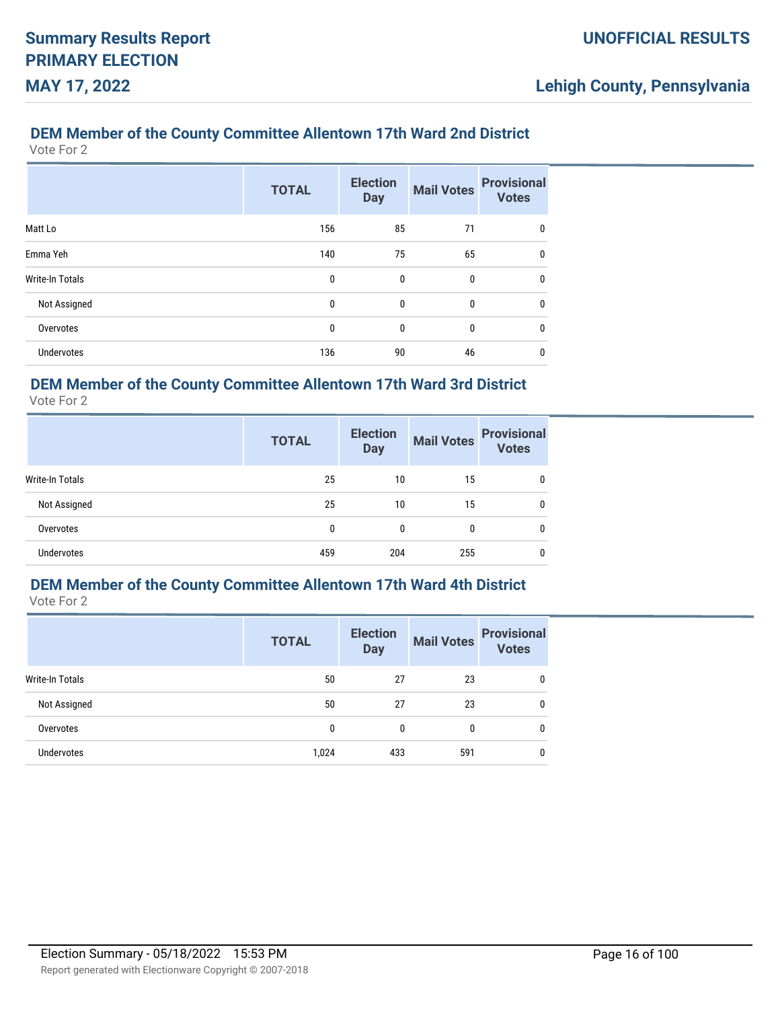## **DEM Member of the County Committee Allentown 17th Ward 2nd District**

Vote For 2

|                        | <b>TOTAL</b> | <b>Election</b><br><b>Day</b> | <b>Mail Votes</b> | <b>Provisional</b><br><b>Votes</b> |
|------------------------|--------------|-------------------------------|-------------------|------------------------------------|
| Matt Lo                | 156          | 85                            | 71                | 0                                  |
| Emma Yeh               | 140          | 75                            | 65                | $\mathbf{0}$                       |
| <b>Write-In Totals</b> | 0            | 0                             | 0                 | 0                                  |
| Not Assigned           | 0            | $\mathbf 0$                   | 0                 | $\mathbf{0}$                       |
| Overvotes              | 0            | 0                             | 0                 | $\mathbf{0}$                       |
| <b>Undervotes</b>      | 136          | 90                            | 46                | 0                                  |

## **DEM Member of the County Committee Allentown 17th Ward 3rd District**

Vote For 2

|                        | <b>TOTAL</b> | <b>Election</b><br><b>Day</b> | <b>Mail Votes</b> | <b>Provisional</b><br><b>Votes</b> |
|------------------------|--------------|-------------------------------|-------------------|------------------------------------|
| <b>Write-In Totals</b> | 25           | 10                            | 15                | 0                                  |
| Not Assigned           | 25           | 10                            | 15                | 0                                  |
| Overvotes              | 0            | 0                             | 0                 | 0                                  |
| <b>Undervotes</b>      | 459          | 204                           | 255               | 0                                  |

# **DEM Member of the County Committee Allentown 17th Ward 4th District**

|                   | <b>TOTAL</b> | <b>Election</b><br><b>Day</b> | <b>Mail Votes</b> | <b>Provisional</b><br><b>Votes</b> |
|-------------------|--------------|-------------------------------|-------------------|------------------------------------|
| Write-In Totals   | 50           | 27                            | 23                | 0                                  |
| Not Assigned      | 50           | 27                            | 23                | 0                                  |
| Overvotes         | 0            | 0                             | 0                 | $\mathbf{0}$                       |
| <b>Undervotes</b> | 1,024        | 433                           | 591               | 0                                  |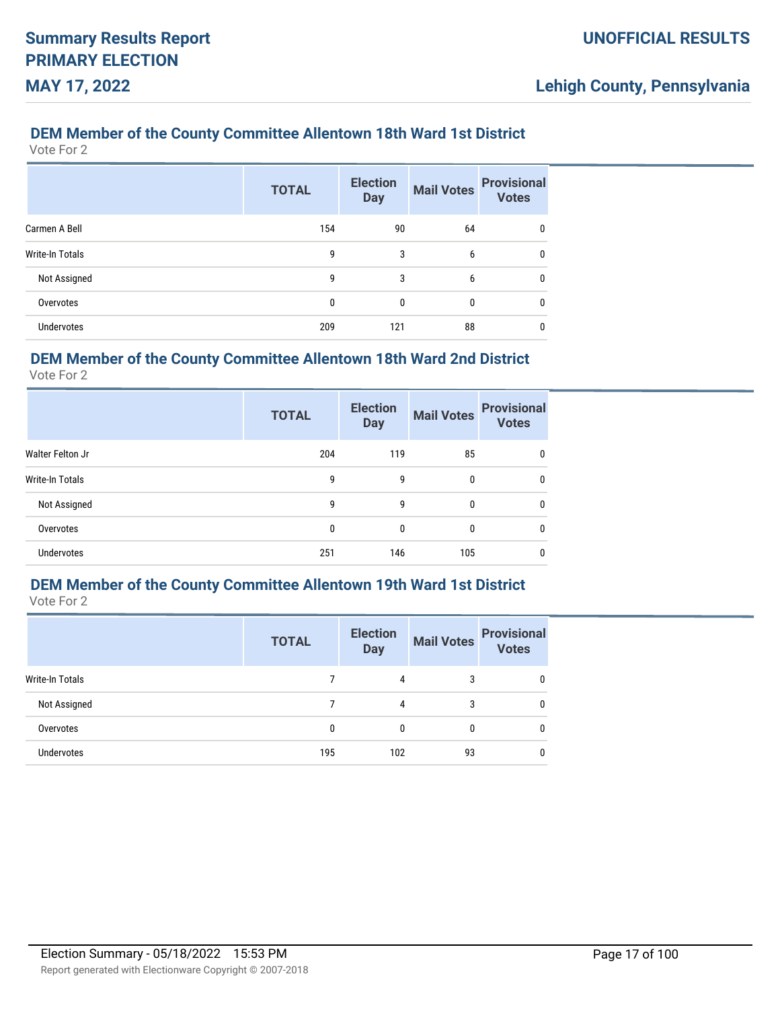## **DEM Member of the County Committee Allentown 18th Ward 1st District**

Vote For 2

|                   | <b>TOTAL</b> | <b>Election</b><br><b>Day</b> | <b>Mail Votes</b> | <b>Provisional</b><br><b>Votes</b> |
|-------------------|--------------|-------------------------------|-------------------|------------------------------------|
| Carmen A Bell     | 154          | 90                            | 64                | 0                                  |
| Write-In Totals   | 9            | 3                             | 6                 | 0                                  |
| Not Assigned      | 9            | 3                             | 6                 | 0                                  |
| Overvotes         | $\mathbf{0}$ | $\mathbf{0}$                  | 0                 | 0                                  |
| <b>Undervotes</b> | 209          | 121                           | 88                | 0                                  |

## **DEM Member of the County Committee Allentown 18th Ward 2nd District**

Vote For 2

|                   | <b>TOTAL</b> | <b>Election</b><br><b>Day</b> | <b>Mail Votes</b> | <b>Provisional</b><br><b>Votes</b> |
|-------------------|--------------|-------------------------------|-------------------|------------------------------------|
| Walter Felton Jr  | 204          | 119                           | 85                | 0                                  |
| Write-In Totals   | 9            | 9                             | 0                 | 0                                  |
| Not Assigned      | 9            | 9                             | 0                 | 0                                  |
| Overvotes         | 0            | 0                             | 0                 | 0                                  |
| <b>Undervotes</b> | 251          | 146                           | 105               | 0                                  |

# **DEM Member of the County Committee Allentown 19th Ward 1st District**

Vote For 2

|                   | <b>TOTAL</b> | <b>Election</b><br><b>Day</b> | <b>Mail Votes</b> | <b>Provisional</b><br><b>Votes</b> |
|-------------------|--------------|-------------------------------|-------------------|------------------------------------|
| Write-In Totals   |              | 4                             | 3                 |                                    |
| Not Assigned      |              | 4                             | 3                 | 0                                  |
| Overvotes         | 0            | $\mathbf{0}$                  | $\Omega$          | 0                                  |
| <b>Undervotes</b> | 195          | 102                           | 93                | 0                                  |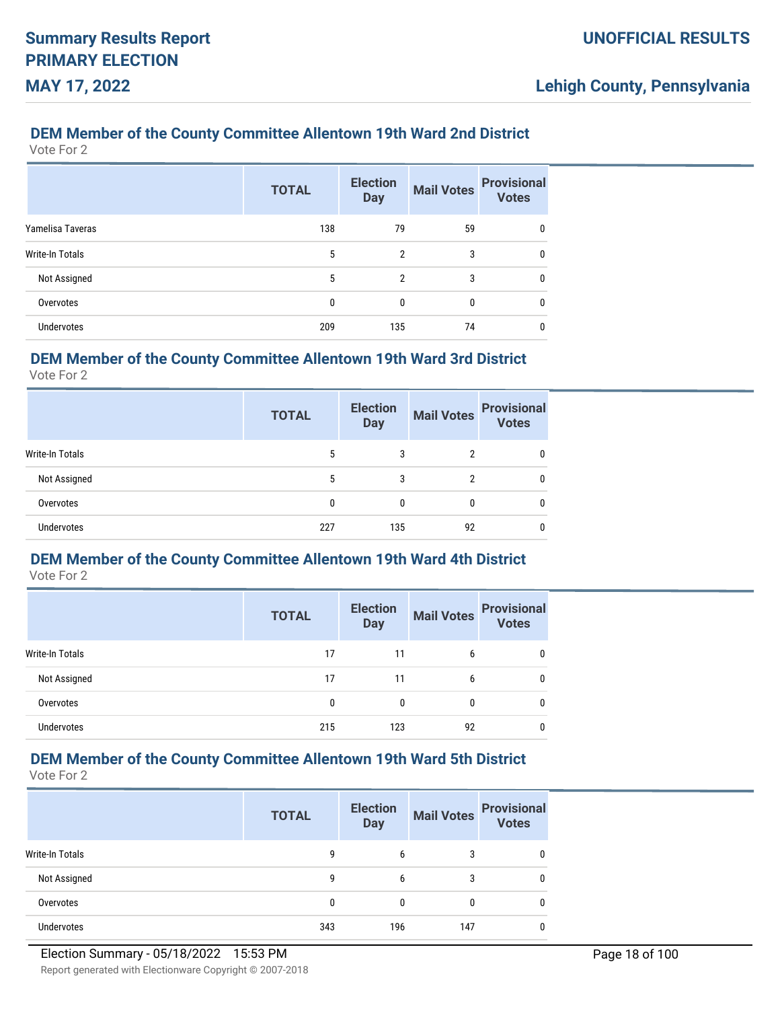## **DEM Member of the County Committee Allentown 19th Ward 2nd District**

Vote For 2

|                  | <b>TOTAL</b> | <b>Election</b><br><b>Day</b> | <b>Mail Votes</b> | <b>Provisional</b><br><b>Votes</b> |
|------------------|--------------|-------------------------------|-------------------|------------------------------------|
| Yamelisa Taveras | 138          | 79                            | 59                | 0                                  |
| Write-In Totals  | 5            | 2                             | 3                 | 0                                  |
| Not Assigned     | 5            | $\mathfrak{p}$                | 3                 | 0                                  |
| Overvotes        | 0            | 0                             | 0                 | 0                                  |
| Undervotes       | 209          | 135                           | 74                | 0                                  |

## **DEM Member of the County Committee Allentown 19th Ward 3rd District**

Vote For 2

|                   | <b>TOTAL</b> | <b>Election</b><br><b>Day</b> | <b>Mail Votes</b> | <b>Provisional</b><br><b>Votes</b> |
|-------------------|--------------|-------------------------------|-------------------|------------------------------------|
| Write-In Totals   | 5            | 3                             | 2                 |                                    |
| Not Assigned      | 5            | 3                             | 2                 |                                    |
| Overvotes         | 0            | 0                             | 0                 |                                    |
| <b>Undervotes</b> | 227          | 135                           | 92                |                                    |

# **DEM Member of the County Committee Allentown 19th Ward 4th District**

Vote For 2

|                   | <b>TOTAL</b> | <b>Election</b><br><b>Day</b> |    | Mail Votes Provisional<br>Votes |
|-------------------|--------------|-------------------------------|----|---------------------------------|
| Write-In Totals   | 17           | 11                            | 6  | 0                               |
| Not Assigned      | 17           | 11                            | 6  | 0                               |
| Overvotes         | 0            | 0                             | 0  |                                 |
| <b>Undervotes</b> | 215          | 123                           | 92 |                                 |

# **DEM Member of the County Committee Allentown 19th Ward 5th District**

|                   | <b>TOTAL</b> | <b>Election</b><br><b>Day</b> | <b>Mail Votes</b> | <b>Provisional</b><br><b>Votes</b> |
|-------------------|--------------|-------------------------------|-------------------|------------------------------------|
| Write-In Totals   | 9            | 6                             | 3                 | 0                                  |
| Not Assigned      | 9            | 6                             | 3                 | 0                                  |
| Overvotes         | 0            |                               |                   | 0                                  |
| <b>Undervotes</b> | 343          | 196                           | 147               | 0                                  |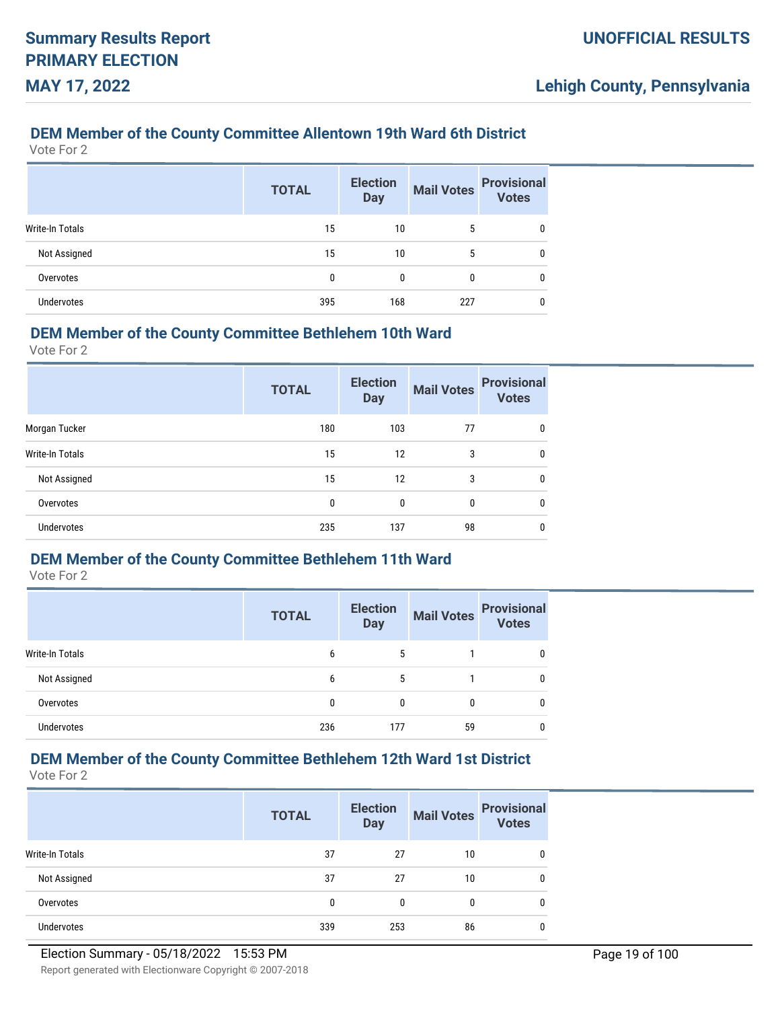## **DEM Member of the County Committee Allentown 19th Ward 6th District**

Vote For 2

|                        | <b>TOTAL</b> | <b>Election</b><br><b>Day</b> | <b>Mail Votes</b> | <b>Provisional</b><br>Votes |
|------------------------|--------------|-------------------------------|-------------------|-----------------------------|
| <b>Write-In Totals</b> | 15           | 10                            | 5                 | 0                           |
| Not Assigned           | 15           | 10                            | 5                 | 0                           |
| Overvotes              | 0            | 0                             | $\mathbf{0}$      | 0                           |
| <b>Undervotes</b>      | 395          | 168                           | 227               | 0                           |

### **DEM Member of the County Committee Bethlehem 10th Ward**

Vote For 2

|                        | <b>TOTAL</b> | <b>Election</b><br><b>Day</b> | <b>Mail Votes</b> | <b>Provisional</b><br><b>Votes</b> |
|------------------------|--------------|-------------------------------|-------------------|------------------------------------|
| Morgan Tucker          | 180          | 103                           | 77                | 0                                  |
| <b>Write-In Totals</b> | 15           | $12 \overline{ }$             | 3                 | 0                                  |
| Not Assigned           | 15           | 12                            | 3                 | 0                                  |
| Overvotes              | 0            | $\mathbf{0}$                  | 0                 | 0                                  |
| Undervotes             | 235          | 137                           | 98                | 0                                  |

## **DEM Member of the County Committee Bethlehem 11th Ward**

Vote For 2

|                   | <b>TOTAL</b> | <b>Election</b><br><b>Day</b> | <b>Mail Votes</b> | <b>Provisional</b><br><b>Votes</b> |
|-------------------|--------------|-------------------------------|-------------------|------------------------------------|
| Write-In Totals   | 6            | 5                             |                   |                                    |
| Not Assigned      | 6            | 5                             |                   |                                    |
| Overvotes         | 0            | 0                             |                   |                                    |
| <b>Undervotes</b> | 236          | 177                           | 59                |                                    |

## **DEM Member of the County Committee Bethlehem 12th Ward 1st District**

|                   | <b>TOTAL</b> | <b>Election</b><br><b>Day</b> | <b>Mail Votes</b> | <b>Provisional</b><br><b>Votes</b> |
|-------------------|--------------|-------------------------------|-------------------|------------------------------------|
| Write-In Totals   | 37           | 27                            | 10                | 0                                  |
| Not Assigned      | 37           | 27                            | 10                | 0                                  |
| Overvotes         | 0            | 0                             | 0                 | 0                                  |
| <b>Undervotes</b> | 339          | 253                           | 86                | 0                                  |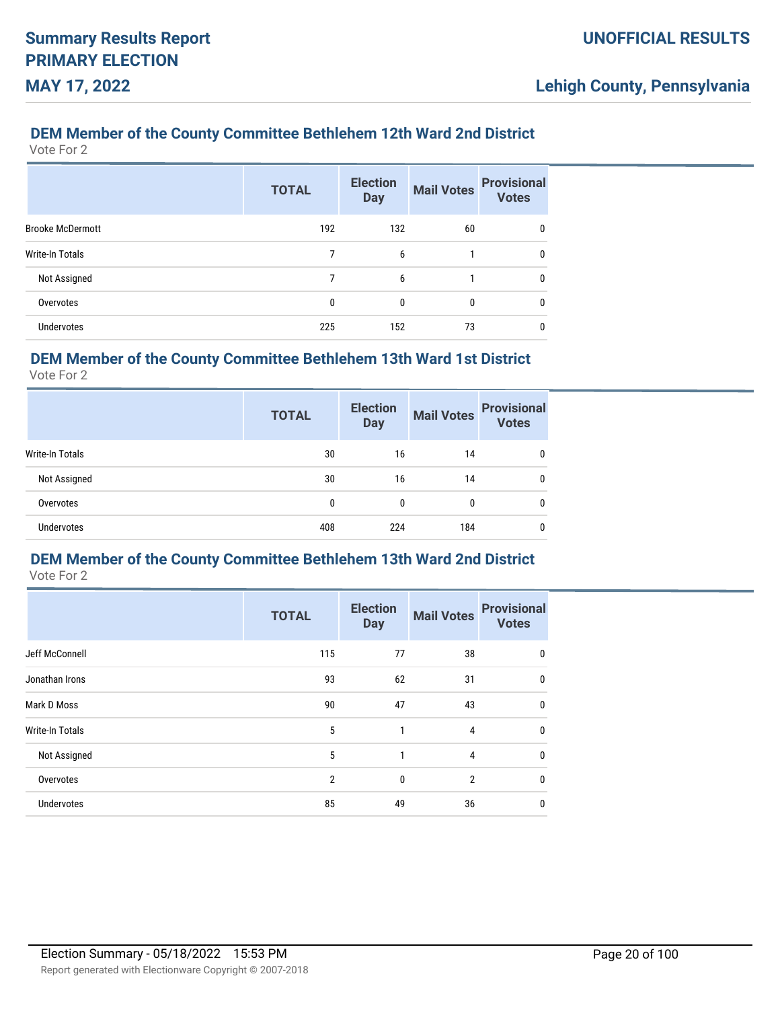# **DEM Member of the County Committee Bethlehem 12th Ward 2nd District**

Vote For 2

|                         | <b>TOTAL</b> | <b>Election</b><br><b>Day</b> | <b>Mail Votes</b> | <b>Provisional</b><br><b>Votes</b> |
|-------------------------|--------------|-------------------------------|-------------------|------------------------------------|
| <b>Brooke McDermott</b> | 192          | 132                           | 60                | 0                                  |
| Write-In Totals         | 7            | 6                             |                   | 0                                  |
| Not Assigned            | 7            | 6                             | 1                 | 0                                  |
| Overvotes               | 0            | 0                             | 0                 | 0                                  |
| <b>Undervotes</b>       | 225          | 152                           | 73                | 0                                  |

## **DEM Member of the County Committee Bethlehem 13th Ward 1st District**

Vote For 2

|                   | <b>TOTAL</b> | <b>Election</b><br><b>Day</b> | <b>Mail Votes</b> | <b>Provisional</b><br><b>Votes</b> |
|-------------------|--------------|-------------------------------|-------------------|------------------------------------|
| Write-In Totals   | 30           | 16                            | 14                | 0                                  |
| Not Assigned      | 30           | 16                            | 14                | 0                                  |
| Overvotes         | 0            | 0                             | $\mathbf{0}$      | $\mathbf{0}$                       |
| <b>Undervotes</b> | 408          | 224                           | 184               | 0                                  |

# **DEM Member of the County Committee Bethlehem 13th Ward 2nd District**

|                   | <b>TOTAL</b>   | <b>Election</b><br><b>Day</b> | <b>Mail Votes</b> | <b>Provisional</b><br><b>Votes</b> |
|-------------------|----------------|-------------------------------|-------------------|------------------------------------|
| Jeff McConnell    | 115            | 77                            | 38                | 0                                  |
| Jonathan Irons    | 93             | 62                            | 31                | $\mathbf{0}$                       |
| Mark D Moss       | 90             | 47                            | 43                | 0                                  |
| Write-In Totals   | 5              | 1                             | 4                 | $\Omega$                           |
| Not Assigned      | 5              | 1                             | 4                 | $\Omega$                           |
| Overvotes         | $\overline{2}$ | $\Omega$                      | $\overline{2}$    | $\Omega$                           |
| <b>Undervotes</b> | 85             | 49                            | 36                | 0                                  |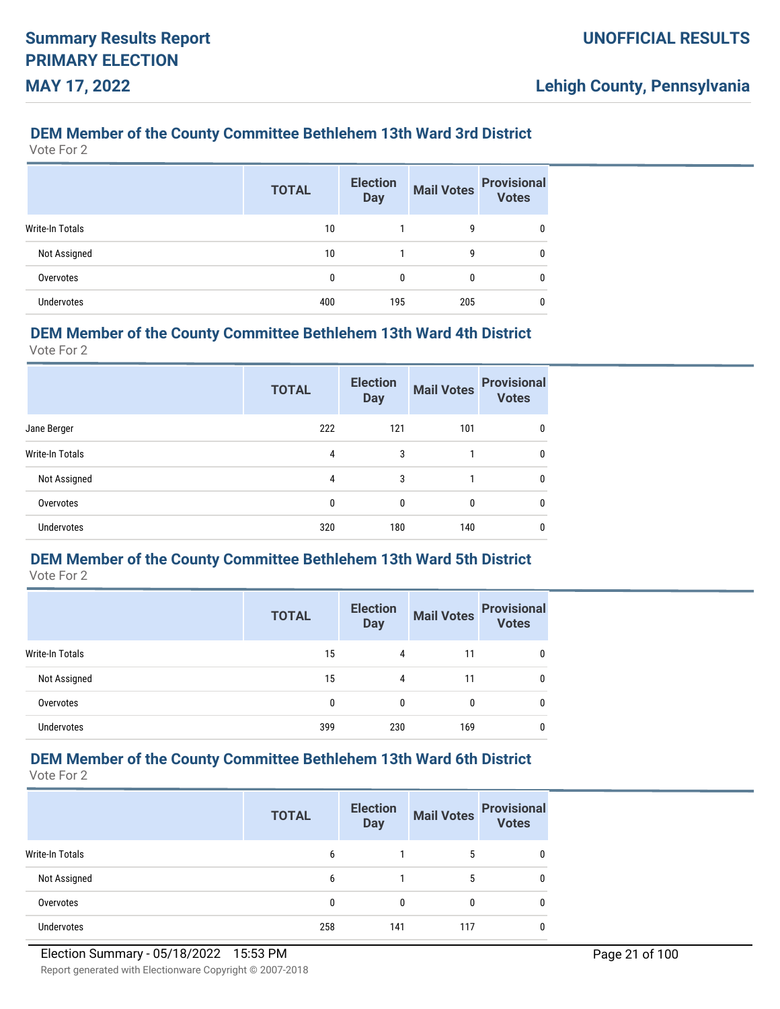## **DEM Member of the County Committee Bethlehem 13th Ward 3rd District**

Vote For 2

|                   | <b>TOTAL</b> | <b>Election</b><br><b>Day</b> | <b>Mail Votes</b> | <b>Provisional</b><br><b>Votes</b> |
|-------------------|--------------|-------------------------------|-------------------|------------------------------------|
| Write-In Totals   | 10           |                               | g                 | 0                                  |
| Not Assigned      | 10           |                               | g                 | 0                                  |
| Overvotes         | 0            | 0                             | 0                 | 0                                  |
| <b>Undervotes</b> | 400          | 195                           | 205               | 0                                  |

#### **DEM Member of the County Committee Bethlehem 13th Ward 4th District**

Vote For 2

|                        | <b>TOTAL</b> | <b>Election</b><br><b>Day</b> | <b>Mail Votes</b> | <b>Provisional</b><br><b>Votes</b> |
|------------------------|--------------|-------------------------------|-------------------|------------------------------------|
| Jane Berger            | 222          | 121                           | 101               | $\mathbf{0}$                       |
| <b>Write-In Totals</b> | 4            | 3                             |                   | 0                                  |
| Not Assigned           | 4            | 3                             |                   | $\mathbf{0}$                       |
| Overvotes              | 0            | 0                             | $\Omega$          | $\mathbf{0}$                       |
| <b>Undervotes</b>      | 320          | 180                           | 140               | $\Omega$                           |

# **DEM Member of the County Committee Bethlehem 13th Ward 5th District**

Vote For 2

|                   | <b>TOTAL</b> | <b>Election</b><br><b>Day</b> | <b>Mail Votes</b> | <b>Provisional</b><br><b>Votes</b> |
|-------------------|--------------|-------------------------------|-------------------|------------------------------------|
| Write-In Totals   | 15           | 4                             | 11                | 0                                  |
| Not Assigned      | 15           | 4                             | 11                | 0                                  |
| Overvotes         | 0            | 0                             | 0                 | 0                                  |
| <b>Undervotes</b> | 399          | 230                           | 169               | 0                                  |

# **DEM Member of the County Committee Bethlehem 13th Ward 6th District**

|                   | <b>TOTAL</b> | <b>Election</b><br><b>Day</b> | <b>Mail Votes</b> | <b>Provisional</b><br><b>Votes</b> |
|-------------------|--------------|-------------------------------|-------------------|------------------------------------|
| Write-In Totals   | 6            |                               | 5                 |                                    |
| Not Assigned      | 6            |                               | 5                 |                                    |
| Overvotes         | 0            |                               | 0                 |                                    |
| <b>Undervotes</b> | 258          | 141                           | 117               |                                    |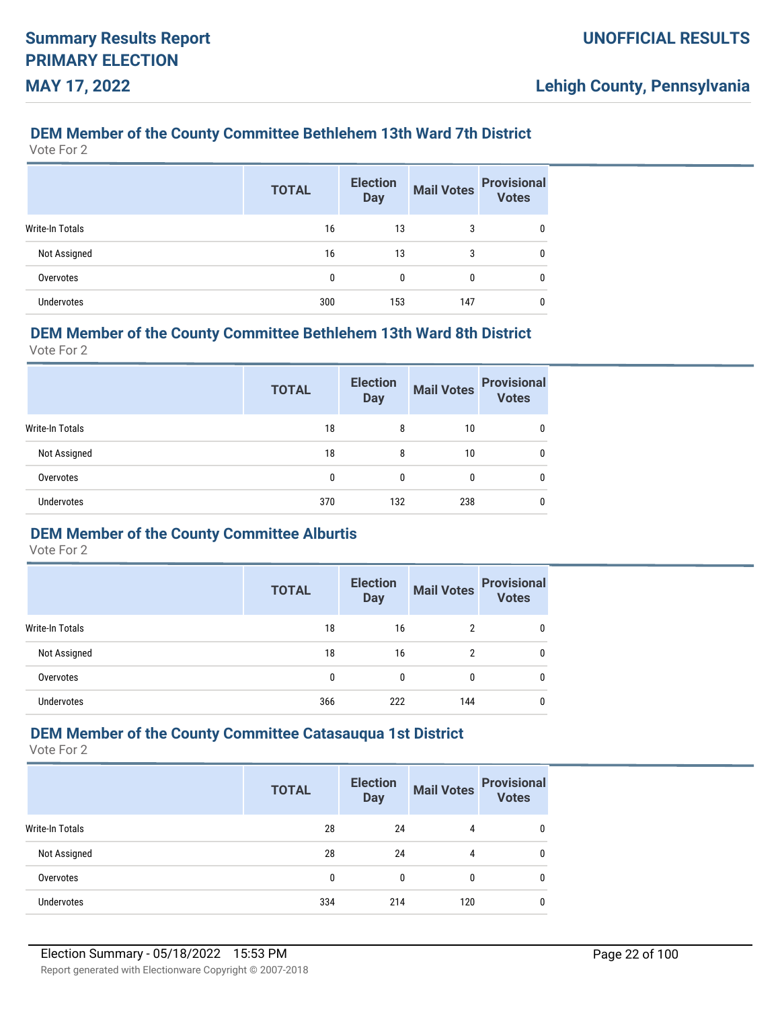## **DEM Member of the County Committee Bethlehem 13th Ward 7th District**

Vote For 2

|                   | <b>TOTAL</b> | <b>Election</b><br><b>Day</b> | <b>Mail Votes</b> | <b>Provisional</b><br>Votes |
|-------------------|--------------|-------------------------------|-------------------|-----------------------------|
| Write-In Totals   | 16           | 13                            | 3                 | 0                           |
| Not Assigned      | 16           | 13                            | 3                 | 0                           |
| Overvotes         | 0            | 0                             | 0                 | 0                           |
| <b>Undervotes</b> | 300          | 153                           | 147               | 0                           |

### **DEM Member of the County Committee Bethlehem 13th Ward 8th District**

Vote For 2

|                   | <b>TOTAL</b> | <b>Election</b><br><b>Day</b> | <b>Mail Votes</b> | <b>Provisional</b><br><b>Votes</b> |
|-------------------|--------------|-------------------------------|-------------------|------------------------------------|
| Write-In Totals   | 18           | 8                             | 10                | 0                                  |
| Not Assigned      | 18           | 8                             | 10                | 0                                  |
| Overvotes         | 0            | 0                             | 0                 | 0                                  |
| <b>Undervotes</b> | 370          | 132                           | 238               | 0                                  |

## **DEM Member of the County Committee Alburtis**

Vote For 2

|                 | <b>TOTAL</b> | <b>Election</b><br><b>Day</b> | <b>Mail Votes</b> | <b>Provisional</b><br><b>Votes</b> |
|-----------------|--------------|-------------------------------|-------------------|------------------------------------|
| Write-In Totals | 18           | 16                            | 2                 | 0                                  |
| Not Assigned    | 18           | 16                            | 2                 | 0                                  |
| Overvotes       | 0            | 0                             | 0                 | 0                                  |
| Undervotes      | 366          | 222                           | 144               | 0                                  |

## **DEM Member of the County Committee Catasauqua 1st District**

|                   | <b>TOTAL</b> | <b>Election</b><br><b>Day</b> | <b>Mail Votes</b> | <b>Provisional</b><br><b>Votes</b> |
|-------------------|--------------|-------------------------------|-------------------|------------------------------------|
| Write-In Totals   | 28           | 24                            | 4                 | 0                                  |
| Not Assigned      | 28           | 24                            | 4                 | 0                                  |
| Overvotes         | 0            | $\Omega$                      | $\mathbf{0}$      | 0                                  |
| <b>Undervotes</b> | 334          | 214                           | 120               | 0                                  |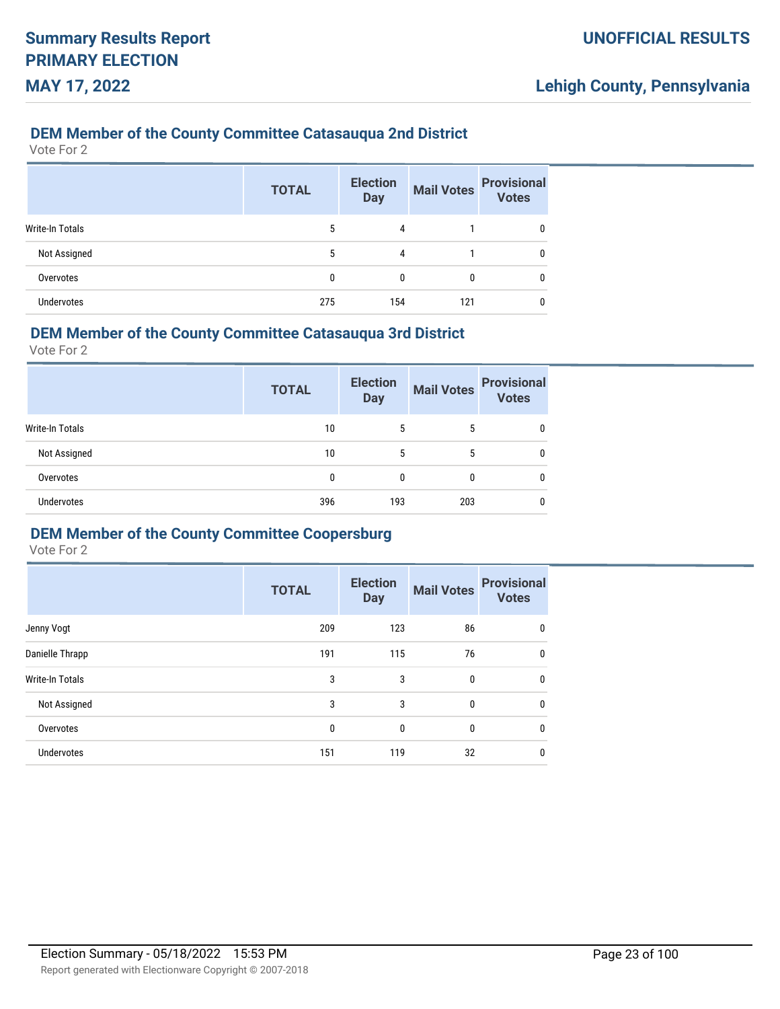### **DEM Member of the County Committee Catasauqua 2nd District**

Vote For 2

|                        | <b>TOTAL</b> | <b>Election</b><br><b>Day</b> | <b>Mail Votes</b> | <b>Provisional</b><br><b>Votes</b> |
|------------------------|--------------|-------------------------------|-------------------|------------------------------------|
| <b>Write-In Totals</b> | 5            | 4                             |                   |                                    |
| Not Assigned           | 5            | 4                             |                   |                                    |
| Overvotes              | 0            | 0                             | 0                 |                                    |
| <b>Undervotes</b>      | 275          | 154                           | 121               |                                    |

### **DEM Member of the County Committee Catasauqua 3rd District**

Vote For 2

|                   | <b>TOTAL</b> | <b>Election</b><br><b>Day</b> | <b>Mail Votes</b> | <b>Provisional</b><br><b>Votes</b> |
|-------------------|--------------|-------------------------------|-------------------|------------------------------------|
| Write-In Totals   | 10           | 5                             | 5                 | 0                                  |
| Not Assigned      | 10           | 5                             | 5                 | 0                                  |
| Overvotes         | 0            |                               | 0                 | 0                                  |
| <b>Undervotes</b> | 396          | 193                           | 203               | 0                                  |

### **DEM Member of the County Committee Coopersburg**

|                        | <b>TOTAL</b> | <b>Election</b><br><b>Day</b> | <b>Mail Votes</b> | <b>Provisional</b><br><b>Votes</b> |
|------------------------|--------------|-------------------------------|-------------------|------------------------------------|
| Jenny Vogt             | 209          | 123                           | 86                | 0                                  |
| Danielle Thrapp        | 191          | 115                           | 76                | 0                                  |
| <b>Write-In Totals</b> | 3            | 3                             | 0                 | $\mathbf{0}$                       |
| Not Assigned           | 3            | 3                             | 0                 | 0                                  |
| Overvotes              | 0            | $\mathbf{0}$                  | 0                 | $\mathbf{0}$                       |
| Undervotes             | 151          | 119                           | 32                | $\mathbf{0}$                       |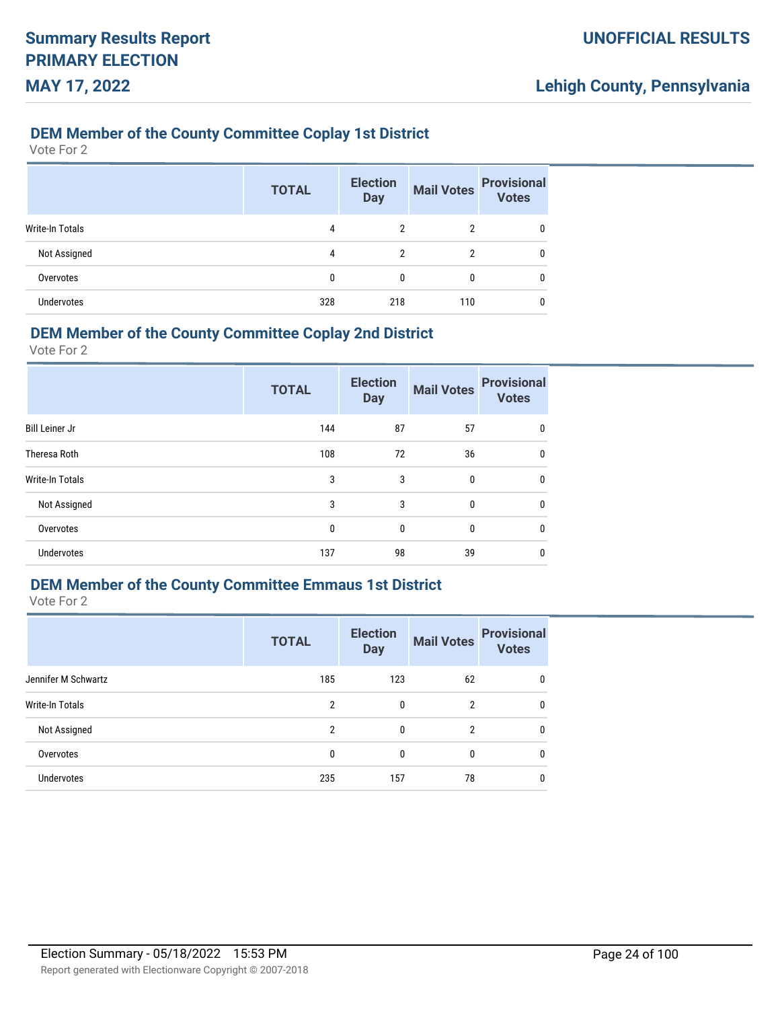### **DEM Member of the County Committee Coplay 1st District**

Vote For 2

|                        | <b>TOTAL</b> | <b>Election</b><br><b>Day</b> | <b>Mail Votes</b> | <b>Provisional</b><br><b>Votes</b> |
|------------------------|--------------|-------------------------------|-------------------|------------------------------------|
| <b>Write-In Totals</b> | 4            | $\overline{2}$                | $\overline{2}$    | 0                                  |
| Not Assigned           | 4            | $\overline{2}$                | $\overline{2}$    | 0                                  |
| Overvotes              | 0            | 0                             | 0                 | 0                                  |
| <b>Undervotes</b>      | 328          | 218                           | 110               | 0                                  |

### **DEM Member of the County Committee Coplay 2nd District**

Vote For 2

|                        | <b>TOTAL</b> | <b>Election</b><br><b>Day</b> | <b>Mail Votes</b> | <b>Provisional</b><br><b>Votes</b> |
|------------------------|--------------|-------------------------------|-------------------|------------------------------------|
| <b>Bill Leiner Jr</b>  | 144          | 87                            | 57                | 0                                  |
| Theresa Roth           | 108          | 72                            | 36                | 0                                  |
| <b>Write-In Totals</b> | 3            | 3                             | 0                 | $\mathbf{0}$                       |
| Not Assigned           | 3            | 3                             | 0                 | $\mathbf{0}$                       |
| Overvotes              | 0            | $\mathbf 0$                   | 0                 | $\mathbf{0}$                       |
| Undervotes             | 137          | 98                            | 39                | 0                                  |

## **DEM Member of the County Committee Emmaus 1st District**

|                     | <b>TOTAL</b> | <b>Election</b><br><b>Day</b> | <b>Mail Votes</b> | <b>Provisional</b><br><b>Votes</b> |
|---------------------|--------------|-------------------------------|-------------------|------------------------------------|
| Jennifer M Schwartz | 185          | 123                           | 62                | 0                                  |
| Write-In Totals     | 2            | $\mathbf{0}$                  | 2                 | $\mathbf{0}$                       |
| Not Assigned        | 2            | $\mathbf{0}$                  | 2                 | $\mathbf{0}$                       |
| Overvotes           | 0            | $\mathbf{0}$                  | 0                 | $\mathbf{0}$                       |
| <b>Undervotes</b>   | 235          | 157                           | 78                | 0                                  |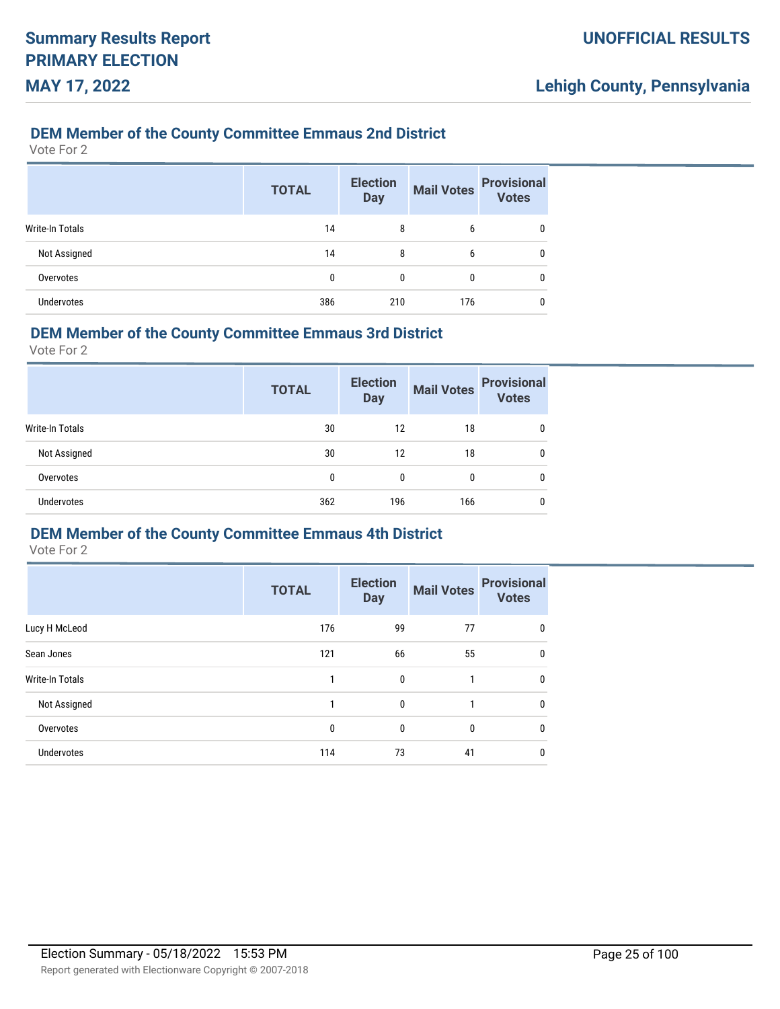### **DEM Member of the County Committee Emmaus 2nd District**

Vote For 2

|                   | <b>TOTAL</b> | <b>Election</b><br><b>Day</b> | <b>Mail Votes</b> | <b>Provisional</b><br><b>Votes</b> |
|-------------------|--------------|-------------------------------|-------------------|------------------------------------|
| Write-In Totals   | 14           | 8                             | 6                 | 0                                  |
| Not Assigned      | 14           | 8                             | 6                 | 0                                  |
| Overvotes         | 0            | 0                             | 0                 | 0                                  |
| <b>Undervotes</b> | 386          | 210                           | 176               |                                    |

### **DEM Member of the County Committee Emmaus 3rd District**

Vote For 2

|                   | <b>TOTAL</b> | <b>Election</b><br><b>Day</b> | <b>Mail Votes</b> | <b>Provisional</b><br><b>Votes</b> |
|-------------------|--------------|-------------------------------|-------------------|------------------------------------|
| Write-In Totals   | 30           | 12                            | 18                | 0                                  |
| Not Assigned      | 30           | 12                            | 18                | 0                                  |
| Overvotes         | 0            | 0                             | 0                 | 0                                  |
| <b>Undervotes</b> | 362          | 196                           | 166               | 0                                  |

### **DEM Member of the County Committee Emmaus 4th District**

|                        | <b>TOTAL</b> | <b>Election</b><br><b>Day</b> | <b>Mail Votes</b> | <b>Provisional</b><br><b>Votes</b> |
|------------------------|--------------|-------------------------------|-------------------|------------------------------------|
| Lucy H McLeod          | 176          | 99                            | 77                |                                    |
| Sean Jones             | 121          | 66                            | 55                | 0                                  |
| <b>Write-In Totals</b> |              | 0                             | 1                 | 0                                  |
| Not Assigned           |              | 0                             |                   | 0                                  |
| Overvotes              | 0            | 0                             | 0                 | 0                                  |
| Undervotes             | 114          | 73                            | 41                | 0                                  |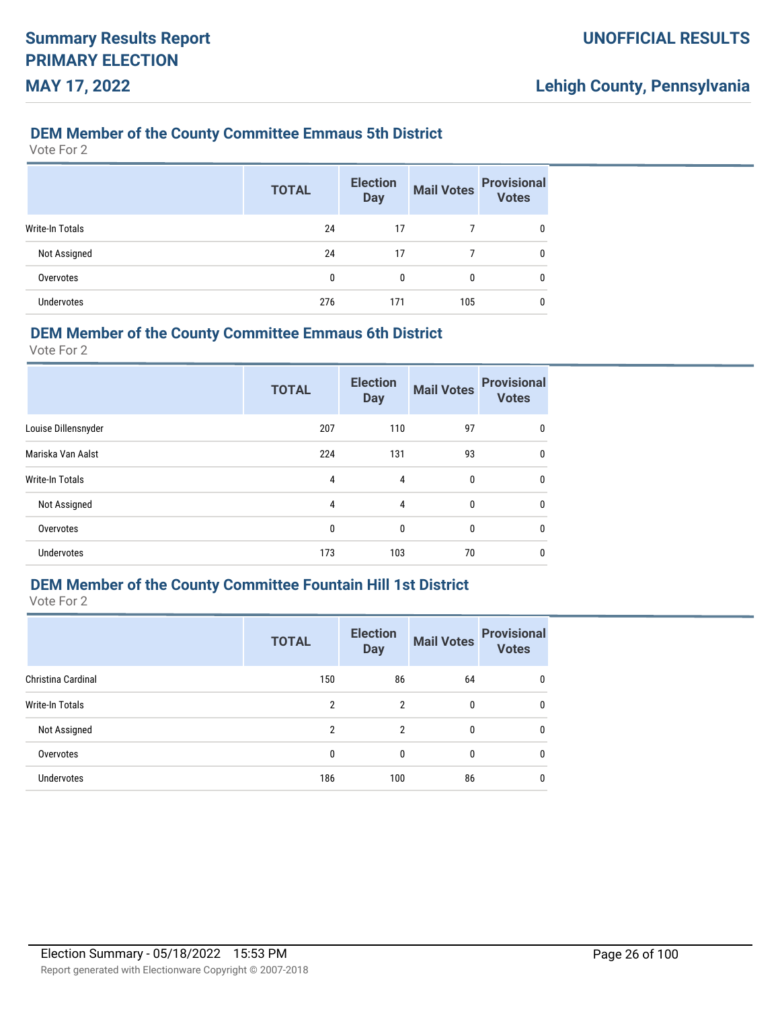### **DEM Member of the County Committee Emmaus 5th District**

Vote For 2

|                        | <b>TOTAL</b> | <b>Election</b><br><b>Day</b> | <b>Mail Votes</b> | <b>Provisional</b><br><b>Votes</b> |
|------------------------|--------------|-------------------------------|-------------------|------------------------------------|
| <b>Write-In Totals</b> | 24           | 17                            |                   | 0                                  |
| Not Assigned           | 24           | 17                            |                   | 0                                  |
| Overvotes              | 0            | 0                             | $\mathbf{0}$      | 0                                  |
| <b>Undervotes</b>      | 276          | 171                           | 105               | 0                                  |

### **DEM Member of the County Committee Emmaus 6th District**

Vote For 2

|                     | <b>TOTAL</b> | <b>Election</b><br><b>Day</b> | <b>Mail Votes</b> | <b>Provisional</b><br><b>Votes</b> |
|---------------------|--------------|-------------------------------|-------------------|------------------------------------|
| Louise Dillensnyder | 207          | 110                           | 97                | 0                                  |
| Mariska Van Aalst   | 224          | 131                           | 93                | $\mathbf{0}$                       |
| Write-In Totals     | 4            | 4                             | $\mathbf{0}$      | $\mathbf{0}$                       |
| Not Assigned        | 4            | 4                             | 0                 | 0                                  |
| Overvotes           | 0            | $\mathbf{0}$                  | 0                 | 0                                  |
| <b>Undervotes</b>   | 173          | 103                           | 70                | 0                                  |

## **DEM Member of the County Committee Fountain Hill 1st District**

|                    | <b>TOTAL</b> | <b>Election</b><br><b>Day</b> | <b>Mail Votes</b> | <b>Provisional</b><br><b>Votes</b> |
|--------------------|--------------|-------------------------------|-------------------|------------------------------------|
| Christina Cardinal | 150          | 86                            | 64                | 0                                  |
| Write-In Totals    | 2            | $\mathcal{P}$                 | 0                 | $\mathbf{0}$                       |
| Not Assigned       | 2            | $\overline{2}$                | $\mathbf{0}$      | $\mathbf{0}$                       |
| Overvotes          | 0            | $\mathbf{0}$                  | 0                 | $\mathbf{0}$                       |
| <b>Undervotes</b>  | 186          | 100                           | 86                | 0                                  |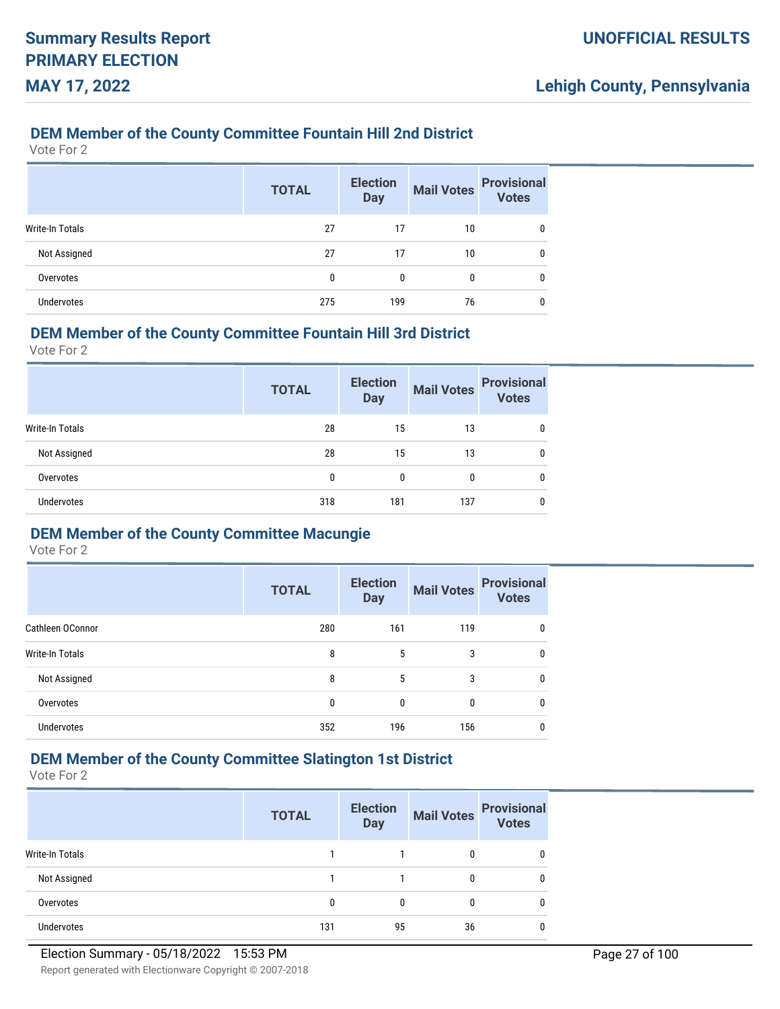### **DEM Member of the County Committee Fountain Hill 2nd District**

Vote For 2

|                 | <b>TOTAL</b> | <b>Election</b><br><b>Day</b> | <b>Mail Votes</b> | <b>Provisional</b><br><b>Votes</b> |
|-----------------|--------------|-------------------------------|-------------------|------------------------------------|
| Write-In Totals | 27           | 17                            | 10                | 0                                  |
| Not Assigned    | 27           | 17                            | 10                | 0                                  |
| Overvotes       | 0            | 0                             | 0                 | 0                                  |
| Undervotes      | 275          | 199                           | 76                |                                    |

### **DEM Member of the County Committee Fountain Hill 3rd District**

Vote For 2

|                   | <b>TOTAL</b> | <b>Election</b><br><b>Day</b> | <b>Mail Votes</b> | <b>Provisional</b><br><b>Votes</b> |
|-------------------|--------------|-------------------------------|-------------------|------------------------------------|
| Write-In Totals   | 28           | 15                            | 13                | 0                                  |
| Not Assigned      | 28           | 15                            | 13                | 0                                  |
| Overvotes         | 0            | 0                             | 0                 | 0                                  |
| <b>Undervotes</b> | 318          | 181                           | 137               | 0                                  |

### **DEM Member of the County Committee Macungie**

Vote For 2

|                        | <b>TOTAL</b> | <b>Election</b><br><b>Day</b> | <b>Mail Votes</b> | <b>Provisional</b><br><b>Votes</b> |
|------------------------|--------------|-------------------------------|-------------------|------------------------------------|
| Cathleen OConnor       | 280          | 161                           | 119               | 0                                  |
| <b>Write-In Totals</b> | 8            | 5                             | 3                 | 0                                  |
| Not Assigned           | 8            | 5                             | 3                 | 0                                  |
| Overvotes              | 0            | 0                             | 0                 | 0                                  |
| <b>Undervotes</b>      | 352          | 196                           | 156               | 0                                  |

## **DEM Member of the County Committee Slatington 1st District**

|                        | <b>TOTAL</b> | <b>Election</b><br><b>Day</b> | <b>Mail Votes</b> | <b>Provisional</b><br><b>Votes</b> |
|------------------------|--------------|-------------------------------|-------------------|------------------------------------|
| <b>Write-In Totals</b> |              |                               |                   | 0                                  |
| Not Assigned           |              |                               |                   | 0                                  |
| Overvotes              | 0            |                               |                   | 0                                  |
| <b>Undervotes</b>      | 131          | 95                            | 36                | 0                                  |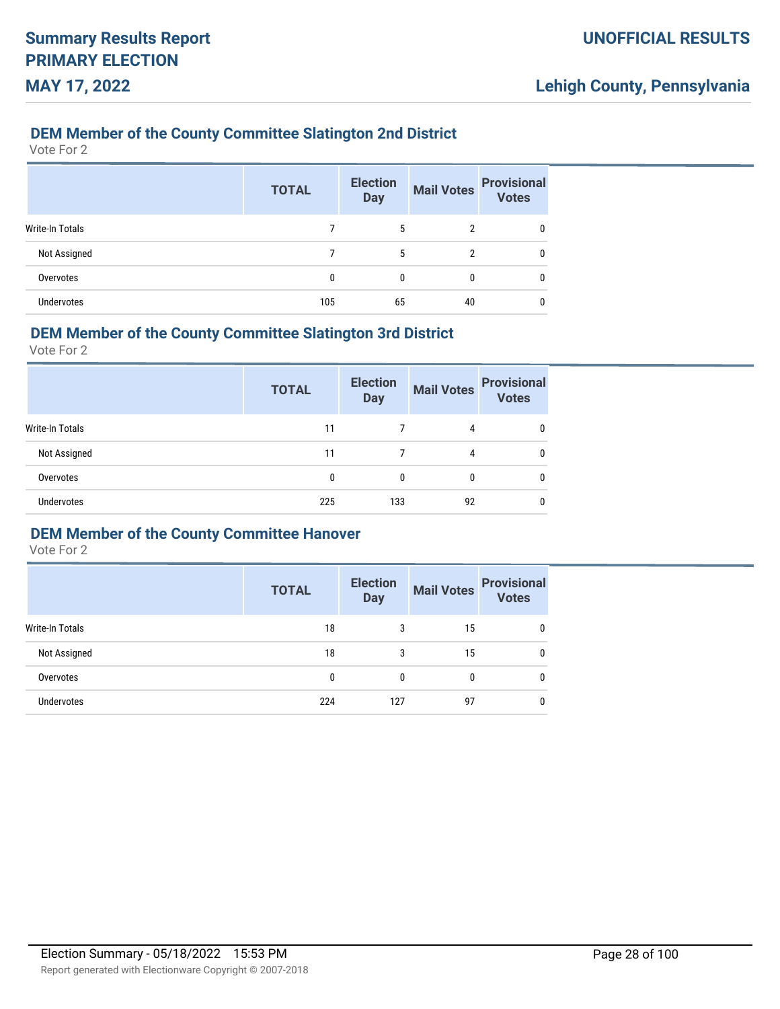### **DEM Member of the County Committee Slatington 2nd District**

Vote For 2

|                   | <b>TOTAL</b> | <b>Election</b><br><b>Day</b> | <b>Mail Votes</b> | <b>Provisional</b><br>Votes |
|-------------------|--------------|-------------------------------|-------------------|-----------------------------|
| Write-In Totals   |              | 5                             | 2                 |                             |
| Not Assigned      |              | 5                             | 2                 | 0                           |
| Overvotes         | 0            | 0                             | 0                 | 0                           |
| <b>Undervotes</b> | 105          | 65                            | 40                |                             |

### **DEM Member of the County Committee Slatington 3rd District**

Vote For 2

|                        | <b>TOTAL</b> | <b>Election</b><br><b>Day</b> | <b>Mail Votes</b> | <b>Provisional</b><br><b>Votes</b> |
|------------------------|--------------|-------------------------------|-------------------|------------------------------------|
| <b>Write-In Totals</b> | 11           |                               | 4                 | 0                                  |
| Not Assigned           | 11           |                               | 4                 | 0                                  |
| Overvotes              | 0            | 0                             |                   | 0                                  |
| <b>Undervotes</b>      | 225          | 133                           | 92                | 0                                  |

### **DEM Member of the County Committee Hanover**

|                        | <b>TOTAL</b> | <b>Election</b><br><b>Day</b> | <b>Mail Votes</b> | <b>Provisional</b><br><b>Votes</b> |
|------------------------|--------------|-------------------------------|-------------------|------------------------------------|
| <b>Write-In Totals</b> | 18           | 3                             | 15                | $\mathbf{0}$                       |
| Not Assigned           | 18           | 3                             | 15                | $\mathbf 0$                        |
| Overvotes              | 0            | 0                             | 0                 | $\mathbf{0}$                       |
| <b>Undervotes</b>      | 224          | 127                           | 97                | 0                                  |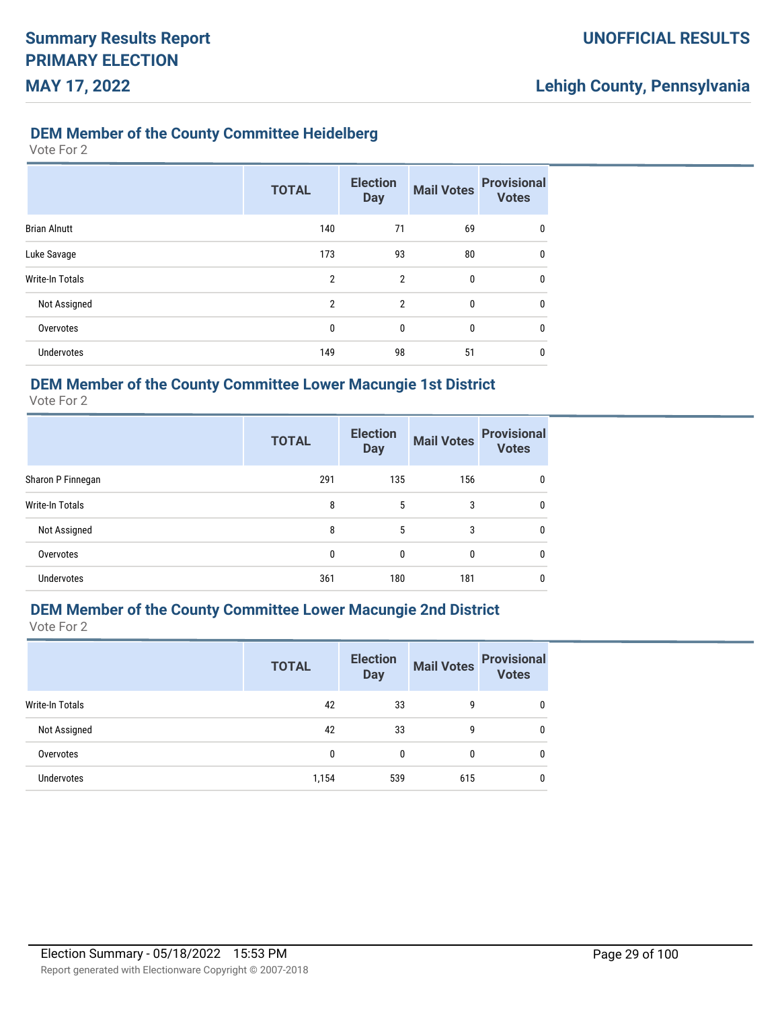## **DEM Member of the County Committee Heidelberg**

Vote For 2

|                        | <b>TOTAL</b>   | <b>Election</b><br><b>Day</b> | <b>Mail Votes</b> | <b>Provisional</b><br><b>Votes</b> |
|------------------------|----------------|-------------------------------|-------------------|------------------------------------|
| <b>Brian Alnutt</b>    | 140            | 71                            | 69                | 0                                  |
| Luke Savage            | 173            | 93                            | 80                | 0                                  |
| <b>Write-In Totals</b> | $\overline{2}$ | $\overline{2}$                | 0                 | 0                                  |
| Not Assigned           | $\overline{2}$ | $\mathfrak{p}$                | $\mathbf{0}$      | 0                                  |
| Overvotes              | 0              | 0                             | 0                 | 0                                  |
| <b>Undervotes</b>      | 149            | 98                            | 51                | 0                                  |

### **DEM Member of the County Committee Lower Macungie 1st District**

Vote For 2

|                        | <b>TOTAL</b> | <b>Election</b><br><b>Day</b> | <b>Mail Votes</b> | <b>Provisional</b><br><b>Votes</b> |
|------------------------|--------------|-------------------------------|-------------------|------------------------------------|
| Sharon P Finnegan      | 291          | 135                           | 156               | $\mathbf{0}$                       |
| <b>Write-In Totals</b> | 8            | 5                             | 3                 | 0                                  |
| Not Assigned           | 8            | 5                             | 3                 | $\mathbf{0}$                       |
| Overvotes              | 0            | 0                             | $\Omega$          | $\mathbf{0}$                       |
| Undervotes             | 361          | 180                           | 181               | $\mathbf{0}$                       |

## **DEM Member of the County Committee Lower Macungie 2nd District**

|                        | <b>TOTAL</b> | <b>Election</b><br><b>Day</b> | <b>Mail Votes</b> | <b>Provisional</b><br><b>Votes</b> |
|------------------------|--------------|-------------------------------|-------------------|------------------------------------|
| <b>Write-In Totals</b> | 42           | 33                            | 9                 |                                    |
| Not Assigned           | 42           | 33                            | 9                 | 0                                  |
| Overvotes              | 0            | 0                             | 0                 | 0                                  |
| <b>Undervotes</b>      | 1,154        | 539                           | 615               | 0                                  |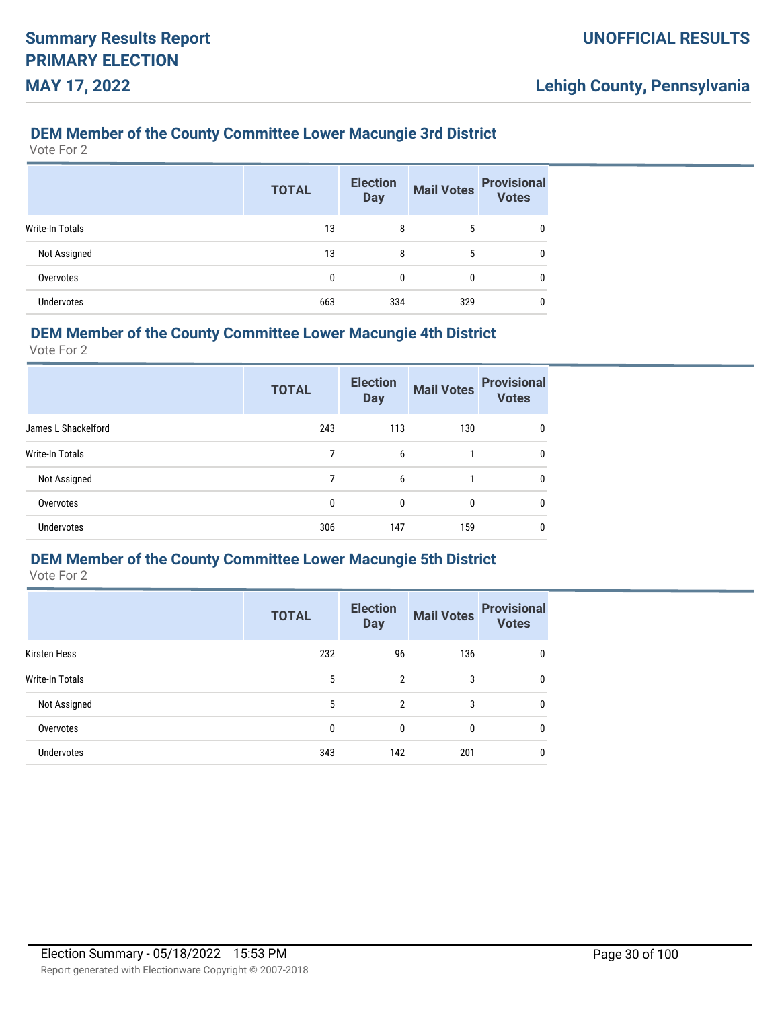### **DEM Member of the County Committee Lower Macungie 3rd District**

Vote For 2

|                        | <b>TOTAL</b> | <b>Election</b><br><b>Day</b> | <b>Mail Votes</b> | <b>Provisional</b><br>Votes |
|------------------------|--------------|-------------------------------|-------------------|-----------------------------|
| <b>Write-In Totals</b> | 13           | 8                             | 5                 | 0                           |
| Not Assigned           | 13           | 8                             | 5                 | 0                           |
| Overvotes              | 0            | 0                             | 0                 | 0                           |
| <b>Undervotes</b>      | 663          | 334                           | 329               |                             |

### **DEM Member of the County Committee Lower Macungie 4th District**

Vote For 2

|                        | <b>TOTAL</b> | <b>Election</b><br><b>Day</b> | <b>Mail Votes</b> | <b>Provisional</b><br><b>Votes</b> |
|------------------------|--------------|-------------------------------|-------------------|------------------------------------|
| James L Shackelford    | 243          | 113                           | 130               | 0                                  |
| <b>Write-In Totals</b> | 7            | 6                             |                   | 0                                  |
| Not Assigned           | 7            | 6                             |                   | 0                                  |
| Overvotes              | 0            | $\mathbf{0}$                  | 0                 | 0                                  |
| <b>Undervotes</b>      | 306          | 147                           | 159               | 0                                  |

### **DEM Member of the County Committee Lower Macungie 5th District**

|                   | <b>TOTAL</b> | <b>Election</b><br><b>Day</b> | <b>Mail Votes</b> | <b>Provisional</b><br><b>Votes</b> |
|-------------------|--------------|-------------------------------|-------------------|------------------------------------|
| Kirsten Hess      | 232          | 96                            | 136               | 0                                  |
| Write-In Totals   | 5            | $\mathfrak{p}$                | 3                 | 0                                  |
| Not Assigned      | 5            | $\overline{2}$                | 3                 | 0                                  |
| Overvotes         | 0            | 0                             | $\mathbf{0}$      | 0                                  |
| <b>Undervotes</b> | 343          | 142                           | 201               | 0                                  |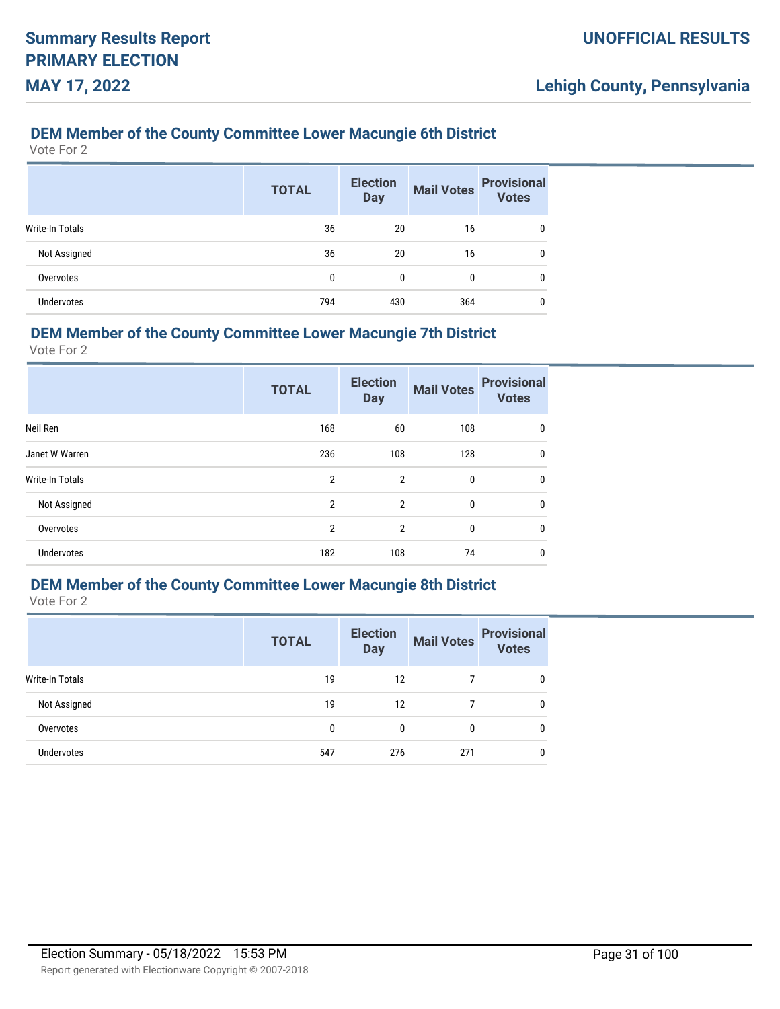### **DEM Member of the County Committee Lower Macungie 6th District**

Vote For 2

|                 | <b>TOTAL</b> | <b>Election</b><br><b>Day</b> | <b>Mail Votes</b> | <b>Provisional</b><br><b>Votes</b> |
|-----------------|--------------|-------------------------------|-------------------|------------------------------------|
| Write-In Totals | 36           | 20                            | 16                | 0                                  |
| Not Assigned    | 36           | 20                            | 16                | 0                                  |
| Overvotes       | 0            | 0                             | 0                 | 0                                  |
| Undervotes      | 794          | 430                           | 364               |                                    |

### **DEM Member of the County Committee Lower Macungie 7th District**

Vote For 2

|                        | <b>TOTAL</b>   | <b>Election</b><br><b>Day</b> | <b>Mail Votes</b> | <b>Provisional</b><br><b>Votes</b> |
|------------------------|----------------|-------------------------------|-------------------|------------------------------------|
| Neil Ren               | 168            | 60                            | 108               | 0                                  |
| Janet W Warren         | 236            | 108                           | 128               | 0                                  |
| <b>Write-In Totals</b> | $\overline{2}$ | $\overline{2}$                | 0                 | $\mathbf{0}$                       |
| Not Assigned           | $\overline{2}$ | $\overline{2}$                | 0                 | $\mathbf{0}$                       |
| Overvotes              | $\overline{2}$ | $\overline{2}$                | 0                 | 0                                  |
| <b>Undervotes</b>      | 182            | 108                           | 74                | 0                                  |

## **DEM Member of the County Committee Lower Macungie 8th District**

|                   | <b>TOTAL</b> | <b>Election</b><br><b>Day</b> | <b>Mail Votes</b> | <b>Provisional</b><br><b>Votes</b> |
|-------------------|--------------|-------------------------------|-------------------|------------------------------------|
| Write-In Totals   | 19           | 12                            |                   | 0                                  |
| Not Assigned      | 19           | 12                            |                   | 0                                  |
| Overvotes         | 0            | 0                             | 0                 | 0                                  |
| <b>Undervotes</b> | 547          | 276                           | 271               | 0                                  |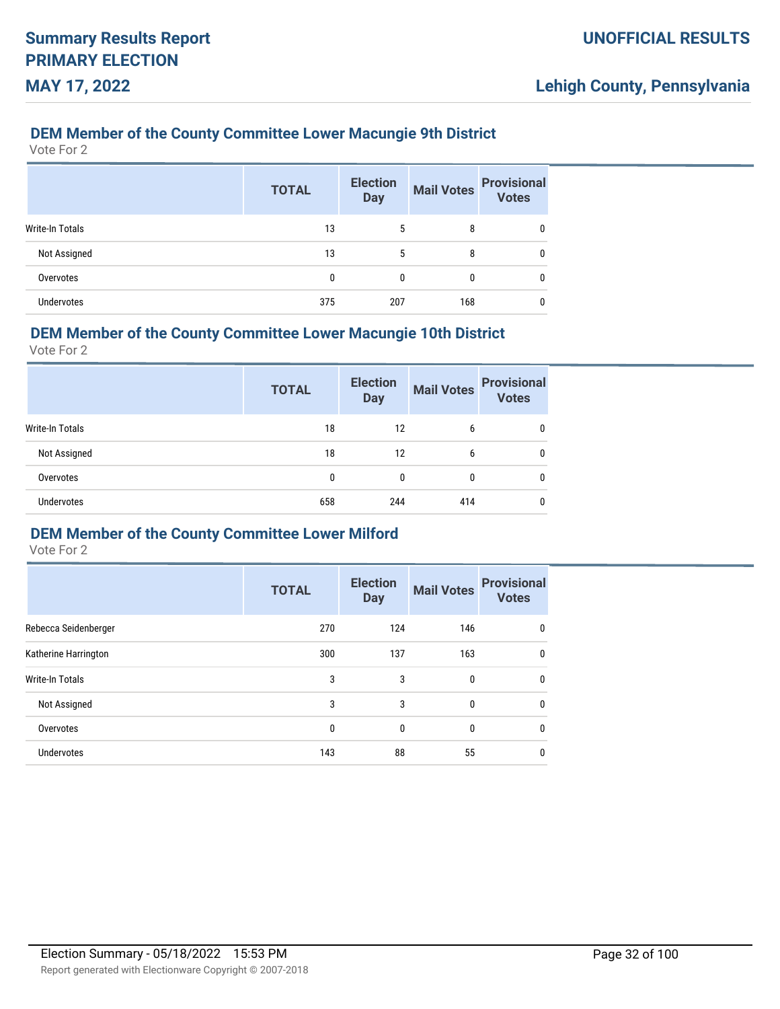### **DEM Member of the County Committee Lower Macungie 9th District**

Vote For 2

|                        | <b>TOTAL</b> | <b>Election</b><br><b>Day</b> | <b>Mail Votes</b> | <b>Provisional</b><br><b>Votes</b> |
|------------------------|--------------|-------------------------------|-------------------|------------------------------------|
| <b>Write-In Totals</b> | 13           | 5                             | 8                 | 0                                  |
| Not Assigned           | 13           | 5                             | 8                 | 0                                  |
| Overvotes              | 0            | 0                             | 0                 | 0                                  |
| <b>Undervotes</b>      | 375          | 207                           | 168               | 0                                  |

### **DEM Member of the County Committee Lower Macungie 10th District**

Vote For 2

|                   | <b>TOTAL</b> | <b>Election</b><br><b>Day</b> | <b>Mail Votes</b> | <b>Provisional</b><br><b>Votes</b> |
|-------------------|--------------|-------------------------------|-------------------|------------------------------------|
| Write-In Totals   | 18           | 12                            | 6                 | 0                                  |
| Not Assigned      | 18           | 12                            | 6                 | 0                                  |
| Overvotes         | 0            | 0                             | 0                 | 0                                  |
| <b>Undervotes</b> | 658          | 244                           | 414               | 0                                  |

### **DEM Member of the County Committee Lower Milford**

|                        | <b>TOTAL</b> | <b>Election</b><br><b>Day</b> | <b>Mail Votes</b> | <b>Provisional</b><br><b>Votes</b> |
|------------------------|--------------|-------------------------------|-------------------|------------------------------------|
| Rebecca Seidenberger   | 270          | 124                           | 146               | 0                                  |
| Katherine Harrington   | 300          | 137                           | 163               | 0                                  |
| <b>Write-In Totals</b> | 3            | 3                             | 0                 | 0                                  |
| Not Assigned           | 3            | 3                             | 0                 | 0                                  |
| Overvotes              | 0            | $\mathbf{0}$                  | 0                 | 0                                  |
| <b>Undervotes</b>      | 143          | 88                            | 55                | 0                                  |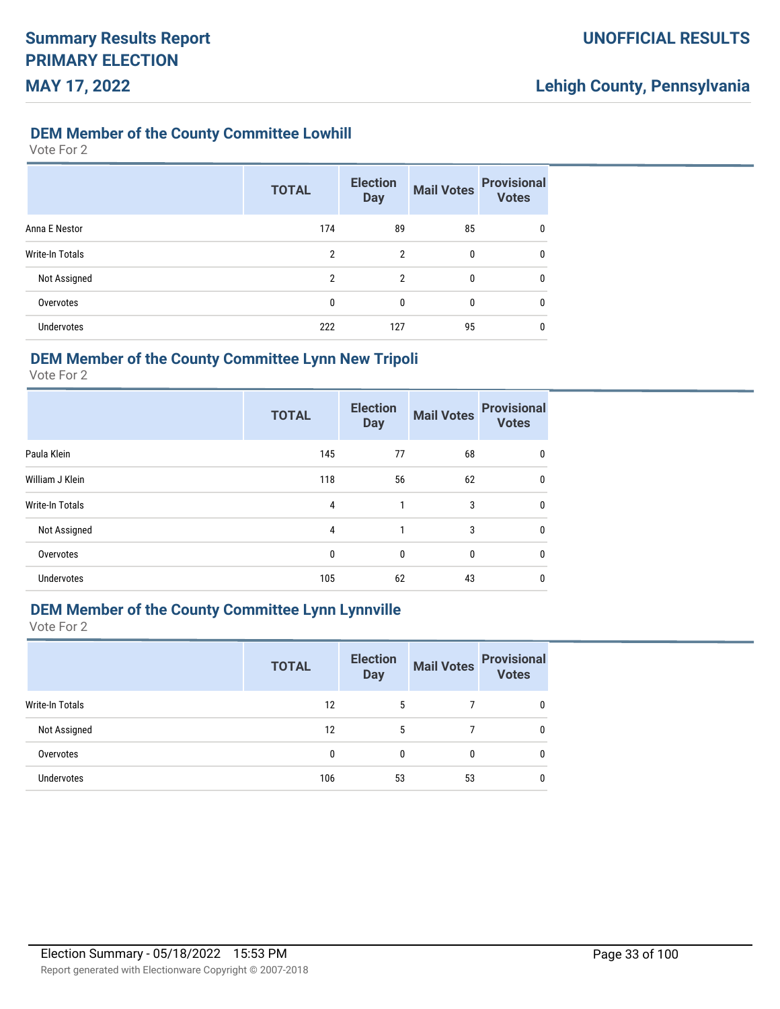### **DEM Member of the County Committee Lowhill**

#### Vote For 2

|                   | <b>TOTAL</b> | <b>Election</b><br><b>Day</b> | <b>Mail Votes</b> | <b>Provisional</b><br><b>Votes</b> |
|-------------------|--------------|-------------------------------|-------------------|------------------------------------|
| Anna E Nestor     | 174          | 89                            | 85                | $\mathbf{0}$                       |
| Write-In Totals   | 2            | $\overline{2}$                | 0                 | $\mathbf{0}$                       |
| Not Assigned      | 2            | $\mathfrak{p}$                | 0                 | 0                                  |
| Overvotes         | 0            | 0                             | 0                 | 0                                  |
| <b>Undervotes</b> | 222          | 127                           | 95                | 0                                  |

## **DEM Member of the County Committee Lynn New Tripoli**

Vote For 2

|                   | <b>TOTAL</b> | <b>Election</b><br><b>Day</b> | <b>Mail Votes</b> | <b>Provisional</b><br><b>Votes</b> |
|-------------------|--------------|-------------------------------|-------------------|------------------------------------|
| Paula Klein       | 145          | 77                            | 68                | 0                                  |
| William J Klein   | 118          | 56                            | 62                | $\mathbf{0}$                       |
| Write-In Totals   | 4            | 1                             | 3                 | $\mathbf{0}$                       |
| Not Assigned      | 4            |                               | 3                 | $\mathbf{0}$                       |
| Overvotes         | 0            | $\mathbf{0}$                  | $\mathbf{0}$      | $\mathbf{0}$                       |
| <b>Undervotes</b> | 105          | 62                            | 43                | 0                                  |

### **DEM Member of the County Committee Lynn Lynnville**

|                   | <b>TOTAL</b> | <b>Election</b><br><b>Day</b> | <b>Mail Votes</b> | <b>Provisional</b><br><b>Votes</b> |
|-------------------|--------------|-------------------------------|-------------------|------------------------------------|
| Write-In Totals   | 12           | 5                             |                   | 0                                  |
| Not Assigned      | 12           | 5                             |                   | 0                                  |
| Overvotes         | 0            | 0                             | 0                 | 0                                  |
| <b>Undervotes</b> | 106          | 53                            | 53                | 0                                  |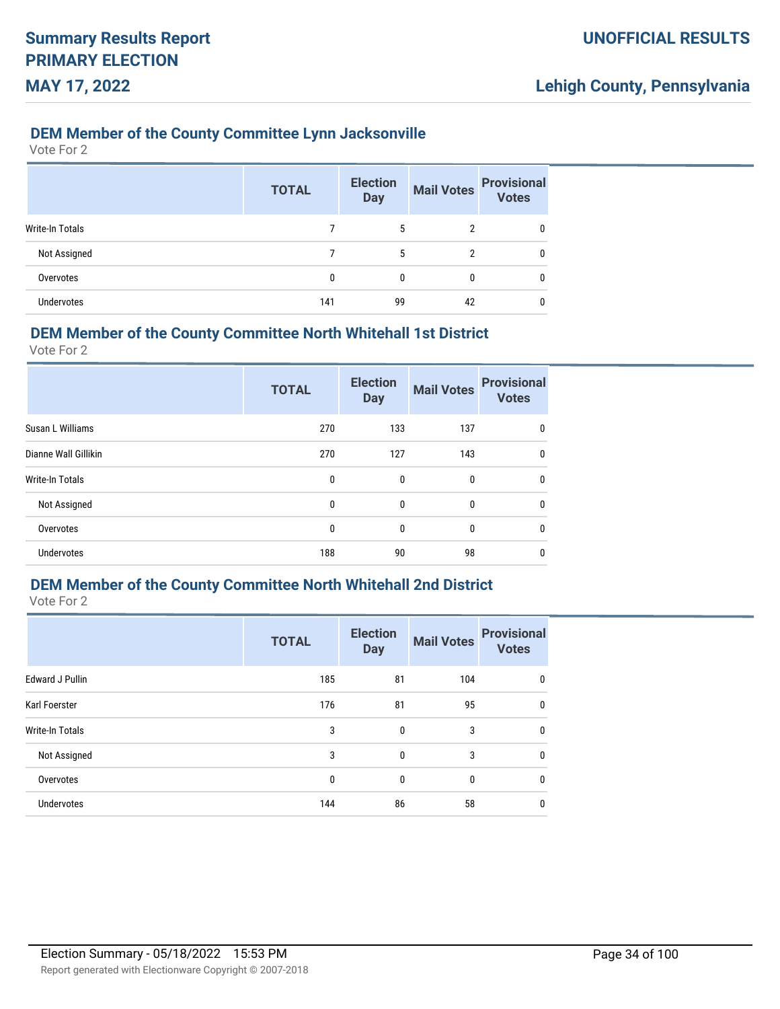### **DEM Member of the County Committee Lynn Jacksonville**

Vote For 2

|                   | <b>TOTAL</b> | <b>Election</b><br><b>Day</b> | <b>Mail Votes</b> | <b>Provisional</b><br><b>Votes</b> |
|-------------------|--------------|-------------------------------|-------------------|------------------------------------|
| Write-In Totals   |              | 5                             | 2                 | 0                                  |
| Not Assigned      |              | 5                             | $\overline{2}$    | 0                                  |
| Overvotes         | 0            | 0                             | 0                 | 0                                  |
| <b>Undervotes</b> | 141          | 99                            | 42                | 0                                  |

### **DEM Member of the County Committee North Whitehall 1st District**

Vote For 2

|                      | <b>TOTAL</b> | <b>Election</b><br><b>Day</b> | <b>Mail Votes</b> | <b>Provisional</b><br><b>Votes</b> |
|----------------------|--------------|-------------------------------|-------------------|------------------------------------|
| Susan L Williams     | 270          | 133                           | 137               | 0                                  |
| Dianne Wall Gillikin | 270          | 127                           | 143               | 0                                  |
| Write-In Totals      | $\mathbf{0}$ | $\mathbf{0}$                  | 0                 | $\mathbf{0}$                       |
| Not Assigned         | $\mathbf{0}$ | $\mathbf{0}$                  | 0                 | $\mathbf{0}$                       |
| Overvotes            | 0            | $\mathbf{0}$                  | 0                 | $\mathbf{0}$                       |
| Undervotes           | 188          | 90                            | 98                | 0                                  |

## **DEM Member of the County Committee North Whitehall 2nd District**

|                        | <b>TOTAL</b> | <b>Election</b><br><b>Day</b> | <b>Mail Votes</b> | <b>Provisional</b><br><b>Votes</b> |
|------------------------|--------------|-------------------------------|-------------------|------------------------------------|
| <b>Edward J Pullin</b> | 185          | 81                            | 104               | 0                                  |
| Karl Foerster          | 176          | 81                            | 95                | 0                                  |
| <b>Write-In Totals</b> | 3            | $\mathbf{0}$                  | 3                 | 0                                  |
| Not Assigned           | 3            | $\mathbf{0}$                  | 3                 | 0                                  |
| Overvotes              | $\mathbf{0}$ | $\mathbf{0}$                  | 0                 | 0                                  |
| Undervotes             | 144          | 86                            | 58                | 0                                  |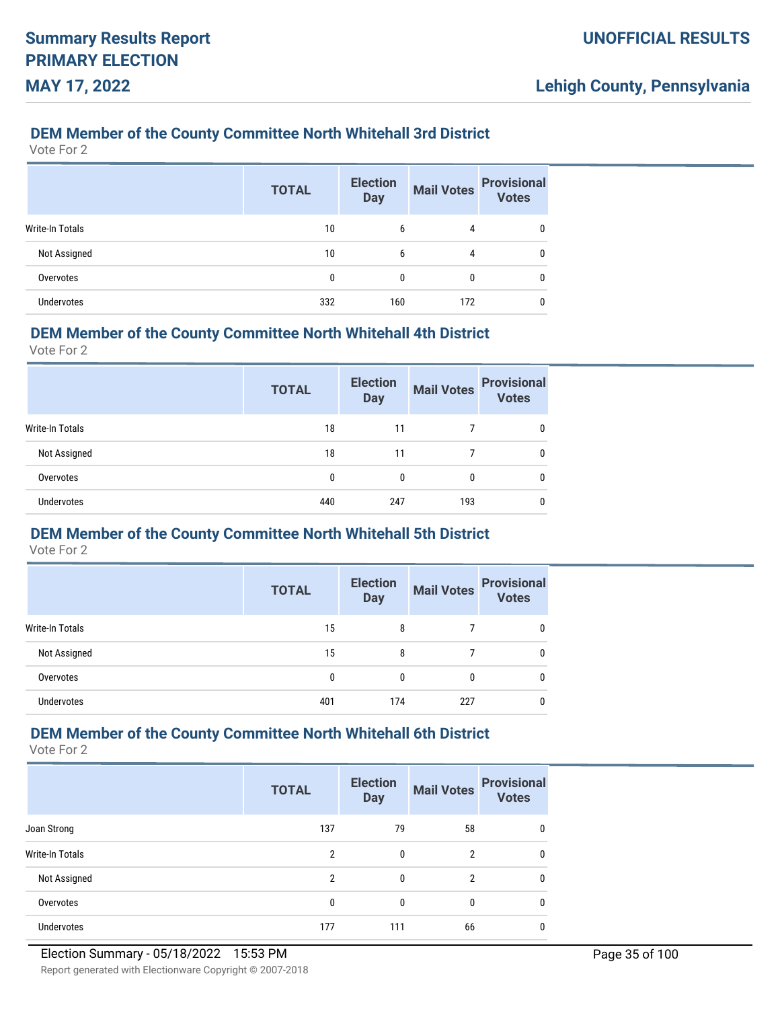### **DEM Member of the County Committee North Whitehall 3rd District**

Vote For 2

|                        | <b>TOTAL</b> | <b>Election</b><br><b>Day</b> | <b>Mail Votes</b> | <b>Provisional</b><br>Votes |
|------------------------|--------------|-------------------------------|-------------------|-----------------------------|
| <b>Write-In Totals</b> | 10           | 6                             | 4                 | 0                           |
| Not Assigned           | 10           | 6                             | 4                 |                             |
| Overvotes              | 0            | 0                             | 0                 | 0                           |
| <b>Undervotes</b>      | 332          | 160                           | 172               |                             |

### **DEM Member of the County Committee North Whitehall 4th District**

Vote For 2

|                   | <b>TOTAL</b> | <b>Election</b><br><b>Day</b> | <b>Mail Votes</b> | <b>Provisional</b><br><b>Votes</b> |
|-------------------|--------------|-------------------------------|-------------------|------------------------------------|
| Write-In Totals   | 18           | 11                            |                   |                                    |
| Not Assigned      | 18           | 11                            |                   | 0                                  |
| Overvotes         | 0            | 0                             | 0                 | 0                                  |
| <b>Undervotes</b> | 440          | 247                           | 193               | 0                                  |

### **DEM Member of the County Committee North Whitehall 5th District**

Vote For 2

|                 | <b>TOTAL</b> | <b>Election</b><br><b>Day</b> | <b>Mail Votes</b> | <b>Provisional</b><br><b>Votes</b> |
|-----------------|--------------|-------------------------------|-------------------|------------------------------------|
| Write-In Totals | 15           | 8                             |                   | 0                                  |
| Not Assigned    | 15           | 8                             |                   |                                    |
| Overvotes       | 0            | 0                             | 0                 |                                    |
| Undervotes      | 401          | 174                           | 227               |                                    |

## **DEM Member of the County Committee North Whitehall 6th District**

|                   | <b>TOTAL</b>  | <b>Election</b><br><b>Day</b> | <b>Mail Votes</b> | <b>Provisional</b><br><b>Votes</b> |
|-------------------|---------------|-------------------------------|-------------------|------------------------------------|
| Joan Strong       | 137           | 79                            | 58                | 0                                  |
| Write-In Totals   | 2             | 0                             | 2                 | 0                                  |
| Not Assigned      | $\mathcal{P}$ | 0                             | 2                 | 0                                  |
| Overvotes         | 0             | 0                             | 0                 | 0                                  |
| <b>Undervotes</b> | 177           | 111                           | 66                | 0                                  |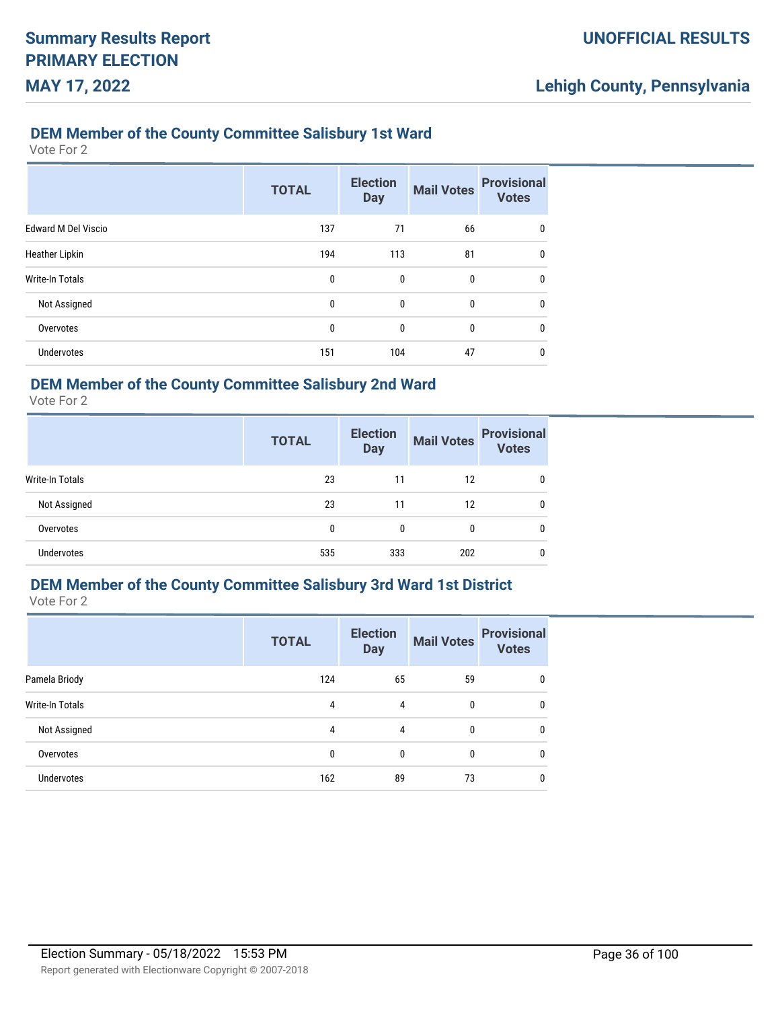### **DEM Member of the County Committee Salisbury 1st Ward**

Vote For 2

|                            | <b>TOTAL</b> | <b>Election</b><br><b>Day</b> | <b>Mail Votes</b> | <b>Provisional</b><br><b>Votes</b> |
|----------------------------|--------------|-------------------------------|-------------------|------------------------------------|
| <b>Edward M Del Viscio</b> | 137          | 71                            | 66                | 0                                  |
| <b>Heather Lipkin</b>      | 194          | 113                           | 81                | 0                                  |
| <b>Write-In Totals</b>     | $\mathbf{0}$ | 0                             | 0                 | $\mathbf{0}$                       |
| Not Assigned               | $\mathbf{0}$ | $\mathbf{0}$                  | $\mathbf{0}$      | $\mathbf{0}$                       |
| Overvotes                  | $\mathbf{0}$ | $\mathbf 0$                   | 0                 | $\mathbf{0}$                       |
| Undervotes                 | 151          | 104                           | 47                | 0                                  |

## **DEM Member of the County Committee Salisbury 2nd Ward**

Vote For 2

|                   | <b>TOTAL</b> | <b>Election</b><br><b>Day</b> | <b>Mail Votes</b> | <b>Provisional</b><br><b>Votes</b> |
|-------------------|--------------|-------------------------------|-------------------|------------------------------------|
| Write-In Totals   | 23           | 11                            | 12                | 0                                  |
| Not Assigned      | 23           | 11                            | 12                | 0                                  |
| Overvotes         | 0            | 0                             | 0                 | 0                                  |
| <b>Undervotes</b> | 535          | 333                           | 202               | 0                                  |

## **DEM Member of the County Committee Salisbury 3rd Ward 1st District**

Vote For 2

|                   | <b>TOTAL</b> | <b>Election</b><br><b>Day</b> | <b>Mail Votes</b> | <b>Provisional</b><br><b>Votes</b> |
|-------------------|--------------|-------------------------------|-------------------|------------------------------------|
| Pamela Briody     | 124          | 65                            | 59                | 0                                  |
| Write-In Totals   | 4            | 4                             | $\mathbf{0}$      | 0                                  |
| Not Assigned      | 4            | 4                             | $\mathbf{0}$      | 0                                  |
| Overvotes         | $\mathbf{0}$ | $\mathbf{0}$                  | 0                 | 0                                  |
| <b>Undervotes</b> | 162          | 89                            | 73                | 0                                  |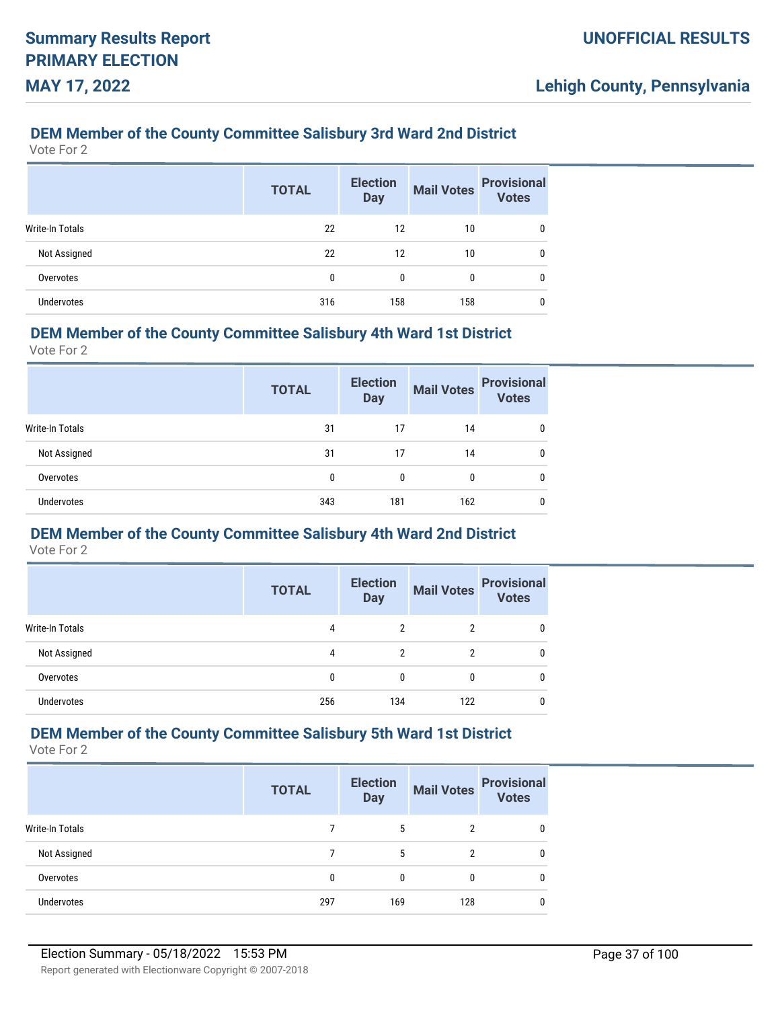### **DEM Member of the County Committee Salisbury 3rd Ward 2nd District**

Vote For 2

|                        | <b>TOTAL</b> | <b>Election</b><br><b>Day</b> | <b>Mail Votes</b> | <b>Provisional</b><br><b>Votes</b> |
|------------------------|--------------|-------------------------------|-------------------|------------------------------------|
| <b>Write-In Totals</b> | 22           | 12                            | 10                |                                    |
| Not Assigned           | 22           | 12                            | 10                |                                    |
| Overvotes              | 0            | 0                             | 0                 |                                    |
| <b>Undervotes</b>      | 316          | 158                           | 158               |                                    |

#### **DEM Member of the County Committee Salisbury 4th Ward 1st District**

Vote For 2

|                 | <b>TOTAL</b> | <b>Election</b><br><b>Day</b> | <b>Mail Votes</b> | <b>Provisional</b><br><b>Votes</b> |
|-----------------|--------------|-------------------------------|-------------------|------------------------------------|
| Write-In Totals | 31           | 17                            | 14                | 0                                  |
| Not Assigned    | 31           | 17                            | 14                | 0                                  |
| Overvotes       | 0            | 0                             | 0                 | 0                                  |
| Undervotes      | 343          | 181                           | 162               | 0                                  |

# **DEM Member of the County Committee Salisbury 4th Ward 2nd District**

Vote For 2

|                   | <b>TOTAL</b> | <b>Election</b><br><b>Day</b> | <b>Mail Votes</b> | <b>Provisional</b><br><b>Votes</b> |
|-------------------|--------------|-------------------------------|-------------------|------------------------------------|
| Write-In Totals   | 4            | 2                             | 2                 | 0                                  |
| Not Assigned      | 4            | 2                             | 2                 | 0                                  |
| Overvotes         | 0            | 0                             | 0                 |                                    |
| <b>Undervotes</b> | 256          | 134                           | 122               |                                    |

### **DEM Member of the County Committee Salisbury 5th Ward 1st District**

|                   | <b>TOTAL</b> | <b>Election</b><br><b>Day</b> | <b>Mail Votes</b> | <b>Provisional</b><br><b>Votes</b> |
|-------------------|--------------|-------------------------------|-------------------|------------------------------------|
| Write-In Totals   |              | 5                             | 2                 | 0                                  |
| Not Assigned      |              | 5                             | 2                 | 0                                  |
| Overvotes         |              | $\Omega$                      | $\Omega$          | 0                                  |
| <b>Undervotes</b> | 297          | 169                           | 128               | 0                                  |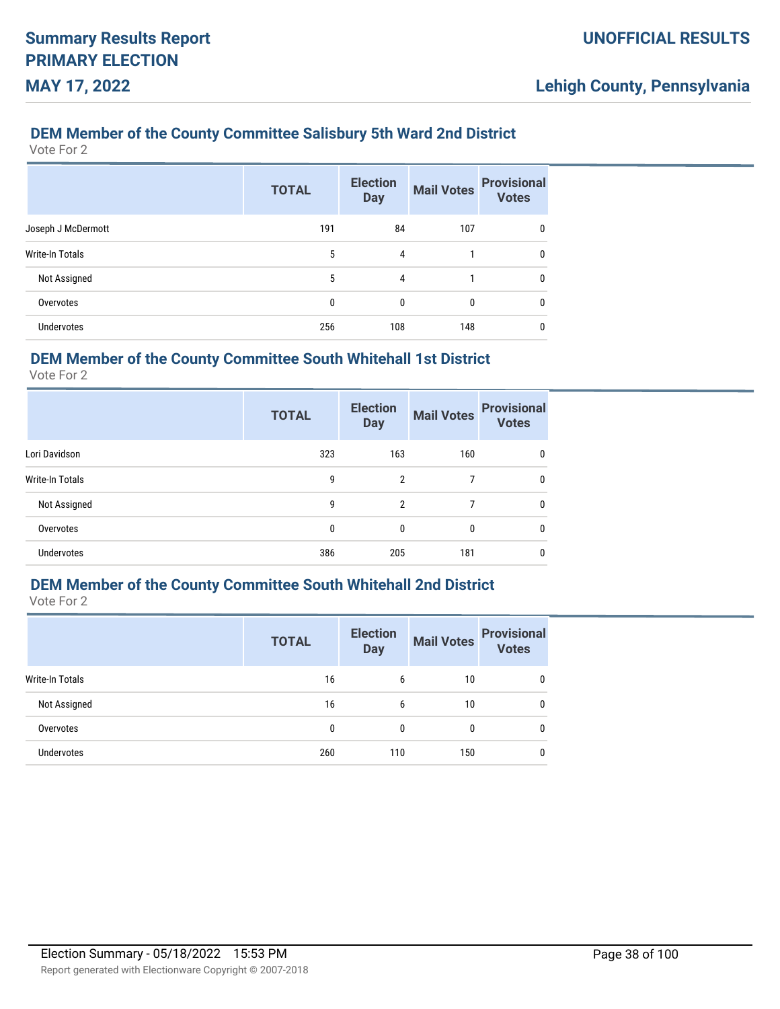# **DEM Member of the County Committee Salisbury 5th Ward 2nd District**

Vote For 2

|                        | <b>TOTAL</b> | <b>Election</b><br><b>Day</b> | <b>Mail Votes</b> | <b>Provisional</b><br><b>Votes</b> |
|------------------------|--------------|-------------------------------|-------------------|------------------------------------|
| Joseph J McDermott     | 191          | 84                            | 107               | 0                                  |
| <b>Write-In Totals</b> | 5            | 4                             |                   | 0                                  |
| Not Assigned           | 5            | 4                             |                   | 0                                  |
| Overvotes              | 0            | 0                             | 0                 | 0                                  |
| Undervotes             | 256          | 108                           | 148               | 0                                  |

### **DEM Member of the County Committee South Whitehall 1st District**

Vote For 2

|                        | <b>TOTAL</b> | <b>Election</b><br><b>Day</b> | <b>Mail Votes</b> | <b>Provisional</b><br><b>Votes</b> |
|------------------------|--------------|-------------------------------|-------------------|------------------------------------|
| Lori Davidson          | 323          | 163                           | 160               | 0                                  |
| <b>Write-In Totals</b> | 9            | $\overline{2}$                | 7                 | 0                                  |
| Not Assigned           | 9            | 2                             | 7                 | 0                                  |
| Overvotes              | 0            | 0                             | 0                 | 0                                  |
| <b>Undervotes</b>      | 386          | 205                           | 181               | 0                                  |

### **DEM Member of the County Committee South Whitehall 2nd District**

Vote For 2

|                   | <b>TOTAL</b> | <b>Election</b><br><b>Day</b> | <b>Mail Votes</b> | <b>Provisional</b><br><b>Votes</b> |
|-------------------|--------------|-------------------------------|-------------------|------------------------------------|
| Write-In Totals   | 16           | 6                             | 10                | 0                                  |
| Not Assigned      | 16           | 6                             | 10                | 0                                  |
| Overvotes         | 0            | $\mathbf{0}$                  | 0                 | 0                                  |
| <b>Undervotes</b> | 260          | 110                           | 150               | 0                                  |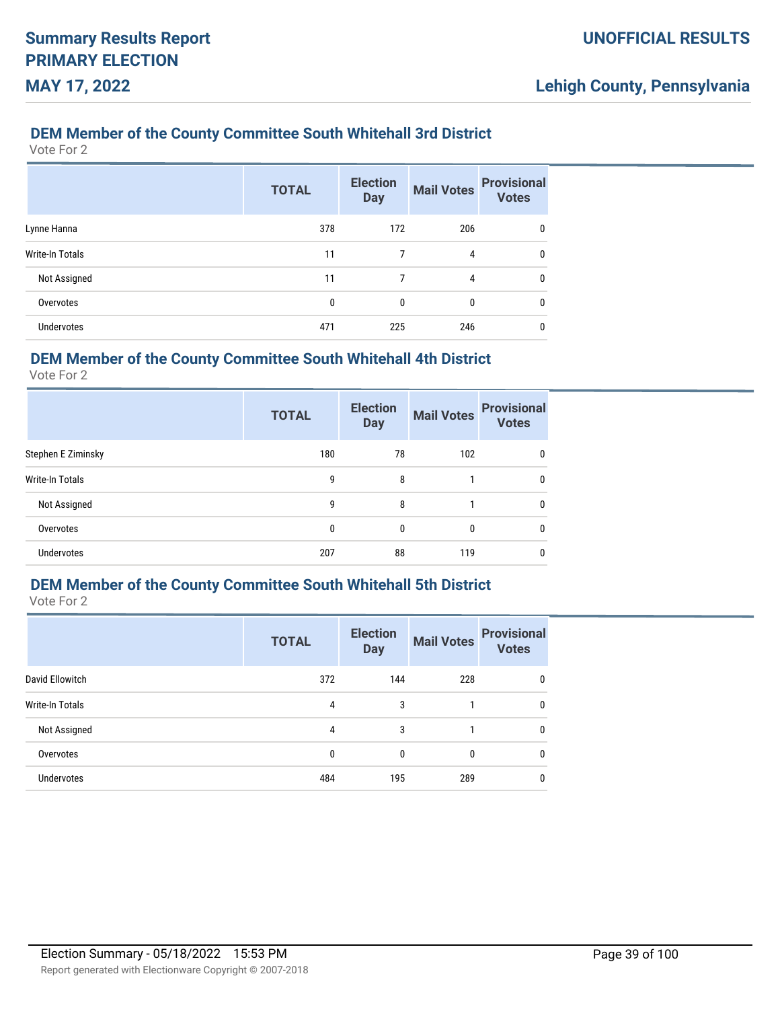#### **DEM Member of the County Committee South Whitehall 3rd District**

Vote For 2

|                   | <b>TOTAL</b> | <b>Election</b><br><b>Day</b> | <b>Mail Votes</b> | <b>Provisional</b><br><b>Votes</b> |
|-------------------|--------------|-------------------------------|-------------------|------------------------------------|
| Lynne Hanna       | 378          | 172                           | 206               | 0                                  |
| Write-In Totals   | 11           | 7                             | 4                 | 0                                  |
| Not Assigned      | 11           | 7                             | 4                 | 0                                  |
| Overvotes         | 0            | $\mathbf{0}$                  | 0                 | 0                                  |
| <b>Undervotes</b> | 471          | 225                           | 246               | 0                                  |

### **DEM Member of the County Committee South Whitehall 4th District**

Vote For 2

|                    | <b>TOTAL</b> | <b>Election</b><br><b>Day</b> | <b>Mail Votes</b> | <b>Provisional</b><br><b>Votes</b> |
|--------------------|--------------|-------------------------------|-------------------|------------------------------------|
| Stephen E Ziminsky | 180          | 78                            | 102               | 0                                  |
| Write-In Totals    | 9            | 8                             |                   | 0                                  |
| Not Assigned       | 9            | 8                             |                   | 0                                  |
| Overvotes          | 0            | $\mathbf{0}$                  | 0                 | 0                                  |
| Undervotes         | 207          | 88                            | 119               | 0                                  |

### **DEM Member of the County Committee South Whitehall 5th District**

|                   | <b>TOTAL</b> | <b>Election</b><br><b>Day</b> | <b>Mail Votes</b> | <b>Provisional</b><br><b>Votes</b> |
|-------------------|--------------|-------------------------------|-------------------|------------------------------------|
| David Ellowitch   | 372          | 144                           | 228               | 0                                  |
| Write-In Totals   | 4            | 3                             |                   | $\mathbf{0}$                       |
| Not Assigned      | 4            | 3                             |                   | $\mathbf{0}$                       |
| Overvotes         | 0            | $\mathbf{0}$                  | 0                 | 0                                  |
| <b>Undervotes</b> | 484          | 195                           | 289               | 0                                  |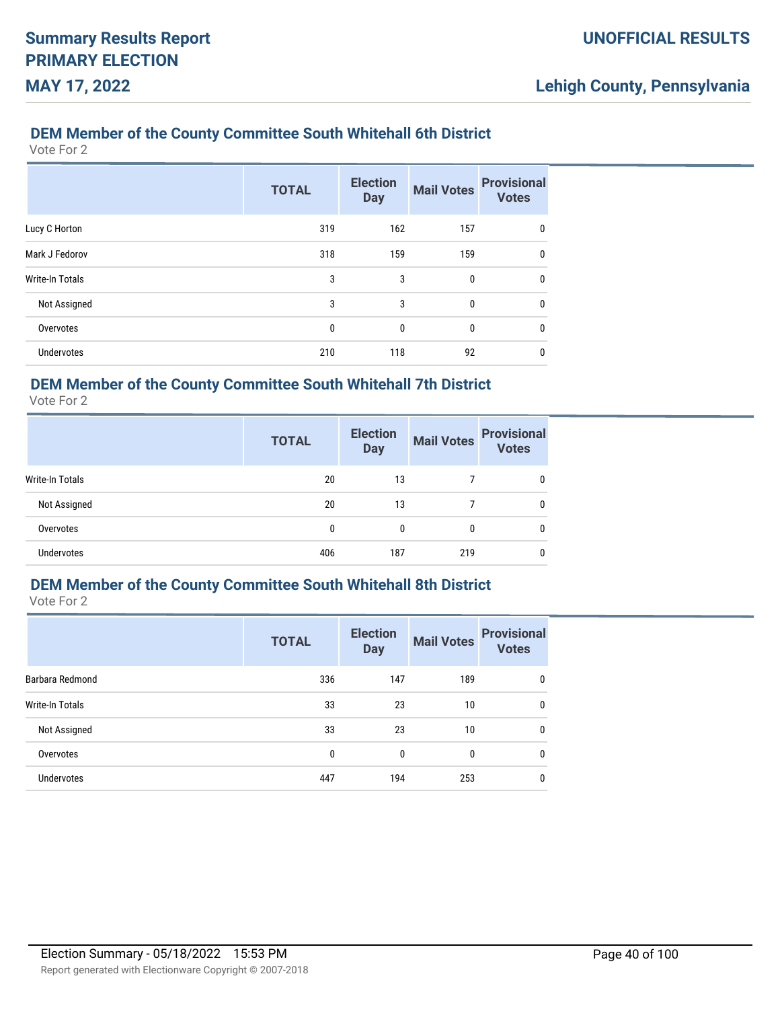#### **DEM Member of the County Committee South Whitehall 6th District**

Vote For 2

|                   | <b>TOTAL</b> | <b>Election</b><br><b>Day</b> | <b>Mail Votes</b> | <b>Provisional</b><br><b>Votes</b> |
|-------------------|--------------|-------------------------------|-------------------|------------------------------------|
| Lucy C Horton     | 319          | 162                           | 157               | 0                                  |
| Mark J Fedorov    | 318          | 159                           | 159               | 0                                  |
| Write-In Totals   | 3            | 3                             | 0                 | 0                                  |
| Not Assigned      | 3            | 3                             | $\mathbf{0}$      | $\mathbf{0}$                       |
| Overvotes         | 0            | 0                             | 0                 | 0                                  |
| <b>Undervotes</b> | 210          | 118                           | 92                | 0                                  |

### **DEM Member of the County Committee South Whitehall 7th District**

Vote For 2

|                   | <b>TOTAL</b> | <b>Election</b><br><b>Day</b> | <b>Mail Votes</b> | <b>Provisional</b><br><b>Votes</b> |
|-------------------|--------------|-------------------------------|-------------------|------------------------------------|
| Write-In Totals   | 20           | 13                            |                   | 0                                  |
| Not Assigned      | 20           | 13                            |                   | 0                                  |
| Overvotes         | 0            | 0                             | 0                 | 0                                  |
| <b>Undervotes</b> | 406          | 187                           | 219               | 0                                  |

### **DEM Member of the County Committee South Whitehall 8th District**

|                        | <b>TOTAL</b> | <b>Election</b><br><b>Day</b> | <b>Mail Votes</b> | <b>Provisional</b><br><b>Votes</b> |
|------------------------|--------------|-------------------------------|-------------------|------------------------------------|
| Barbara Redmond        | 336          | 147                           | 189               | 0                                  |
| <b>Write-In Totals</b> | 33           | 23                            | 10                | $\mathbf{0}$                       |
| Not Assigned           | 33           | 23                            | 10                | $\mathbf{0}$                       |
| Overvotes              | $\mathbf{0}$ | $\mathbf{0}$                  | 0                 | $\mathbf{0}$                       |
| <b>Undervotes</b>      | 447          | 194                           | 253               | 0                                  |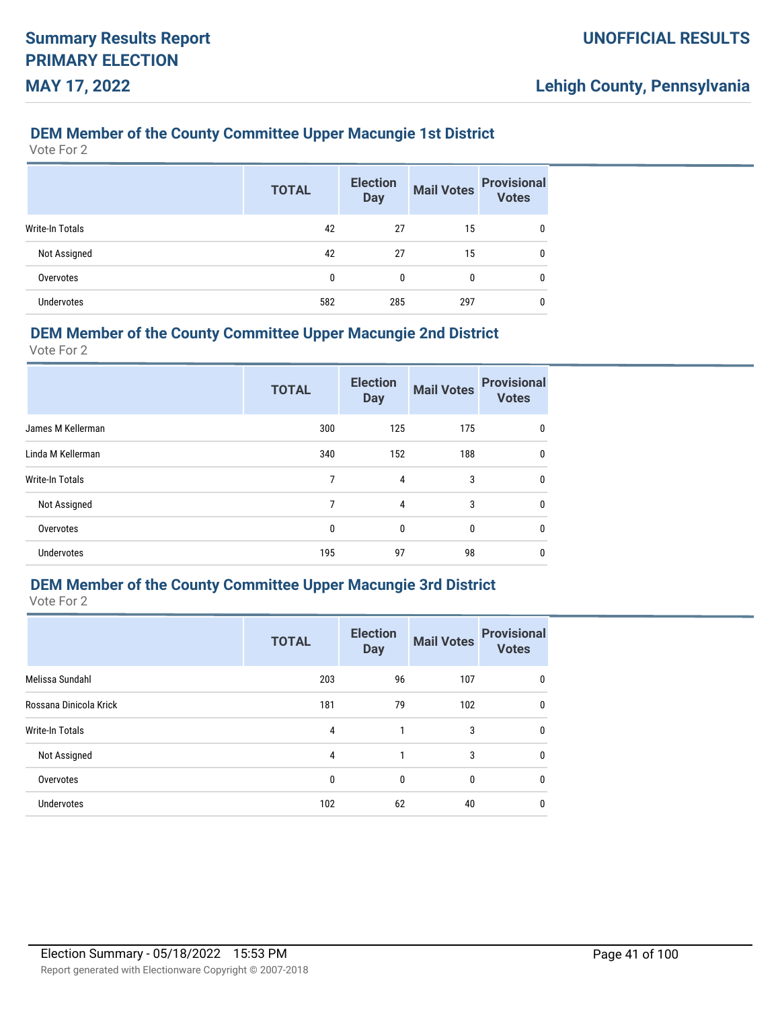#### **DEM Member of the County Committee Upper Macungie 1st District**

Vote For 2

|                   | <b>TOTAL</b> | <b>Election</b><br><b>Day</b> | <b>Mail Votes</b> | <b>Provisional</b><br><b>Votes</b> |
|-------------------|--------------|-------------------------------|-------------------|------------------------------------|
| Write-In Totals   | 42           | 27                            | 15                | 0                                  |
| Not Assigned      | 42           | 27                            | 15                | 0                                  |
| Overvotes         | 0            | 0                             | 0                 | 0                                  |
| <b>Undervotes</b> | 582          | 285                           | 297               | 0                                  |

#### **DEM Member of the County Committee Upper Macungie 2nd District**

Vote For 2

|                   | <b>TOTAL</b> | <b>Election</b><br><b>Day</b> | <b>Mail Votes</b> | <b>Provisional</b><br><b>Votes</b> |
|-------------------|--------------|-------------------------------|-------------------|------------------------------------|
| James M Kellerman | 300          | 125                           | 175               | 0                                  |
| Linda M Kellerman | 340          | 152                           | 188               | 0                                  |
| Write-In Totals   | 7            | 4                             | 3                 | $\mathbf{0}$                       |
| Not Assigned      | 7            | 4                             | 3                 | 0                                  |
| Overvotes         | 0            | 0                             | 0                 | 0                                  |
| <b>Undervotes</b> | 195          | 97                            | 98                | 0                                  |

### **DEM Member of the County Committee Upper Macungie 3rd District**

|                        | <b>TOTAL</b> | <b>Election</b><br><b>Day</b> | <b>Mail Votes</b> | <b>Provisional</b><br><b>Votes</b> |
|------------------------|--------------|-------------------------------|-------------------|------------------------------------|
| Melissa Sundahl        | 203          | 96                            | 107               | 0                                  |
| Rossana Dinicola Krick | 181          | 79                            | 102               | $\mathbf{0}$                       |
| <b>Write-In Totals</b> | 4            | 1                             | 3                 | $\mathbf{0}$                       |
| Not Assigned           | 4            | 1                             | 3                 | $\mathbf{0}$                       |
| Overvotes              | $\mathbf{0}$ | $\mathbf{0}$                  | 0                 | $\mathbf{0}$                       |
| <b>Undervotes</b>      | 102          | 62                            | 40                | 0                                  |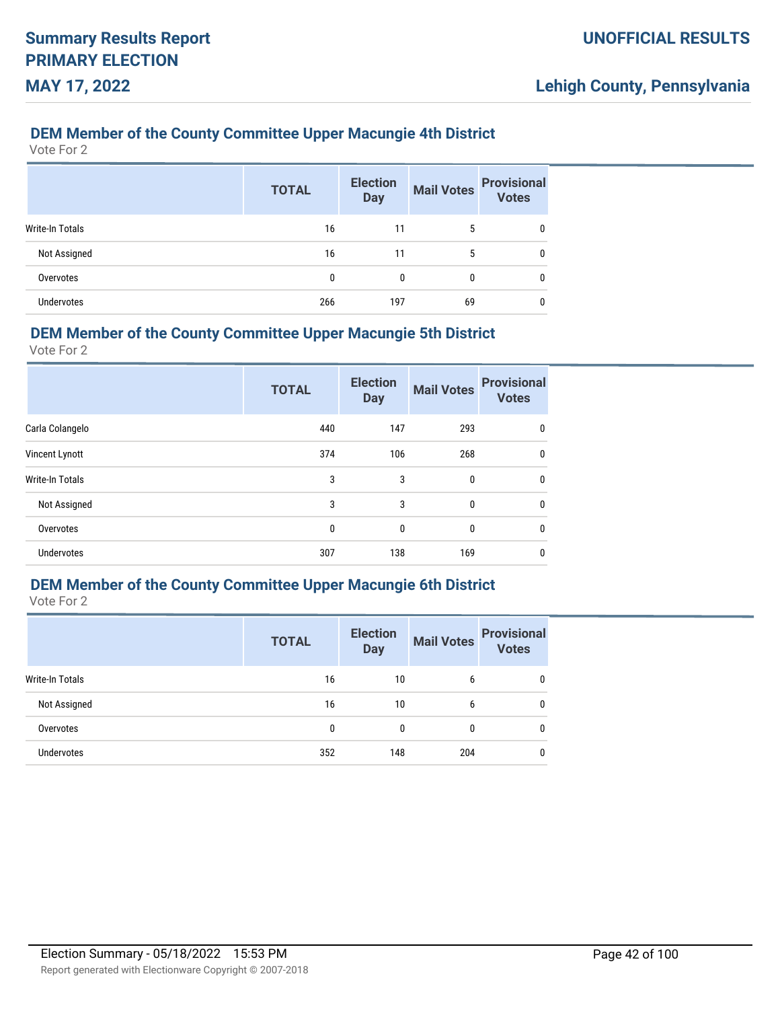#### **DEM Member of the County Committee Upper Macungie 4th District**

Vote For 2

|                        | <b>TOTAL</b> | <b>Election</b><br><b>Day</b> | <b>Mail Votes</b> | <b>Provisional</b><br>Votes |
|------------------------|--------------|-------------------------------|-------------------|-----------------------------|
| <b>Write-In Totals</b> | 16           | 11                            | 5                 | 0                           |
| Not Assigned           | 16           | 11                            | 5                 | 0                           |
| Overvotes              | 0            | 0                             | $\bf{0}$          | 0                           |
| <b>Undervotes</b>      | 266          | 197                           | 69                | 0                           |

#### **DEM Member of the County Committee Upper Macungie 5th District**

Vote For 2

|                   | <b>TOTAL</b> | <b>Election</b><br><b>Day</b> | <b>Mail Votes</b> | <b>Provisional</b><br><b>Votes</b> |
|-------------------|--------------|-------------------------------|-------------------|------------------------------------|
| Carla Colangelo   | 440          | 147                           | 293               | 0                                  |
| Vincent Lynott    | 374          | 106                           | 268               | 0                                  |
| Write-In Totals   | 3            | 3                             | 0                 | $\mathbf{0}$                       |
| Not Assigned      | 3            | 3                             | 0                 | $\mathbf{0}$                       |
| Overvotes         | 0            | 0                             | 0                 | $\mathbf{0}$                       |
| <b>Undervotes</b> | 307          | 138                           | 169               | 0                                  |

### **DEM Member of the County Committee Upper Macungie 6th District**

|                   | <b>TOTAL</b> | <b>Election</b><br><b>Day</b> | <b>Mail Votes</b> | <b>Provisional</b><br><b>Votes</b> |
|-------------------|--------------|-------------------------------|-------------------|------------------------------------|
| Write-In Totals   | 16           | 10                            | 6                 | 0                                  |
| Not Assigned      | 16           | 10                            | 6                 | 0                                  |
| Overvotes         | 0            | $\mathbf{0}$                  | 0                 | $\mathbf{0}$                       |
| <b>Undervotes</b> | 352          | 148                           | 204               | 0                                  |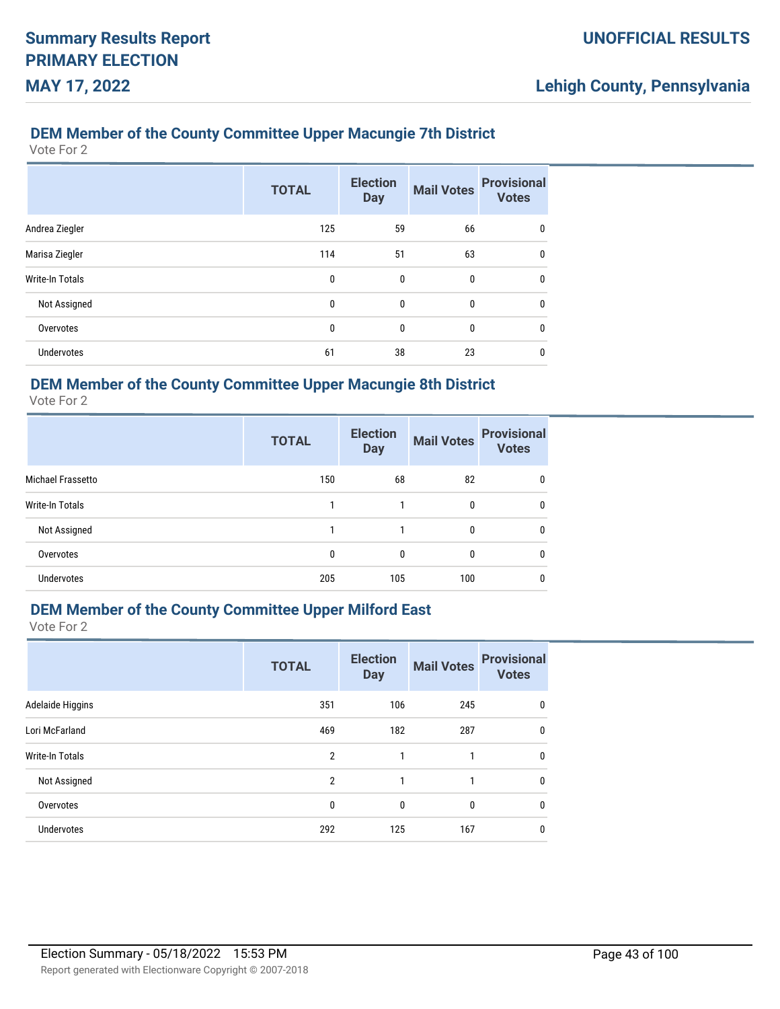#### **DEM Member of the County Committee Upper Macungie 7th District**

Vote For 2

|                        | <b>TOTAL</b> | <b>Election</b><br><b>Day</b> | <b>Mail Votes</b> | <b>Provisional</b><br><b>Votes</b> |
|------------------------|--------------|-------------------------------|-------------------|------------------------------------|
| Andrea Ziegler         | 125          | 59                            | 66                | 0                                  |
| Marisa Ziegler         | 114          | 51                            | 63                | $\mathbf{0}$                       |
| <b>Write-In Totals</b> | 0            | 0                             | 0                 | 0                                  |
| Not Assigned           | 0            | $\mathbf{0}$                  | $\mathbf{0}$      | $\mathbf{0}$                       |
| Overvotes              | 0            | 0                             | 0                 | $\mathbf{0}$                       |
| <b>Undervotes</b>      | 61           | 38                            | 23                | 0                                  |

#### **DEM Member of the County Committee Upper Macungie 8th District**

Vote For 2

|                        | <b>TOTAL</b> | <b>Election</b><br><b>Day</b> | <b>Mail Votes</b> | <b>Provisional</b><br><b>Votes</b> |
|------------------------|--------------|-------------------------------|-------------------|------------------------------------|
| Michael Frassetto      | 150          | 68                            | 82                | 0                                  |
| <b>Write-In Totals</b> |              |                               | 0                 | 0                                  |
| Not Assigned           | 1            | 1                             | $\boldsymbol{0}$  | 0                                  |
| Overvotes              | 0            | 0                             | $\boldsymbol{0}$  | 0                                  |
| <b>Undervotes</b>      | 205          | 105                           | 100               | 0                                  |

#### **DEM Member of the County Committee Upper Milford East**

|                        | <b>TOTAL</b>   | <b>Election</b><br><b>Day</b> | <b>Mail Votes</b> | <b>Provisional</b><br><b>Votes</b> |
|------------------------|----------------|-------------------------------|-------------------|------------------------------------|
| Adelaide Higgins       | 351            | 106                           | 245               | 0                                  |
| Lori McFarland         | 469            | 182                           | 287               | $\mathbf{0}$                       |
| <b>Write-In Totals</b> | $\overline{2}$ | 1                             | 1                 | 0                                  |
| Not Assigned           | 2              | 1                             | 1                 | 0                                  |
| Overvotes              | 0              | $\mathbf{0}$                  | $\mathbf{0}$      | 0                                  |
| <b>Undervotes</b>      | 292            | 125                           | 167               | 0                                  |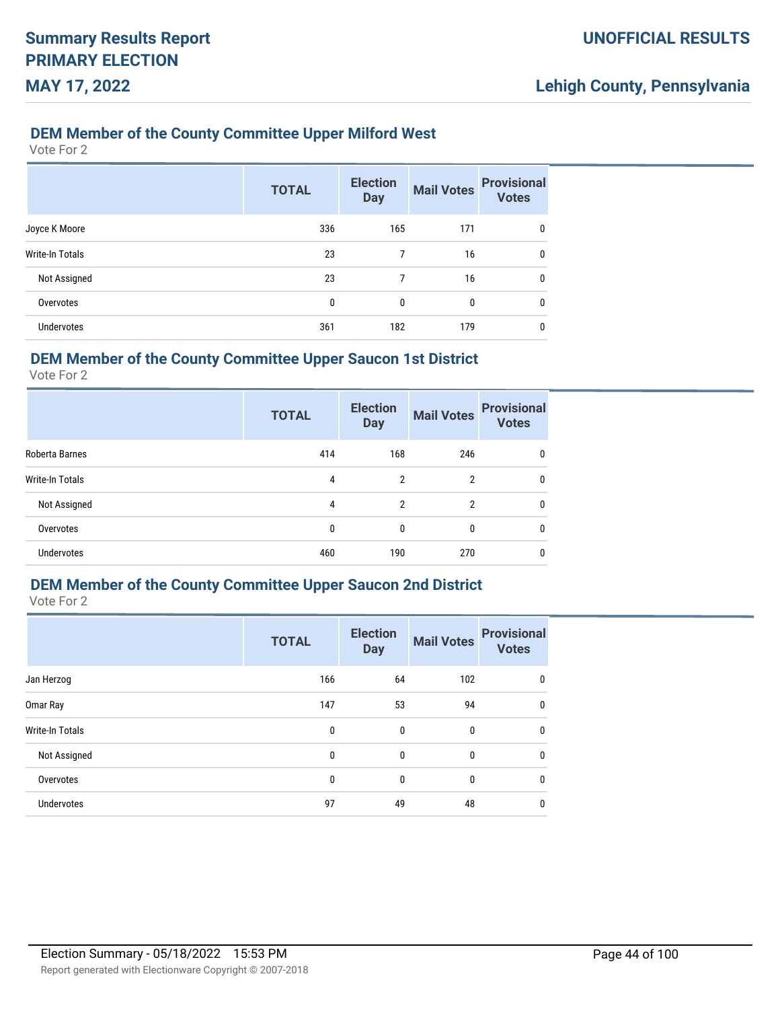#### **DEM Member of the County Committee Upper Milford West**

Vote For 2

|                   | <b>TOTAL</b> | <b>Election</b><br><b>Day</b> | <b>Mail Votes</b> | <b>Provisional</b><br><b>Votes</b> |
|-------------------|--------------|-------------------------------|-------------------|------------------------------------|
| Joyce K Moore     | 336          | 165                           | 171               | 0                                  |
| Write-In Totals   | 23           | 7                             | 16                | 0                                  |
| Not Assigned      | 23           | 7                             | 16                | 0                                  |
| Overvotes         | 0            | 0                             | 0                 | $\mathbf{0}$                       |
| <b>Undervotes</b> | 361          | 182                           | 179               | 0                                  |

### **DEM Member of the County Committee Upper Saucon 1st District**

Vote For 2

|                   | <b>TOTAL</b> | <b>Election</b><br><b>Day</b> | <b>Mail Votes</b> | <b>Provisional</b><br><b>Votes</b> |
|-------------------|--------------|-------------------------------|-------------------|------------------------------------|
| Roberta Barnes    | 414          | 168                           | 246               | 0                                  |
| Write-In Totals   | 4            | $\overline{2}$                | $\overline{2}$    | 0                                  |
| Not Assigned      | 4            | $\overline{2}$                | $\overline{2}$    | 0                                  |
| Overvotes         | 0            | $\mathbf{0}$                  | 0                 | 0                                  |
| <b>Undervotes</b> | 460          | 190                           | 270               | 0                                  |

### **DEM Member of the County Committee Upper Saucon 2nd District**

|                   | <b>TOTAL</b> | <b>Election</b><br><b>Day</b> | <b>Mail Votes</b> | <b>Provisional</b><br><b>Votes</b> |
|-------------------|--------------|-------------------------------|-------------------|------------------------------------|
| Jan Herzog        | 166          | 64                            | 102               | 0                                  |
| Omar Ray          | 147          | 53                            | 94                | 0                                  |
| Write-In Totals   | $\mathbf 0$  | $\mathbf 0$                   | $\mathbf 0$       | 0                                  |
| Not Assigned      | $\mathbf 0$  | $\mathbf 0$                   | $\mathbf 0$       | 0                                  |
| Overvotes         | $\mathbf 0$  | $\mathbf 0$                   | $\mathbf 0$       | 0                                  |
| <b>Undervotes</b> | 97           | 49                            | 48                | 0                                  |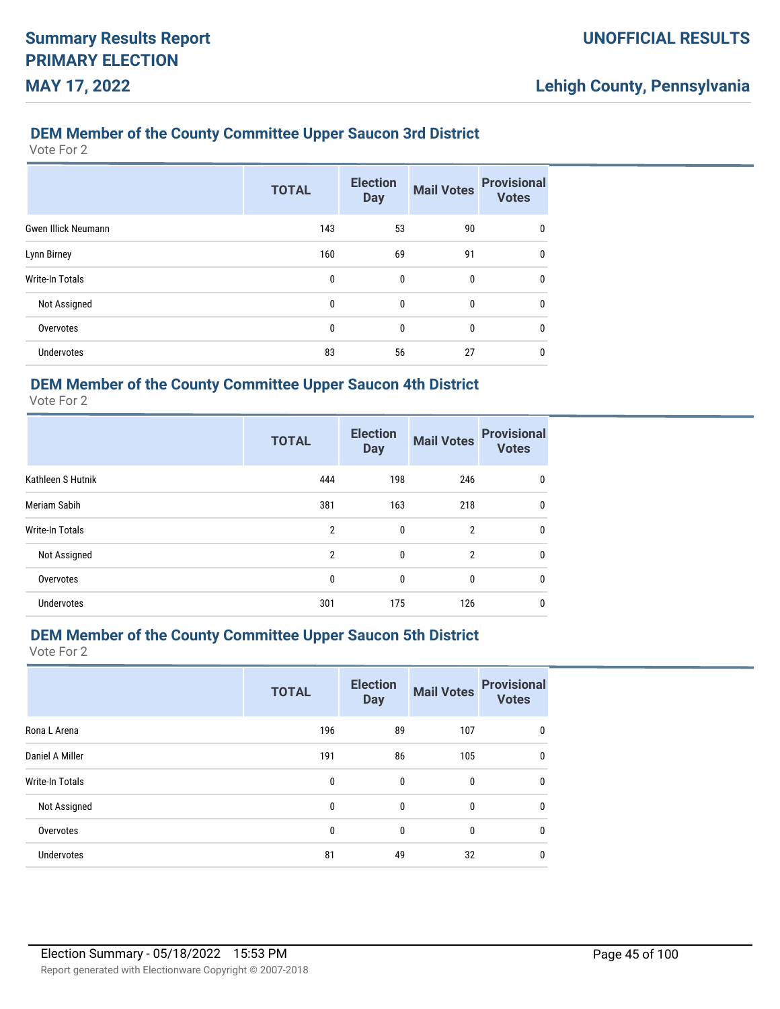#### **DEM Member of the County Committee Upper Saucon 3rd District**

Vote For 2

|                            | <b>TOTAL</b> | <b>Election</b><br><b>Day</b> | <b>Mail Votes</b> | <b>Provisional</b><br><b>Votes</b> |
|----------------------------|--------------|-------------------------------|-------------------|------------------------------------|
| <b>Gwen Illick Neumann</b> | 143          | 53                            | 90                | 0                                  |
| Lynn Birney                | 160          | 69                            | 91                | 0                                  |
| <b>Write-In Totals</b>     | 0            | 0                             | 0                 | 0                                  |
| Not Assigned               | 0            | $\mathbf{0}$                  | $\mathbf{0}$      | $\mathbf{0}$                       |
| Overvotes                  | 0            | 0                             | 0                 | $\mathbf{0}$                       |
| <b>Undervotes</b>          | 83           | 56                            | 27                | 0                                  |

### **DEM Member of the County Committee Upper Saucon 4th District**

Vote For 2

|                     | <b>TOTAL</b>   | <b>Election</b><br><b>Day</b> | <b>Mail Votes</b> | <b>Provisional</b><br><b>Votes</b> |
|---------------------|----------------|-------------------------------|-------------------|------------------------------------|
| Kathleen S Hutnik   | 444            | 198                           | 246               | 0                                  |
| <b>Meriam Sabih</b> | 381            | 163                           | 218               | 0                                  |
| Write-In Totals     | $\overline{2}$ | 0                             | $\overline{2}$    | 0                                  |
| Not Assigned        | $\overline{2}$ | $\mathbf{0}$                  | $\overline{2}$    | $\mathbf{0}$                       |
| Overvotes           | 0              | 0                             | 0                 | $\mathbf{0}$                       |
| <b>Undervotes</b>   | 301            | 175                           | 126               | 0                                  |

# **DEM Member of the County Committee Upper Saucon 5th District**

| Rona L Arena<br>196<br>89<br>107          | <b>Provisional</b><br><b>Votes</b> |
|-------------------------------------------|------------------------------------|
|                                           | 0                                  |
| Daniel A Miller<br>86<br>105<br>191       | $\mathbf{0}$                       |
| Write-In Totals<br>0<br>$\mathbf{0}$<br>0 | 0                                  |
| Not Assigned<br>0<br>0<br>0               | 0                                  |
| Overvotes<br>0<br>$\mathbf{0}$<br>0       | $\mathbf{0}$                       |
| <b>Undervotes</b><br>81<br>32<br>49       | 0                                  |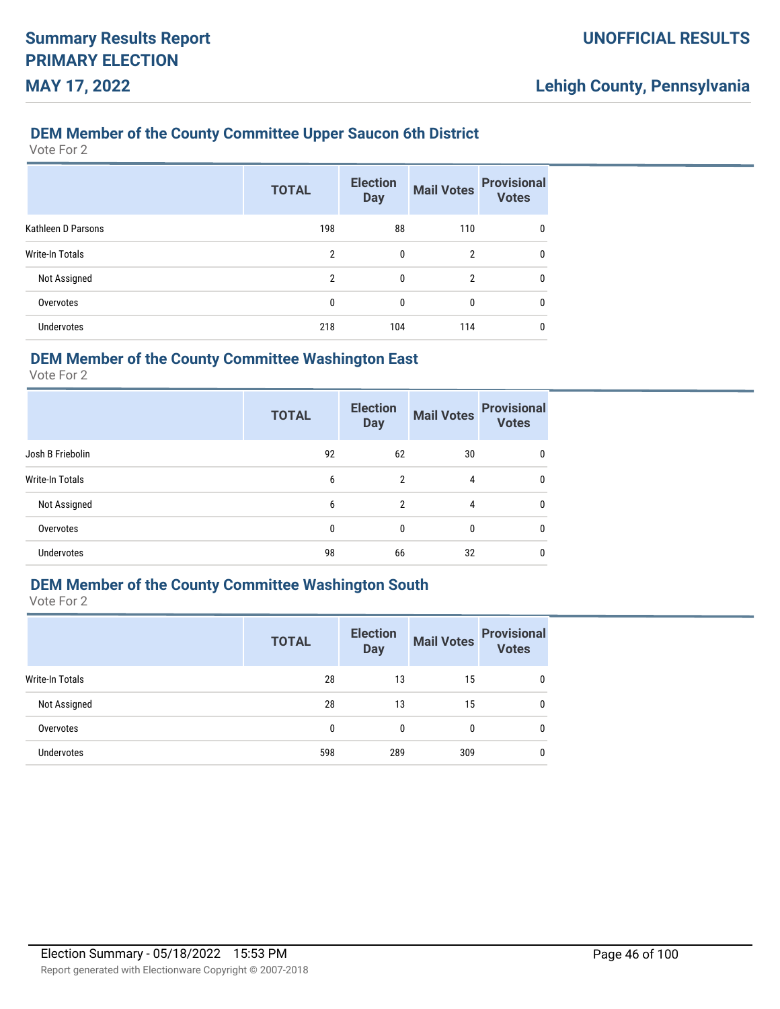#### **DEM Member of the County Committee Upper Saucon 6th District**

Vote For 2

|                    | <b>TOTAL</b> | <b>Election</b><br><b>Day</b> | <b>Mail Votes</b> | <b>Provisional</b><br><b>Votes</b> |
|--------------------|--------------|-------------------------------|-------------------|------------------------------------|
| Kathleen D Parsons | 198          | 88                            | 110               | $\mathbf{0}$                       |
| Write-In Totals    | 2            | 0                             | 2                 | 0                                  |
| Not Assigned       | 2            | 0                             | 2                 | 0                                  |
| Overvotes          | 0            | 0                             | 0                 | 0                                  |
| <b>Undervotes</b>  | 218          | 104                           | 114               | 0                                  |

### **DEM Member of the County Committee Washington East**

Vote For 2

|                   | <b>TOTAL</b> | <b>Election</b><br><b>Day</b> | <b>Mail Votes</b> | <b>Provisional</b><br><b>Votes</b> |
|-------------------|--------------|-------------------------------|-------------------|------------------------------------|
| Josh B Friebolin  | 92           | 62                            | 30                | 0                                  |
| Write-In Totals   | 6            | $\overline{2}$                | 4                 | 0                                  |
| Not Assigned      | 6            | $\overline{2}$                | 4                 | 0                                  |
| Overvotes         | 0            | 0                             | 0                 | 0                                  |
| <b>Undervotes</b> | 98           | 66                            | 32                | 0                                  |

### **DEM Member of the County Committee Washington South**

|                   | <b>TOTAL</b> | <b>Election</b><br><b>Day</b> | <b>Mail Votes</b> | <b>Provisional</b><br><b>Votes</b> |
|-------------------|--------------|-------------------------------|-------------------|------------------------------------|
| Write-In Totals   | 28           | 13                            | 15                | $\mathbf{0}$                       |
| Not Assigned      | 28           | 13                            | 15                | $\mathbf{0}$                       |
| Overvotes         | 0            | $\mathbf{0}$                  | $\bf{0}$          | $\mathbf{0}$                       |
| <b>Undervotes</b> | 598          | 289                           | 309               | $\mathbf{0}$                       |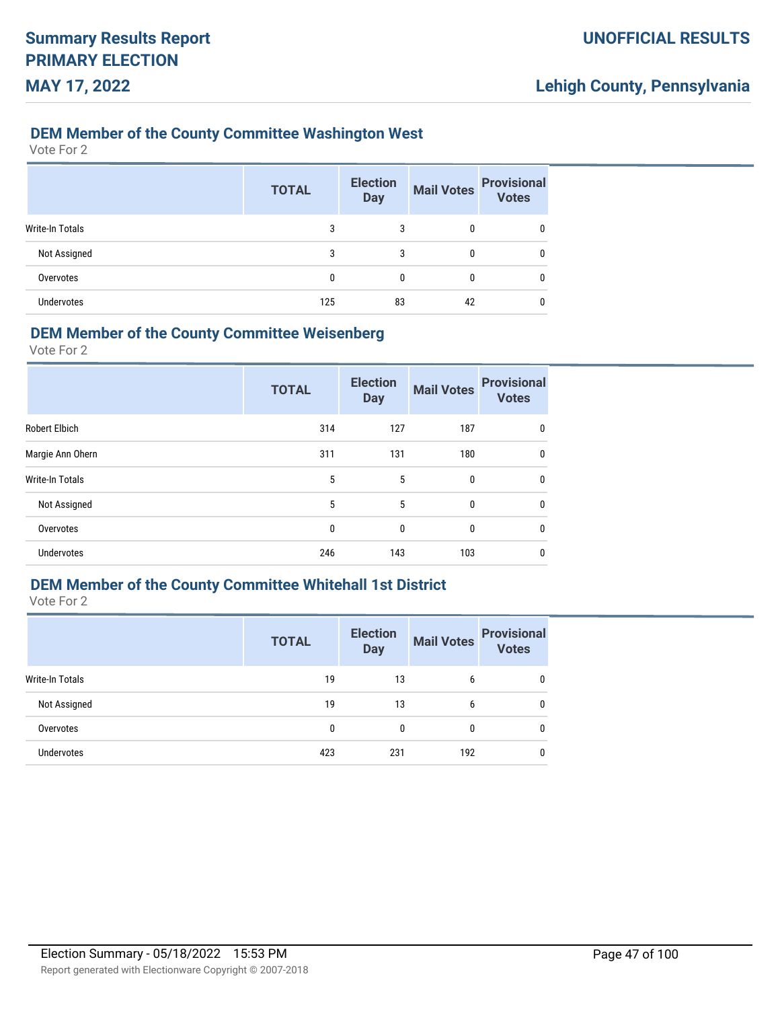#### **DEM Member of the County Committee Washington West**

Vote For 2

|                 | <b>TOTAL</b> | <b>Election</b><br><b>Day</b> | <b>Mail Votes</b> | <b>Provisional</b><br><b>Votes</b> |
|-----------------|--------------|-------------------------------|-------------------|------------------------------------|
| Write-In Totals | 3            | 3                             | 0                 | 0                                  |
| Not Assigned    | 3            | 3                             | 0                 | 0                                  |
| Overvotes       | 0            | 0                             | 0                 | 0                                  |
| Undervotes      | 125          | 83                            | 42                | 0                                  |

#### **DEM Member of the County Committee Weisenberg**

Vote For 2

|                        | <b>TOTAL</b> | <b>Election</b><br><b>Day</b> | <b>Mail Votes</b> | <b>Provisional</b><br><b>Votes</b> |
|------------------------|--------------|-------------------------------|-------------------|------------------------------------|
| <b>Robert Elbich</b>   | 314          | 127                           | 187               | 0                                  |
| Margie Ann Ohern       | 311          | 131                           | 180               | 0                                  |
| <b>Write-In Totals</b> | 5            | 5                             | $\mathbf{0}$      | $\mathbf{0}$                       |
| Not Assigned           | 5            | 5                             | $\mathbf{0}$      | $\mathbf{0}$                       |
| Overvotes              | 0            | 0                             | 0                 | $\mathbf{0}$                       |
| <b>Undervotes</b>      | 246          | 143                           | 103               | 0                                  |

### **DEM Member of the County Committee Whitehall 1st District**

|                   | <b>TOTAL</b> | <b>Election</b><br><b>Day</b> | <b>Mail Votes</b> | <b>Provisional</b><br><b>Votes</b> |
|-------------------|--------------|-------------------------------|-------------------|------------------------------------|
| Write-In Totals   | 19           | 13                            | 6                 | $\mathbf{0}$                       |
| Not Assigned      | 19           | 13                            | 6                 | 0                                  |
| Overvotes         | 0            | $\mathbf{0}$                  | 0                 | $\mathbf{0}$                       |
| <b>Undervotes</b> | 423          | 231                           | 192               | $\mathbf{0}$                       |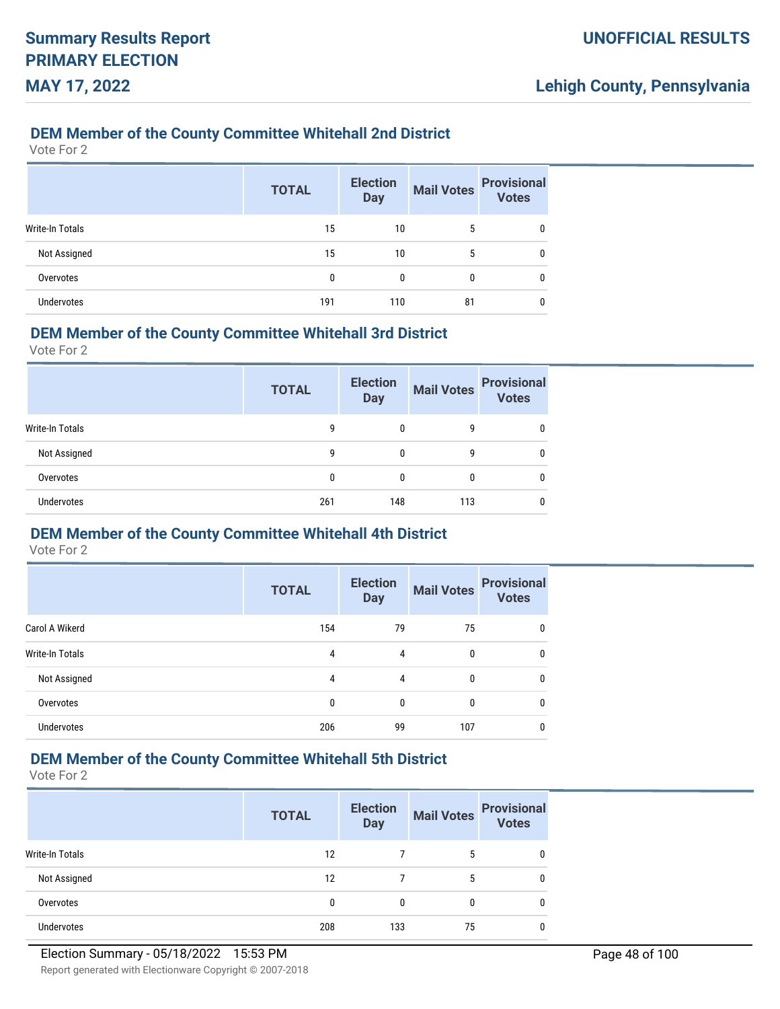#### **DEM Member of the County Committee Whitehall 2nd District**

Vote For 2

|                 | <b>TOTAL</b> | <b>Election</b><br><b>Day</b> | <b>Mail Votes</b> | <b>Provisional</b><br>Votes |
|-----------------|--------------|-------------------------------|-------------------|-----------------------------|
| Write-In Totals | 15           | 10                            | 5                 | 0                           |
| Not Assigned    | 15           | 10                            | 5                 | 0                           |
| Overvotes       | 0            | 0                             | 0                 | 0                           |
| Undervotes      | 191          | 110                           | 81                |                             |

#### **DEM Member of the County Committee Whitehall 3rd District**

Vote For 2

|                   | <b>TOTAL</b> | <b>Election</b><br><b>Day</b> | <b>Mail Votes</b> | <b>Provisional</b><br><b>Votes</b> |
|-------------------|--------------|-------------------------------|-------------------|------------------------------------|
| Write-In Totals   | 9            | 0                             | 9                 | 0                                  |
| Not Assigned      | 9            | 0                             | 9                 | 0                                  |
| Overvotes         | 0            | 0                             | 0                 | 0                                  |
| <b>Undervotes</b> | 261          | 148                           | 113               | 0                                  |

### **DEM Member of the County Committee Whitehall 4th District**

Vote For 2

|                        | <b>TOTAL</b> | <b>Election</b><br><b>Day</b> | <b>Mail Votes</b> | <b>Provisional</b><br><b>Votes</b> |
|------------------------|--------------|-------------------------------|-------------------|------------------------------------|
| Carol A Wikerd         | 154          | 79                            | 75                |                                    |
| <b>Write-In Totals</b> | 4            | 4                             | 0                 |                                    |
| Not Assigned           | 4            | 4                             | 0                 |                                    |
| Overvotes              | 0            | 0                             | 0                 | 0                                  |
| <b>Undervotes</b>      | 206          | 99                            | 107               |                                    |

### **DEM Member of the County Committee Whitehall 5th District**

|                 | <b>TOTAL</b> | <b>Election</b><br><b>Day</b> | <b>Mail Votes</b> | <b>Provisional</b><br><b>Votes</b> |
|-----------------|--------------|-------------------------------|-------------------|------------------------------------|
| Write-In Totals | 12           |                               | 5                 | 0                                  |
| Not Assigned    | 12           |                               | 5                 | 0                                  |
| Overvotes       | 0            | 0                             | 0                 | 0                                  |
| Undervotes      | 208          | 133                           | 75                | 0                                  |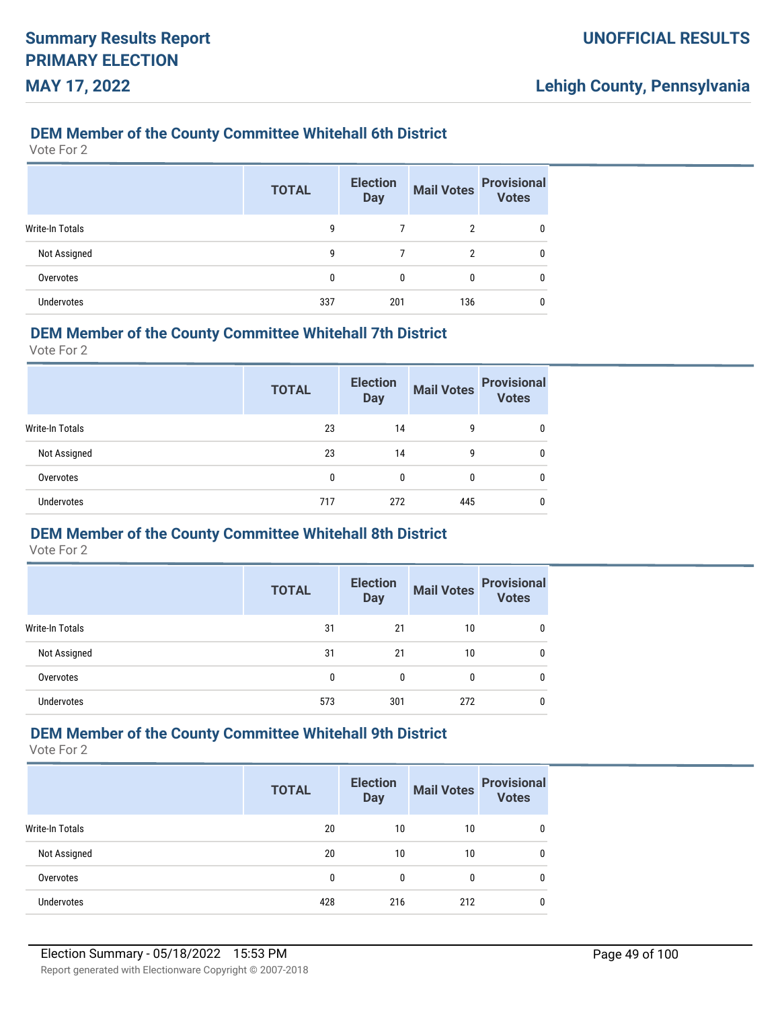#### **DEM Member of the County Committee Whitehall 6th District**

Vote For 2

|                        | <b>TOTAL</b> | <b>Election</b><br><b>Day</b> | <b>Mail Votes</b> | <b>Provisional</b><br><b>Votes</b> |
|------------------------|--------------|-------------------------------|-------------------|------------------------------------|
| <b>Write-In Totals</b> | 9            |                               | 2                 | 0                                  |
| Not Assigned           | 9            |                               | 2                 | 0                                  |
| Overvotes              | 0            | 0                             | 0                 | 0                                  |
| <b>Undervotes</b>      | 337          | 201                           | 136               | 0                                  |

#### **DEM Member of the County Committee Whitehall 7th District**

Vote For 2

|                   | <b>TOTAL</b> | <b>Election</b><br><b>Day</b> | <b>Mail Votes</b> | <b>Provisional</b><br><b>Votes</b> |
|-------------------|--------------|-------------------------------|-------------------|------------------------------------|
| Write-In Totals   | 23           | 14                            | 9                 | 0                                  |
| Not Assigned      | 23           | 14                            | 9                 | 0                                  |
| Overvotes         | 0            | 0                             | 0                 | 0                                  |
| <b>Undervotes</b> | 717          | 272                           | 445               | 0                                  |

#### **DEM Member of the County Committee Whitehall 8th District**

Vote For 2

|                        | <b>TOTAL</b> | <b>Election</b><br><b>Day</b> | <b>Mail Votes</b> | <b>Provisional</b><br><b>Votes</b> |
|------------------------|--------------|-------------------------------|-------------------|------------------------------------|
| <b>Write-In Totals</b> | 31           | 21                            | 10                | 0                                  |
| Not Assigned           | 31           | 21                            | 10                | 0                                  |
| Overvotes              | 0            | 0                             |                   | 0                                  |
| <b>Undervotes</b>      | 573          | 301                           | 272               |                                    |

### **DEM Member of the County Committee Whitehall 9th District**

|                   | <b>TOTAL</b> | <b>Election</b><br><b>Day</b> | <b>Mail Votes</b> | <b>Provisional</b><br><b>Votes</b> |
|-------------------|--------------|-------------------------------|-------------------|------------------------------------|
| Write-In Totals   | 20           | 10                            | 10                | 0                                  |
| Not Assigned      | 20           | 10                            | 10                | 0                                  |
| Overvotes         | 0            | $\Omega$                      | $\Omega$          | 0                                  |
| <b>Undervotes</b> | 428          | 216                           | 212               | 0                                  |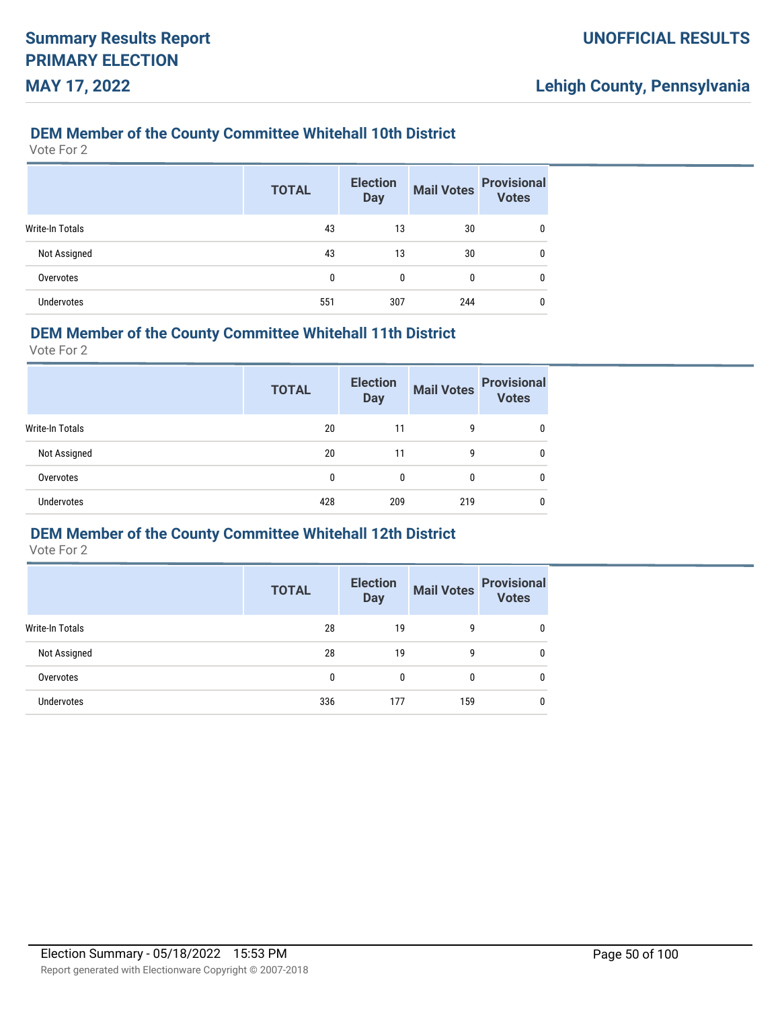#### **DEM Member of the County Committee Whitehall 10th District**

Vote For 2

|                        | <b>TOTAL</b> | <b>Election</b><br><b>Day</b> | <b>Mail Votes</b> | <b>Provisional</b><br>Votes |
|------------------------|--------------|-------------------------------|-------------------|-----------------------------|
| <b>Write-In Totals</b> | 43           | 13                            | 30                | 0                           |
| Not Assigned           | 43           | 13                            | 30                | 0                           |
| Overvotes              | 0            | 0                             | 0                 | 0                           |
| <b>Undervotes</b>      | 551          | 307                           | 244               | 0                           |

#### **DEM Member of the County Committee Whitehall 11th District**

Vote For 2

|                   | <b>TOTAL</b> | <b>Election</b><br><b>Day</b> | <b>Mail Votes</b> | <b>Provisional</b><br><b>Votes</b> |
|-------------------|--------------|-------------------------------|-------------------|------------------------------------|
| Write-In Totals   | 20           | 11                            | 9                 | 0                                  |
| Not Assigned      | 20           | 11                            | 9                 | 0                                  |
| Overvotes         | $\mathbf{0}$ | 0                             | 0                 | 0                                  |
| <b>Undervotes</b> | 428          | 209                           | 219               | 0                                  |

#### **DEM Member of the County Committee Whitehall 12th District**

|                   | <b>TOTAL</b> | <b>Election</b><br><b>Day</b> | <b>Mail Votes</b> | <b>Provisional</b><br><b>Votes</b> |
|-------------------|--------------|-------------------------------|-------------------|------------------------------------|
| Write-In Totals   | 28           | 19                            | 9                 |                                    |
| Not Assigned      | 28           | 19                            | 9                 |                                    |
| Overvotes         | 0            | 0                             | 0                 |                                    |
| <b>Undervotes</b> | 336          | 177                           | 159               |                                    |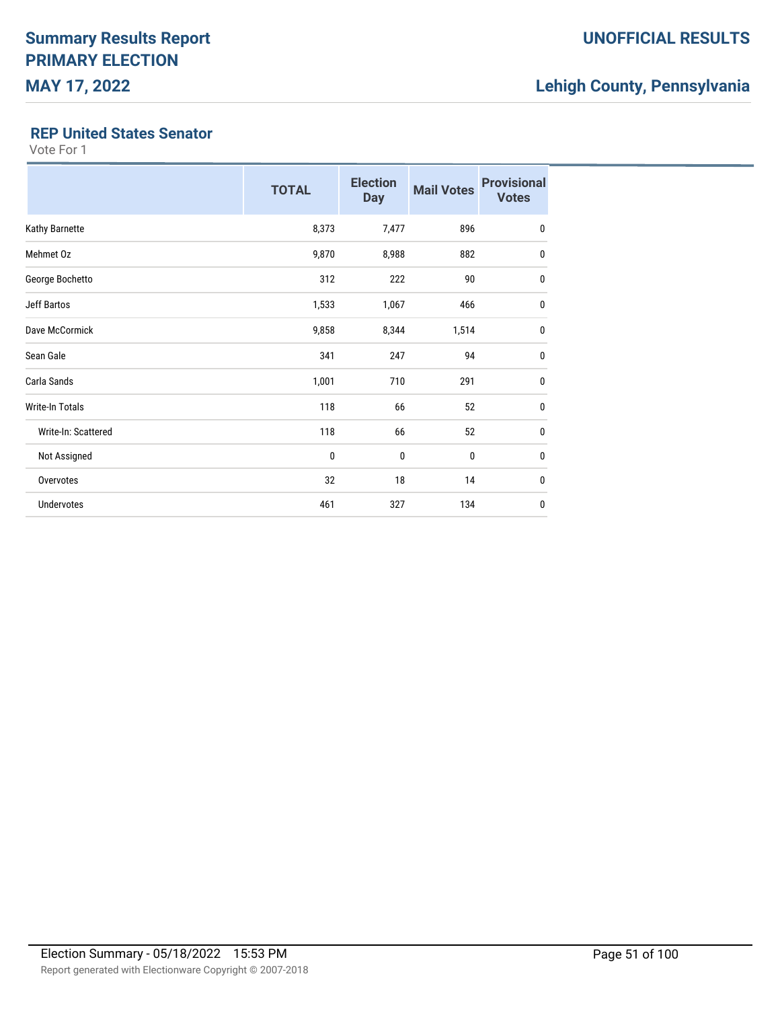#### **REP United States Senator**

|                     | <b>TOTAL</b> | <b>Election</b><br><b>Day</b> | <b>Mail Votes</b> | <b>Provisional</b><br><b>Votes</b> |
|---------------------|--------------|-------------------------------|-------------------|------------------------------------|
| Kathy Barnette      | 8,373        | 7,477                         | 896               | $\bf{0}$                           |
| Mehmet Oz           | 9,870        | 8,988                         | 882               | $\mathbf 0$                        |
| George Bochetto     | 312          | 222                           | 90                | $\mathbf 0$                        |
| <b>Jeff Bartos</b>  | 1,533        | 1,067                         | 466               | $\mathbf{0}$                       |
| Dave McCormick      | 9,858        | 8,344                         | 1,514             | $\mathbf{0}$                       |
| Sean Gale           | 341          | 247                           | 94                | $\mathbf{0}$                       |
| Carla Sands         | 1,001        | 710                           | 291               | $\mathbf{0}$                       |
| Write-In Totals     | 118          | 66                            | 52                | $\mathbf 0$                        |
| Write-In: Scattered | 118          | 66                            | 52                | $\pmb{0}$                          |
| Not Assigned        | 0            | $\mathbf 0$                   | $\mathbf 0$       | $\mathbf{0}$                       |
| Overvotes           | 32           | 18                            | 14                | 0                                  |
| <b>Undervotes</b>   | 461          | 327                           | 134               | $\mathbf{0}$                       |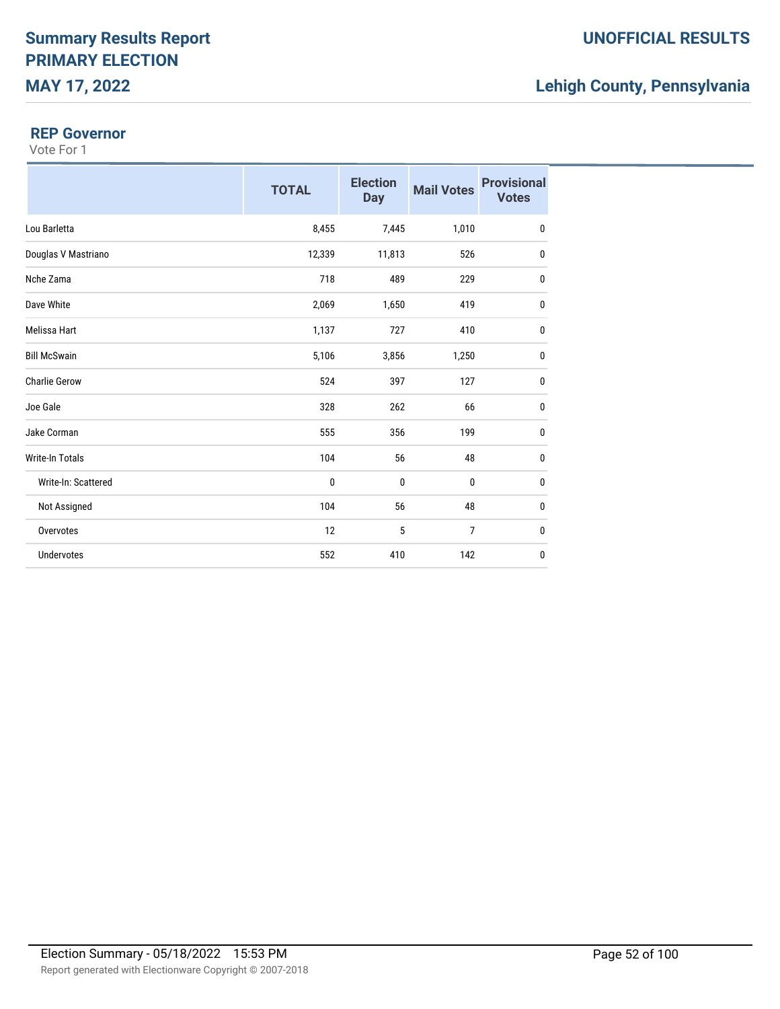#### **REP Governor**

|                        | <b>TOTAL</b> | <b>Election</b><br><b>Day</b> | <b>Mail Votes</b> | <b>Provisional</b><br><b>Votes</b> |
|------------------------|--------------|-------------------------------|-------------------|------------------------------------|
| Lou Barletta           | 8,455        | 7,445                         | 1,010             | $\pmb{0}$                          |
| Douglas V Mastriano    | 12,339       | 11,813                        | 526               | 0                                  |
| Nche Zama              | 718          | 489                           | 229               | $\pmb{0}$                          |
| Dave White             | 2,069        | 1,650                         | 419               | 0                                  |
| <b>Melissa Hart</b>    | 1,137        | 727                           | 410               | $\pmb{0}$                          |
| <b>Bill McSwain</b>    | 5,106        | 3,856                         | 1,250             | $\pmb{0}$                          |
| <b>Charlie Gerow</b>   | 524          | 397                           | 127               | $\mathbf 0$                        |
| Joe Gale               | 328          | 262                           | 66                | $\pmb{0}$                          |
| Jake Corman            | 555          | 356                           | 199               | 0                                  |
| <b>Write-In Totals</b> | 104          | 56                            | 48                | 0                                  |
| Write-In: Scattered    | 0            | 0                             | 0                 | 0                                  |
| Not Assigned           | 104          | 56                            | 48                | $\mathbf 0$                        |
| Overvotes              | 12           | 5                             | 7                 | 0                                  |
| <b>Undervotes</b>      | 552          | 410                           | 142               | $\pmb{0}$                          |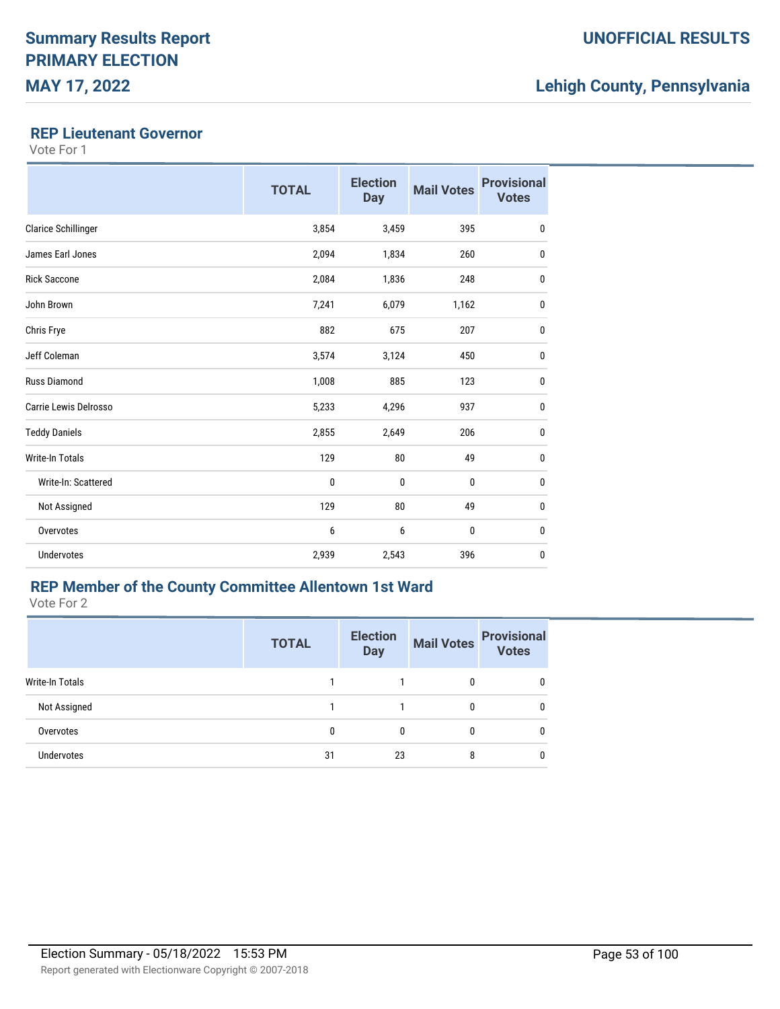#### **REP Lieutenant Governor**

Vote For 1

|                            | <b>TOTAL</b> | <b>Election</b><br><b>Day</b> | <b>Mail Votes</b> | <b>Provisional</b><br><b>Votes</b> |
|----------------------------|--------------|-------------------------------|-------------------|------------------------------------|
| <b>Clarice Schillinger</b> | 3,854        | 3,459                         | 395               | 0                                  |
| James Earl Jones           | 2,094        | 1,834                         | 260               | 0                                  |
| <b>Rick Saccone</b>        | 2,084        | 1,836                         | 248               | 0                                  |
| John Brown                 | 7,241        | 6,079                         | 1,162             | 0                                  |
| Chris Frye                 | 882          | 675                           | 207               | $\mathbf 0$                        |
| Jeff Coleman               | 3,574        | 3,124                         | 450               | 0                                  |
| <b>Russ Diamond</b>        | 1,008        | 885                           | 123               | 0                                  |
| Carrie Lewis Delrosso      | 5,233        | 4,296                         | 937               | 0                                  |
| <b>Teddy Daniels</b>       | 2,855        | 2,649                         | 206               | $\mathbf{0}$                       |
| <b>Write-In Totals</b>     | 129          | 80                            | 49                | $\mathbf{0}$                       |
| Write-In: Scattered        | 0            | $\mathbf 0$                   | $\mathbf 0$       | 0                                  |
| Not Assigned               | 129          | 80                            | 49                | $\mathbf{0}$                       |
| Overvotes                  | 6            | 6                             | $\mathbf 0$       | 0                                  |
| <b>Undervotes</b>          | 2,939        | 2,543                         | 396               | $\mathbf{0}$                       |

### **REP Member of the County Committee Allentown 1st Ward**

|                        | <b>TOTAL</b> | <b>Election</b><br><b>Day</b> | <b>Mail Votes</b> | <b>Provisional</b><br><b>Votes</b> |
|------------------------|--------------|-------------------------------|-------------------|------------------------------------|
| <b>Write-In Totals</b> |              |                               | 0                 | 0                                  |
| Not Assigned           |              |                               | 0                 | 0                                  |
| Overvotes              |              | 0                             | 0                 | 0                                  |
| <b>Undervotes</b>      | 31           | 23                            | 8                 | 0                                  |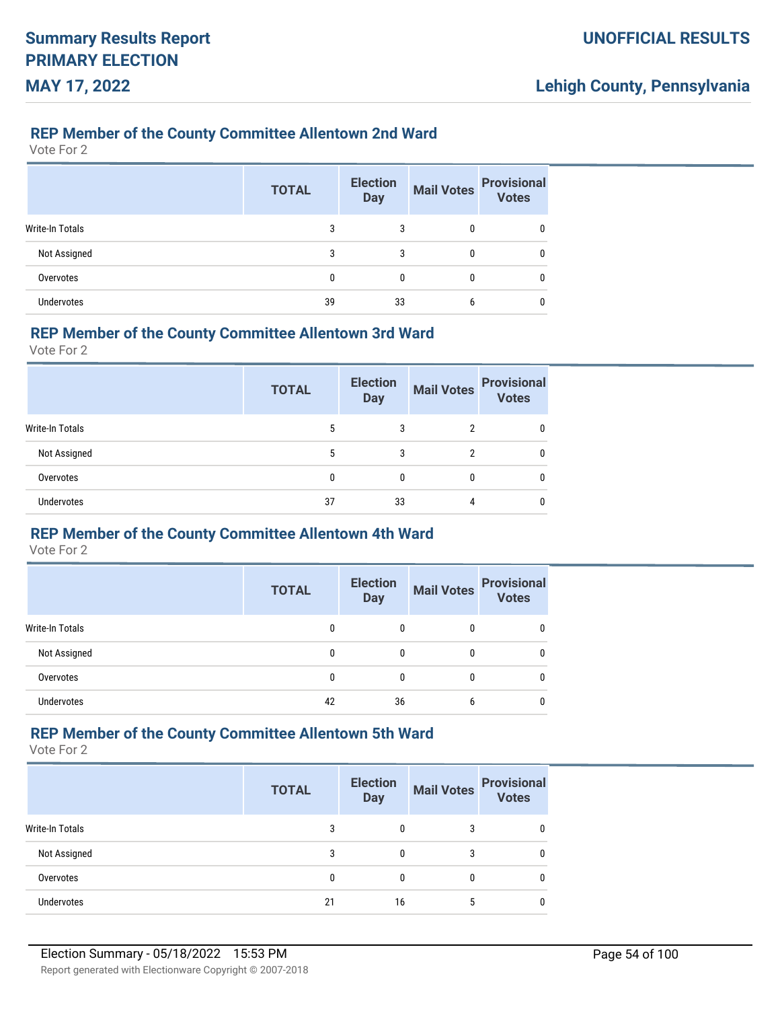#### **REP Member of the County Committee Allentown 2nd Ward**

Vote For 2

|                   | <b>TOTAL</b> | <b>Election</b><br><b>Day</b> | <b>Mail Votes</b> | <b>Provisional</b><br>Votes |
|-------------------|--------------|-------------------------------|-------------------|-----------------------------|
| Write-In Totals   | 3            | 3                             |                   |                             |
| Not Assigned      | 3            | 3                             | 0                 |                             |
| Overvotes         | 0            | 0                             | 0                 |                             |
| <b>Undervotes</b> | 39           | 33                            | 6                 |                             |

#### **REP Member of the County Committee Allentown 3rd Ward**

Vote For 2

|                   | <b>TOTAL</b> | <b>Election</b><br><b>Day</b> | <b>Mail Votes</b> | <b>Provisional</b><br><b>Votes</b> |
|-------------------|--------------|-------------------------------|-------------------|------------------------------------|
| Write-In Totals   | 5            | 3                             | 2                 |                                    |
| Not Assigned      | 5            | 3                             | ŋ                 | 0                                  |
| Overvotes         | 0            | 0                             |                   | 0                                  |
| <b>Undervotes</b> | 37           | 33                            | 4                 | 0                                  |

#### **REP Member of the County Committee Allentown 4th Ward**

Vote For 2

|                   | <b>TOTAL</b> | <b>Election</b><br><b>Day</b> | <b>Mail Votes</b> | <b>Provisional</b><br><b>Votes</b> |
|-------------------|--------------|-------------------------------|-------------------|------------------------------------|
| Write-In Totals   | 0            |                               | 0                 |                                    |
| Not Assigned      | 0            | 0                             | 0                 | 0                                  |
| Overvotes         | 0            | $\Omega$                      | 0                 |                                    |
| <b>Undervotes</b> | 42           | 36                            | 6                 |                                    |

### **REP Member of the County Committee Allentown 5th Ward**

|                   | <b>TOTAL</b> | <b>Election</b><br><b>Day</b> | <b>Mail Votes</b> | <b>Provisional</b><br><b>Votes</b> |
|-------------------|--------------|-------------------------------|-------------------|------------------------------------|
| Write-In Totals   | 3            |                               | 3                 |                                    |
| Not Assigned      | 3            |                               |                   |                                    |
| Overvotes         |              | <sup>0</sup>                  |                   | 0                                  |
| <b>Undervotes</b> | 21           | 16                            |                   |                                    |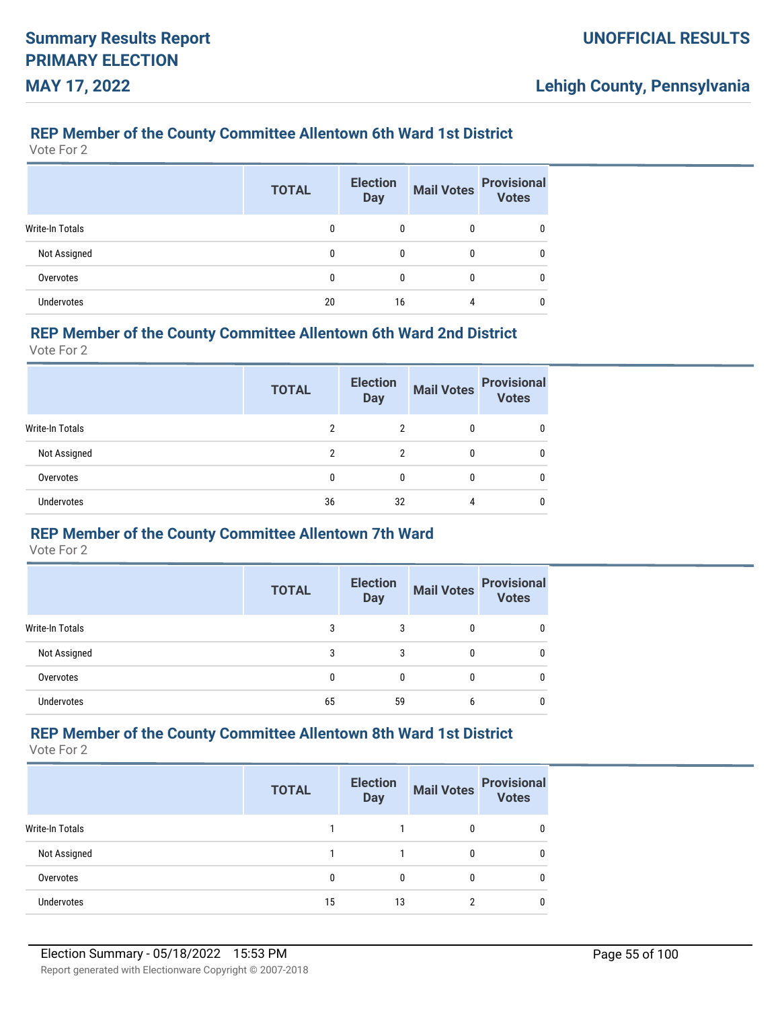### **REP Member of the County Committee Allentown 6th Ward 1st District**

Vote For 2

|                        | <b>TOTAL</b> | <b>Election</b><br><b>Day</b> | <b>Mail Votes</b> | <b>Provisional</b><br>Votes |
|------------------------|--------------|-------------------------------|-------------------|-----------------------------|
| <b>Write-In Totals</b> | 0            |                               |                   |                             |
| Not Assigned           | 0            | 0                             | 0                 |                             |
| Overvotes              | 0            | $\Omega$                      | 0                 |                             |
| <b>Undervotes</b>      | 20           | 16                            | 4                 |                             |

#### **REP Member of the County Committee Allentown 6th Ward 2nd District**

Vote For 2

|                   | <b>TOTAL</b> | <b>Election</b><br><b>Day</b> | <b>Mail Votes</b> | <b>Provisional</b><br><b>Votes</b> |
|-------------------|--------------|-------------------------------|-------------------|------------------------------------|
| Write-In Totals   | ົ            | 2                             | $\mathbf{0}$      | 0                                  |
| Not Assigned      | 2            | $\mathfrak{p}$                | 0                 | 0                                  |
| Overvotes         |              | 0                             | 0                 | 0                                  |
| <b>Undervotes</b> | 36           | 32                            |                   | 0                                  |

#### **REP Member of the County Committee Allentown 7th Ward**

Vote For 2

|                        | <b>TOTAL</b> | <b>Election</b><br><b>Day</b> | <b>Mail Votes</b> | <b>Provisional</b><br><b>Votes</b> |
|------------------------|--------------|-------------------------------|-------------------|------------------------------------|
| <b>Write-In Totals</b> | 3            |                               | 0                 |                                    |
| Not Assigned           | 3            | 3                             | 0                 |                                    |
| Overvotes              | 0            | $\Omega$                      | 0                 |                                    |
| <b>Undervotes</b>      | 65           | 59                            | 6                 |                                    |

### **REP Member of the County Committee Allentown 8th Ward 1st District**

|                   | <b>TOTAL</b> | <b>Election</b><br><b>Day</b> | <b>Mail Votes</b> | <b>Provisional</b><br><b>Votes</b> |
|-------------------|--------------|-------------------------------|-------------------|------------------------------------|
| Write-In Totals   |              |                               |                   | 0                                  |
| Not Assigned      |              |                               |                   | 0                                  |
| Overvotes         |              |                               |                   | 0                                  |
| <b>Undervotes</b> | 15           | 13                            |                   | 0                                  |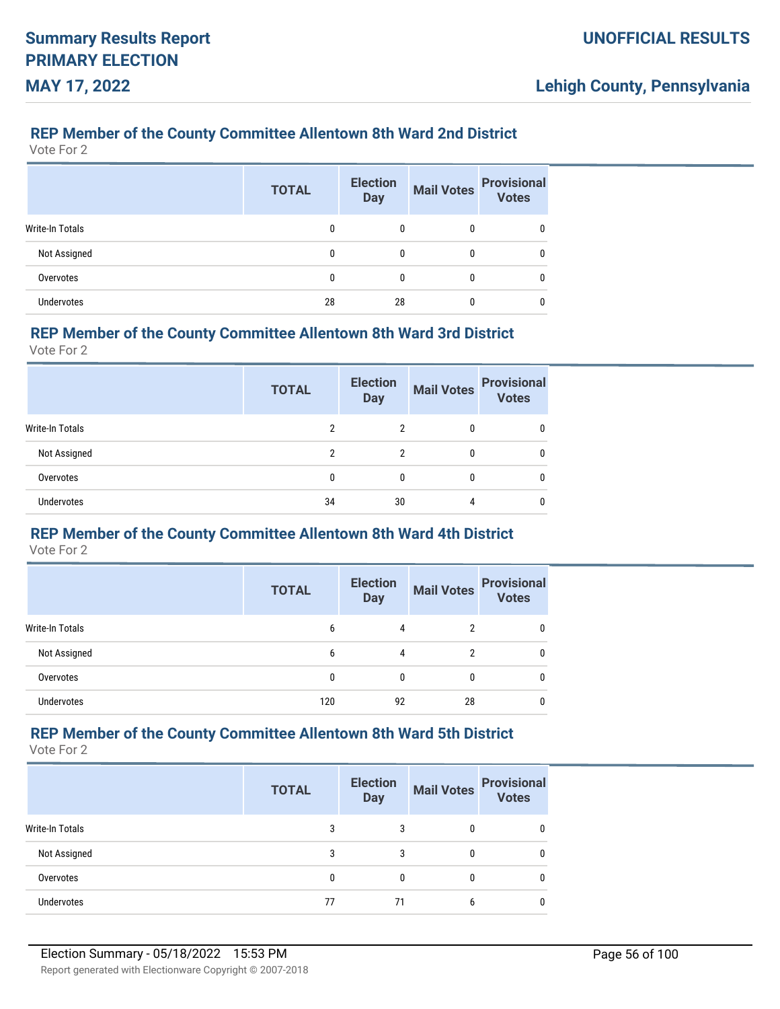### **REP Member of the County Committee Allentown 8th Ward 2nd District**

Vote For 2

|                        | <b>TOTAL</b> | <b>Election</b><br><b>Day</b> | <b>Mail Votes</b> | <b>Provisional</b><br><b>Votes</b> |
|------------------------|--------------|-------------------------------|-------------------|------------------------------------|
| <b>Write-In Totals</b> | 0            | 0                             | 0                 |                                    |
| Not Assigned           | 0            | 0                             | 0                 |                                    |
| Overvotes              | 0            | 0                             | 0                 |                                    |
| <b>Undervotes</b>      | 28           | 28                            | 0                 |                                    |

#### **REP Member of the County Committee Allentown 8th Ward 3rd District**

Vote For 2

|                        | <b>TOTAL</b> | <b>Election</b><br><b>Day</b> | <b>Mail Votes</b> | <b>Provisional</b><br><b>Votes</b> |
|------------------------|--------------|-------------------------------|-------------------|------------------------------------|
| <b>Write-In Totals</b> | 2            | 2                             | 0                 |                                    |
| Not Assigned           | 2            | 2                             | 0                 |                                    |
| Overvotes              | 0            | 0                             | 0                 |                                    |
| <b>Undervotes</b>      | 34           | 30                            |                   |                                    |

# **REP Member of the County Committee Allentown 8th Ward 4th District**

Vote For 2

|                   | <b>TOTAL</b> | <b>Election</b><br><b>Day</b> | <b>Mail Votes</b> | <b>Provisional</b><br><b>Votes</b> |
|-------------------|--------------|-------------------------------|-------------------|------------------------------------|
| Write-In Totals   | 6            | 4                             | 2                 |                                    |
| Not Assigned      | 6            | 4                             | 2                 |                                    |
| Overvotes         | 0            | $\Omega$                      | 0                 |                                    |
| <b>Undervotes</b> | 120          | 92                            | 28                |                                    |

### **REP Member of the County Committee Allentown 8th Ward 5th District**

|                        | <b>TOTAL</b> | <b>Election</b><br><b>Day</b> | <b>Mail Votes</b> | <b>Provisional</b><br><b>Votes</b> |
|------------------------|--------------|-------------------------------|-------------------|------------------------------------|
| <b>Write-In Totals</b> | 3            | 3                             |                   | 0                                  |
| Not Assigned           | 3            | 3                             |                   | 0                                  |
| Overvotes              |              | 0                             |                   | 0                                  |
| <b>Undervotes</b>      | 77           | 71                            |                   | 0                                  |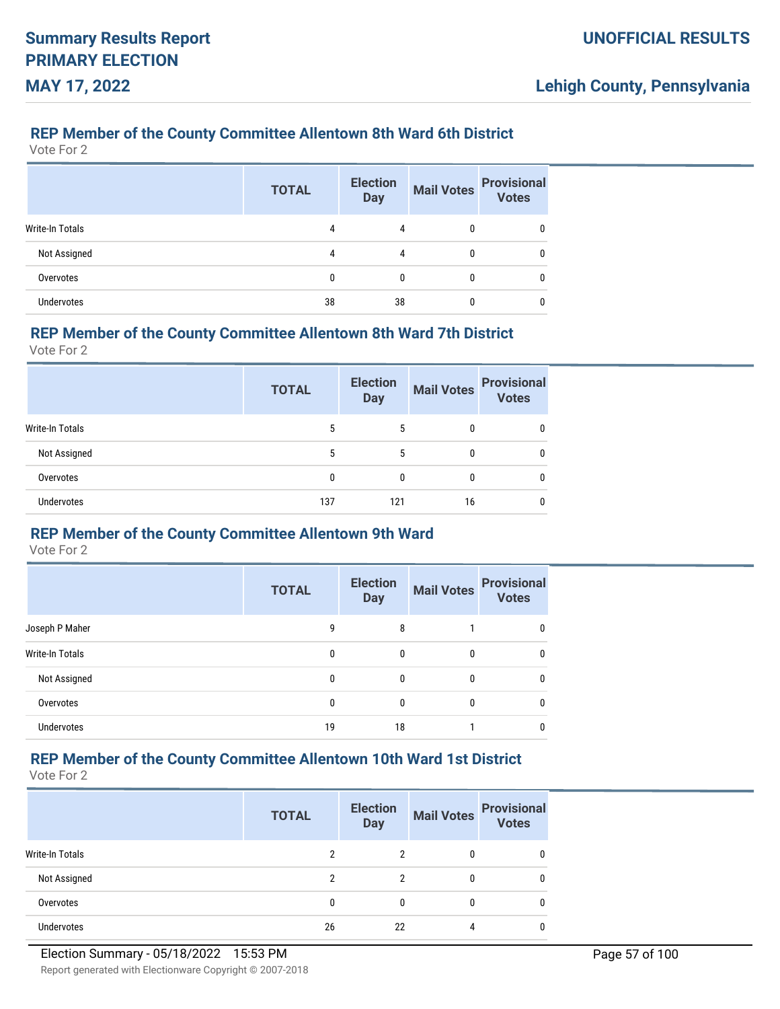### **REP Member of the County Committee Allentown 8th Ward 6th District**

Vote For 2

|                        | <b>TOTAL</b> | <b>Election</b><br><b>Day</b> | <b>Mail Votes</b> | <b>Provisional</b><br>Votes |
|------------------------|--------------|-------------------------------|-------------------|-----------------------------|
| <b>Write-In Totals</b> | 4            | 4                             |                   | 0                           |
| Not Assigned           | 4            | 4                             |                   | 0                           |
| Overvotes              | 0            | 0                             | 0                 | 0                           |
| <b>Undervotes</b>      | 38           | 38                            |                   |                             |

#### **REP Member of the County Committee Allentown 8th Ward 7th District**

Vote For 2

|                   | <b>TOTAL</b> | <b>Election</b><br><b>Day</b> | <b>Mail Votes</b> | <b>Provisional</b><br><b>Votes</b> |
|-------------------|--------------|-------------------------------|-------------------|------------------------------------|
| Write-In Totals   | 5            | 5                             | $\mathbf{0}$      | 0                                  |
| Not Assigned      | 5            | 5                             | 0                 | 0                                  |
| Overvotes         |              |                               | 0                 | 0                                  |
| <b>Undervotes</b> | 137          | 121                           | 16                | 0                                  |

#### **REP Member of the County Committee Allentown 9th Ward**

Vote For 2

|                        | <b>TOTAL</b> | <b>Election</b><br><b>Day</b> | <b>Mail Votes</b> | <b>Provisional</b><br><b>Votes</b> |
|------------------------|--------------|-------------------------------|-------------------|------------------------------------|
| Joseph P Maher         | g            | 8                             |                   |                                    |
| <b>Write-In Totals</b> | 0            | 0                             | 0                 |                                    |
| Not Assigned           | 0            | 0                             | 0                 | 0                                  |
| Overvotes              | 0            | 0                             | 0                 |                                    |
| <b>Undervotes</b>      | 19           | 18                            |                   |                                    |

# **REP Member of the County Committee Allentown 10th Ward 1st District**

|                        | <b>TOTAL</b> | <b>Election</b><br><b>Day</b> | <b>Mail Votes</b> | <b>Provisional</b><br><b>Votes</b> |
|------------------------|--------------|-------------------------------|-------------------|------------------------------------|
| <b>Write-In Totals</b> | ົ            | 2                             |                   | 0                                  |
| Not Assigned           | າ            | 2                             |                   | 0                                  |
| Overvotes              | 0            |                               |                   | 0                                  |
| <b>Undervotes</b>      | 26           | 22                            |                   | 0                                  |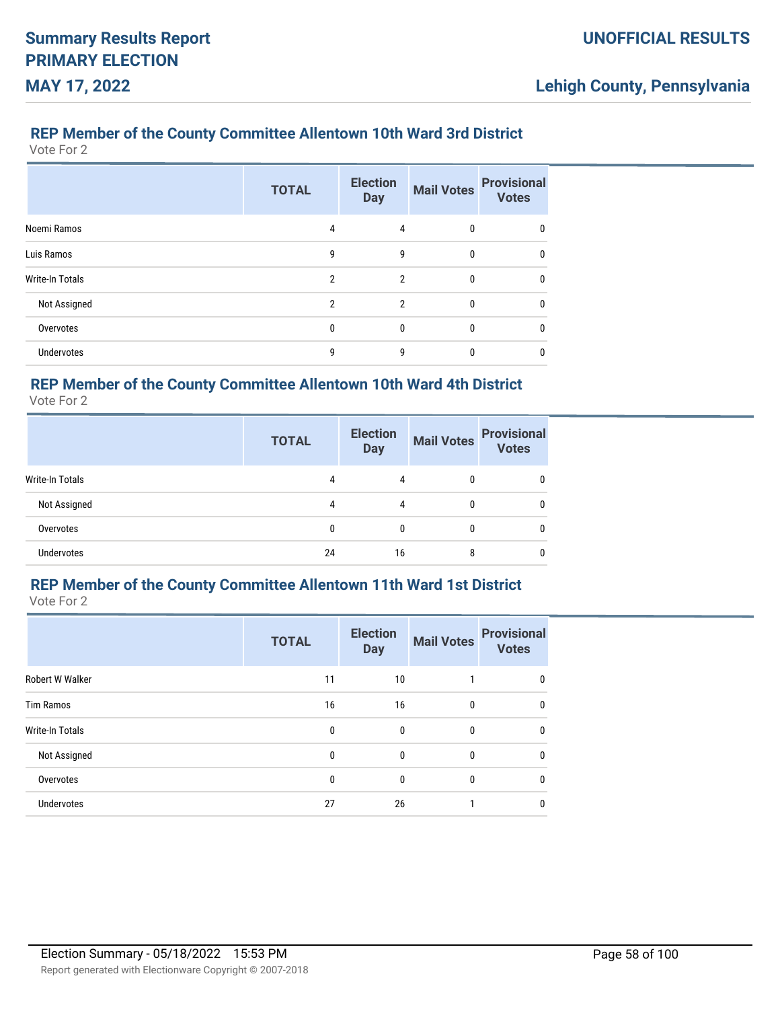# **REP Member of the County Committee Allentown 10th Ward 3rd District**

Vote For 2

|                        | <b>TOTAL</b>   | <b>Election</b><br><b>Day</b> | <b>Mail Votes</b> | <b>Provisional</b><br><b>Votes</b> |
|------------------------|----------------|-------------------------------|-------------------|------------------------------------|
| Noemi Ramos            | 4              | 4                             | $\mathbf{0}$      | 0                                  |
| Luis Ramos             | 9              | 9                             | $\mathbf{0}$      | 0                                  |
| <b>Write-In Totals</b> | $\mathfrak{p}$ | $\mathfrak{p}$                | $\mathbf{0}$      | 0                                  |
| Not Assigned           | $\mathfrak{p}$ | $\mathfrak{p}$                | $\mathbf{0}$      | 0                                  |
| Overvotes              | 0              | 0                             | 0                 | 0                                  |
| <b>Undervotes</b>      | 9              | 9                             | $\Omega$          | 0                                  |

### **REP Member of the County Committee Allentown 10th Ward 4th District**

Vote For 2

|                        | <b>TOTAL</b> | <b>Election</b><br><b>Day</b> | <b>Mail Votes</b> | <b>Provisional</b><br><b>Votes</b> |
|------------------------|--------------|-------------------------------|-------------------|------------------------------------|
| <b>Write-In Totals</b> | 4            | 4                             | 0                 |                                    |
| Not Assigned           | 4            | 4                             | 0                 |                                    |
| Overvotes              | 0            | 0                             | 0                 |                                    |
| <b>Undervotes</b>      | 24           | 16                            | 8                 |                                    |

# **REP Member of the County Committee Allentown 11th Ward 1st District**

Vote For 2

|                   | <b>TOTAL</b> | <b>Election</b><br><b>Day</b> | <b>Mail Votes</b> | <b>Provisional</b><br><b>Votes</b> |
|-------------------|--------------|-------------------------------|-------------------|------------------------------------|
| Robert W Walker   | 11           | 10                            | 1                 | $\mathbf{0}$                       |
| <b>Tim Ramos</b>  | 16           | 16                            | $\mathbf{0}$      | 0                                  |
| Write-In Totals   | $\mathbf{0}$ | $\mathbf{0}$                  | $\mathbf{0}$      | $\mathbf{0}$                       |
| Not Assigned      | 0            | $\mathbf 0$                   | $\mathbf{0}$      | $\mathbf{0}$                       |
| Overvotes         | 0            | $\mathbf{0}$                  | $\mathbf{0}$      | $\mathbf{0}$                       |
| <b>Undervotes</b> | 27           | 26                            |                   | 0                                  |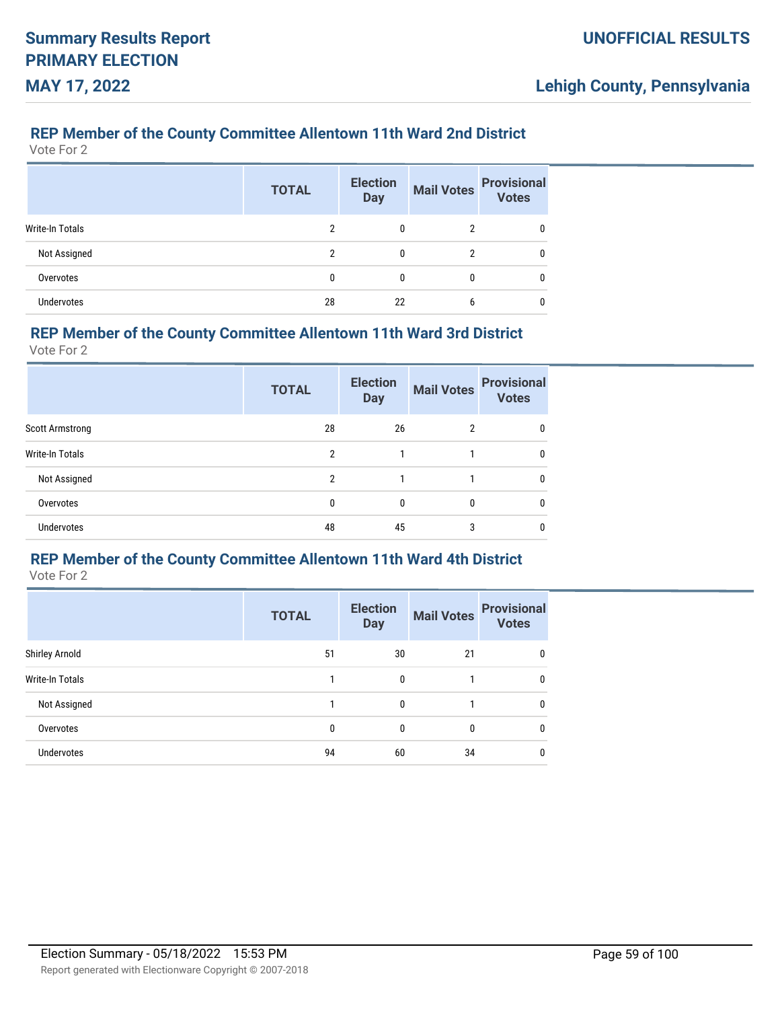### **REP Member of the County Committee Allentown 11th Ward 2nd District**

Vote For 2

|                   | <b>TOTAL</b>   | <b>Election</b><br><b>Day</b> | <b>Mail Votes</b> | <b>Provisional</b><br>Votes |
|-------------------|----------------|-------------------------------|-------------------|-----------------------------|
| Write-In Totals   | $\overline{2}$ | 0                             |                   |                             |
| Not Assigned      | $\overline{2}$ | 0                             | 2                 |                             |
| Overvotes         | 0              | 0                             | 0                 |                             |
| <b>Undervotes</b> | 28             | 22                            | 6                 |                             |

#### **REP Member of the County Committee Allentown 11th Ward 3rd District**

Vote For 2

|                        | <b>TOTAL</b>   | <b>Election</b><br><b>Day</b> | <b>Mail Votes</b> | <b>Provisional</b><br><b>Votes</b> |
|------------------------|----------------|-------------------------------|-------------------|------------------------------------|
| <b>Scott Armstrong</b> | 28             | 26                            | $\overline{2}$    | 0                                  |
| <b>Write-In Totals</b> | 2              | 1                             |                   | 0                                  |
| Not Assigned           | $\mathfrak{p}$ |                               |                   | 0                                  |
| Overvotes              | $\Omega$       | $\mathbf{0}$                  | 0                 | 0                                  |
| <b>Undervotes</b>      | 48             | 45                            | 3                 | 0                                  |

#### **REP Member of the County Committee Allentown 11th Ward 4th District**

|                        | <b>TOTAL</b> | <b>Election</b><br><b>Day</b> | <b>Mail Votes</b> | <b>Provisional</b><br><b>Votes</b> |
|------------------------|--------------|-------------------------------|-------------------|------------------------------------|
| Shirley Arnold         | 51           | 30                            | 21                | 0                                  |
| <b>Write-In Totals</b> |              | 0                             |                   | 0                                  |
| Not Assigned           |              | 0                             |                   | 0                                  |
| Overvotes              | 0            | 0                             | 0                 | 0                                  |
| <b>Undervotes</b>      | 94           | 60                            | 34                | 0                                  |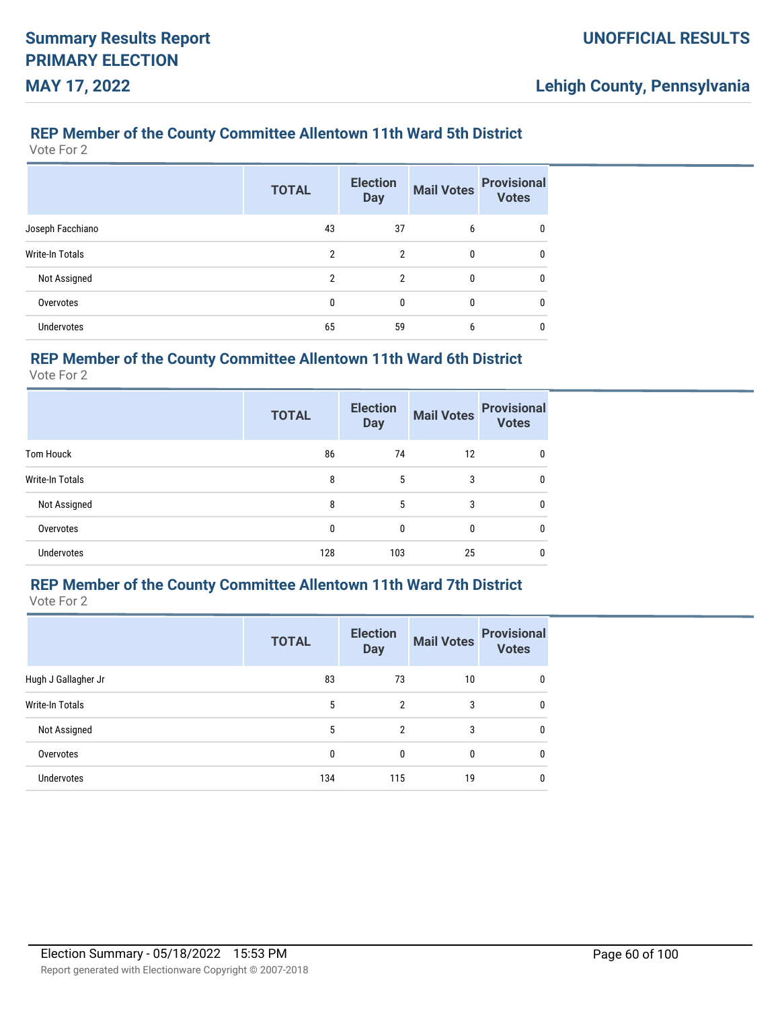### **REP Member of the County Committee Allentown 11th Ward 5th District**

Vote For 2

|                   | <b>TOTAL</b> | <b>Election</b><br><b>Day</b> | <b>Mail Votes</b> | <b>Provisional</b><br><b>Votes</b> |
|-------------------|--------------|-------------------------------|-------------------|------------------------------------|
| Joseph Facchiano  | 43           | 37                            | 6                 | 0                                  |
| Write-In Totals   | 2            | 2                             | 0                 | 0                                  |
| Not Assigned      | 2            | $\mathfrak{p}$                | $\Omega$          | $\mathbf{0}$                       |
| Overvotes         | 0            | $\Omega$                      | 0                 | $\mathbf{0}$                       |
| <b>Undervotes</b> | 65           | 59                            | 6                 | 0                                  |

### **REP Member of the County Committee Allentown 11th Ward 6th District**

Vote For 2

|                   | <b>TOTAL</b> | <b>Election</b><br><b>Day</b> | <b>Mail Votes</b> | <b>Provisional</b><br><b>Votes</b> |
|-------------------|--------------|-------------------------------|-------------------|------------------------------------|
| <b>Tom Houck</b>  | 86           | 74                            | 12                | 0                                  |
| Write-In Totals   | 8            | 5                             | 3                 | 0                                  |
| Not Assigned      | 8            | 5                             | 3                 | 0                                  |
| Overvotes         | $\mathbf{0}$ | 0                             | 0                 | 0                                  |
| <b>Undervotes</b> | 128          | 103                           | 25                | 0                                  |

# **REP Member of the County Committee Allentown 11th Ward 7th District**

Vote For 2

|                     | <b>TOTAL</b> | <b>Election</b><br><b>Day</b> | <b>Mail Votes</b> | <b>Provisional</b><br><b>Votes</b> |
|---------------------|--------------|-------------------------------|-------------------|------------------------------------|
| Hugh J Gallagher Jr | 83           | 73                            | 10                | 0                                  |
| Write-In Totals     | 5            | 2                             | 3                 | $\mathbf{0}$                       |
| Not Assigned        | 5            | $\mathfrak{p}$                | 3                 | $\mathbf{0}$                       |
| Overvotes           | 0            | $\mathbf{0}$                  | $\mathbf{0}$      | $\mathbf{0}$                       |
| <b>Undervotes</b>   | 134          | 115                           | 19                | $\mathbf{0}$                       |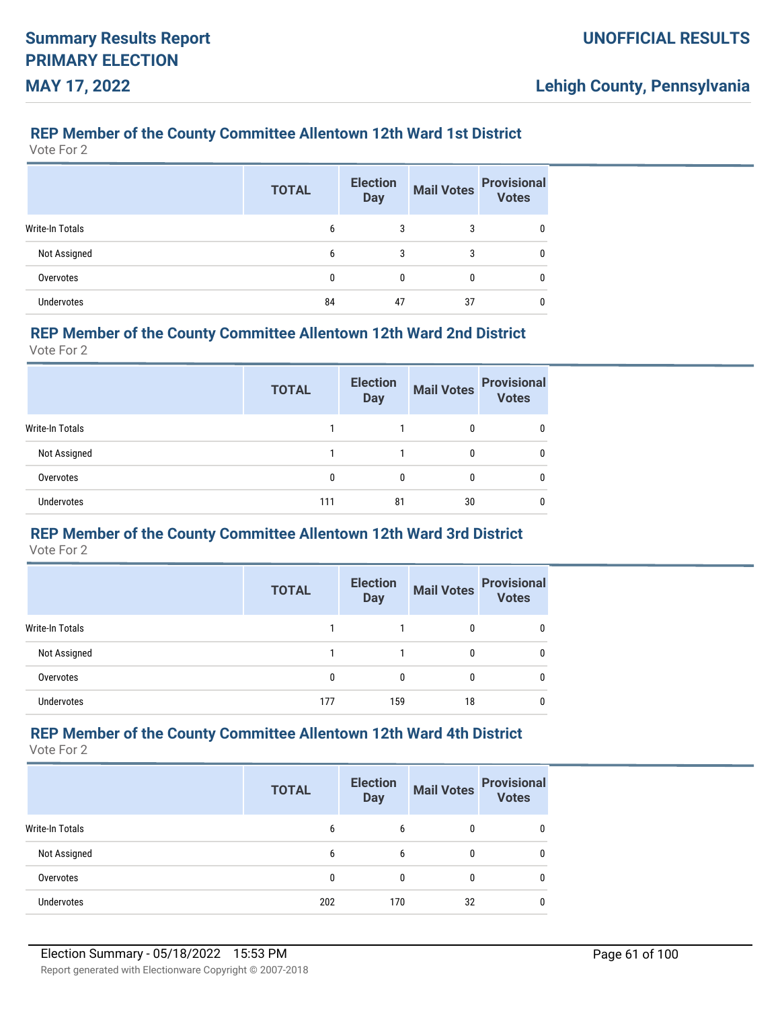### **REP Member of the County Committee Allentown 12th Ward 1st District**

Vote For 2

|                   | <b>TOTAL</b> | <b>Election</b><br><b>Day</b> | <b>Mail Votes</b> | <b>Provisional</b><br><b>Votes</b> |
|-------------------|--------------|-------------------------------|-------------------|------------------------------------|
| Write-In Totals   | 6            | 3                             | 3                 | 0                                  |
| Not Assigned      | 6            | 3                             | 3                 | 0                                  |
| Overvotes         | 0            | 0                             | 0                 | 0                                  |
| <b>Undervotes</b> | 84           | 47                            | 37                | 0                                  |

#### **REP Member of the County Committee Allentown 12th Ward 2nd District**

Vote For 2

|                   | <b>TOTAL</b> | <b>Election</b><br><b>Day</b> | <b>Mail Votes</b> | <b>Provisional</b><br><b>Votes</b> |
|-------------------|--------------|-------------------------------|-------------------|------------------------------------|
| Write-In Totals   |              |                               | 0                 |                                    |
| Not Assigned      |              |                               | 0                 | 0                                  |
| Overvotes         | 0            | 0                             | 0                 |                                    |
| <b>Undervotes</b> | 111          | 81                            | 30                |                                    |

# **REP Member of the County Committee Allentown 12th Ward 3rd District**

Vote For 2

|                   | <b>TOTAL</b> | <b>Election</b><br><b>Day</b> | <b>Mail Votes</b> | <b>Provisional</b><br><b>Votes</b> |
|-------------------|--------------|-------------------------------|-------------------|------------------------------------|
| Write-In Totals   |              |                               |                   |                                    |
| Not Assigned      |              |                               |                   |                                    |
| Overvotes         | 0            | 0                             |                   |                                    |
| <b>Undervotes</b> | 177          | 159                           | 18                |                                    |

### **REP Member of the County Committee Allentown 12th Ward 4th District**

|                   | <b>TOTAL</b> | <b>Election</b><br><b>Day</b> | <b>Mail Votes</b> | <b>Provisional</b><br><b>Votes</b> |
|-------------------|--------------|-------------------------------|-------------------|------------------------------------|
| Write-In Totals   | 6            | 6                             |                   | 0                                  |
| Not Assigned      | 6            | 6                             |                   | 0                                  |
| Overvotes         |              |                               |                   | 0                                  |
| <b>Undervotes</b> | 202          | 170                           | 32                | 0                                  |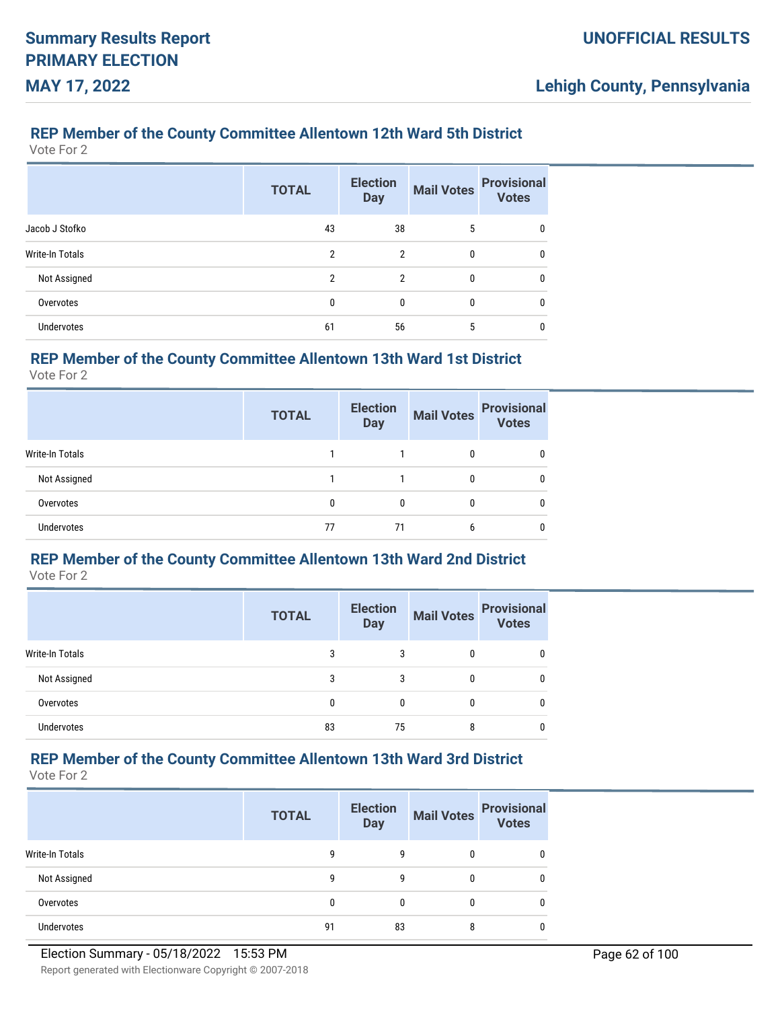### **REP Member of the County Committee Allentown 12th Ward 5th District**

Vote For 2

|                   | <b>TOTAL</b>   | <b>Election</b><br><b>Day</b> | <b>Mail Votes</b> | <b>Provisional</b><br><b>Votes</b> |
|-------------------|----------------|-------------------------------|-------------------|------------------------------------|
| Jacob J Stofko    | 43             | 38                            | 5                 | 0                                  |
| Write-In Totals   | 2              | 2                             | 0                 | 0                                  |
| Not Assigned      | $\mathfrak{p}$ | $\mathfrak{p}$                | 0                 | 0                                  |
| Overvotes         | 0              | 0                             | 0                 | 0                                  |
| <b>Undervotes</b> | 61             | 56                            | 5                 | 0                                  |

### **REP Member of the County Committee Allentown 13th Ward 1st District**

Vote For 2

|                   | <b>TOTAL</b> | <b>Election</b><br><b>Day</b> | <b>Mail Votes</b> | <b>Provisional</b><br>Votes |
|-------------------|--------------|-------------------------------|-------------------|-----------------------------|
| Write-In Totals   |              |                               |                   | 0                           |
| Not Assigned      |              |                               | 0                 | 0                           |
| Overvotes         | 0            | 0                             | $\Omega$          | 0                           |
| <b>Undervotes</b> | 77           | 71                            | 6                 | 0                           |

# **REP Member of the County Committee Allentown 13th Ward 2nd District**

Vote For 2

|                 | <b>TOTAL</b> | <b>Election</b><br><b>Day</b> |              | Mail Votes Provisional |
|-----------------|--------------|-------------------------------|--------------|------------------------|
| Write-In Totals |              | 3                             | 0            | 0                      |
| Not Assigned    | 3            | 3                             | $\mathbf{0}$ | 0                      |
| Overvotes       | 0            | $\mathbf{0}$                  | $\mathbf{0}$ | 0                      |
| Undervotes      | 83           | 75                            | 8            |                        |

# **REP Member of the County Committee Allentown 13th Ward 3rd District**

|                        | <b>TOTAL</b> | <b>Election</b><br><b>Day</b> | <b>Mail Votes</b> | <b>Provisional</b><br><b>Votes</b> |
|------------------------|--------------|-------------------------------|-------------------|------------------------------------|
| <b>Write-In Totals</b> |              | q                             | 0                 |                                    |
| Not Assigned           | q            | q                             | 0                 | 0                                  |
| Overvotes              |              |                               | 0                 | 0                                  |
| Undervotes             | 91           | 83                            | 8                 |                                    |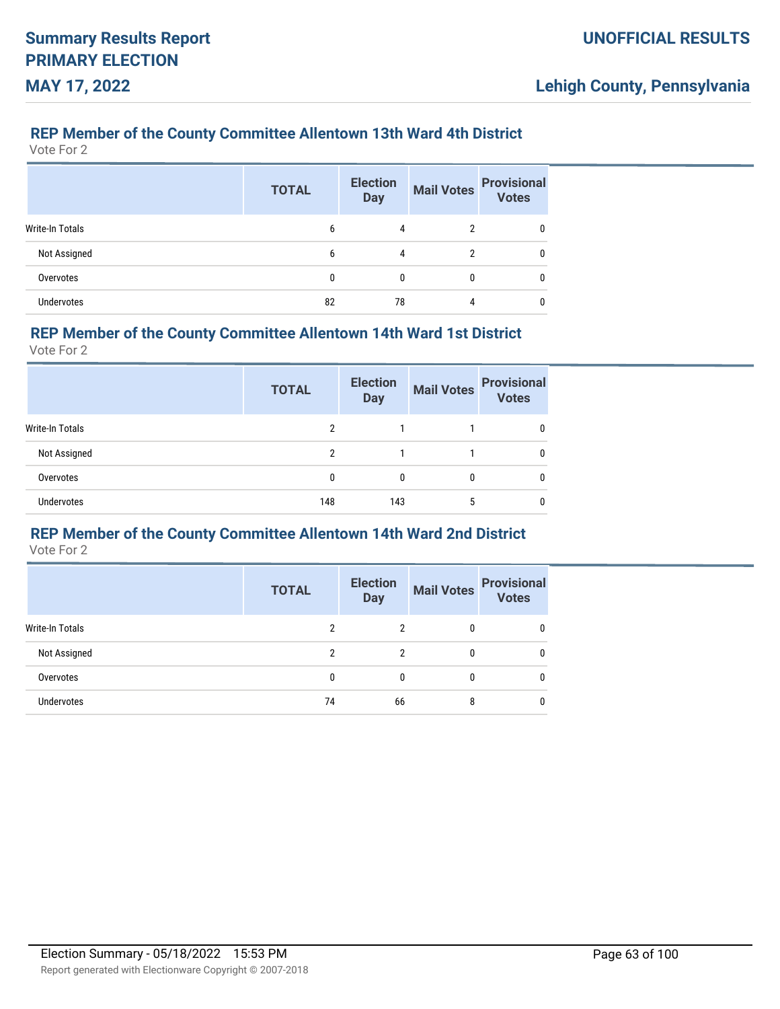### **REP Member of the County Committee Allentown 13th Ward 4th District**

Vote For 2

|                   | <b>TOTAL</b> | <b>Election</b><br><b>Day</b> | <b>Mail Votes</b> | <b>Provisional</b><br>Votes |
|-------------------|--------------|-------------------------------|-------------------|-----------------------------|
| Write-In Totals   | 6            | 4                             | $\overline{2}$    | 0                           |
| Not Assigned      | 6            | 4                             | 2                 | 0                           |
| Overvotes         | 0            | 0                             | 0                 | 0                           |
| <b>Undervotes</b> | 82           | 78                            | 4                 | 0                           |

#### **REP Member of the County Committee Allentown 14th Ward 1st District**

Vote For 2

|                        | <b>TOTAL</b> | <b>Election</b><br><b>Day</b> | <b>Mail Votes</b> | <b>Provisional</b><br><b>Votes</b> |
|------------------------|--------------|-------------------------------|-------------------|------------------------------------|
| <b>Write-In Totals</b> | າ            |                               |                   |                                    |
| Not Assigned           | 2            |                               |                   | 0                                  |
| Overvotes              | 0            | 0                             | 0                 |                                    |
| <b>Undervotes</b>      | 148          | 143                           | 5                 |                                    |

# **REP Member of the County Committee Allentown 14th Ward 2nd District**

|                   | <b>TOTAL</b> | <b>Election</b><br><b>Day</b> | <b>Mail Votes</b> | <b>Provisional</b><br><b>Votes</b> |
|-------------------|--------------|-------------------------------|-------------------|------------------------------------|
| Write-In Totals   | 2            | 2                             | 0                 |                                    |
| Not Assigned      | 2            | າ                             | 0                 |                                    |
| Overvotes         | 0            | 0                             | 0                 |                                    |
| <b>Undervotes</b> | 74           | 66                            | 8                 |                                    |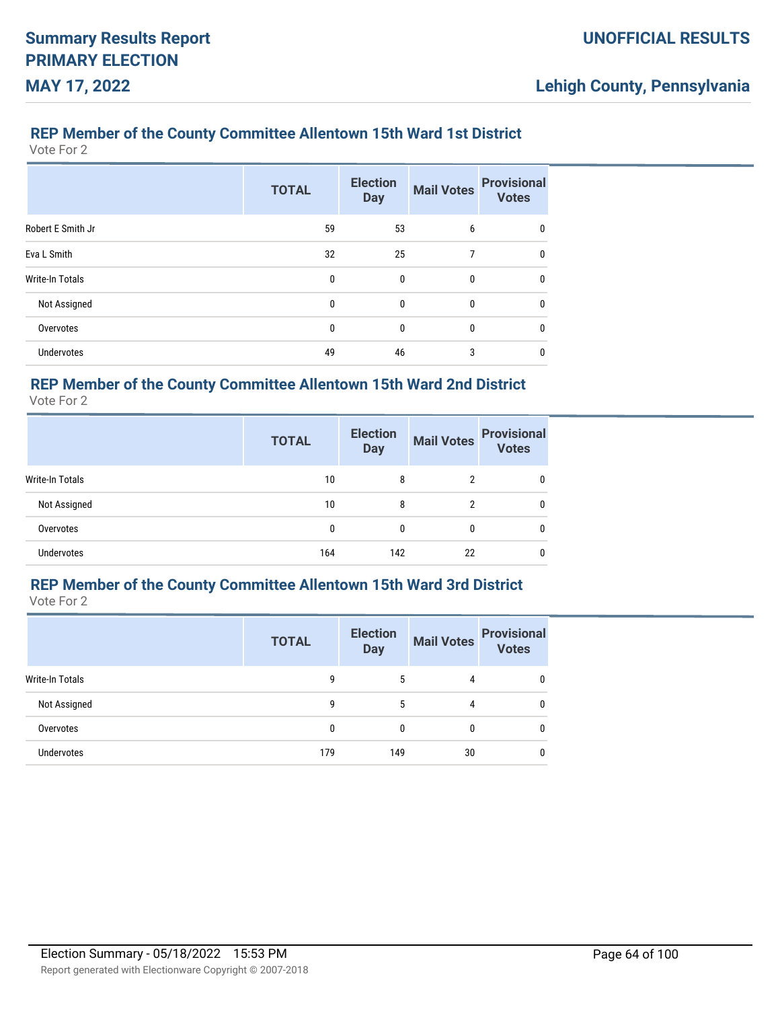### **REP Member of the County Committee Allentown 15th Ward 1st District**

Vote For 2

|                        | <b>TOTAL</b> | <b>Election</b><br><b>Day</b> | <b>Mail Votes</b> | <b>Provisional</b><br><b>Votes</b> |
|------------------------|--------------|-------------------------------|-------------------|------------------------------------|
| Robert E Smith Jr      | 59           | 53                            | 6                 | 0                                  |
| Eva L Smith            | 32           | 25                            | 7                 | $\mathbf{0}$                       |
| <b>Write-In Totals</b> | 0            | 0                             | 0                 | $\mathbf{0}$                       |
| Not Assigned           | $\mathbf{0}$ | $\mathbf{0}$                  | 0                 | $\mathbf{0}$                       |
| Overvotes              | 0            | 0                             | 0                 | $\mathbf{0}$                       |
| <b>Undervotes</b>      | 49           | 46                            | 3                 | $\mathbf{0}$                       |

# **REP Member of the County Committee Allentown 15th Ward 2nd District**

Vote For 2

|                   | <b>TOTAL</b> | <b>Election</b><br><b>Day</b> | <b>Mail Votes</b> | <b>Provisional</b><br><b>Votes</b> |
|-------------------|--------------|-------------------------------|-------------------|------------------------------------|
| Write-In Totals   | 10           | 8                             | 2                 | 0                                  |
| Not Assigned      | 10           | 8                             | ŋ                 | 0                                  |
| Overvotes         | 0            | 0                             | 0                 | 0                                  |
| <b>Undervotes</b> | 164          | 142                           | 22                | 0                                  |

# **REP Member of the County Committee Allentown 15th Ward 3rd District**

Vote For 2

|                   | <b>TOTAL</b> | <b>Election</b><br><b>Day</b> | <b>Mail Votes</b> | <b>Provisional</b><br>Votes |
|-------------------|--------------|-------------------------------|-------------------|-----------------------------|
| Write-In Totals   | g            | 5                             | 4                 | 0                           |
| Not Assigned      | 9            | 5                             | 4                 | 0                           |
| Overvotes         |              | $\Omega$                      | 0                 | 0                           |
| <b>Undervotes</b> | 179          | 149                           | 30                | 0                           |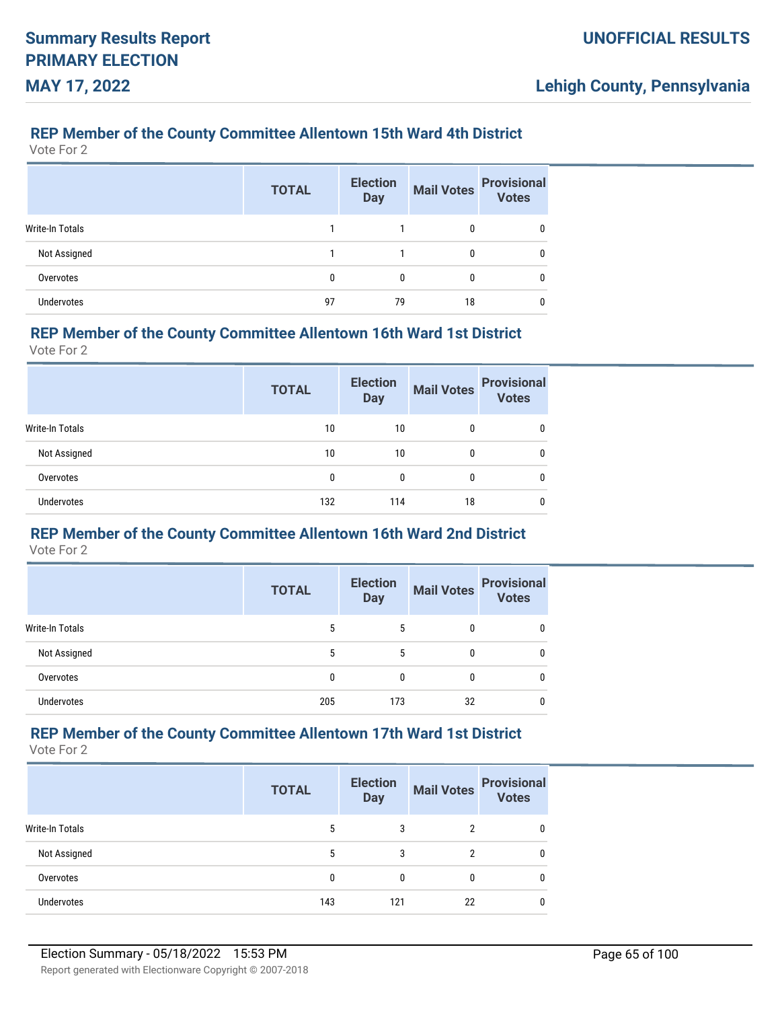### **REP Member of the County Committee Allentown 15th Ward 4th District**

Vote For 2

|                   | <b>TOTAL</b> | <b>Election</b><br><b>Day</b> | <b>Mail Votes</b> | <b>Provisional</b><br>Votes |
|-------------------|--------------|-------------------------------|-------------------|-----------------------------|
| Write-In Totals   |              |                               | 0                 |                             |
| Not Assigned      |              |                               | 0                 |                             |
| Overvotes         | 0            | 0                             | 0                 |                             |
| <b>Undervotes</b> | 97           | 79                            | 18                |                             |

#### **REP Member of the County Committee Allentown 16th Ward 1st District**

Vote For 2

|                   | <b>TOTAL</b> | <b>Election</b><br><b>Day</b> | <b>Mail Votes</b> | <b>Provisional</b><br><b>Votes</b> |
|-------------------|--------------|-------------------------------|-------------------|------------------------------------|
| Write-In Totals   | 10           | 10                            | 0                 | 0                                  |
| Not Assigned      | 10           | 10                            | 0                 | 0                                  |
| Overvotes         | 0            | 0                             | 0                 | 0                                  |
| <b>Undervotes</b> | 132          | 114                           | 18                | 0                                  |

# **REP Member of the County Committee Allentown 16th Ward 2nd District**

Vote For 2

|                   | <b>TOTAL</b> | <b>Election</b><br><b>Day</b> | <b>Mail Votes</b> | <b>Provisional</b><br><b>Votes</b> |
|-------------------|--------------|-------------------------------|-------------------|------------------------------------|
| Write-In Totals   | 5            | 5                             | 0                 |                                    |
| Not Assigned      | 5            | 5                             | 0                 |                                    |
| Overvotes         | 0            | $\Omega$                      | 0                 |                                    |
| <b>Undervotes</b> | 205          | 173                           | 32                |                                    |

### **REP Member of the County Committee Allentown 17th Ward 1st District**

|                   | <b>TOTAL</b> | <b>Election</b><br><b>Day</b> | <b>Mail Votes</b> | <b>Provisional</b><br><b>Votes</b> |
|-------------------|--------------|-------------------------------|-------------------|------------------------------------|
| Write-In Totals   | 5            | 3                             | 2                 |                                    |
| Not Assigned      | 5            | 3                             | ົ                 | 0                                  |
| Overvotes         |              | 0                             | 0                 | 0                                  |
| <b>Undervotes</b> | 143          | 121                           | 22                |                                    |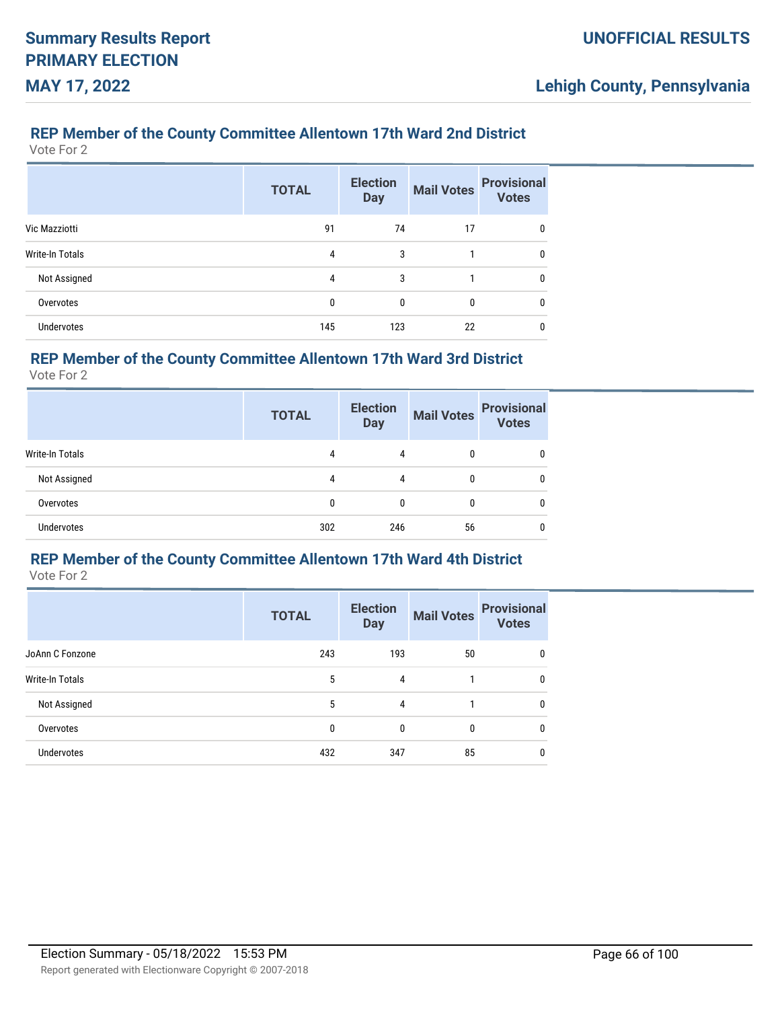### **REP Member of the County Committee Allentown 17th Ward 2nd District**

Vote For 2

|                      | <b>TOTAL</b> | <b>Election</b><br><b>Day</b> | <b>Mail Votes</b> | <b>Provisional</b><br><b>Votes</b> |
|----------------------|--------------|-------------------------------|-------------------|------------------------------------|
| <b>Vic Mazziotti</b> | 91           | 74                            | 17                | 0                                  |
| Write-In Totals      | 4            | 3                             |                   | 0                                  |
| Not Assigned         | 4            | 3                             | 1                 | 0                                  |
| Overvotes            | 0            | 0                             | 0                 | 0                                  |
| <b>Undervotes</b>    | 145          | 123                           | 22                | 0                                  |

### **REP Member of the County Committee Allentown 17th Ward 3rd District**

Vote For 2

|                   | <b>TOTAL</b> | <b>Election</b><br><b>Day</b> | <b>Mail Votes</b> | <b>Provisional</b><br><b>Votes</b> |
|-------------------|--------------|-------------------------------|-------------------|------------------------------------|
| Write-In Totals   | 4            | 4                             |                   | 0                                  |
| Not Assigned      | 4            | 4                             | $\Omega$          | 0                                  |
| Overvotes         | 0            | 0                             | $\Omega$          | 0                                  |
| <b>Undervotes</b> | 302          | 246                           | 56                | 0                                  |

# **REP Member of the County Committee Allentown 17th Ward 4th District**

|                        | <b>TOTAL</b> | <b>Election</b><br><b>Day</b> |              | Mail Votes Provisional<br><b>Votes</b> |
|------------------------|--------------|-------------------------------|--------------|----------------------------------------|
| JoAnn C Fonzone        | 243          | 193                           | 50           | 0                                      |
| <b>Write-In Totals</b> | 5            | 4                             |              | 0                                      |
| Not Assigned           | 5            | 4                             |              | 0                                      |
| Overvotes              | 0            | 0                             | $\mathbf{0}$ | 0                                      |
| <b>Undervotes</b>      | 432          | 347                           | 85           | 0                                      |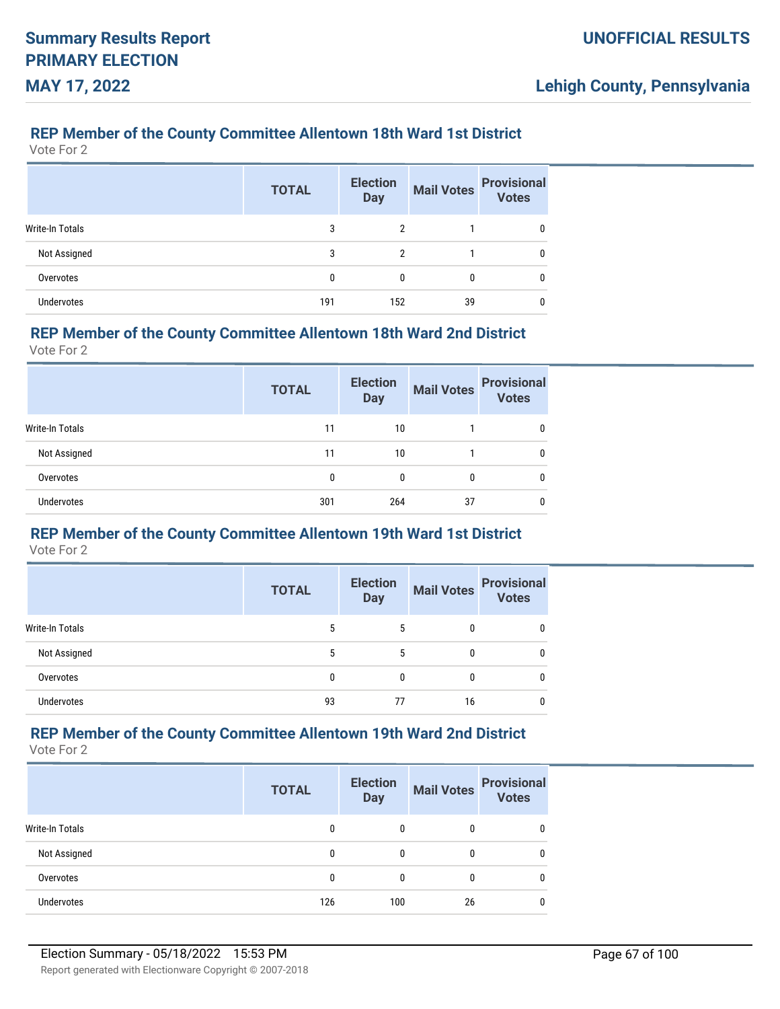### **REP Member of the County Committee Allentown 18th Ward 1st District**

Vote For 2

|                   | <b>TOTAL</b> | <b>Election</b><br><b>Day</b> | <b>Mail Votes</b> | <b>Provisional</b><br>Votes |
|-------------------|--------------|-------------------------------|-------------------|-----------------------------|
| Write-In Totals   | 3            | 2                             |                   |                             |
| Not Assigned      | 3            | $\overline{2}$                |                   |                             |
| Overvotes         | 0            | 0                             | 0                 |                             |
| <b>Undervotes</b> | 191          | 152                           | 39                |                             |

#### **REP Member of the County Committee Allentown 18th Ward 2nd District**

Vote For 2

|                 | <b>TOTAL</b> | <b>Election</b><br><b>Day</b> | <b>Mail Votes</b> | <b>Provisional</b><br><b>Votes</b> |
|-----------------|--------------|-------------------------------|-------------------|------------------------------------|
| Write-In Totals | 11           | 10                            |                   | 0                                  |
| Not Assigned    | 11           | 10                            |                   | 0                                  |
| Overvotes       | 0            | 0                             | 0                 | 0                                  |
| Undervotes      | 301          | 264                           | 37                | 0                                  |

# **REP Member of the County Committee Allentown 19th Ward 1st District**

Vote For 2

|                   | <b>TOTAL</b> | <b>Election</b><br><b>Day</b> | <b>Mail Votes</b> | <b>Provisional</b><br><b>Votes</b> |
|-------------------|--------------|-------------------------------|-------------------|------------------------------------|
| Write-In Totals   | 5            | 5                             | 0                 | 0                                  |
| Not Assigned      | 5            | 5                             | 0                 |                                    |
| Overvotes         | 0            | 0                             | 0                 |                                    |
| <b>Undervotes</b> | 93           | 77                            | 16                |                                    |

### **REP Member of the County Committee Allentown 19th Ward 2nd District**

|                   | <b>TOTAL</b> | <b>Election</b><br><b>Day</b> | <b>Mail Votes</b> | <b>Provisional</b><br><b>Votes</b> |
|-------------------|--------------|-------------------------------|-------------------|------------------------------------|
| Write-In Totals   | 0            | 0                             |                   |                                    |
| Not Assigned      | 0            | $\Omega$                      |                   |                                    |
| Overvotes         | 0            | $\Omega$                      |                   | 0                                  |
| <b>Undervotes</b> | 126          | 100                           | 26                | 0                                  |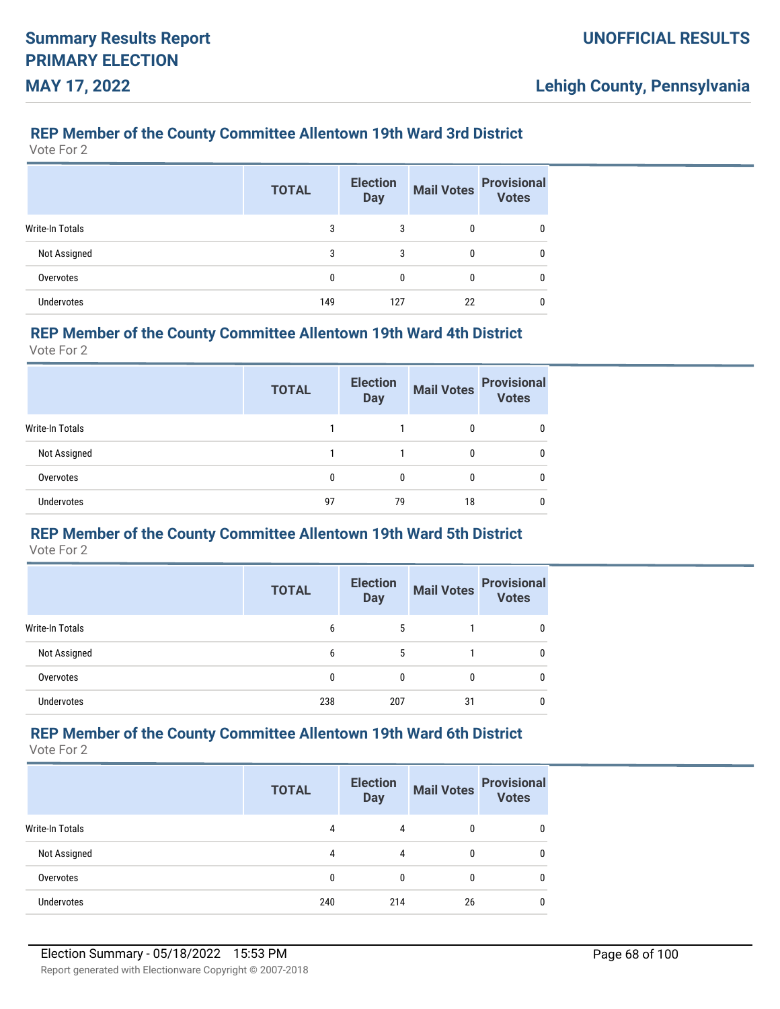### **REP Member of the County Committee Allentown 19th Ward 3rd District**

Vote For 2

|                        | <b>TOTAL</b> | <b>Election</b><br><b>Day</b> | <b>Mail Votes</b> | <b>Provisional</b><br><b>Votes</b> |
|------------------------|--------------|-------------------------------|-------------------|------------------------------------|
| <b>Write-In Totals</b> | 3            | 3                             | 0                 | 0                                  |
| Not Assigned           | 3            | 3                             | 0                 | 0                                  |
| Overvotes              | 0            | 0                             | 0                 | 0                                  |
| <b>Undervotes</b>      | 149          | 127                           | 22                | 0                                  |

#### **REP Member of the County Committee Allentown 19th Ward 4th District**

Vote For 2

|                        | <b>TOTAL</b> | <b>Election</b><br><b>Day</b> | <b>Mail Votes</b> | <b>Provisional</b><br><b>Votes</b> |
|------------------------|--------------|-------------------------------|-------------------|------------------------------------|
| <b>Write-In Totals</b> |              |                               | 0                 |                                    |
| Not Assigned           |              |                               | 0                 |                                    |
| Overvotes              | 0            | 0                             | 0                 |                                    |
| <b>Undervotes</b>      | 97           | 79                            | 18                |                                    |

# **REP Member of the County Committee Allentown 19th Ward 5th District**

Vote For 2

|                   | <b>TOTAL</b> | <b>Election</b><br><b>Day</b> | <b>Mail Votes</b> | <b>Provisional</b><br><b>Votes</b> |
|-------------------|--------------|-------------------------------|-------------------|------------------------------------|
| Write-In Totals   | 6            | 5                             |                   |                                    |
| Not Assigned      | 6            | 5                             |                   |                                    |
| Overvotes         | 0            | $\Omega$                      | 0                 |                                    |
| <b>Undervotes</b> | 238          | 207                           | 31                |                                    |

### **REP Member of the County Committee Allentown 19th Ward 6th District**

|                   | <b>TOTAL</b> | <b>Election</b><br><b>Day</b> | <b>Mail Votes</b> | <b>Provisional</b><br><b>Votes</b> |
|-------------------|--------------|-------------------------------|-------------------|------------------------------------|
| Write-In Totals   | 4            | 4                             |                   | 0                                  |
| Not Assigned      | 4            | 4                             |                   | 0                                  |
| Overvotes         |              |                               |                   | 0                                  |
| <b>Undervotes</b> | 240          | 214                           | 26                | 0                                  |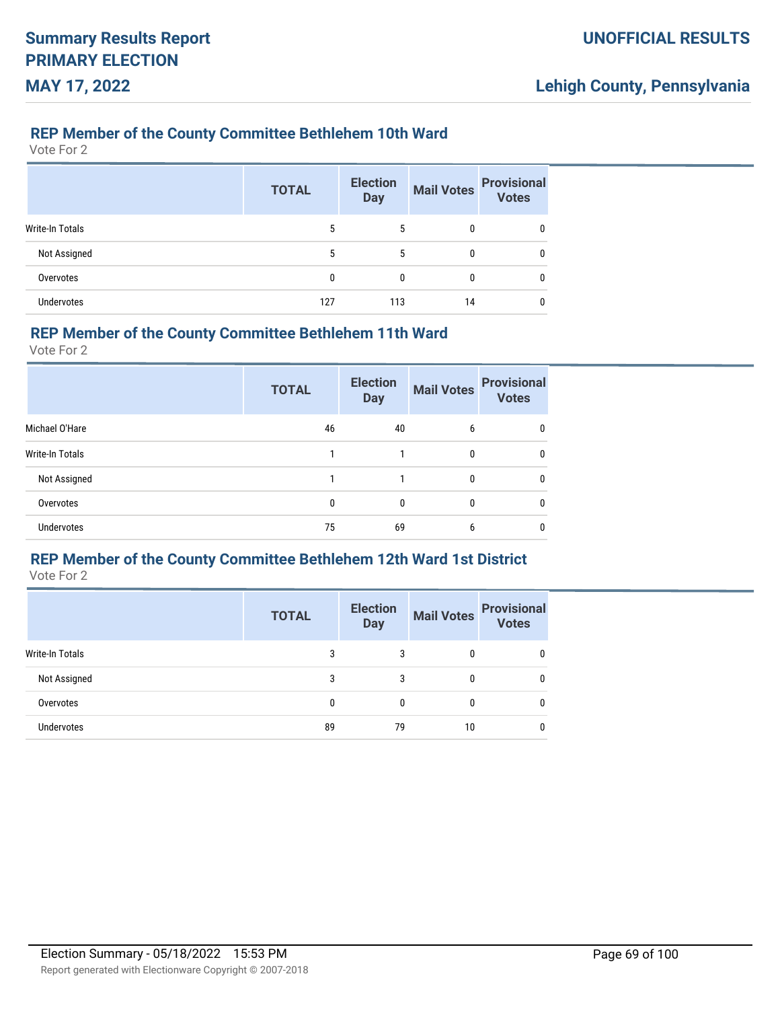#### **REP Member of the County Committee Bethlehem 10th Ward**

Vote For 2

|                        | <b>TOTAL</b> | <b>Election</b><br><b>Day</b> | <b>Mail Votes</b> | <b>Provisional</b><br>Votes |
|------------------------|--------------|-------------------------------|-------------------|-----------------------------|
| <b>Write-In Totals</b> | 5            | 5                             | 0                 |                             |
| Not Assigned           | 5            | 5                             | 0                 |                             |
| Overvotes              | 0            | 0                             | 0                 | 0                           |
| <b>Undervotes</b>      | 127          | 113                           | 14                |                             |

#### **REP Member of the County Committee Bethlehem 11th Ward**

Vote For 2

|                 | <b>TOTAL</b> | <b>Election</b><br><b>Day</b> | <b>Mail Votes</b> | <b>Provisional</b><br><b>Votes</b> |
|-----------------|--------------|-------------------------------|-------------------|------------------------------------|
| Michael O'Hare  | 46           | 40                            | 6                 | $\mathbf{0}$                       |
| Write-In Totals |              |                               | 0                 | 0                                  |
| Not Assigned    |              |                               | $\Omega$          | $\mathbf{0}$                       |
| Overvotes       | 0            | 0                             | $\Omega$          | $\Omega$                           |
| Undervotes      | 75           | 69                            | 6                 | 0                                  |

### **REP Member of the County Committee Bethlehem 12th Ward 1st District**

|                   | <b>TOTAL</b> | <b>Election</b><br><b>Day</b> | Mail Votes Provisional |   |
|-------------------|--------------|-------------------------------|------------------------|---|
| Write-In Totals   | 3            | 3                             | 0                      | 0 |
| Not Assigned      | 3            | 3                             | 0                      | 0 |
| Overvotes         | $\Omega$     | 0                             | 0                      | 0 |
| <b>Undervotes</b> | 89           | 79                            | 10                     | 0 |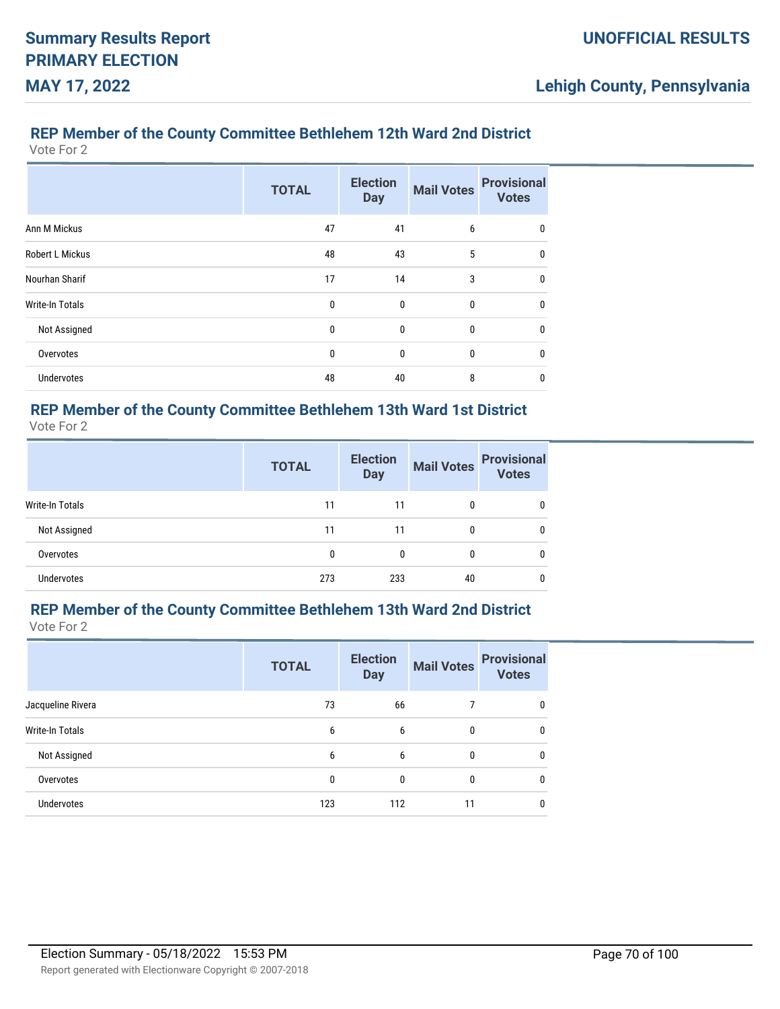# **REP Member of the County Committee Bethlehem 12th Ward 2nd District**

Vote For 2

|                        | <b>TOTAL</b> | <b>Election</b><br><b>Day</b> | <b>Mail Votes</b> | <b>Provisional</b><br><b>Votes</b> |
|------------------------|--------------|-------------------------------|-------------------|------------------------------------|
| Ann M Mickus           | 47           | 41                            | 6                 | 0                                  |
| Robert L Mickus        | 48           | 43                            | 5                 | $\mathbf{0}$                       |
| Nourhan Sharif         | 17           | 14                            | 3                 | $\mathbf{0}$                       |
| <b>Write-In Totals</b> | 0            | $\mathbf{0}$                  | $\mathbf{0}$      | $\mathbf{0}$                       |
| Not Assigned           | 0            | $\mathbf{0}$                  | $\mathbf{0}$      | $\mathbf{0}$                       |
| Overvotes              | 0            | $\mathbf{0}$                  | $\mathbf{0}$      | $\mathbf{0}$                       |
| Undervotes             | 48           | 40                            | 8                 | 0                                  |

# **REP Member of the County Committee Bethlehem 13th Ward 1st District**

Vote For 2

|                   | <b>TOTAL</b> | <b>Election</b><br><b>Day</b> | <b>Mail Votes</b> | <b>Provisional</b><br><b>Votes</b> |
|-------------------|--------------|-------------------------------|-------------------|------------------------------------|
| Write-In Totals   | 11           | 11                            | 0                 |                                    |
| Not Assigned      | 11           | 11                            | 0                 |                                    |
| Overvotes         | 0            | 0                             | 0                 |                                    |
| <b>Undervotes</b> | 273          | 233                           | 40                |                                    |

# **REP Member of the County Committee Bethlehem 13th Ward 2nd District**

|                        | <b>TOTAL</b> | <b>Election</b><br><b>Day</b> | <b>Mail Votes</b> | <b>Provisional</b><br><b>Votes</b> |
|------------------------|--------------|-------------------------------|-------------------|------------------------------------|
| Jacqueline Rivera      | 73           | 66                            |                   | 0                                  |
| <b>Write-In Totals</b> | 6            | 6                             | 0                 | 0                                  |
| Not Assigned           | 6            | 6                             | $\mathbf{0}$      | 0                                  |
| Overvotes              | 0            | $\mathbf{0}$                  | $\mathbf{0}$      | 0                                  |
| <b>Undervotes</b>      | 123          | 112                           | 11                | 0                                  |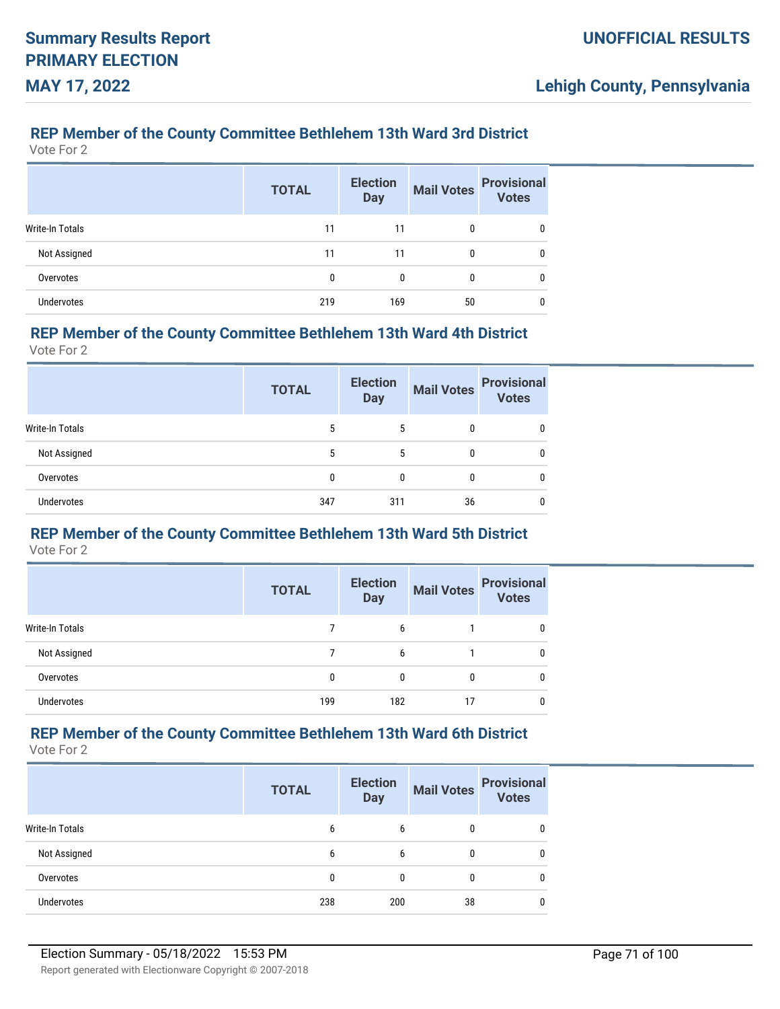### **REP Member of the County Committee Bethlehem 13th Ward 3rd District**

Vote For 2

|                        | <b>TOTAL</b> | <b>Election</b><br><b>Day</b> | <b>Mail Votes</b> | <b>Provisional</b><br><b>Votes</b> |
|------------------------|--------------|-------------------------------|-------------------|------------------------------------|
| <b>Write-In Totals</b> | 11           | 11                            | 0                 | 0                                  |
| Not Assigned           | 11           | 11                            | 0                 | 0                                  |
| Overvotes              | 0            | 0                             | 0                 | 0                                  |
| <b>Undervotes</b>      | 219          | 169                           | 50                | 0                                  |

# **REP Member of the County Committee Bethlehem 13th Ward 4th District**

Vote For 2

|                   | <b>TOTAL</b> | <b>Election</b><br><b>Day</b> | <b>Mail Votes</b> | <b>Provisional</b><br><b>Votes</b> |
|-------------------|--------------|-------------------------------|-------------------|------------------------------------|
| Write-In Totals   | 5            | 5                             | 0                 |                                    |
| Not Assigned      | 5            | 5                             | 0                 | 0                                  |
| Overvotes         | 0            | 0                             | 0                 | 0                                  |
| <b>Undervotes</b> | 347          | 311                           | 36                |                                    |

# **REP Member of the County Committee Bethlehem 13th Ward 5th District**

Vote For 2

|                 | <b>TOTAL</b> | <b>Election</b><br><b>Day</b> | <b>Mail Votes</b> | <b>Provisional</b><br><b>Votes</b> |
|-----------------|--------------|-------------------------------|-------------------|------------------------------------|
| Write-In Totals |              | 6                             |                   | 0                                  |
| Not Assigned    |              | 6                             |                   | 0                                  |
| Overvotes       | 0            | 0                             |                   | 0                                  |
| Undervotes      | 199          | 182                           | 17                | 0                                  |

### **REP Member of the County Committee Bethlehem 13th Ward 6th District**

|                   | <b>TOTAL</b> | <b>Election</b><br><b>Day</b> | <b>Mail Votes</b> | <b>Provisional</b><br><b>Votes</b> |
|-------------------|--------------|-------------------------------|-------------------|------------------------------------|
| Write-In Totals   | 6            | 6                             |                   | 0                                  |
| Not Assigned      | 6            | 6                             |                   | 0                                  |
| Overvotes         |              |                               |                   | 0                                  |
| <b>Undervotes</b> | 238          | 200                           | 38                | 0                                  |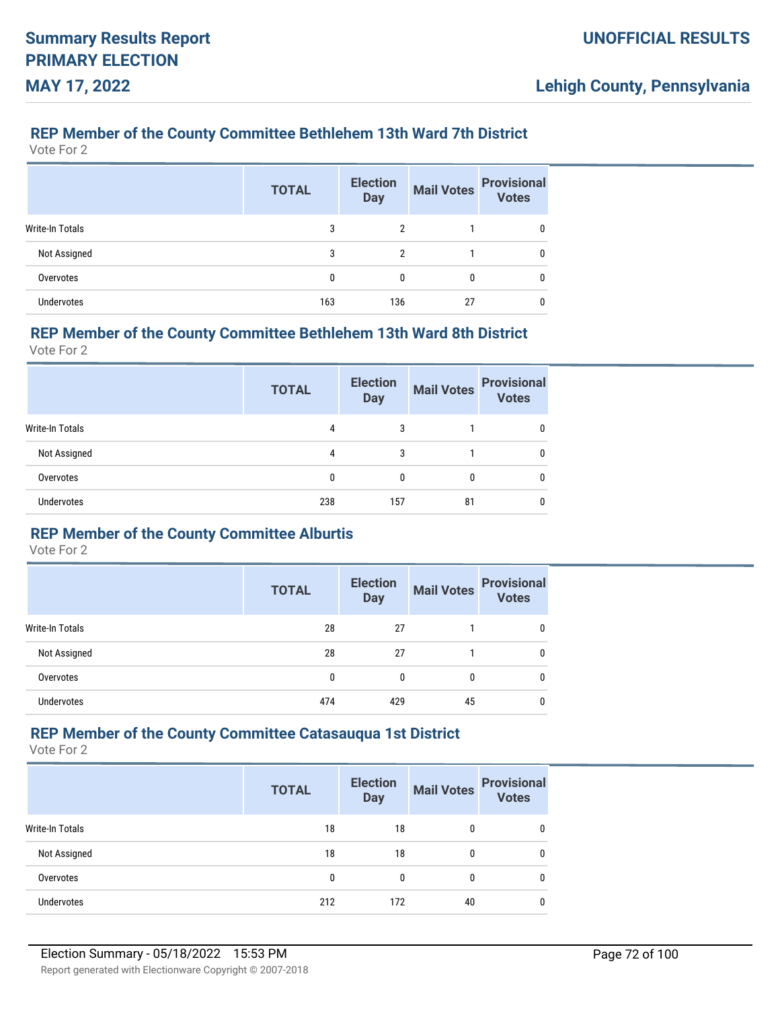### **REP Member of the County Committee Bethlehem 13th Ward 7th District**

Vote For 2

|                        | <b>TOTAL</b> | <b>Election</b><br><b>Day</b> | <b>Mail Votes</b> | <b>Provisional</b><br><b>Votes</b> |
|------------------------|--------------|-------------------------------|-------------------|------------------------------------|
| <b>Write-In Totals</b> | 3            | $\overline{2}$                |                   | 0                                  |
| Not Assigned           | 3            | $\overline{2}$                |                   | 0                                  |
| Overvotes              | 0            | 0                             | 0                 | 0                                  |
| <b>Undervotes</b>      | 163          | 136                           | 27                | 0                                  |

# **REP Member of the County Committee Bethlehem 13th Ward 8th District**

Vote For 2

|                   | <b>TOTAL</b> | <b>Election</b><br><b>Day</b> | <b>Mail Votes</b> | <b>Provisional</b><br><b>Votes</b> |
|-------------------|--------------|-------------------------------|-------------------|------------------------------------|
| Write-In Totals   | 4            | 3                             |                   | 0                                  |
| Not Assigned      | 4            | 3                             |                   | 0                                  |
| Overvotes         |              |                               | 0                 | 0                                  |
| <b>Undervotes</b> | 238          | 157                           | 81                | 0                                  |

#### **REP Member of the County Committee Alburtis**

Vote For 2

|                 | <b>TOTAL</b> | <b>Election</b><br><b>Day</b> | <b>Mail Votes</b> | <b>Provisional</b><br><b>Votes</b> |
|-----------------|--------------|-------------------------------|-------------------|------------------------------------|
| Write-In Totals | 28           | 27                            |                   |                                    |
| Not Assigned    | 28           | 27                            |                   |                                    |
| Overvotes       | 0            | $\Omega$                      | 0                 |                                    |
| Undervotes      | 474          | 429                           | 45                |                                    |

### **REP Member of the County Committee Catasauqua 1st District**

|                   | <b>TOTAL</b> | <b>Election</b><br><b>Day</b> | <b>Mail Votes</b> | <b>Provisional</b><br><b>Votes</b> |
|-------------------|--------------|-------------------------------|-------------------|------------------------------------|
| Write-In Totals   | 18           | 18                            | 0                 |                                    |
| Not Assigned      | 18           | 18                            |                   | 0                                  |
| Overvotes         | 0            | $\Omega$                      | $\Omega$          | 0                                  |
| <b>Undervotes</b> | 212          | 172                           | 40                | 0                                  |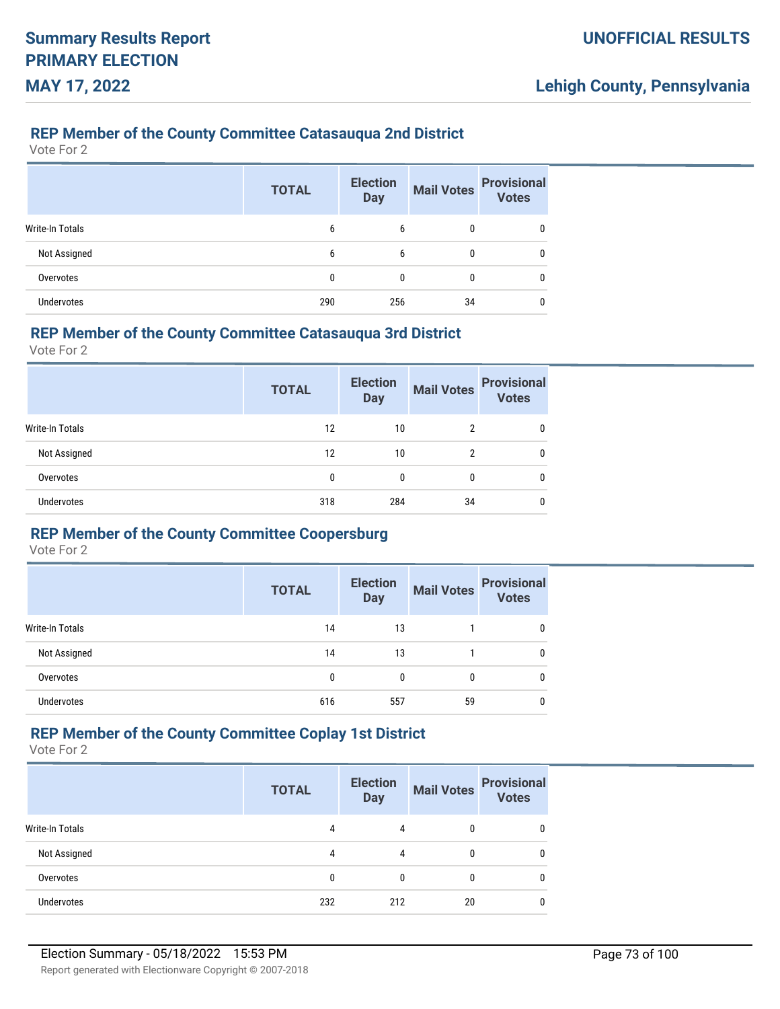### **REP Member of the County Committee Catasauqua 2nd District**

Vote For 2

|                        | <b>TOTAL</b> | <b>Election</b><br><b>Day</b> | <b>Mail Votes</b> | <b>Provisional</b><br><b>Votes</b> |
|------------------------|--------------|-------------------------------|-------------------|------------------------------------|
| <b>Write-In Totals</b> | 6            | 6                             | 0                 |                                    |
| Not Assigned           | 6            | 6                             | 0                 |                                    |
| Overvotes              | 0            | 0                             | 0                 |                                    |
| <b>Undervotes</b>      | 290          | 256                           | 34                |                                    |

#### **REP Member of the County Committee Catasauqua 3rd District**

Vote For 2

|                        | <b>TOTAL</b> | <b>Election</b><br><b>Day</b> | <b>Mail Votes</b> | <b>Provisional</b><br><b>Votes</b> |
|------------------------|--------------|-------------------------------|-------------------|------------------------------------|
| <b>Write-In Totals</b> | 12           | 10                            | 2                 | 0                                  |
| Not Assigned           | 12           | 10                            | 2                 | 0                                  |
| Overvotes              | 0            |                               | 0                 | 0                                  |
| Undervotes             | 318          | 284                           | 34                | 0                                  |

## **REP Member of the County Committee Coopersburg**

Vote For 2

|                 | <b>TOTAL</b> | <b>Election</b><br><b>Day</b> | <b>Mail Votes</b> | <b>Provisional</b><br><b>Votes</b> |
|-----------------|--------------|-------------------------------|-------------------|------------------------------------|
| Write-In Totals | 14           | 13                            |                   |                                    |
| Not Assigned    | 14           | 13                            |                   |                                    |
| Overvotes       | 0            | $\Omega$                      | 0                 |                                    |
| Undervotes      | 616          | 557                           | 59                |                                    |

# **REP Member of the County Committee Coplay 1st District**

|                        | <b>TOTAL</b> | <b>Election</b><br><b>Day</b> | <b>Mail Votes</b> | <b>Provisional</b><br><b>Votes</b> |
|------------------------|--------------|-------------------------------|-------------------|------------------------------------|
| <b>Write-In Totals</b> | 4            | 4                             |                   |                                    |
| Not Assigned           | 4            | 4                             |                   |                                    |
| Overvotes              | 0            | $\Omega$                      |                   | 0                                  |
| <b>Undervotes</b>      | 232          | 212                           | 20                | 0                                  |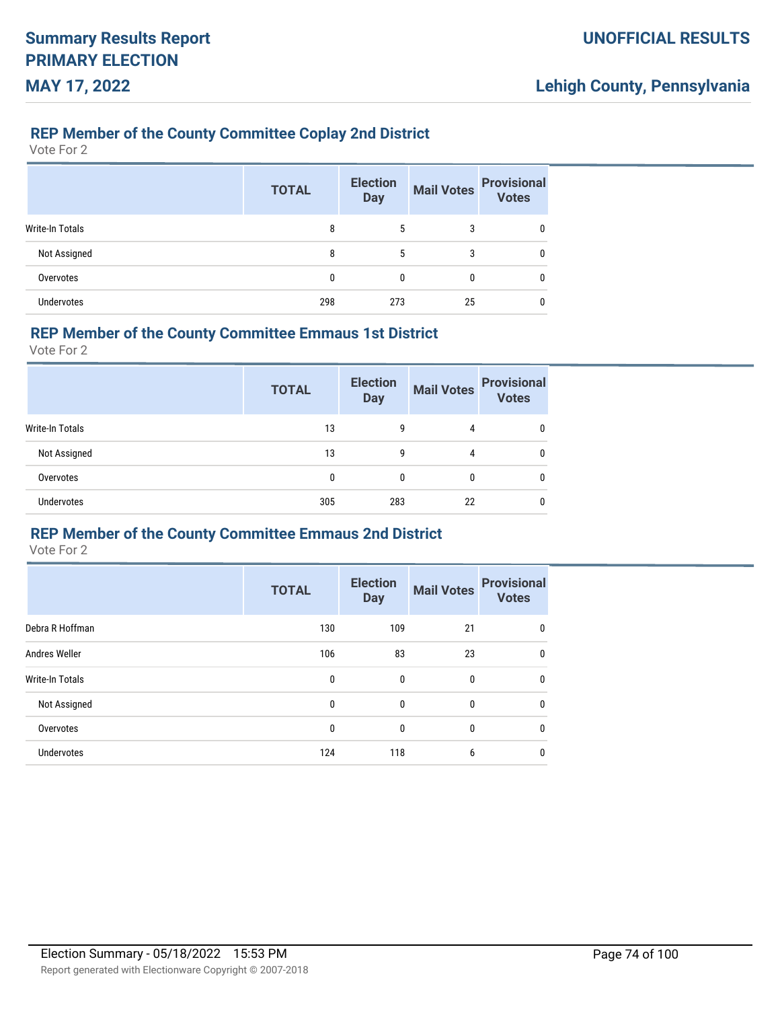### **REP Member of the County Committee Coplay 2nd District**

Vote For 2

|                        | <b>TOTAL</b> | <b>Election</b><br><b>Day</b> | <b>Mail Votes</b> | <b>Provisional</b><br><b>Votes</b> |
|------------------------|--------------|-------------------------------|-------------------|------------------------------------|
| <b>Write-In Totals</b> | 8            | 5                             | 3                 | 0                                  |
| Not Assigned           | 8            | 5                             | 3                 | 0                                  |
| Overvotes              | 0            | 0                             | 0                 | 0                                  |
| <b>Undervotes</b>      | 298          | 273                           | 25                | 0                                  |

#### **REP Member of the County Committee Emmaus 1st District**

Vote For 2

|                   | <b>TOTAL</b> | <b>Election</b><br><b>Day</b> | <b>Mail Votes</b> | <b>Provisional</b><br><b>Votes</b> |
|-------------------|--------------|-------------------------------|-------------------|------------------------------------|
| Write-In Totals   | 13           | 9                             | 4                 |                                    |
| Not Assigned      | 13           | 9                             | 4                 | 0                                  |
| Overvotes         | 0            | 0                             | 0                 | 0                                  |
| <b>Undervotes</b> | 305          | 283                           | 22                | 0                                  |

#### **REP Member of the County Committee Emmaus 2nd District**

|                   | <b>TOTAL</b> | <b>Election</b><br><b>Day</b> | <b>Mail Votes</b> | <b>Provisional</b><br><b>Votes</b> |
|-------------------|--------------|-------------------------------|-------------------|------------------------------------|
| Debra R Hoffman   | 130          | 109                           | 21                | 0                                  |
| Andres Weller     | 106          | 83                            | 23                | U                                  |
| Write-In Totals   | 0            | 0                             | $\mathbf{0}$      | 0                                  |
| Not Assigned      | 0            | 0                             | 0                 | 0                                  |
| Overvotes         | 0            | 0                             | $\mathbf{0}$      | U                                  |
| <b>Undervotes</b> | 124          | 118                           | 6                 | 0                                  |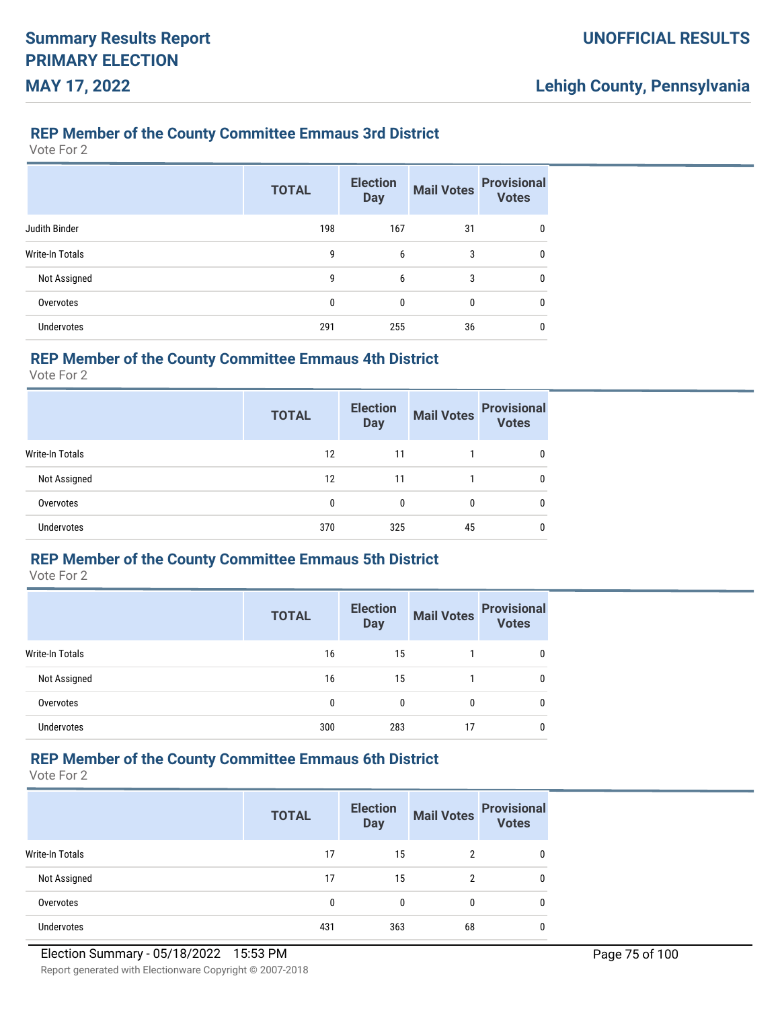#### **REP Member of the County Committee Emmaus 3rd District**

Vote For 2

|                   | <b>TOTAL</b> | <b>Election</b><br><b>Day</b> | <b>Mail Votes</b> | <b>Provisional</b><br><b>Votes</b> |
|-------------------|--------------|-------------------------------|-------------------|------------------------------------|
| Judith Binder     | 198          | 167                           | 31                | 0                                  |
| Write-In Totals   | 9            | 6                             | 3                 | 0                                  |
| Not Assigned      | 9            | 6                             | 3                 | 0                                  |
| Overvotes         | 0            | 0                             | 0                 | 0                                  |
| <b>Undervotes</b> | 291          | 255                           | 36                | 0                                  |

## **REP Member of the County Committee Emmaus 4th District**

Vote For 2

|                        | <b>TOTAL</b> | <b>Election</b><br><b>Day</b> | <b>Mail Votes</b> | <b>Provisional</b><br><b>Votes</b> |
|------------------------|--------------|-------------------------------|-------------------|------------------------------------|
| <b>Write-In Totals</b> | 12           | 11                            |                   | 0                                  |
| Not Assigned           | 12           | 11                            |                   | 0                                  |
| Overvotes              | 0            | 0                             | 0                 | 0                                  |
| Undervotes             | 370          | 325                           | 45                | 0                                  |

## **REP Member of the County Committee Emmaus 5th District**

Vote For 2

|                   | <b>TOTAL</b> | <b>Election</b><br><b>Day</b> | <b>Mail Votes</b> | <b>Provisional</b><br><b>Votes</b> |
|-------------------|--------------|-------------------------------|-------------------|------------------------------------|
| Write-In Totals   | 16           | 15                            |                   |                                    |
| Not Assigned      | 16           | 15                            |                   |                                    |
| Overvotes         | 0            | 0                             | 0                 |                                    |
| <b>Undervotes</b> | 300          | 283                           | 17                |                                    |

## **REP Member of the County Committee Emmaus 6th District**

|                        | <b>TOTAL</b> | <b>Election</b><br><b>Day</b> | <b>Mail Votes</b> | <b>Provisional</b><br>Votes |
|------------------------|--------------|-------------------------------|-------------------|-----------------------------|
| <b>Write-In Totals</b> | 17           | 15                            | 2                 | 0                           |
| Not Assigned           | 17           | 15                            | 2                 | 0                           |
| Overvotes              | 0            | 0                             |                   | $\Omega$                    |
| Undervotes             | 431          | 363                           | 68                | 0                           |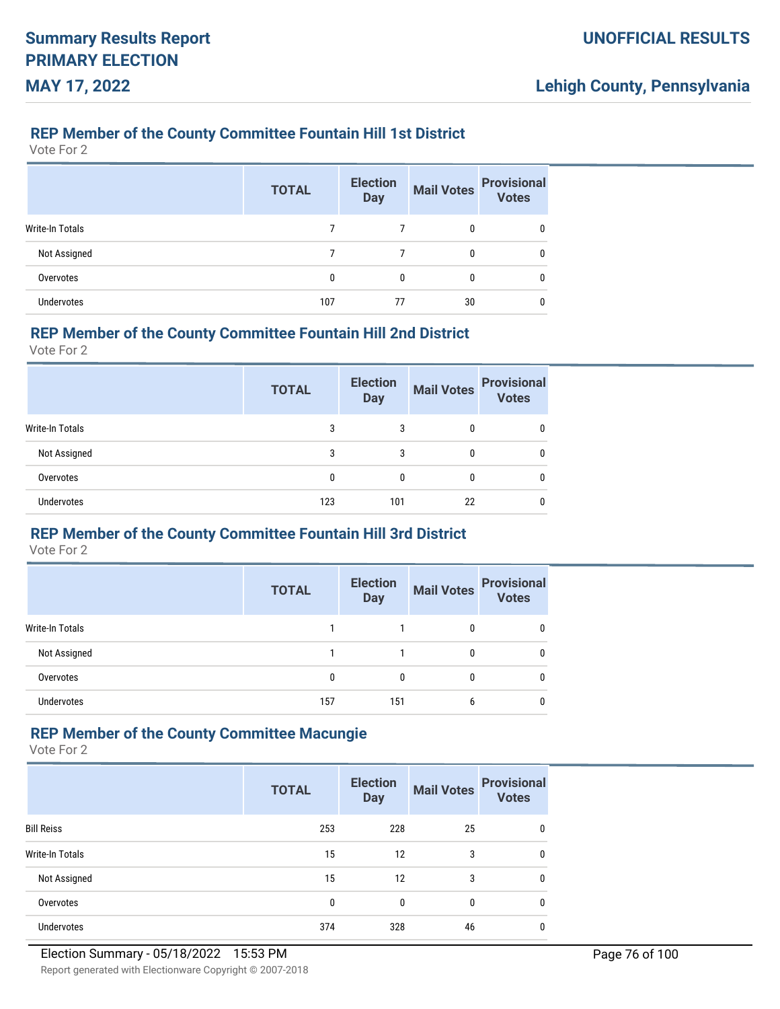### **REP Member of the County Committee Fountain Hill 1st District**

Vote For 2

|                        | <b>TOTAL</b> | <b>Election</b><br><b>Day</b> | <b>Mail Votes</b> | <b>Provisional</b><br><b>Votes</b> |
|------------------------|--------------|-------------------------------|-------------------|------------------------------------|
| <b>Write-In Totals</b> |              |                               | 0                 |                                    |
| Not Assigned           |              |                               | 0                 |                                    |
| Overvotes              | 0            | 0                             | 0                 | 0                                  |
| Undervotes             | 107          | 77                            | 30                |                                    |

#### **REP Member of the County Committee Fountain Hill 2nd District**

Vote For 2

|                   | <b>TOTAL</b> | <b>Election</b><br><b>Day</b> | <b>Mail Votes</b> | <b>Provisional</b><br><b>Votes</b> |
|-------------------|--------------|-------------------------------|-------------------|------------------------------------|
| Write-In Totals   | 3            | 3                             | 0                 | 0                                  |
| Not Assigned      | 3            | 3                             | 0                 | 0                                  |
| Overvotes         |              | 0                             | 0                 | 0                                  |
| <b>Undervotes</b> | 123          | 101                           | 22                | 0                                  |

## **REP Member of the County Committee Fountain Hill 3rd District**

Vote For 2

|                   | <b>Election</b><br><b>TOTAL</b><br><b>Day</b> |     | <b>Mail Votes</b> | <b>Provisional</b><br><b>Votes</b> |
|-------------------|-----------------------------------------------|-----|-------------------|------------------------------------|
| Write-In Totals   |                                               |     | 0                 | 0                                  |
| Not Assigned      |                                               |     | 0                 | 0                                  |
| Overvotes         | 0                                             | 0   |                   | 0                                  |
| <b>Undervotes</b> | 157                                           | 151 | 6                 | 0                                  |

## **REP Member of the County Committee Macungie**

|                   | <b>TOTAL</b> | <b>Election</b><br><b>Day</b> | <b>Mail Votes</b> | <b>Provisional</b><br><b>Votes</b> |
|-------------------|--------------|-------------------------------|-------------------|------------------------------------|
| <b>Bill Reiss</b> | 253          | 228                           | 25                | $\mathbf{0}$                       |
| Write-In Totals   | 15           | 12                            | 3                 | 0                                  |
| Not Assigned      | 15           | 12                            | 3                 | 0                                  |
| Overvotes         | 0            | 0                             | 0                 | 0                                  |
| <b>Undervotes</b> | 374          | 328                           | 46                | 0                                  |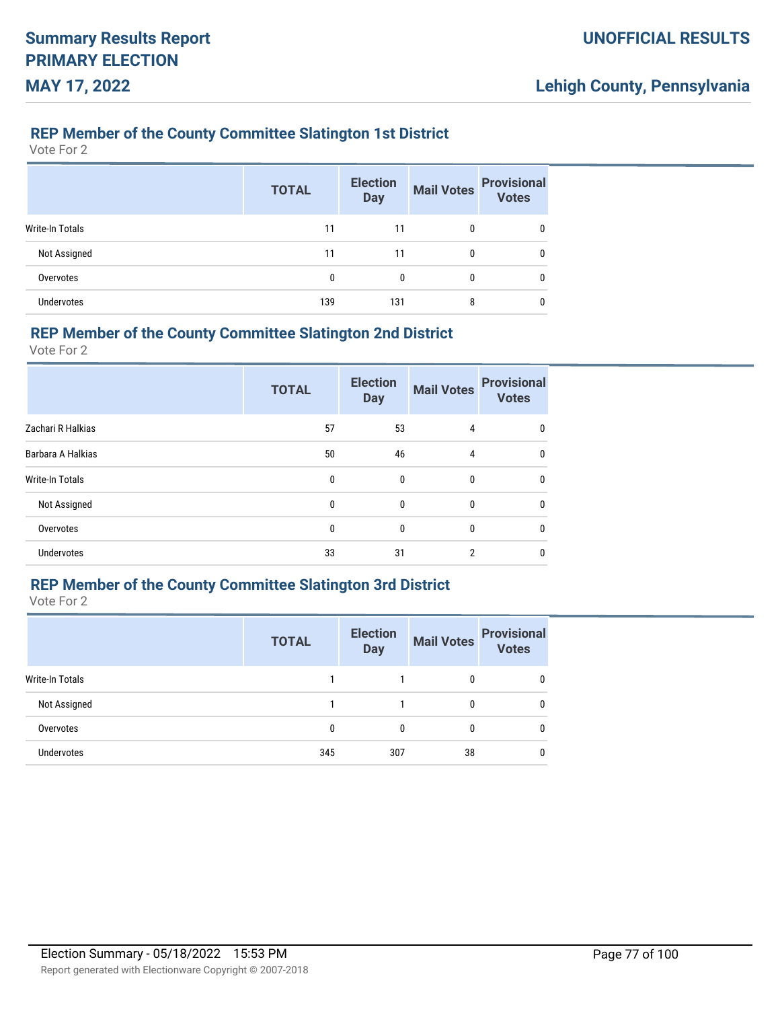### **REP Member of the County Committee Slatington 1st District**

Vote For 2

|                        | <b>TOTAL</b> | <b>Election</b><br><b>Day</b> | <b>Mail Votes</b> | <b>Provisional</b><br>Votes |
|------------------------|--------------|-------------------------------|-------------------|-----------------------------|
| <b>Write-In Totals</b> | 11           | 11                            | 0                 | 0                           |
| Not Assigned           | 11           | 11                            | 0                 | 0                           |
| Overvotes              | 0            | 0                             | 0                 | 0                           |
| Undervotes             | 139          | 131                           | 8                 |                             |

#### **REP Member of the County Committee Slatington 2nd District**

Vote For 2

|                   | <b>TOTAL</b> | <b>Election</b><br><b>Day</b> | <b>Mail Votes</b> | <b>Provisional</b><br><b>Votes</b> |
|-------------------|--------------|-------------------------------|-------------------|------------------------------------|
| Zachari R Halkias | 57           | 53                            | 4                 | 0                                  |
| Barbara A Halkias | 50           | 46                            | 4                 | 0                                  |
| Write-In Totals   | 0            | $\mathbf{0}$                  | $\mathbf{0}$      | $\mathbf{0}$                       |
| Not Assigned      | 0            | $\mathbf{0}$                  | $\mathbf{0}$      | 0                                  |
| Overvotes         | 0            | $\mathbf{0}$                  | $\mathbf{0}$      | 0                                  |
| Undervotes        | 33           | 31                            | $\overline{2}$    | 0                                  |

## **REP Member of the County Committee Slatington 3rd District**

|                        | <b>TOTAL</b> | <b>Election</b><br><b>Day</b> | <b>Mail Votes</b> | <b>Provisional</b><br><b>Votes</b> |
|------------------------|--------------|-------------------------------|-------------------|------------------------------------|
| <b>Write-In Totals</b> |              |                               | 0                 | 0                                  |
| Not Assigned           |              |                               | 0                 | 0                                  |
| Overvotes              | $\mathbf{0}$ | 0                             | 0                 | 0                                  |
| <b>Undervotes</b>      | 345          | 307                           | 38                | 0                                  |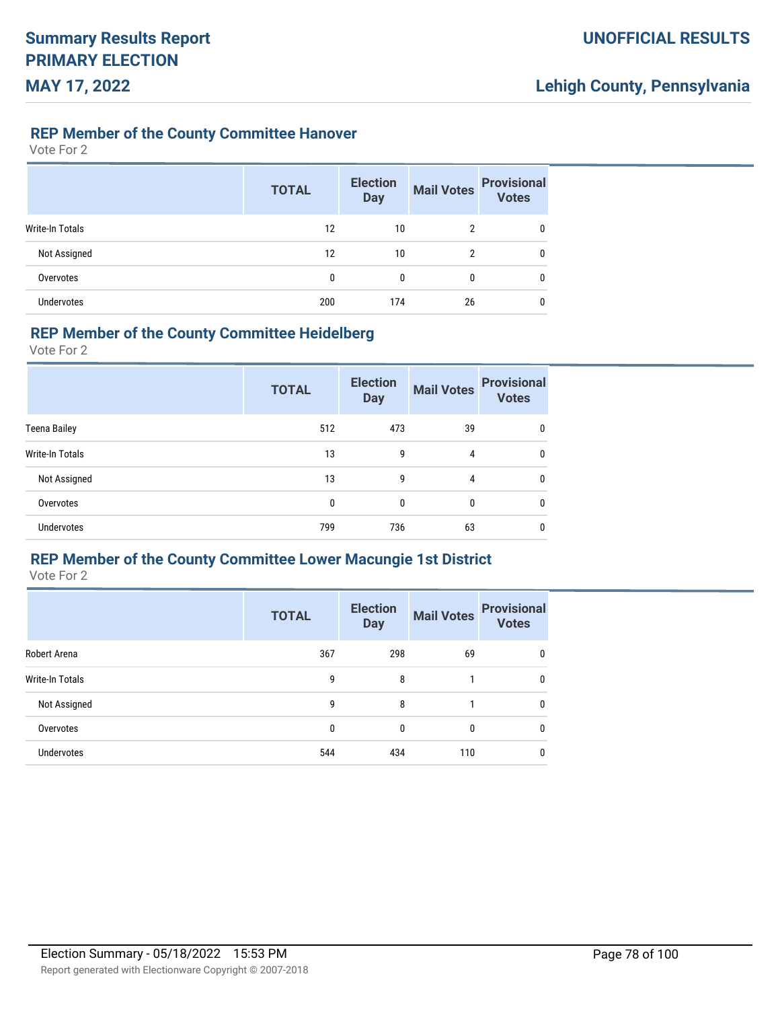### **REP Member of the County Committee Hanover**

Vote For 2

|                 | <b>TOTAL</b> | <b>Election</b><br><b>Day</b> | <b>Mail Votes</b> | <b>Provisional</b><br><b>Votes</b> |
|-----------------|--------------|-------------------------------|-------------------|------------------------------------|
| Write-In Totals | 12           | 10                            | 2                 | 0                                  |
| Not Assigned    | 12           | 10                            | 2                 | 0                                  |
| Overvotes       | 0            | $\mathbf{0}$                  | 0                 | 0                                  |
| Undervotes      | 200          | 174                           | 26                | 0                                  |

#### **REP Member of the County Committee Heidelberg**

Vote For 2

|                     | <b>TOTAL</b> | <b>Election</b><br><b>Day</b> | <b>Mail Votes</b> | <b>Provisional</b><br><b>Votes</b> |
|---------------------|--------------|-------------------------------|-------------------|------------------------------------|
| <b>Teena Bailey</b> | 512          | 473                           | 39                | $\mathbf{0}$                       |
| Write-In Totals     | 13           | 9                             | 4                 | 0                                  |
| Not Assigned        | 13           | 9                             | 4                 | $\mathbf{0}$                       |
| Overvotes           | 0            | 0                             | $\Omega$          | $\mathbf{0}$                       |
| Undervotes          | 799          | 736                           | 63                | $\mathbf{0}$                       |

## **REP Member of the County Committee Lower Macungie 1st District**

|                   | <b>TOTAL</b> | <b>Election</b><br><b>Day</b> | <b>Mail Votes</b> | <b>Provisional</b><br><b>Votes</b> |
|-------------------|--------------|-------------------------------|-------------------|------------------------------------|
| Robert Arena      | 367          | 298                           | 69                | 0                                  |
| Write-In Totals   | 9            | 8                             |                   | 0                                  |
| Not Assigned      | 9            | 8                             |                   | 0                                  |
| Overvotes         | 0            | $\Omega$                      | 0                 | 0                                  |
| <b>Undervotes</b> | 544          | 434                           | 110               | 0                                  |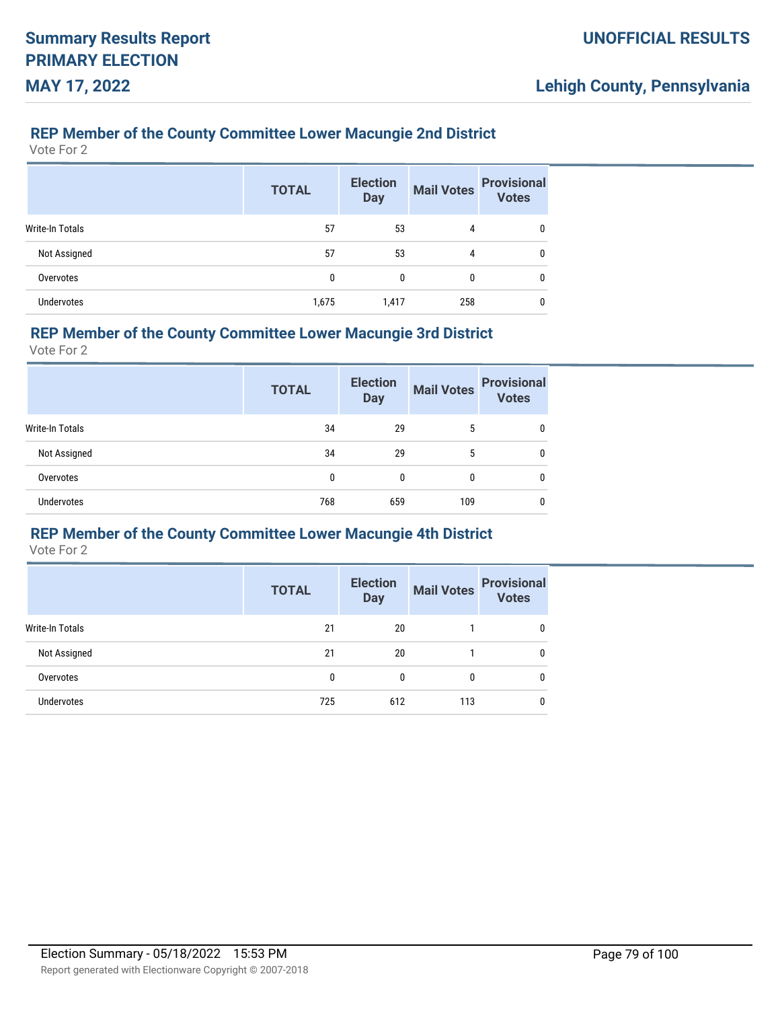## **REP Member of the County Committee Lower Macungie 2nd District**

Vote For 2

|                   | <b>TOTAL</b> | <b>Election</b><br><b>Day</b> | <b>Mail Votes</b> | <b>Provisional</b><br><b>Votes</b> |
|-------------------|--------------|-------------------------------|-------------------|------------------------------------|
| Write-In Totals   | 57           | 53                            | 4                 | 0                                  |
| Not Assigned      | 57           | 53                            | 4                 | 0                                  |
| Overvotes         | 0            | 0                             | 0                 | 0                                  |
| <b>Undervotes</b> | 1,675        | 1,417                         | 258               |                                    |

#### **REP Member of the County Committee Lower Macungie 3rd District**

Vote For 2

|                 | <b>TOTAL</b> | <b>Election</b><br><b>Day</b> | <b>Mail Votes</b> | <b>Provisional</b><br><b>Votes</b> |
|-----------------|--------------|-------------------------------|-------------------|------------------------------------|
| Write-In Totals | 34           | 29                            | 5                 | 0                                  |
| Not Assigned    | 34           | 29                            | 5                 | 0                                  |
| Overvotes       | 0            | 0                             | 0                 | 0                                  |
| Undervotes      | 768          | 659                           | 109               | 0                                  |

#### **REP Member of the County Committee Lower Macungie 4th District**

|                 | <b>TOTAL</b> | <b>Election</b><br><b>Day</b> | <b>Mail Votes</b> | <b>Provisional</b><br><b>Votes</b> |
|-----------------|--------------|-------------------------------|-------------------|------------------------------------|
| Write-In Totals | 21           | 20                            |                   |                                    |
| Not Assigned    | 21           | 20                            |                   |                                    |
| Overvotes       | 0            | 0                             | 0                 | 0                                  |
| Undervotes      | 725          | 612                           | 113               |                                    |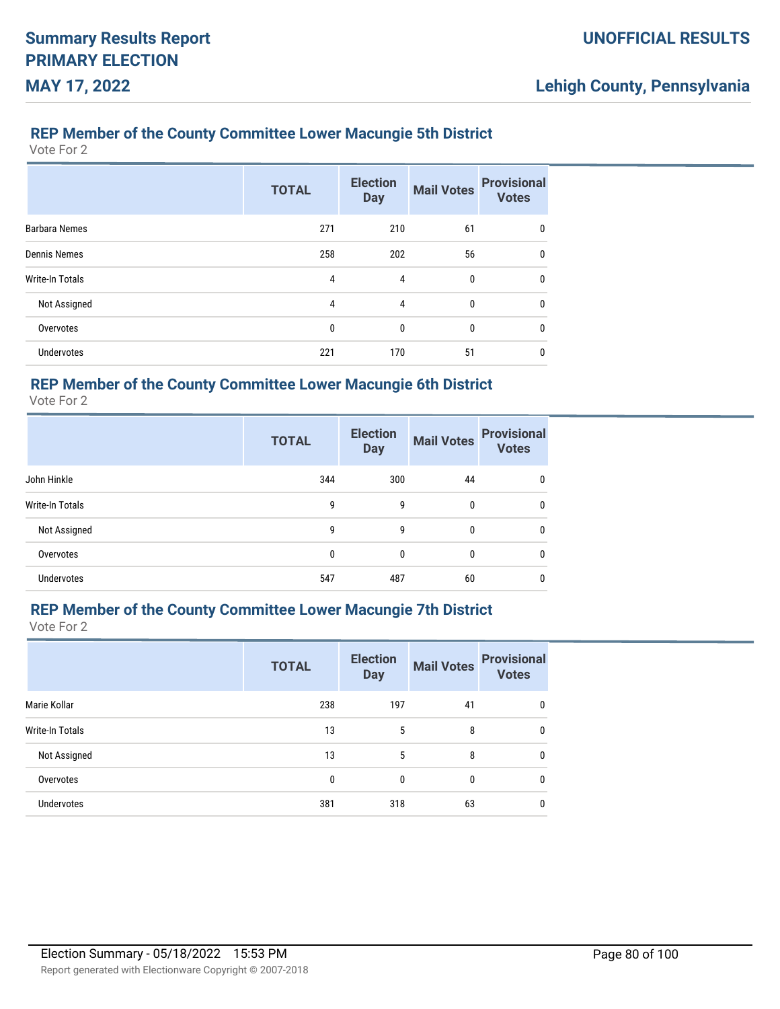### **REP Member of the County Committee Lower Macungie 5th District**

Vote For 2

|                        | <b>TOTAL</b> | <b>Election</b><br><b>Day</b> | <b>Mail Votes</b> | <b>Provisional</b><br><b>Votes</b> |
|------------------------|--------------|-------------------------------|-------------------|------------------------------------|
| <b>Barbara Nemes</b>   | 271          | 210                           | 61                | 0                                  |
| <b>Dennis Nemes</b>    | 258          | 202                           | 56                | $\mathbf{0}$                       |
| <b>Write-In Totals</b> | 4            | 4                             | $\mathbf{0}$      | 0                                  |
| Not Assigned           | 4            | 4                             | $\mathbf{0}$      | 0                                  |
| Overvotes              | 0            | 0                             | 0                 | 0                                  |
| <b>Undervotes</b>      | 221          | 170                           | 51                | 0                                  |

### **REP Member of the County Committee Lower Macungie 6th District**

Vote For 2

|                   | <b>TOTAL</b> | <b>Election</b><br><b>Day</b> | <b>Mail Votes</b> | <b>Provisional</b><br><b>Votes</b> |
|-------------------|--------------|-------------------------------|-------------------|------------------------------------|
| John Hinkle       | 344          | 300                           | 44                | 0                                  |
| Write-In Totals   | 9            | 9                             | 0                 | 0                                  |
| Not Assigned      | 9            | 9                             | 0                 | 0                                  |
| Overvotes         | 0            | $\mathbf{0}$                  | 0                 | $\mathbf{0}$                       |
| <b>Undervotes</b> | 547          | 487                           | 60                | 0                                  |

# **REP Member of the County Committee Lower Macungie 7th District**

|                        | <b>TOTAL</b> | <b>Election</b><br><b>Day</b> | <b>Mail Votes</b> | <b>Provisional</b><br><b>Votes</b> |
|------------------------|--------------|-------------------------------|-------------------|------------------------------------|
| Marie Kollar           | 238          | 197                           | 41                | 0                                  |
| <b>Write-In Totals</b> | 13           | 5                             | 8                 | 0                                  |
| Not Assigned           | 13           | 5                             | 8                 | 0                                  |
| Overvotes              | 0            | $\mathbf{0}$                  | 0                 | 0                                  |
| <b>Undervotes</b>      | 381          | 318                           | 63                | 0                                  |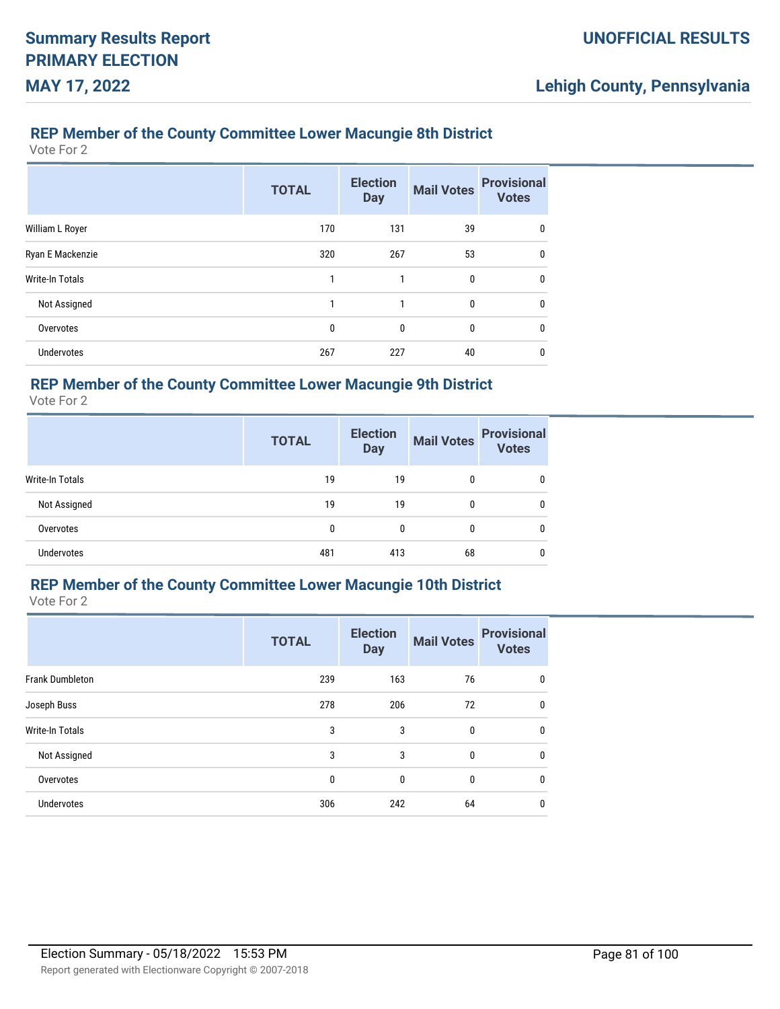### **REP Member of the County Committee Lower Macungie 8th District**

Vote For 2

|                        | <b>TOTAL</b> | <b>Election</b><br><b>Day</b> | <b>Mail Votes</b> | <b>Provisional</b><br><b>Votes</b> |
|------------------------|--------------|-------------------------------|-------------------|------------------------------------|
| William L Royer        | 170          | 131                           | 39                | 0                                  |
| Ryan E Mackenzie       | 320          | 267                           | 53                | $\mathbf{0}$                       |
| <b>Write-In Totals</b> | 1            | 1                             | 0                 | 0                                  |
| Not Assigned           | 1            | 1                             | $\mathbf{0}$      | 0                                  |
| Overvotes              | 0            | 0                             | 0                 | 0                                  |
| <b>Undervotes</b>      | 267          | 227                           | 40                | 0                                  |

### **REP Member of the County Committee Lower Macungie 9th District**

Vote For 2

|                   | <b>TOTAL</b> | <b>Election</b><br><b>Day</b> | <b>Mail Votes</b> | <b>Provisional</b><br><b>Votes</b> |
|-------------------|--------------|-------------------------------|-------------------|------------------------------------|
| Write-In Totals   | 19           | 19                            | 0                 | 0                                  |
| Not Assigned      | 19           | 19                            | 0                 | 0                                  |
| Overvotes         | 0            | 0                             | 0                 | 0                                  |
| <b>Undervotes</b> | 481          | 413                           | 68                | 0                                  |

# **REP Member of the County Committee Lower Macungie 10th District**

|                        | <b>TOTAL</b> | <b>Election</b><br><b>Day</b> | <b>Mail Votes</b> | <b>Provisional</b><br><b>Votes</b> |
|------------------------|--------------|-------------------------------|-------------------|------------------------------------|
| <b>Frank Dumbleton</b> | 239          | 163                           | 76                | 0                                  |
| Joseph Buss            | 278          | 206                           | 72                | $\mathbf{0}$                       |
| <b>Write-In Totals</b> | 3            | 3                             | $\mathbf{0}$      | $\mathbf{0}$                       |
| Not Assigned           | 3            | 3                             | $\mathbf{0}$      | $\mathbf{0}$                       |
| Overvotes              | 0            | 0                             | $\mathbf{0}$      | $\mathbf{0}$                       |
| <b>Undervotes</b>      | 306          | 242                           | 64                | 0                                  |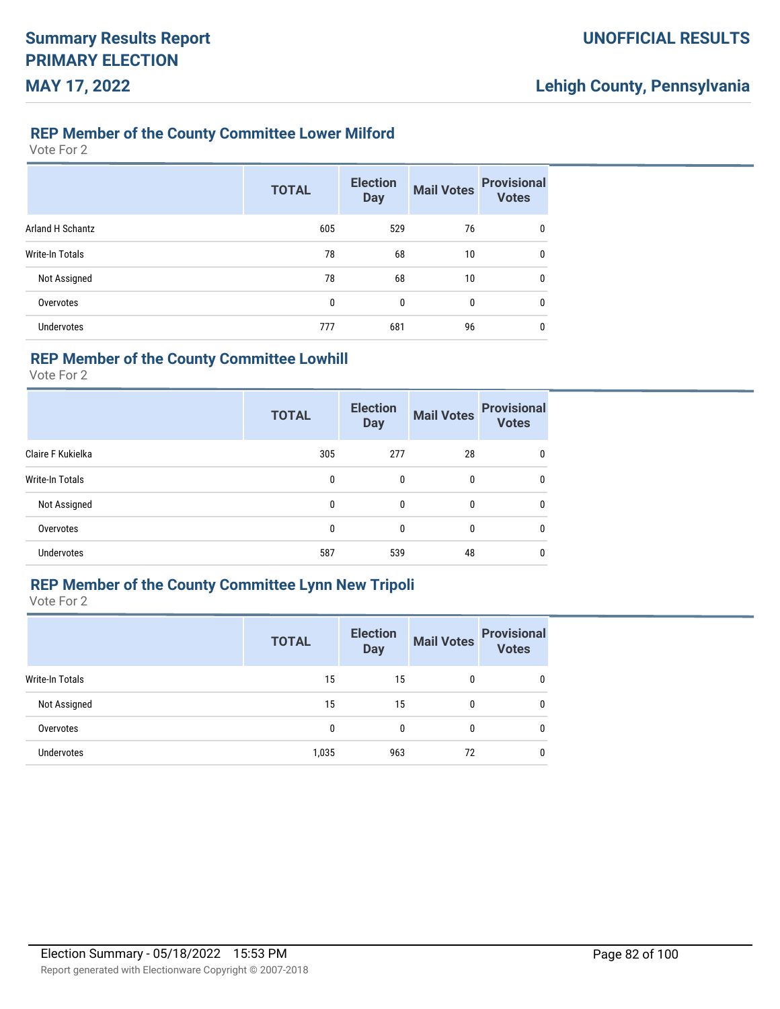#### **REP Member of the County Committee Lower Milford**

Vote For 2

|                         | <b>TOTAL</b> | <b>Election</b><br><b>Day</b> | <b>Mail Votes</b> | <b>Provisional</b><br><b>Votes</b> |
|-------------------------|--------------|-------------------------------|-------------------|------------------------------------|
| <b>Arland H Schantz</b> | 605          | 529                           | 76                | 0                                  |
| Write-In Totals         | 78           | 68                            | 10                | $\mathbf{0}$                       |
| Not Assigned            | 78           | 68                            | 10                | 0                                  |
| Overvotes               | 0            | 0                             | 0                 | 0                                  |
| <b>Undervotes</b>       | 777          | 681                           | 96                | 0                                  |

# **REP Member of the County Committee Lowhill**

Vote For 2

|                   | <b>TOTAL</b> | <b>Election</b><br><b>Day</b> | <b>Mail Votes</b> | <b>Provisional</b><br><b>Votes</b> |
|-------------------|--------------|-------------------------------|-------------------|------------------------------------|
| Claire F Kukielka | 305          | 277                           | 28                | 0                                  |
| Write-In Totals   | 0            | 0                             | 0                 | 0                                  |
| Not Assigned      | 0            | 0                             | 0                 | 0                                  |
| Overvotes         | 0            | 0                             | 0                 | 0                                  |
| <b>Undervotes</b> | 587          | 539                           | 48                | 0                                  |

## **REP Member of the County Committee Lynn New Tripoli**

|                   | <b>TOTAL</b> | <b>Election</b><br><b>Day</b> | <b>Mail Votes</b> | <b>Provisional</b><br><b>Votes</b> |
|-------------------|--------------|-------------------------------|-------------------|------------------------------------|
| Write-In Totals   | 15           | 15                            | 0                 | 0                                  |
| Not Assigned      | 15           | 15                            | 0                 | $\mathbf{0}$                       |
| Overvotes         | 0            | 0                             | 0                 | $\mathbf{0}$                       |
| <b>Undervotes</b> | 1,035        | 963                           | 72                | 0                                  |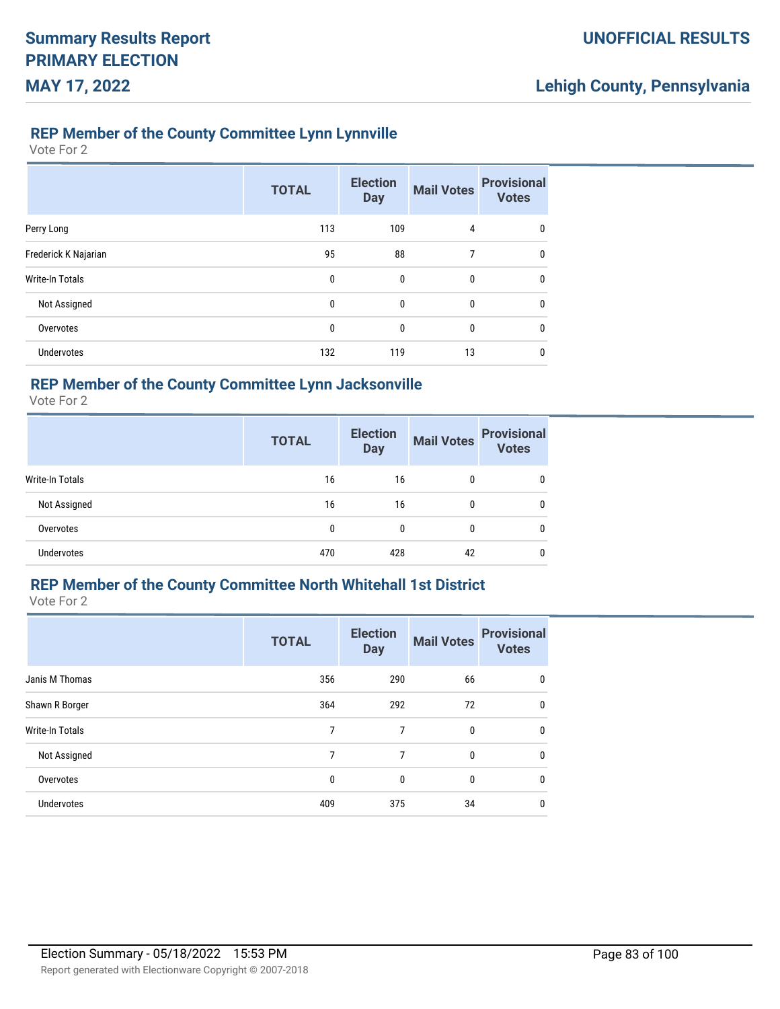#### **REP Member of the County Committee Lynn Lynnville**

Vote For 2

|                        | <b>TOTAL</b> | <b>Election</b><br><b>Day</b> | <b>Mail Votes</b> | <b>Provisional</b><br><b>Votes</b> |
|------------------------|--------------|-------------------------------|-------------------|------------------------------------|
| Perry Long             | 113          | 109                           | $\overline{4}$    | 0                                  |
| Frederick K Najarian   | 95           | 88                            | 7                 | 0                                  |
| <b>Write-In Totals</b> | 0            | 0                             | $\bf{0}$          | 0                                  |
| Not Assigned           | 0            | $\mathbf 0$                   | $\bf{0}$          | $\mathbf{0}$                       |
| Overvotes              | 0            | 0                             | 0                 | $\mathbf{0}$                       |
| <b>Undervotes</b>      | 132          | 119                           | 13                | $\mathbf{0}$                       |

## **REP Member of the County Committee Lynn Jacksonville**

Vote For 2

|                   | <b>TOTAL</b> | <b>Election</b><br><b>Day</b> | <b>Mail Votes</b> | <b>Provisional</b><br><b>Votes</b> |
|-------------------|--------------|-------------------------------|-------------------|------------------------------------|
| Write-In Totals   | 16           | 16                            | $\mathbf{0}$      | 0                                  |
| Not Assigned      | 16           | 16                            | $\mathbf{0}$      | 0                                  |
| Overvotes         | 0            |                               | 0                 | 0                                  |
| <b>Undervotes</b> | 470          | 428                           | 42                | 0                                  |

# **REP Member of the County Committee North Whitehall 1st District**

|                        | <b>TOTAL</b> | <b>Election</b><br><b>Day</b> | <b>Mail Votes</b> | <b>Provisional</b><br><b>Votes</b> |
|------------------------|--------------|-------------------------------|-------------------|------------------------------------|
| Janis M Thomas         | 356          | 290                           | 66                | 0                                  |
| Shawn R Borger         | 364          | 292                           | 72                | $\mathbf{0}$                       |
| <b>Write-In Totals</b> | 7            | 7                             | $\mathbf{0}$      | $\mathbf{0}$                       |
| Not Assigned           | 7            | 7                             | $\mathbf{0}$      | $\mathbf{0}$                       |
| Overvotes              | 0            | 0                             | $\mathbf{0}$      | $\mathbf{0}$                       |
| <b>Undervotes</b>      | 409          | 375                           | 34                | 0                                  |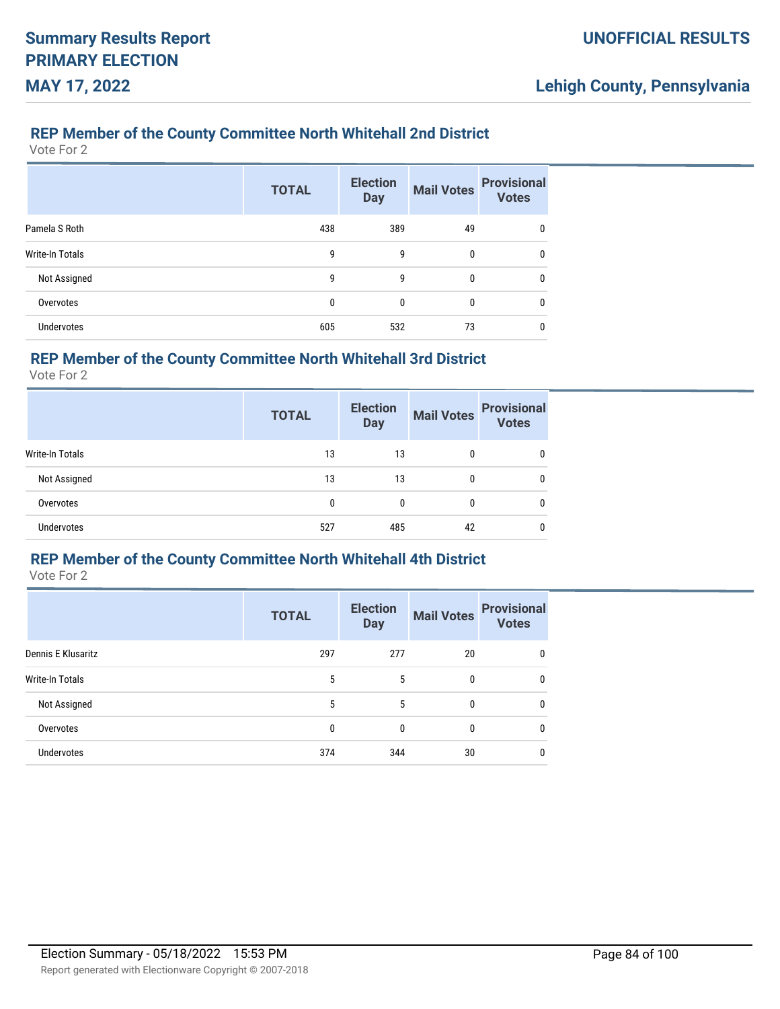#### **REP Member of the County Committee North Whitehall 2nd District**

Vote For 2

|                   | <b>TOTAL</b> | <b>Election</b><br><b>Day</b> | <b>Mail Votes</b> | <b>Provisional</b><br><b>Votes</b> |
|-------------------|--------------|-------------------------------|-------------------|------------------------------------|
| Pamela S Roth     | 438          | 389                           | 49                | 0                                  |
| Write-In Totals   | 9            | 9                             | 0                 | 0                                  |
| Not Assigned      | 9            | 9                             | 0                 | 0                                  |
| Overvotes         | 0            | 0                             | 0                 | 0                                  |
| <b>Undervotes</b> | 605          | 532                           | 73                | 0                                  |

## **REP Member of the County Committee North Whitehall 3rd District**

Vote For 2

|                        | <b>TOTAL</b> | <b>Election</b><br><b>Day</b> | <b>Mail Votes</b> | <b>Provisional</b><br><b>Votes</b> |
|------------------------|--------------|-------------------------------|-------------------|------------------------------------|
| <b>Write-In Totals</b> | 13           | 13                            |                   | 0                                  |
| Not Assigned           | 13           | 13                            | 0                 | 0                                  |
| Overvotes              | 0            | 0                             | 0                 | 0                                  |
| <b>Undervotes</b>      | 527          | 485                           | 42                | 0                                  |

#### **REP Member of the County Committee North Whitehall 4th District**

|                    | <b>TOTAL</b> | <b>Election</b><br><b>Day</b> | <b>Mail Votes</b> | <b>Provisional</b><br><b>Votes</b> |
|--------------------|--------------|-------------------------------|-------------------|------------------------------------|
| Dennis E Klusaritz | 297          | 277                           | 20                | 0                                  |
| Write-In Totals    | 5            | 5                             | 0                 | 0                                  |
| Not Assigned       | 5            | 5                             | 0                 | 0                                  |
| Overvotes          | 0            | $\mathbf{0}$                  | 0                 | 0                                  |
| <b>Undervotes</b>  | 374          | 344                           | 30                | 0                                  |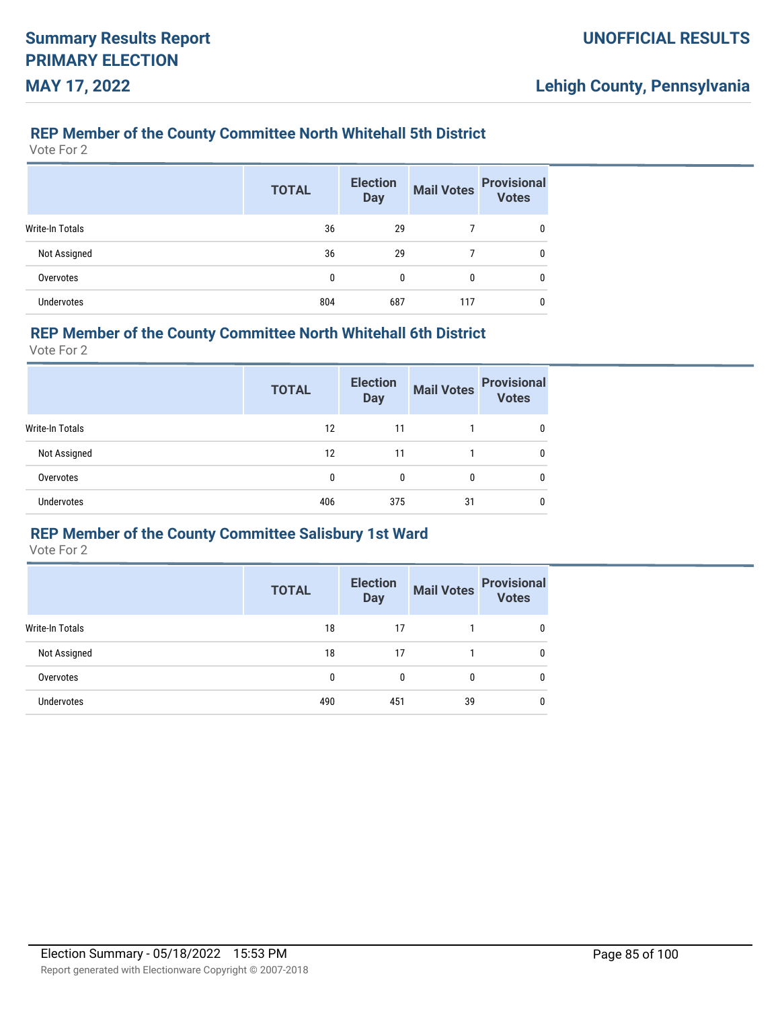### **REP Member of the County Committee North Whitehall 5th District**

Vote For 2

|                        | <b>TOTAL</b> | <b>Election</b><br><b>Day</b> | <b>Mail Votes</b> | <b>Provisional</b><br><b>Votes</b> |
|------------------------|--------------|-------------------------------|-------------------|------------------------------------|
| <b>Write-In Totals</b> | 36           | 29                            |                   |                                    |
| Not Assigned           | 36           | 29                            |                   |                                    |
| Overvotes              | 0            | 0                             | 0                 |                                    |
| <b>Undervotes</b>      | 804          | 687                           | 117               |                                    |

#### **REP Member of the County Committee North Whitehall 6th District**

Vote For 2

|                   | <b>TOTAL</b> | <b>Election</b><br><b>Day</b> | <b>Mail Votes</b> | <b>Provisional</b><br><b>Votes</b> |
|-------------------|--------------|-------------------------------|-------------------|------------------------------------|
| Write-In Totals   | 12           | 11                            |                   | 0                                  |
| Not Assigned      | 12           | 11                            |                   | 0                                  |
| Overvotes         | 0            |                               | 0                 | 0                                  |
| <b>Undervotes</b> | 406          | 375                           | 31                | 0                                  |

## **REP Member of the County Committee Salisbury 1st Ward**

|                        | <b>TOTAL</b> | <b>Election</b><br><b>Day</b> | <b>Mail Votes</b> | <b>Provisional</b><br><b>Votes</b> |
|------------------------|--------------|-------------------------------|-------------------|------------------------------------|
| <b>Write-In Totals</b> | 18           | 17                            |                   | 0                                  |
| Not Assigned           | 18           | 17                            |                   | 0                                  |
| Overvotes              | $\mathbf{0}$ | 0                             | 0                 | 0                                  |
| Undervotes             | 490          | 451                           | 39                | 0                                  |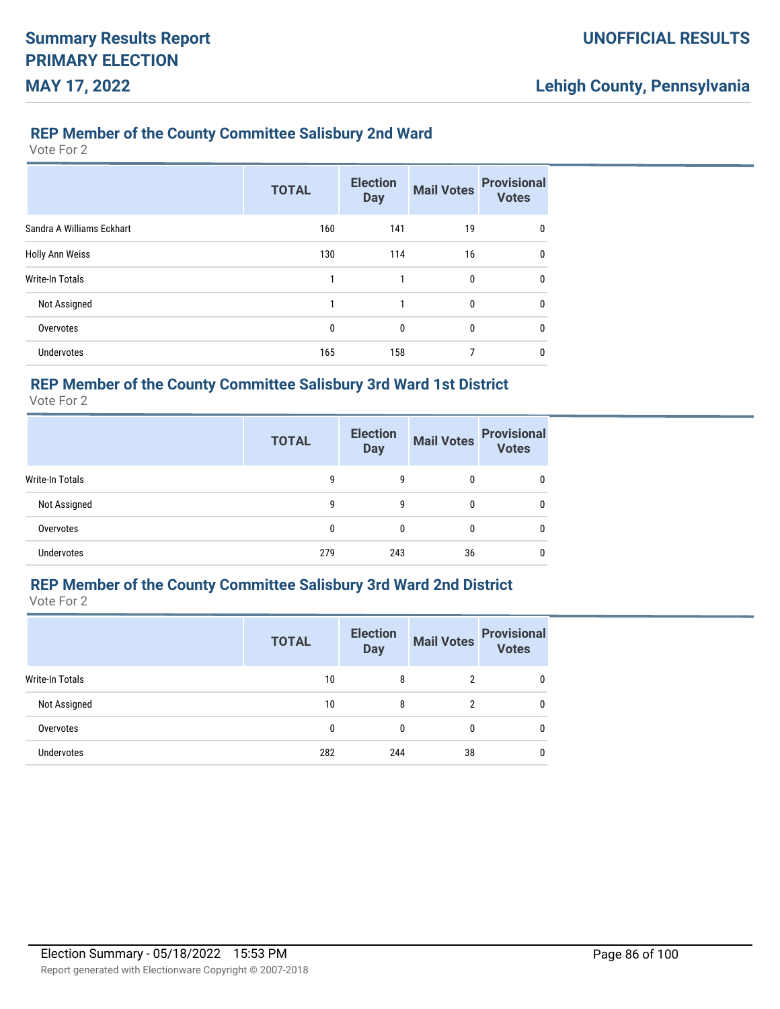#### **REP Member of the County Committee Salisbury 2nd Ward**

Vote For 2

|                           | <b>TOTAL</b> | <b>Election</b><br><b>Day</b> | <b>Mail Votes</b> | <b>Provisional</b><br><b>Votes</b> |
|---------------------------|--------------|-------------------------------|-------------------|------------------------------------|
| Sandra A Williams Eckhart | 160          | 141                           | 19                | $\mathbf{0}$                       |
| Holly Ann Weiss           | 130          | 114                           | 16                | $\mathbf{0}$                       |
| Write-In Totals           | 1            |                               | 0                 | 0                                  |
| Not Assigned              | 1            | 1                             | $\mathbf{0}$      | $\mathbf{0}$                       |
| Overvotes                 | $\mathbf{0}$ | 0                             | 0                 | 0                                  |
| <b>Undervotes</b>         | 165          | 158                           | 7                 | 0                                  |

## **REP Member of the County Committee Salisbury 3rd Ward 1st District**

Vote For 2

|                        | <b>TOTAL</b> | <b>Election</b><br><b>Day</b> | <b>Mail Votes</b> | <b>Provisional</b><br><b>Votes</b> |
|------------------------|--------------|-------------------------------|-------------------|------------------------------------|
| <b>Write-In Totals</b> | 9            | 9                             | 0                 | 0                                  |
| Not Assigned           | 9            | 9                             | 0                 | 0                                  |
| Overvotes              | 0            | 0                             |                   | 0                                  |
| <b>Undervotes</b>      | 279          | 243                           | 36                | 0                                  |

# **REP Member of the County Committee Salisbury 3rd Ward 2nd District**

Vote For 2

|                        | <b>TOTAL</b> | <b>Election</b><br><b>Day</b> | <b>Mail Votes</b> | <b>Provisional</b><br><b>Votes</b> |
|------------------------|--------------|-------------------------------|-------------------|------------------------------------|
| <b>Write-In Totals</b> | 10           | 8                             | 2                 | 0                                  |
| Not Assigned           | 10           | 8                             |                   | 0                                  |
| Overvotes              | $\mathbf{0}$ | 0                             | $\Omega$          | 0                                  |
| <b>Undervotes</b>      | 282          | 244                           | 38                | 0                                  |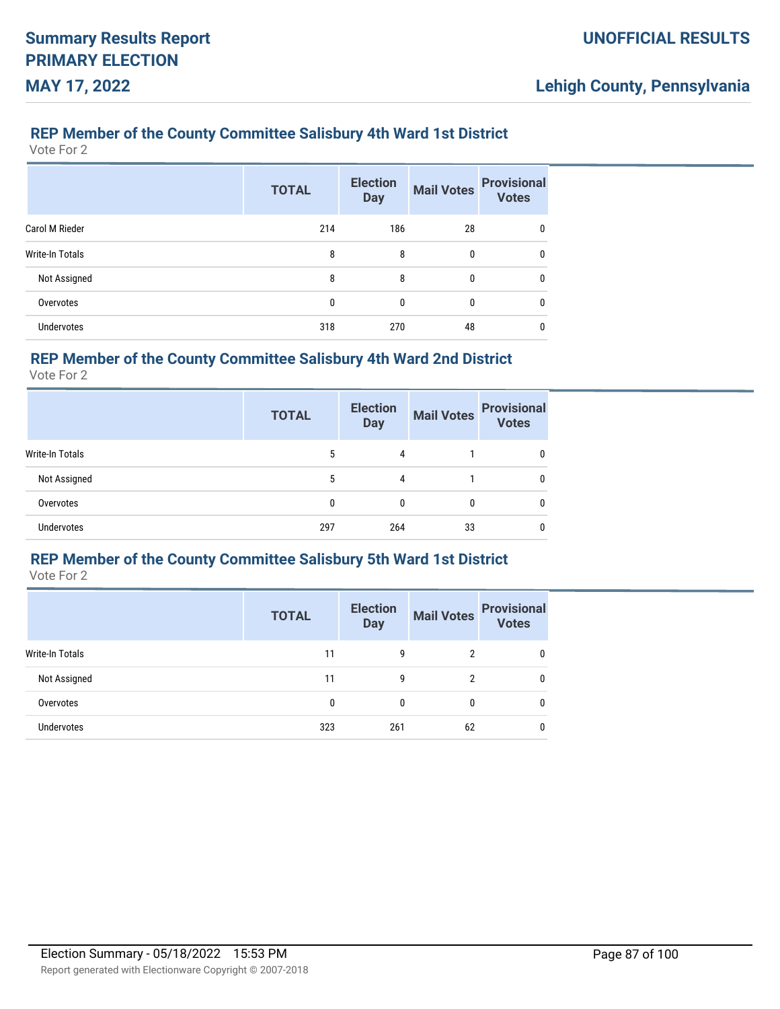### **REP Member of the County Committee Salisbury 4th Ward 1st District**

Vote For 2

|                 | <b>TOTAL</b> | <b>Election</b><br><b>Day</b> | <b>Mail Votes</b> | <b>Provisional</b><br><b>Votes</b> |
|-----------------|--------------|-------------------------------|-------------------|------------------------------------|
| Carol M Rieder  | 214          | 186                           | 28                | 0                                  |
| Write-In Totals | 8            | 8                             | 0                 | 0                                  |
| Not Assigned    | 8            | 8                             | 0                 | 0                                  |
| Overvotes       | 0            | 0                             | 0                 | 0                                  |
| Undervotes      | 318          | 270                           | 48                | 0                                  |

## **REP Member of the County Committee Salisbury 4th Ward 2nd District**

Vote For 2

|                        | <b>TOTAL</b> | <b>Election</b><br><b>Day</b> | <b>Mail Votes</b> | <b>Provisional</b><br><b>Votes</b> |
|------------------------|--------------|-------------------------------|-------------------|------------------------------------|
| <b>Write-In Totals</b> | 5            | 4                             |                   |                                    |
| Not Assigned           | 5            | 4                             |                   |                                    |
| Overvotes              | 0            | 0                             | 0                 |                                    |
| Undervotes             | 297          | 264                           | 33                |                                    |

#### **REP Member of the County Committee Salisbury 5th Ward 1st District**

|                   | <b>TOTAL</b> | <b>Election</b><br><b>Day</b> | <b>Mail Votes</b> | <b>Provisional</b> |
|-------------------|--------------|-------------------------------|-------------------|--------------------|
| Write-In Totals   | 11           | 9                             | 2                 |                    |
| Not Assigned      | 11           | 9                             | າ                 |                    |
| Overvotes         | 0            | 0                             | 0                 |                    |
| <b>Undervotes</b> | 323          | 261                           | 62                |                    |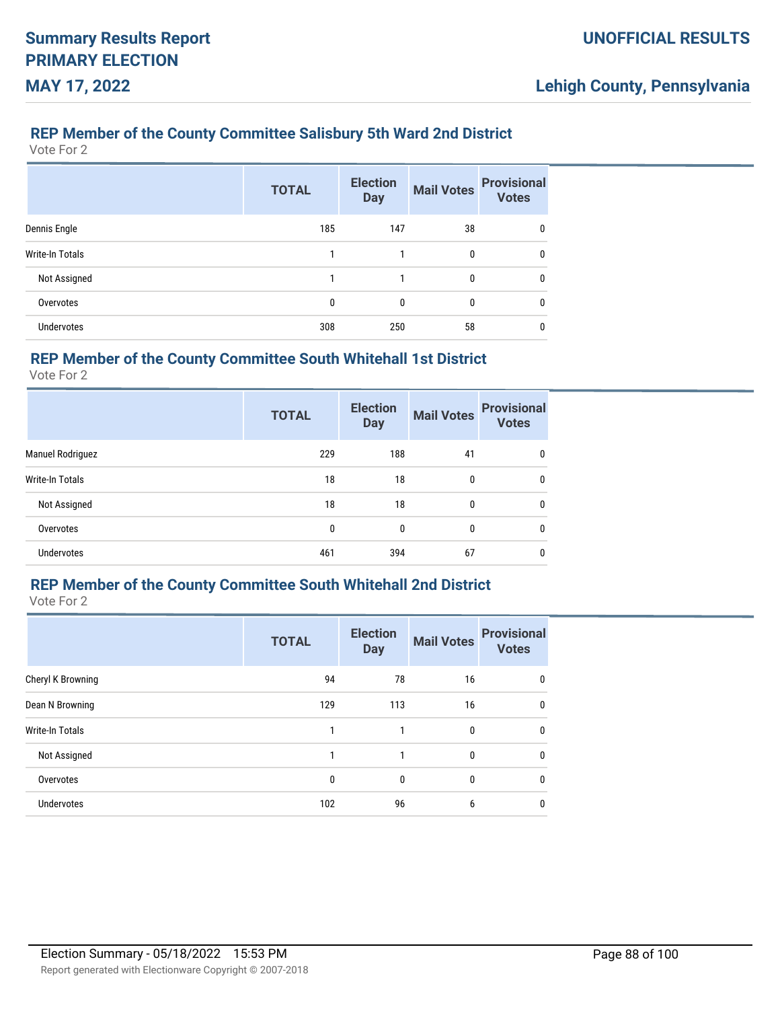## **REP Member of the County Committee Salisbury 5th Ward 2nd District**

Vote For 2

|                   | <b>TOTAL</b> | <b>Election</b><br><b>Day</b> | <b>Mail Votes</b> | <b>Provisional</b><br><b>Votes</b> |
|-------------------|--------------|-------------------------------|-------------------|------------------------------------|
| Dennis Engle      | 185          | 147                           | 38                | 0                                  |
| Write-In Totals   |              |                               | 0                 | 0                                  |
| Not Assigned      | 1            | 1                             | 0                 | 0                                  |
| Overvotes         | 0            | $\mathbf{0}$                  | 0                 | 0                                  |
| <b>Undervotes</b> | 308          | 250                           | 58                | 0                                  |

## **REP Member of the County Committee South Whitehall 1st District**

Vote For 2

|                   | <b>TOTAL</b> | <b>Election</b><br><b>Day</b> | <b>Mail Votes</b> | <b>Provisional</b><br><b>Votes</b> |
|-------------------|--------------|-------------------------------|-------------------|------------------------------------|
| Manuel Rodriguez  | 229          | 188                           | 41                | 0                                  |
| Write-In Totals   | 18           | 18                            | 0                 | 0                                  |
| Not Assigned      | 18           | 18                            | 0                 | 0                                  |
| Overvotes         | 0            | $\mathbf{0}$                  | 0                 | 0                                  |
| <b>Undervotes</b> | 461          | 394                           | 67                | 0                                  |

# **REP Member of the County Committee South Whitehall 2nd District**

|                        | <b>TOTAL</b> | <b>Election</b><br><b>Day</b> | <b>Mail Votes</b> | <b>Provisional</b><br><b>Votes</b> |
|------------------------|--------------|-------------------------------|-------------------|------------------------------------|
| Cheryl K Browning      | 94           | 78                            | 16                | 0                                  |
| Dean N Browning        | 129          | 113                           | 16                | $\mathbf{0}$                       |
| <b>Write-In Totals</b> |              |                               | $\mathbf{0}$      | $\mathbf{0}$                       |
| Not Assigned           | 1            | 1                             | 0                 | $\mathbf{0}$                       |
| Overvotes              | 0            | 0                             | 0                 | $\mathbf{0}$                       |
| <b>Undervotes</b>      | 102          | 96                            | 6                 | 0                                  |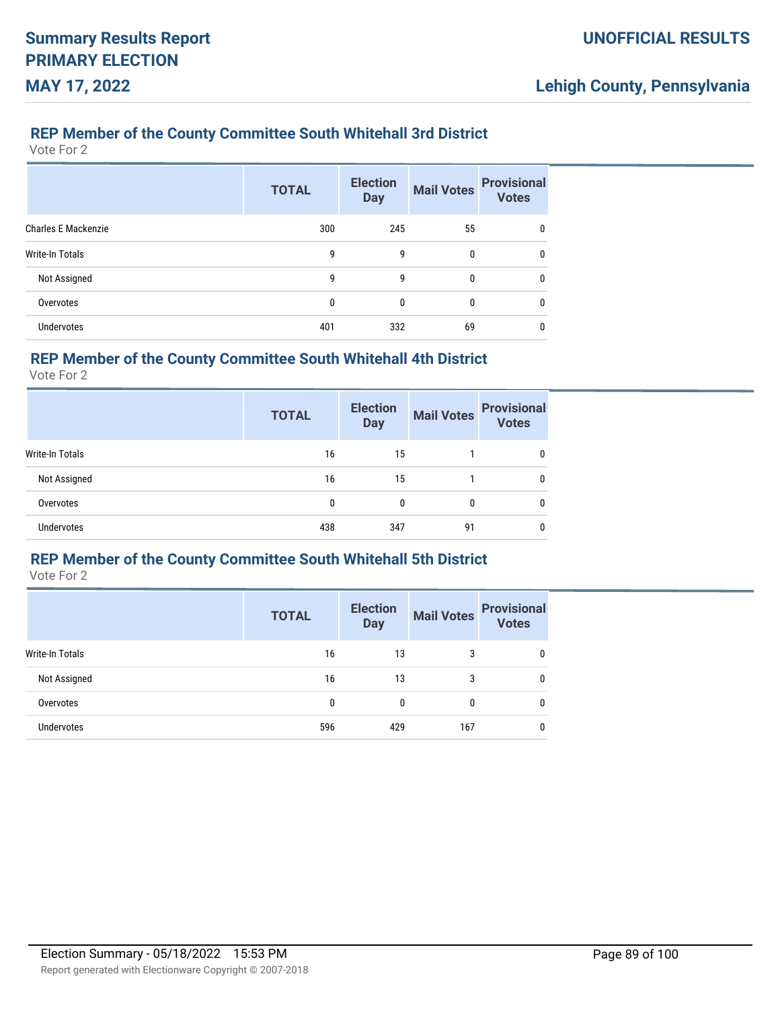#### **REP Member of the County Committee South Whitehall 3rd District**

Vote For 2

|                     | <b>TOTAL</b> | <b>Election</b><br><b>Day</b> | <b>Mail Votes</b> | <b>Provisional</b><br><b>Votes</b> |
|---------------------|--------------|-------------------------------|-------------------|------------------------------------|
| Charles E Mackenzie | 300          | 245                           | 55                | 0                                  |
| Write-In Totals     | 9            | 9                             | 0                 | 0                                  |
| Not Assigned        | 9            | 9                             | 0                 | 0                                  |
| Overvotes           | 0            | 0                             | 0                 | 0                                  |
| Undervotes          | 401          | 332                           | 69                | 0                                  |

### **REP Member of the County Committee South Whitehall 4th District**

Vote For 2

|                 | <b>TOTAL</b> | <b>Election</b><br><b>Day</b> | <b>Mail Votes</b> | <b>Provisional</b><br><b>Votes</b> |
|-----------------|--------------|-------------------------------|-------------------|------------------------------------|
| Write-In Totals | 16           | 15                            |                   |                                    |
| Not Assigned    | 16           | 15                            |                   |                                    |
| Overvotes       | 0            | 0                             | 0                 | 0                                  |
| Undervotes      | 438          | 347                           | 91                |                                    |

#### **REP Member of the County Committee South Whitehall 5th District**

|                   | <b>TOTAL</b> | <b>Election</b><br><b>Day</b> | <b>Mail Votes</b> | <b>Provisional</b><br>Votes |
|-------------------|--------------|-------------------------------|-------------------|-----------------------------|
| Write-In Totals   | 16           | 13                            | 3                 |                             |
| Not Assigned      | 16           | 13                            | 3                 |                             |
| Overvotes         | 0            | 0                             | $\Omega$          |                             |
| <b>Undervotes</b> | 596          | 429                           | 167               |                             |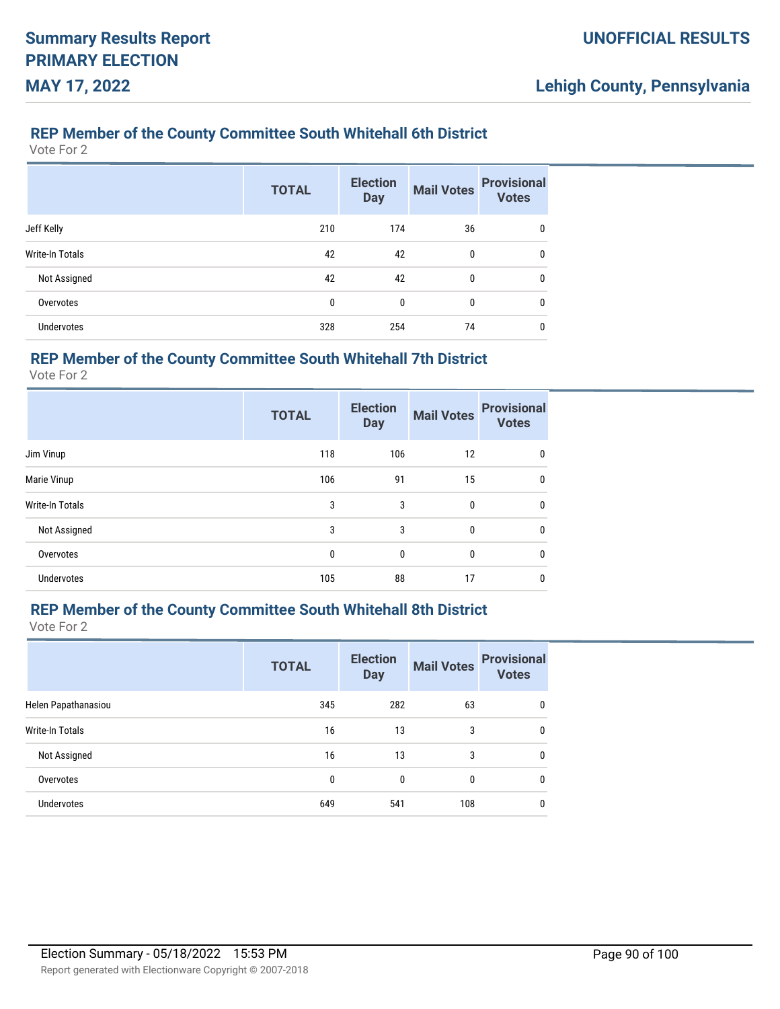#### **REP Member of the County Committee South Whitehall 6th District**

Vote For 2

|                        | <b>TOTAL</b> | <b>Election</b><br><b>Day</b> | <b>Mail Votes</b> | <b>Provisional</b><br><b>Votes</b> |
|------------------------|--------------|-------------------------------|-------------------|------------------------------------|
| Jeff Kelly             | 210          | 174                           | 36                | 0                                  |
| <b>Write-In Totals</b> | 42           | 42                            | 0                 | 0                                  |
| Not Assigned           | 42           | 42                            | 0                 | 0                                  |
| Overvotes              | 0            | 0                             | 0                 | 0                                  |
| <b>Undervotes</b>      | 328          | 254                           | 74                | 0                                  |

## **REP Member of the County Committee South Whitehall 7th District**

Vote For 2

|                 | <b>TOTAL</b> | <b>Election</b><br><b>Day</b> | <b>Mail Votes</b> | <b>Provisional</b><br><b>Votes</b> |
|-----------------|--------------|-------------------------------|-------------------|------------------------------------|
| Jim Vinup       | 118          | 106                           | 12                | 0                                  |
| Marie Vinup     | 106          | 91                            | 15                | $\mathbf{0}$                       |
| Write-In Totals | 3            | 3                             | 0                 | $\mathbf{0}$                       |
| Not Assigned    | 3            | 3                             | 0                 | $\mathbf{0}$                       |
| Overvotes       | 0            | $\mathbf{0}$                  | 0                 | $\mathbf{0}$                       |
| Undervotes      | 105          | 88                            | 17                | 0                                  |

### **REP Member of the County Committee South Whitehall 8th District**

|                     | <b>TOTAL</b> | <b>Election</b><br><b>Day</b> | <b>Mail Votes</b> | <b>Provisional</b><br><b>Votes</b> |
|---------------------|--------------|-------------------------------|-------------------|------------------------------------|
| Helen Papathanasiou | 345          | 282                           | 63                | 0                                  |
| Write-In Totals     | 16           | 13                            | 3                 | $\mathbf{0}$                       |
| Not Assigned        | 16           | 13                            | 3                 | 0                                  |
| Overvotes           | 0            | 0                             | 0                 | 0                                  |
| <b>Undervotes</b>   | 649          | 541                           | 108               | 0                                  |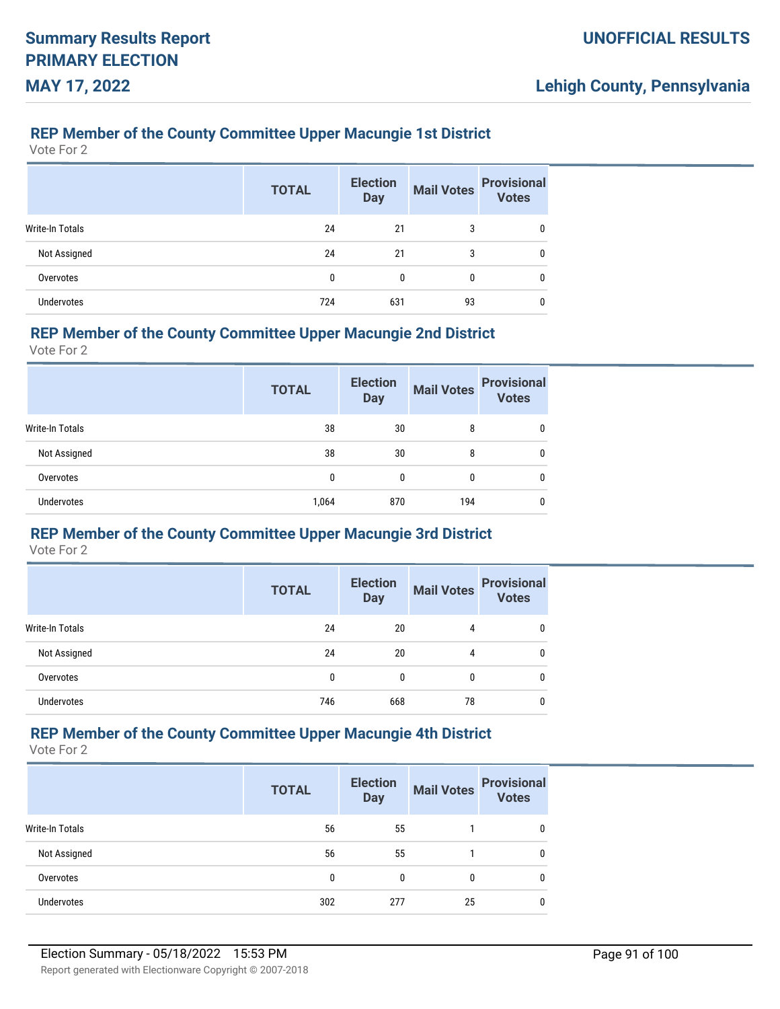### **REP Member of the County Committee Upper Macungie 1st District**

Vote For 2

|                   | <b>TOTAL</b> | <b>Election</b><br><b>Day</b> | <b>Mail Votes</b> | <b>Provisional</b><br><b>Votes</b> |
|-------------------|--------------|-------------------------------|-------------------|------------------------------------|
| Write-In Totals   | 24           | 21                            | 3                 |                                    |
| Not Assigned      | 24           | 21                            | 3                 |                                    |
| Overvotes         | 0            | 0                             | 0                 |                                    |
| <b>Undervotes</b> | 724          | 631                           | 93                |                                    |

#### **REP Member of the County Committee Upper Macungie 2nd District**

Vote For 2

|                   | <b>TOTAL</b> | <b>Election</b><br><b>Day</b> | <b>Mail Votes</b> | <b>Provisional</b><br><b>Votes</b> |
|-------------------|--------------|-------------------------------|-------------------|------------------------------------|
| Write-In Totals   | 38           | 30                            | 8                 | 0                                  |
| Not Assigned      | 38           | 30                            | 8                 | 0                                  |
| Overvotes         | 0            | 0                             | 0                 | 0                                  |
| <b>Undervotes</b> | 1,064        | 870                           | 194               | 0                                  |

## **REP Member of the County Committee Upper Macungie 3rd District**

Vote For 2

|                   | <b>TOTAL</b> | <b>Election</b><br><b>Day</b> | <b>Mail Votes</b> | <b>Provisional</b><br><b>Votes</b> |
|-------------------|--------------|-------------------------------|-------------------|------------------------------------|
| Write-In Totals   | 24           | 20                            | 4                 | 0                                  |
| Not Assigned      | 24           | 20                            | 4                 | 0                                  |
| Overvotes         | 0            | 0                             | 0                 | 0                                  |
| <b>Undervotes</b> | 746          | 668                           | 78                |                                    |

## **REP Member of the County Committee Upper Macungie 4th District**

|                 | <b>TOTAL</b> | <b>Election</b><br><b>Day</b> | <b>Mail Votes</b> | <b>Provisional</b><br><b>Votes</b> |
|-----------------|--------------|-------------------------------|-------------------|------------------------------------|
| Write-In Totals | 56           | 55                            |                   | 0                                  |
| Not Assigned    | 56           | 55                            |                   | 0                                  |
| Overvotes       | 0            | $\Omega$                      | 0                 | 0                                  |
| Undervotes      | 302          | 277                           | 25                | 0                                  |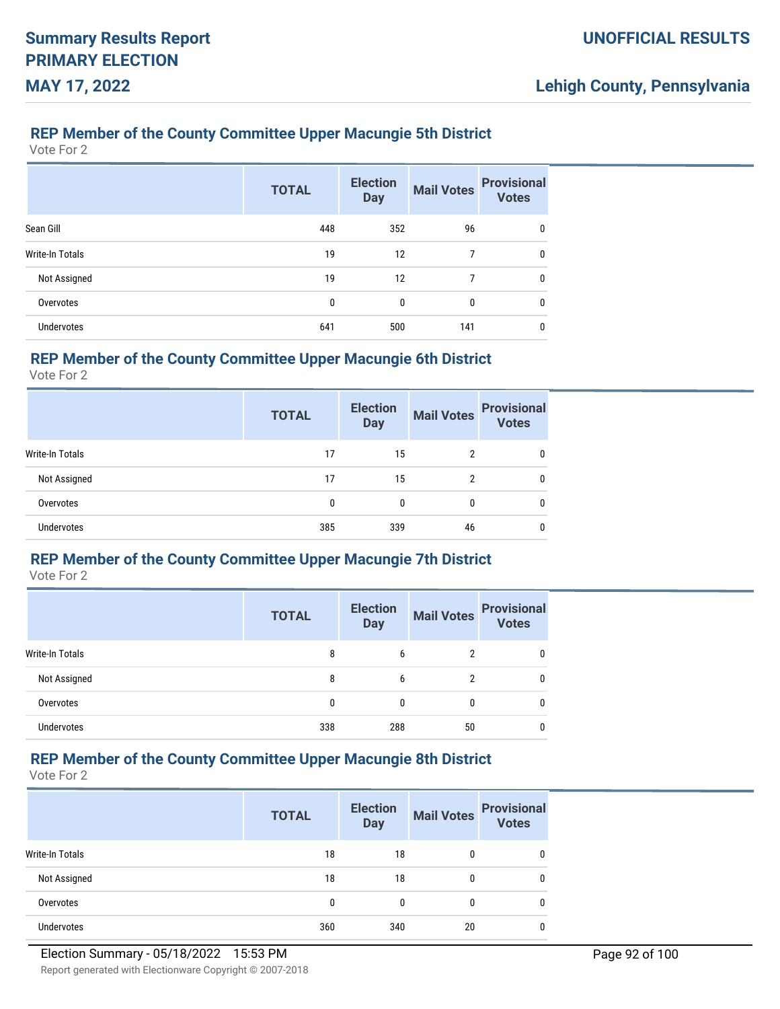### **REP Member of the County Committee Upper Macungie 5th District**

Vote For 2

|                   | <b>TOTAL</b> | <b>Election</b><br><b>Day</b> | <b>Mail Votes</b> | <b>Provisional</b><br><b>Votes</b> |
|-------------------|--------------|-------------------------------|-------------------|------------------------------------|
| Sean Gill         | 448          | 352                           | 96                | 0                                  |
| Write-In Totals   | 19           | 12                            |                   | 0                                  |
| Not Assigned      | 19           | 12                            | 7                 | 0                                  |
| Overvotes         | 0            | $\mathbf{0}$                  | 0                 | 0                                  |
| <b>Undervotes</b> | 641          | 500                           | 141               | 0                                  |

## **REP Member of the County Committee Upper Macungie 6th District**

Vote For 2

|                 | <b>TOTAL</b> | <b>Election</b><br><b>Day</b> | <b>Mail Votes</b> | <b>Provisional</b><br><b>Votes</b> |
|-----------------|--------------|-------------------------------|-------------------|------------------------------------|
| Write-In Totals | 17           | 15                            | 2                 |                                    |
| Not Assigned    | 17           | 15                            | 2                 | 0                                  |
| Overvotes       | 0            | 0                             | 0                 | 0                                  |
| Undervotes      | 385          | 339                           | 46                |                                    |

#### **REP Member of the County Committee Upper Macungie 7th District**

Vote For 2

|                   | <b>TOTAL</b> | <b>Election</b><br><b>Day</b> |    | Mail Votes Provisional |
|-------------------|--------------|-------------------------------|----|------------------------|
| Write-In Totals   | 8            | 6                             | 2  | 0                      |
| Not Assigned      | 8            | 6                             |    | 0                      |
| Overvotes         |              |                               | 0  | 0                      |
| <b>Undervotes</b> | 338          | 288                           | 50 | C                      |

## **REP Member of the County Committee Upper Macungie 8th District**

|                 | <b>TOTAL</b> | <b>Election</b><br><b>Day</b> | <b>Mail Votes</b> | <b>Provisional</b><br><b>Votes</b> |
|-----------------|--------------|-------------------------------|-------------------|------------------------------------|
| Write-In Totals | 18           | 18                            | 0                 | 0                                  |
| Not Assigned    | 18           | 18                            | 0                 | 0                                  |
| Overvotes       | 0            | $\Omega$                      | 0                 | 0                                  |
| Undervotes      | 360          | 340                           | 20                | 0                                  |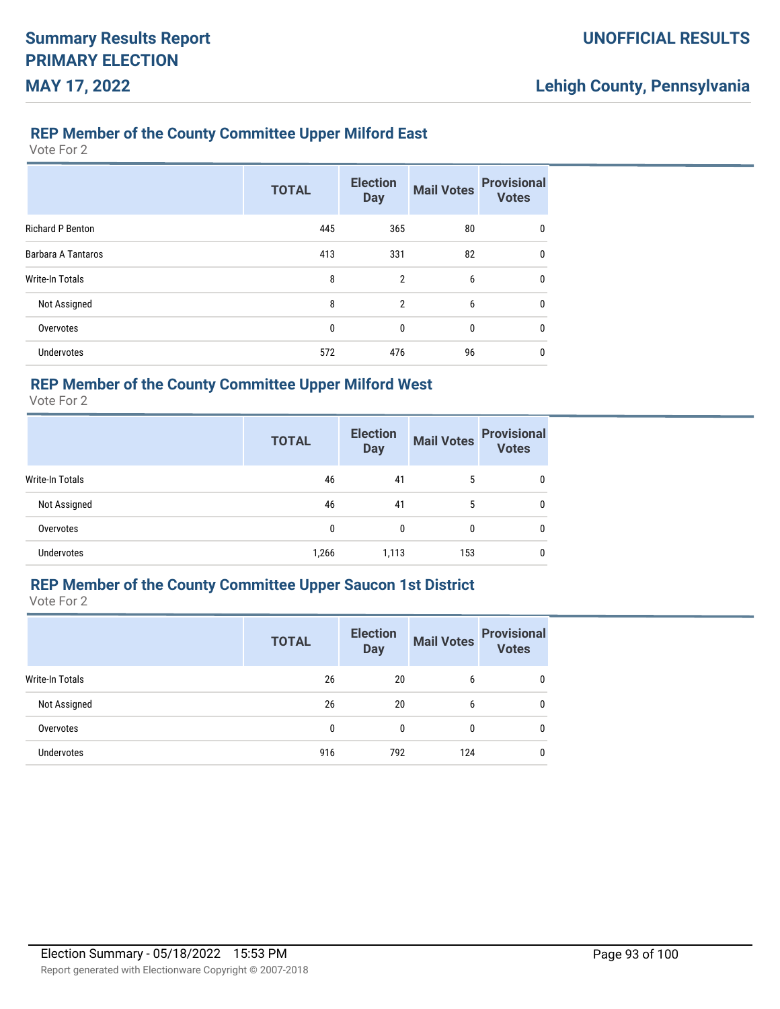#### **REP Member of the County Committee Upper Milford East**

Vote For 2

|                         | <b>TOTAL</b> | <b>Election</b><br><b>Day</b> | <b>Mail Votes</b> | <b>Provisional</b><br><b>Votes</b> |
|-------------------------|--------------|-------------------------------|-------------------|------------------------------------|
| <b>Richard P Benton</b> | 445          | 365                           | 80                | 0                                  |
| Barbara A Tantaros      | 413          | 331                           | 82                | $\mathbf{0}$                       |
| Write-In Totals         | 8            | $\overline{2}$                | 6                 | $\mathbf{0}$                       |
| Not Assigned            | 8            | $\overline{2}$                | 6                 | $\mathbf{0}$                       |
| Overvotes               | 0            | 0                             | 0                 | $\mathbf{0}$                       |
| <b>Undervotes</b>       | 572          | 476                           | 96                | 0                                  |

## **REP Member of the County Committee Upper Milford West**

Vote For 2

|                   | <b>TOTAL</b> | <b>Election</b><br><b>Day</b> | <b>Mail Votes</b> | <b>Provisional</b><br><b>Votes</b> |
|-------------------|--------------|-------------------------------|-------------------|------------------------------------|
| Write-In Totals   | 46           | 41                            | 5                 | 0                                  |
| Not Assigned      | 46           | 41                            | 5                 | 0                                  |
| Overvotes         | 0            | 0                             | 0                 | 0                                  |
| <b>Undervotes</b> | 1,266        | 1,113                         | 153               | 0                                  |

# **REP Member of the County Committee Upper Saucon 1st District**

|                   | <b>TOTAL</b> | <b>Election</b><br><b>Day</b> | <b>Mail Votes</b> | <b>Provisional</b><br><b>Votes</b> |
|-------------------|--------------|-------------------------------|-------------------|------------------------------------|
| Write-In Totals   | 26           | 20                            | 6                 | 0                                  |
| Not Assigned      | 26           | 20                            | 6                 | $\mathbf{0}$                       |
| Overvotes         | 0            | 0                             | 0                 | $\mathbf{0}$                       |
| <b>Undervotes</b> | 916          | 792                           | 124               | 0                                  |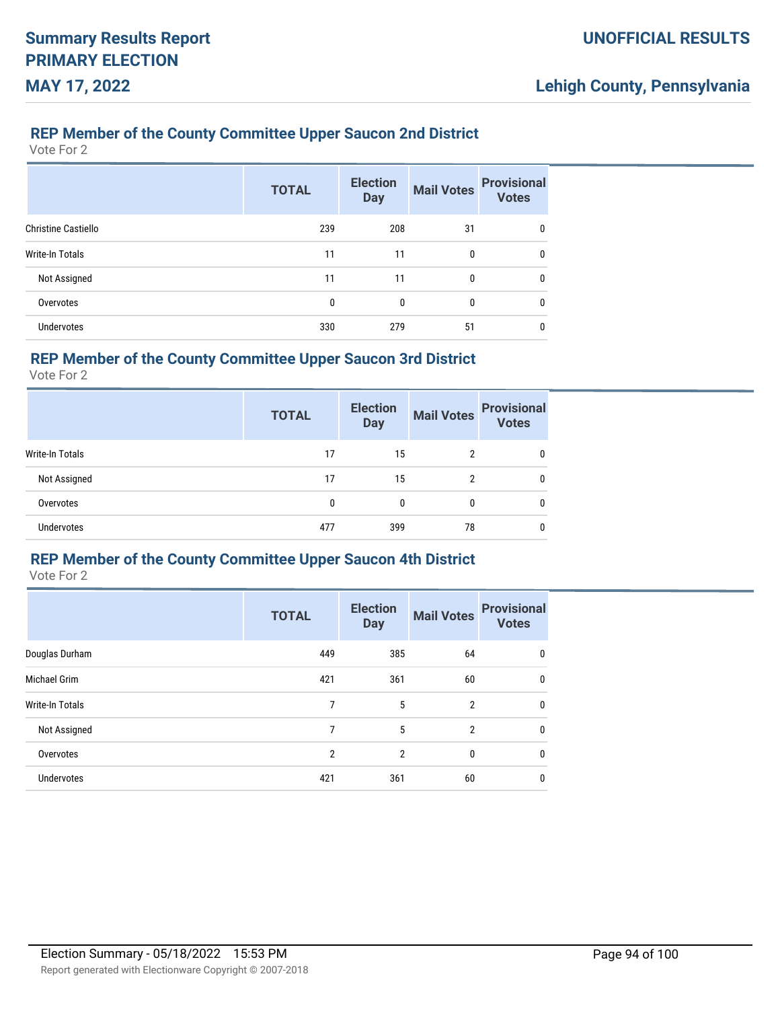### **REP Member of the County Committee Upper Saucon 2nd District**

Vote For 2

|                            | <b>TOTAL</b> | <b>Election</b><br><b>Day</b> | <b>Mail Votes</b> | <b>Provisional</b><br><b>Votes</b> |
|----------------------------|--------------|-------------------------------|-------------------|------------------------------------|
| <b>Christine Castiello</b> | 239          | 208                           | 31                | 0                                  |
| Write-In Totals            | 11           | 11                            | 0                 | 0                                  |
| Not Assigned               | 11           | 11                            | 0                 | 0                                  |
| Overvotes                  | 0            | 0                             | 0                 | 0                                  |
| <b>Undervotes</b>          | 330          | 279                           | 51                | 0                                  |

## **REP Member of the County Committee Upper Saucon 3rd District**

Vote For 2

|                 | <b>TOTAL</b> | <b>Election</b><br><b>Mail Votes</b><br><b>Day</b> |    | <b>Provisional</b><br><b>Votes</b> |
|-----------------|--------------|----------------------------------------------------|----|------------------------------------|
| Write-In Totals | 17           | 15                                                 | 2  |                                    |
| Not Assigned    | 17           | 15                                                 | 2  |                                    |
| Overvotes       | 0            | 0                                                  | 0  | 0                                  |
| Undervotes      | 477          | 399                                                | 78 |                                    |

#### **REP Member of the County Committee Upper Saucon 4th District**

|                 | <b>TOTAL</b> | <b>Election</b><br><b>Day</b> | <b>Mail Votes</b> | <b>Provisional</b><br><b>Votes</b> |
|-----------------|--------------|-------------------------------|-------------------|------------------------------------|
| Douglas Durham  | 449          | 385                           | 64                | 0                                  |
| Michael Grim    | 421          | 361                           | 60                | 0                                  |
| Write-In Totals | 7            | 5                             | $\overline{2}$    | 0                                  |
| Not Assigned    | 7            | 5                             | $\overline{2}$    | 0                                  |
| Overvotes       | 2            | $\overline{2}$                | 0                 | $\mathbf{0}$                       |
| Undervotes      | 421          | 361                           | 60                | 0                                  |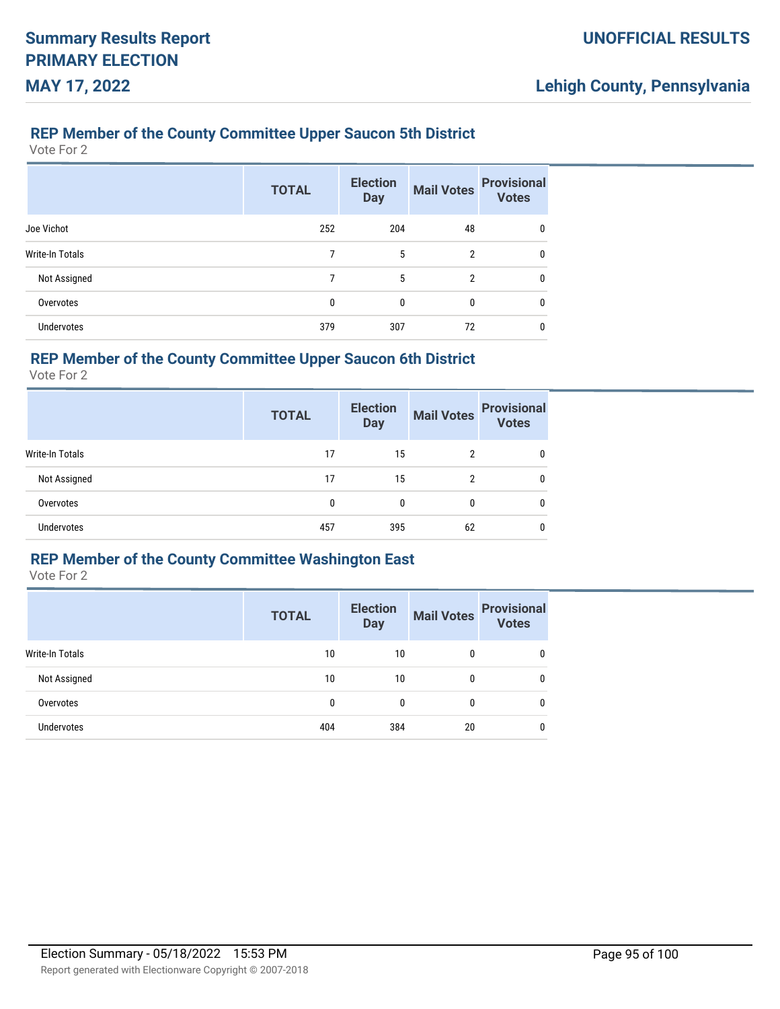### **REP Member of the County Committee Upper Saucon 5th District**

Vote For 2

|                        | <b>TOTAL</b> | <b>Election</b><br><b>Day</b> | <b>Mail Votes</b> | <b>Provisional</b><br><b>Votes</b> |
|------------------------|--------------|-------------------------------|-------------------|------------------------------------|
| Joe Vichot             | 252          | 204                           | 48                | 0                                  |
| <b>Write-In Totals</b> | 7            | 5                             | $\overline{2}$    | 0                                  |
| Not Assigned           | 7            | 5                             | 2                 | 0                                  |
| Overvotes              | 0            | 0                             | 0                 | 0                                  |
| <b>Undervotes</b>      | 379          | 307                           | 72                | 0                                  |

## **REP Member of the County Committee Upper Saucon 6th District**

Vote For 2

|                        | <b>TOTAL</b> | <b>Election</b><br><b>Day</b> | <b>Mail Votes</b> | <b>Provisional</b><br><b>Votes</b> |
|------------------------|--------------|-------------------------------|-------------------|------------------------------------|
| <b>Write-In Totals</b> | 17           | 15                            | $\overline{2}$    | 0                                  |
| Not Assigned           | 17           | 15                            | $\overline{2}$    | 0                                  |
| Overvotes              | 0            | 0                             | 0                 | 0                                  |
| <b>Undervotes</b>      | 457          | 395                           | 62                | 0                                  |

## **REP Member of the County Committee Washington East**

|                   | <b>TOTAL</b> | <b>Election</b><br><b>Day</b> | <b>Mail Votes</b> | <b>Provisional</b><br><b>Votes</b> |
|-------------------|--------------|-------------------------------|-------------------|------------------------------------|
| Write-In Totals   | 10           | 10                            | 0                 |                                    |
| Not Assigned      | 10           | 10                            | 0                 |                                    |
| Overvotes         | 0            | 0                             |                   |                                    |
| <b>Undervotes</b> | 404          | 384                           | 20                |                                    |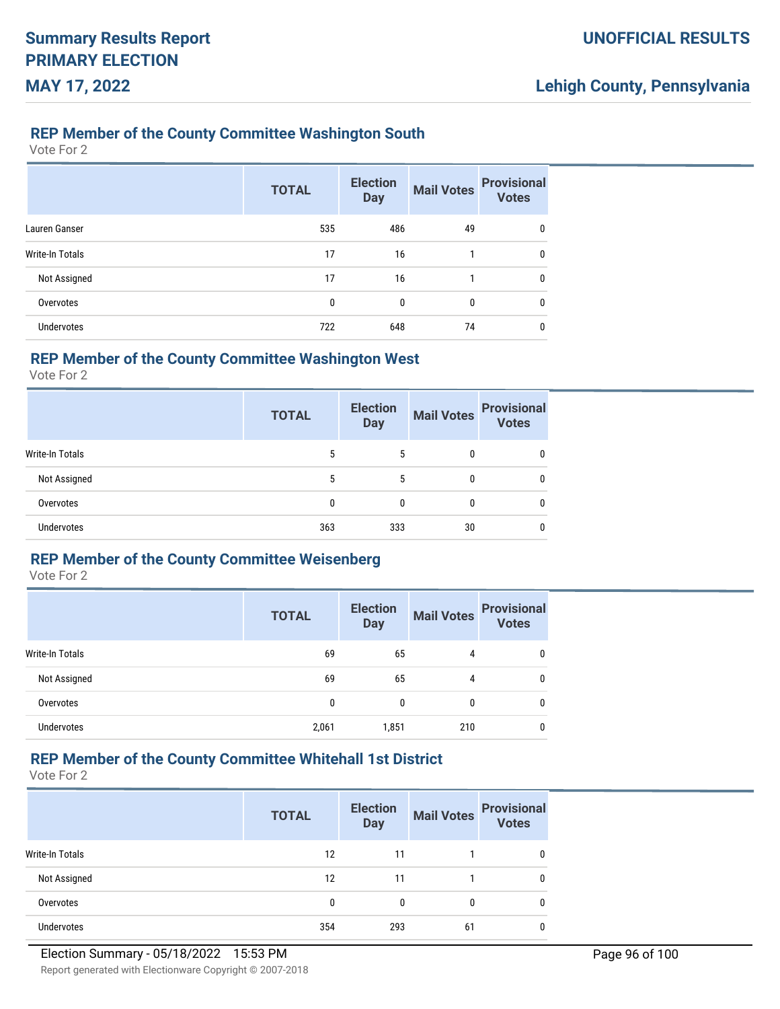#### **REP Member of the County Committee Washington South**

Vote For 2

|                   | <b>TOTAL</b> | <b>Election</b><br><b>Day</b> | <b>Mail Votes</b> | <b>Provisional</b><br><b>Votes</b> |
|-------------------|--------------|-------------------------------|-------------------|------------------------------------|
| Lauren Ganser     | 535          | 486                           | 49                | 0                                  |
| Write-In Totals   | 17           | 16                            |                   | 0                                  |
| Not Assigned      | 17           | 16                            | 1                 | 0                                  |
| Overvotes         | 0            | 0                             | 0                 | 0                                  |
| <b>Undervotes</b> | 722          | 648                           | 74                | 0                                  |

## **REP Member of the County Committee Washington West**

Vote For 2

|                   | <b>TOTAL</b> | <b>Election</b><br><b>Day</b> | <b>Mail Votes</b> | <b>Provisional</b><br><b>Votes</b> |
|-------------------|--------------|-------------------------------|-------------------|------------------------------------|
| Write-In Totals   | 5            | 5                             | 0                 |                                    |
| Not Assigned      | 5            | 5                             | 0                 | 0                                  |
| Overvotes         | 0            | 0                             | 0                 | 0                                  |
| <b>Undervotes</b> | 363          | 333                           | 30                | 0                                  |

## **REP Member of the County Committee Weisenberg**

Vote For 2

|                   | <b>TOTAL</b> | <b>Election</b><br><b>Day</b> |     | Mail Votes Provisional |
|-------------------|--------------|-------------------------------|-----|------------------------|
| Write-In Totals   | 69           | 65                            | 4   | 0                      |
| Not Assigned      | 69           | 65                            | 4   | 0                      |
| Overvotes         | 0            | 0                             | 0   | 0                      |
| <b>Undervotes</b> | 2,061        | 1,851                         | 210 | 0                      |

# **REP Member of the County Committee Whitehall 1st District**

|                        | <b>TOTAL</b> | <b>Election</b><br><b>Day</b> | <b>Mail Votes</b> | <b>Provisional</b><br><b>Votes</b> |
|------------------------|--------------|-------------------------------|-------------------|------------------------------------|
| <b>Write-In Totals</b> | 12           | 11                            |                   | 0                                  |
| Not Assigned           | 12           | 11                            |                   | $\Omega$                           |
| Overvotes              | 0            | 0                             |                   | $\Omega$                           |
| Undervotes             | 354          | 293                           | 61                | 0                                  |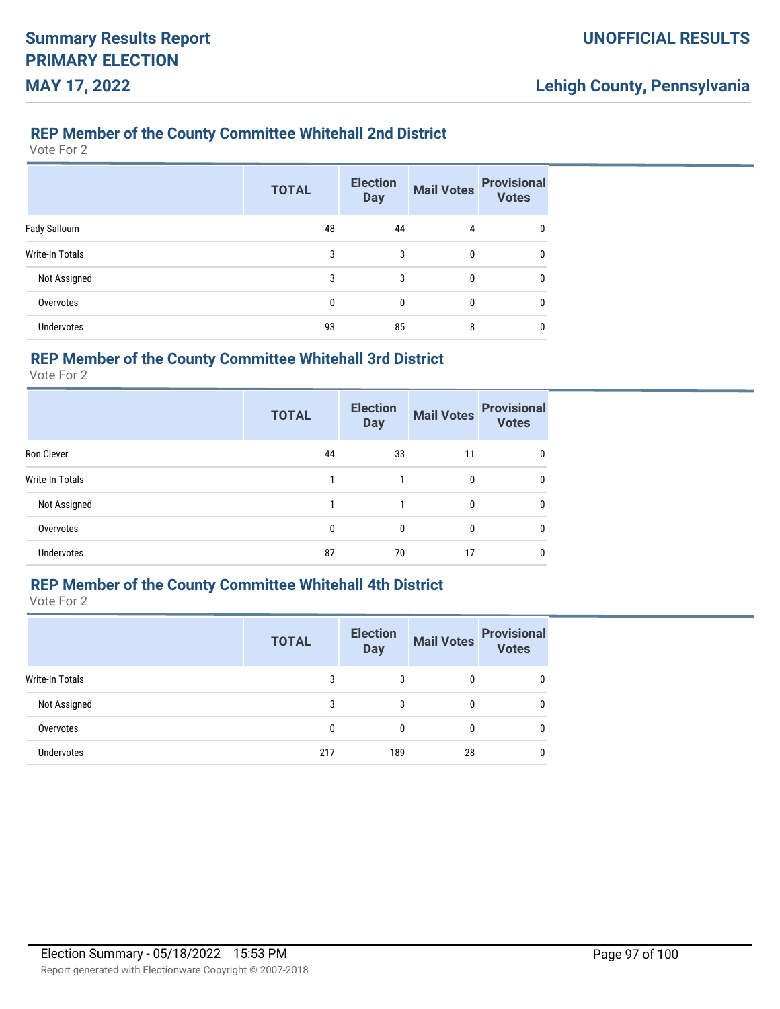### **REP Member of the County Committee Whitehall 2nd District**

Vote For 2

|                   | <b>TOTAL</b> | <b>Election</b><br><b>Day</b> | <b>Mail Votes</b> | <b>Provisional</b><br><b>Votes</b> |
|-------------------|--------------|-------------------------------|-------------------|------------------------------------|
| Fady Salloum      | 48           | 44                            | 4                 | 0                                  |
| Write-In Totals   | 3            | 3                             | $\mathbf{0}$      | 0                                  |
| Not Assigned      | 3            | 3                             | $\mathbf{0}$      | 0                                  |
| Overvotes         | $\mathbf{0}$ | $\mathbf{0}$                  | 0                 | 0                                  |
| <b>Undervotes</b> | 93           | 85                            | 8                 | 0                                  |

## **REP Member of the County Committee Whitehall 3rd District**

Vote For 2

|                   | <b>TOTAL</b> | <b>Election</b><br><b>Day</b> | <b>Mail Votes</b> | <b>Provisional</b><br><b>Votes</b> |
|-------------------|--------------|-------------------------------|-------------------|------------------------------------|
| Ron Clever        | 44           | 33                            | 11                | 0                                  |
| Write-In Totals   |              |                               | 0                 | 0                                  |
| Not Assigned      |              |                               | 0                 | 0                                  |
| Overvotes         | 0            | $\mathbf{0}$                  | 0                 | 0                                  |
| <b>Undervotes</b> | 87           | 70                            | 17                | 0                                  |

## **REP Member of the County Committee Whitehall 4th District**

|                 | <b>TOTAL</b> | <b>Election</b><br><b>Day</b> | <b>Mail Votes</b> | <b>Provisional</b><br><b>Votes</b> |
|-----------------|--------------|-------------------------------|-------------------|------------------------------------|
| Write-In Totals | 3            | 3                             | 0                 |                                    |
| Not Assigned    | 3            | 3                             | 0                 | 0                                  |
| Overvotes       | 0            | $\mathbf{0}$                  | 0                 | 0                                  |
| Undervotes      | 217          | 189                           | 28                | 0                                  |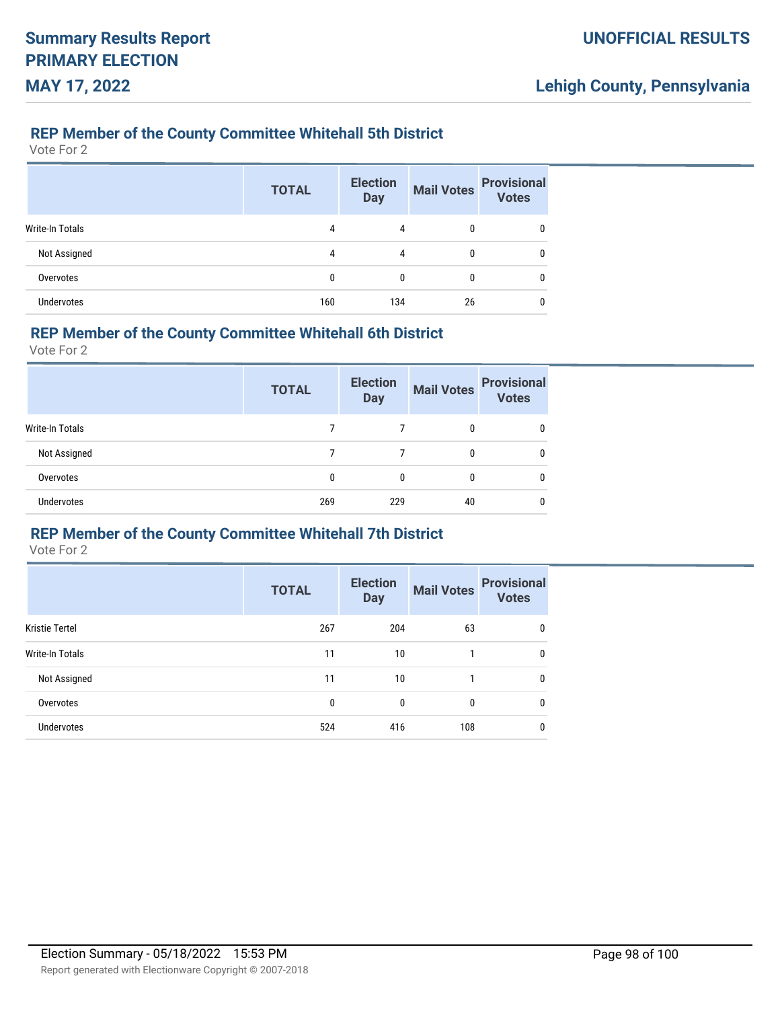### **REP Member of the County Committee Whitehall 5th District**

Vote For 2

|                        | <b>TOTAL</b> | <b>Election</b><br><b>Day</b> | <b>Mail Votes</b> | <b>Provisional</b><br><b>Votes</b> |
|------------------------|--------------|-------------------------------|-------------------|------------------------------------|
| <b>Write-In Totals</b> | 4            | 4                             | 0                 | 0                                  |
| Not Assigned           | 4            | 4                             | 0                 | 0                                  |
| Overvotes              | 0            | 0                             | 0                 | 0                                  |
| <b>Undervotes</b>      | 160          | 134                           | 26                | 0                                  |

#### **REP Member of the County Committee Whitehall 6th District**

Vote For 2

|                        | <b>TOTAL</b> | <b>Election</b><br><b>Day</b> | <b>Mail Votes</b> | <b>Provisional</b><br><b>Votes</b> |
|------------------------|--------------|-------------------------------|-------------------|------------------------------------|
| <b>Write-In Totals</b> |              |                               | 0                 |                                    |
| Not Assigned           |              |                               | 0                 |                                    |
| Overvotes              | 0            | 0                             | 0                 |                                    |
| <b>Undervotes</b>      | 269          | 229                           | 40                |                                    |

# **REP Member of the County Committee Whitehall 7th District**

|                       | <b>TOTAL</b> | <b>Election</b><br><b>Day</b> | <b>Mail Votes</b> | <b>Provisional</b><br><b>Votes</b> |
|-----------------------|--------------|-------------------------------|-------------------|------------------------------------|
| <b>Kristie Tertel</b> | 267          | 204                           | 63                | 0                                  |
| Write-In Totals       | 11           | 10                            |                   | 0                                  |
| Not Assigned          | 11           | 10                            |                   | 0                                  |
| Overvotes             | 0            | 0                             | 0                 | 0                                  |
| <b>Undervotes</b>     | 524          | 416                           | 108               | 0                                  |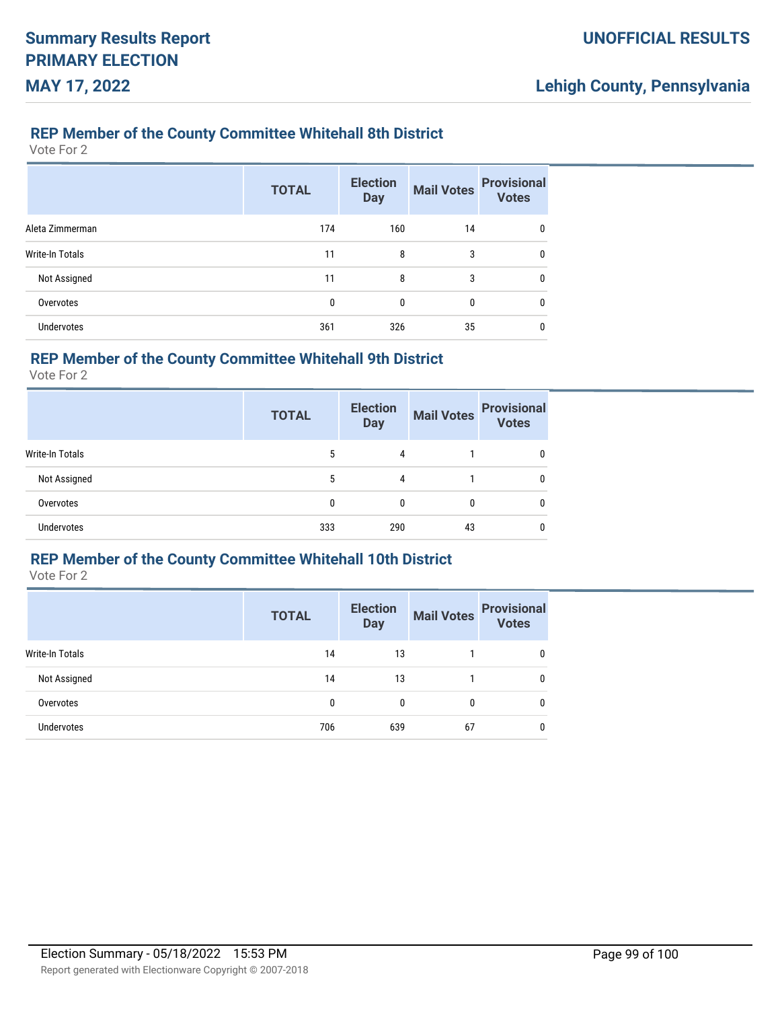### **REP Member of the County Committee Whitehall 8th District**

Vote For 2

|                   | <b>TOTAL</b> | <b>Election</b><br><b>Day</b> | <b>Mail Votes</b> | <b>Provisional</b><br><b>Votes</b> |
|-------------------|--------------|-------------------------------|-------------------|------------------------------------|
| Aleta Zimmerman   | 174          | 160                           | 14                | 0                                  |
| Write-In Totals   | 11           | 8                             | 3                 | 0                                  |
| Not Assigned      | 11           | 8                             | 3                 | 0                                  |
| Overvotes         | 0            | 0                             | 0                 | 0                                  |
| <b>Undervotes</b> | 361          | 326                           | 35                | 0                                  |

## **REP Member of the County Committee Whitehall 9th District**

Vote For 2

|                        | <b>TOTAL</b> | <b>Election</b><br><b>Day</b> | <b>Mail Votes</b> | <b>Provisional</b><br><b>Votes</b> |
|------------------------|--------------|-------------------------------|-------------------|------------------------------------|
| <b>Write-In Totals</b> | 5            | 4                             |                   |                                    |
| Not Assigned           | 5            | 4                             |                   | 0                                  |
| Overvotes              | 0            | 0                             | 0                 | 0                                  |
| Undervotes             | 333          | 290                           | 43                | 0                                  |

# **REP Member of the County Committee Whitehall 10th District**

|                   | <b>TOTAL</b> | <b>Election</b><br><b>Day</b> | <b>Mail Votes</b> | <b>Provisional</b><br>Votes |
|-------------------|--------------|-------------------------------|-------------------|-----------------------------|
| Write-In Totals   | 14           | 13                            |                   |                             |
| Not Assigned      | 14           | 13                            |                   |                             |
| Overvotes         | 0            | 0                             | 0                 |                             |
| <b>Undervotes</b> | 706          | 639                           | 67                |                             |